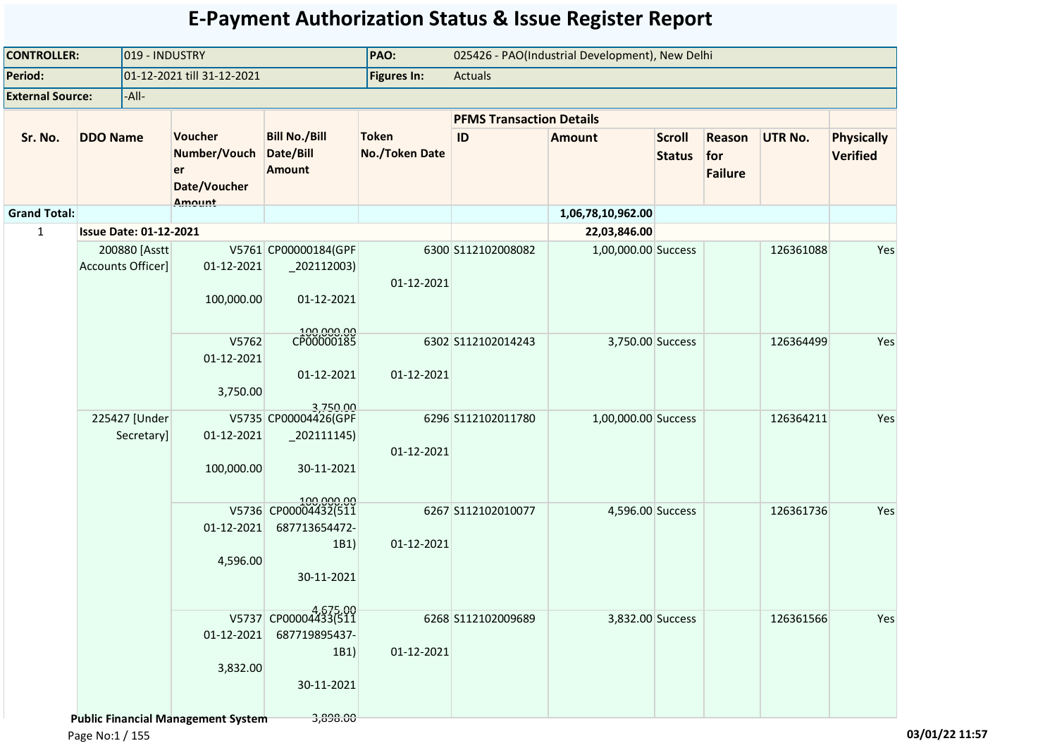| 019 - INDUSTRY<br><b>CONTROLLER:</b> |                               |                             |                                                                     |                                                                           | PAO:                                  |                    | 025426 - PAO(Industrial Development), New Delhi |                                |                                 |                |                                      |
|--------------------------------------|-------------------------------|-----------------------------|---------------------------------------------------------------------|---------------------------------------------------------------------------|---------------------------------------|--------------------|-------------------------------------------------|--------------------------------|---------------------------------|----------------|--------------------------------------|
| Period:                              |                               |                             | 01-12-2021 till 31-12-2021                                          |                                                                           | <b>Figures In:</b>                    | Actuals            |                                                 |                                |                                 |                |                                      |
| <b>External Source:</b>              |                               | -All-                       |                                                                     |                                                                           |                                       |                    |                                                 |                                |                                 |                |                                      |
|                                      |                               |                             |                                                                     |                                                                           | <b>PFMS Transaction Details</b>       |                    |                                                 |                                |                                 |                |                                      |
| Sr. No.                              | <b>DDO Name</b>               |                             | Voucher<br>Number/Vouch<br>er<br>Date/Voucher<br><b>Amount</b>      | <b>Bill No./Bill</b><br>Date/Bill<br><b>Amount</b>                        | <b>Token</b><br><b>No./Token Date</b> | ID                 | <b>Amount</b>                                   | <b>Scroll</b><br><b>Status</b> | Reason<br>for<br><b>Failure</b> | <b>UTR No.</b> | <b>Physically</b><br><b>Verified</b> |
| <b>Grand Total:</b>                  |                               |                             |                                                                     |                                                                           |                                       |                    | 1,06,78,10,962.00                               |                                |                                 |                |                                      |
| $\mathbf{1}$                         | <b>Issue Date: 01-12-2021</b> |                             |                                                                     |                                                                           |                                       |                    | 22,03,846.00                                    |                                |                                 |                |                                      |
|                                      | Accounts Officer]             | 200880 [Asstt               | 01-12-2021<br>100,000.00                                            | V5761 CP00000184(GPF<br>$-202112003$<br>01-12-2021                        | 01-12-2021                            | 6300 S112102008082 | 1,00,000.00 Success                             |                                |                                 | 126361088      | Yes                                  |
|                                      |                               |                             | V5762<br>01-12-2021<br>3,750.00                                     | 100,000.00<br>CP00000185<br>01-12-2021<br>3,750.00                        | 01-12-2021                            | 6302 S112102014243 | 3,750.00 Success                                |                                |                                 | 126364499      | Yes                                  |
|                                      |                               | 225427 [Under<br>Secretary] | 01-12-2021<br>100,000.00                                            | V5735 CP00004426(GPF<br>$_2$ 202111145)<br>30-11-2021                     | 01-12-2021                            | 6296 S112102011780 | 1,00,000.00 Success                             |                                |                                 | 126364211      | Yes                                  |
|                                      |                               |                             | 01-12-2021<br>4,596.00                                              | 100.000.00<br>V5736 CP00004432(511<br>687713654472-<br>1B1)<br>30-11-2021 | 01-12-2021                            | 6267 S112102010077 | 4,596.00 Success                                |                                |                                 | 126361736      | Yes                                  |
|                                      |                               |                             | 01-12-2021<br>3,832.00<br><b>Public Financial Management System</b> | V5737 CP00004433(511<br>687719895437-<br>1B1)<br>30-11-2021<br>3,898.00   | 01-12-2021                            | 6268 S112102009689 | 3,832.00 Success                                |                                |                                 | 126361566      | Yes                                  |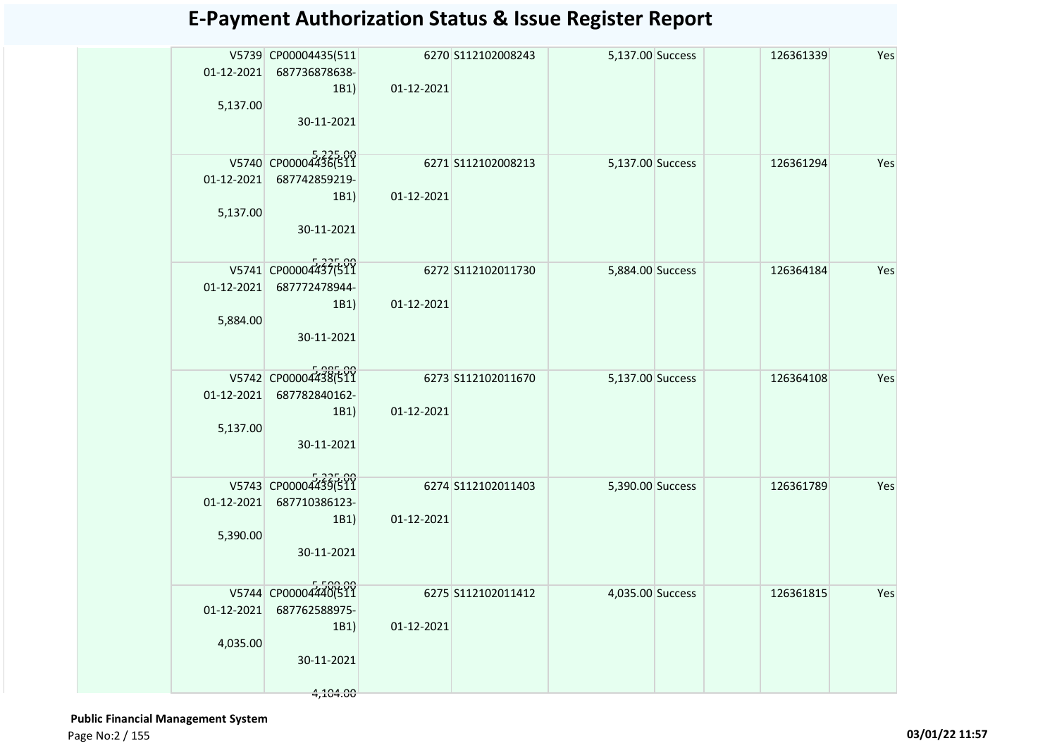| 5,137.00                     | V5739 CP00004435(511<br>01-12-2021 687736878638-<br>1B1)<br>30-11-2021  | 01-12-2021 | 6270 S112102008243 | 5,137.00 Success | 126361339 | Yes |
|------------------------------|-------------------------------------------------------------------------|------------|--------------------|------------------|-----------|-----|
| 5,137.00                     | V5740 CP00004436(511<br>01-12-2021 687742859219-<br>1B1)<br>30-11-2021  | 01-12-2021 | 6271 S112102008213 | 5,137.00 Success | 126361294 | Yes |
| 01-12-2021<br>5,884.00       | V5741 CP00004437(511<br>687772478944-<br>1B1)<br>30-11-2021             | 01-12-2021 | 6272 S112102011730 | 5,884.00 Success | 126364184 | Yes |
| 01-12-2021<br>5,137.00       | V5742 CP00004438(511<br>687782840162-<br>1B1)<br>30-11-2021             | 01-12-2021 | 6273 S112102011670 | 5,137.00 Success | 126364108 | Yes |
| $01 - 12 - 2021$<br>5,390.00 | V5743 CP00004439(511<br>687710386123-<br>1B1)<br>30-11-2021             | 01-12-2021 | 6274 S112102011403 | 5,390.00 Success | 126361789 | Yes |
| $01-12-2021$<br>4,035.00     | V5744 CP00004440(511<br>687762588975-<br>1B1)<br>30-11-2021<br>4,104.00 | 01-12-2021 | 6275 S112102011412 | 4,035.00 Success | 126361815 | Yes |

 **Public Financial Management System**  Page No:2 / 155 **03/01/22 11:57**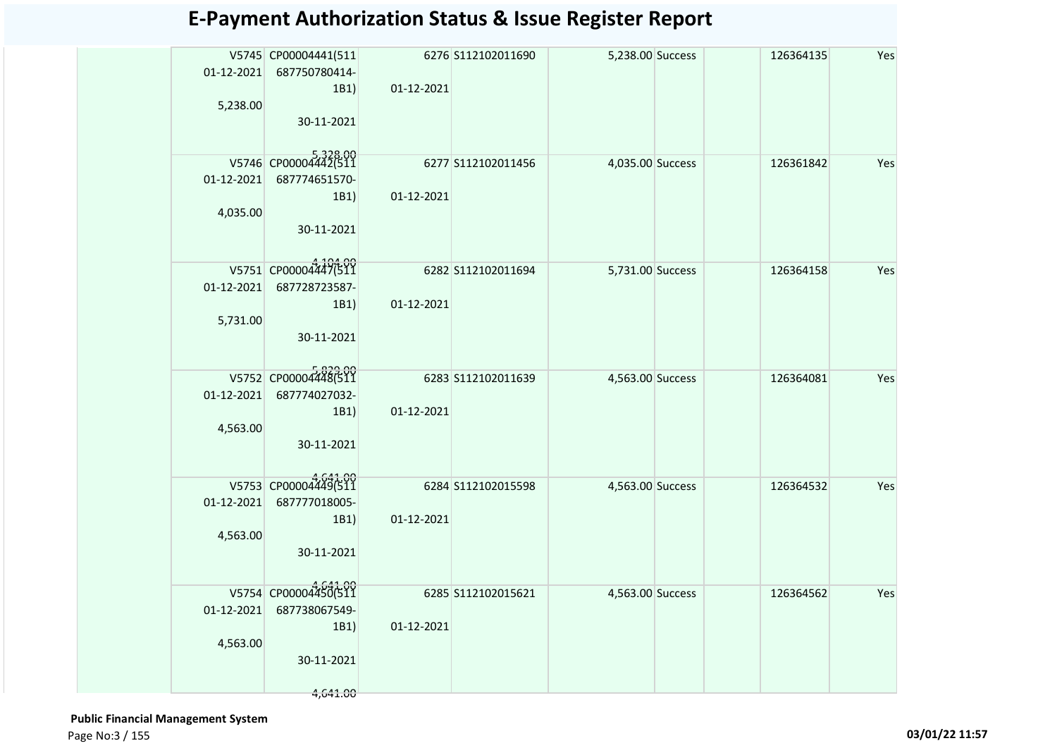| 1B1)<br>30-11-2021                  | 01-12-2021                                                                                                                                                                                                                                                                                                                                                   |                                                                                                                                   | 126364135                                                                                                            | Yes |
|-------------------------------------|--------------------------------------------------------------------------------------------------------------------------------------------------------------------------------------------------------------------------------------------------------------------------------------------------------------------------------------------------------------|-----------------------------------------------------------------------------------------------------------------------------------|----------------------------------------------------------------------------------------------------------------------|-----|
| 1B1)<br>30-11-2021                  | 01-12-2021                                                                                                                                                                                                                                                                                                                                                   |                                                                                                                                   | 126361842                                                                                                            | Yes |
| 687728723587-<br>1B1)<br>30-11-2021 | 01-12-2021                                                                                                                                                                                                                                                                                                                                                   |                                                                                                                                   | 126364158                                                                                                            | Yes |
| 687774027032-<br>1B1)<br>30-11-2021 | 01-12-2021                                                                                                                                                                                                                                                                                                                                                   |                                                                                                                                   | 126364081                                                                                                            | Yes |
| 687777018005-<br>1B1)<br>30-11-2021 | 01-12-2021                                                                                                                                                                                                                                                                                                                                                   |                                                                                                                                   | 126364532                                                                                                            | Yes |
| 687738067549-<br>1B1)<br>30-11-2021 | 01-12-2021                                                                                                                                                                                                                                                                                                                                                   |                                                                                                                                   | 126364562                                                                                                            | Yes |
|                                     | V5745 CP00004441(511<br>01-12-2021 687750780414-<br>5,238.00<br>V5746 CP00004442(511<br>01-12-2021 687774651570-<br>4,035.00<br>V5751 CP00004447(511<br>01-12-2021<br>5,731.00<br>V5752 CP00004448(511<br>01-12-2021<br>4,563.00<br>V5753 CP00004449(511<br>$01 - 12 - 2021$<br>4,563.00<br>V5754 CP00004450(511<br>$01 - 12 - 2021$<br>4,563.00<br>4,641.00 | 6276 \$112102011690<br>6277 S112102011456<br>6282 S112102011694<br>6283 S112102011639<br>6284 S112102015598<br>6285 S112102015621 | 5,238.00 Success<br>4,035.00 Success<br>5,731.00 Success<br>4,563.00 Success<br>4,563.00 Success<br>4,563.00 Success |     |

 **Public Financial Management System**  Page No:3 / 155 **03/01/22 11:57**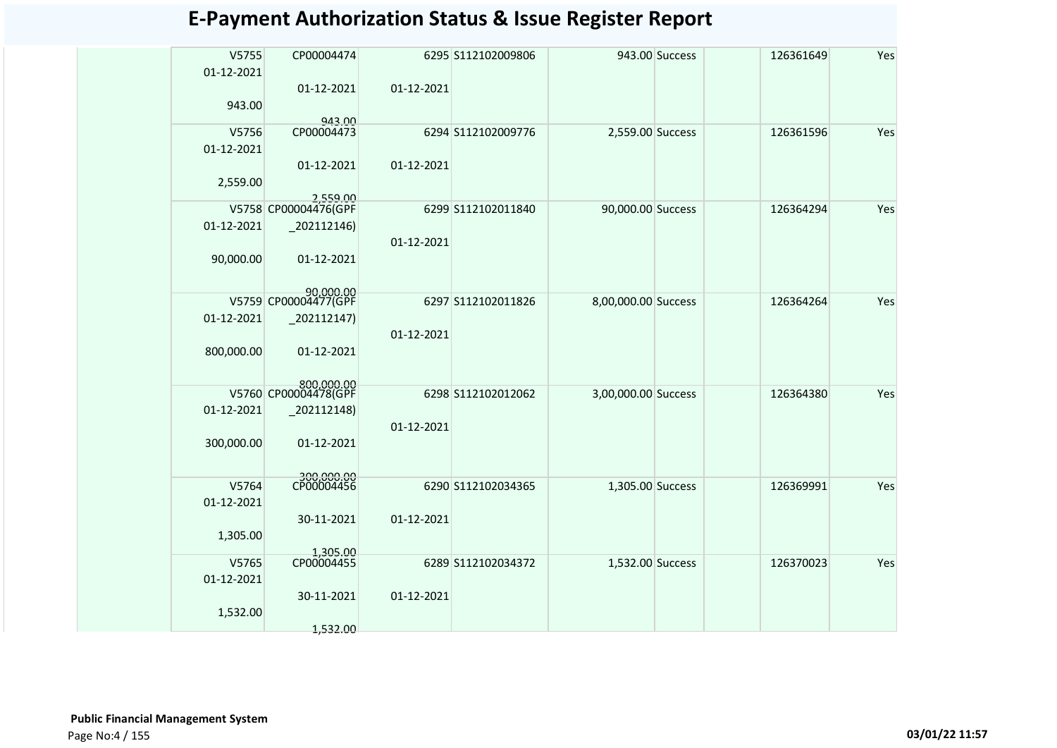| V5755      | CP00004474                                |            | 6295 S112102009806 | 943.00 Success      | 126361649 | Yes |
|------------|-------------------------------------------|------------|--------------------|---------------------|-----------|-----|
| 01-12-2021 |                                           |            |                    |                     |           |     |
|            | 01-12-2021                                | 01-12-2021 |                    |                     |           |     |
| 943.00     |                                           |            |                    |                     |           |     |
|            | 943.00                                    |            |                    |                     |           |     |
| V5756      | CP00004473                                |            | 6294 S112102009776 | 2,559.00 Success    | 126361596 | Yes |
| 01-12-2021 |                                           |            |                    |                     |           |     |
|            | 01-12-2021                                | 01-12-2021 |                    |                     |           |     |
| 2,559.00   |                                           |            |                    |                     |           |     |
|            | 2,559.00<br>V5758 CP00004476(GPF          |            | 6299 S112102011840 | 90,000.00 Success   | 126364294 | Yes |
| 01-12-2021 | $-202112146$                              |            |                    |                     |           |     |
|            |                                           | 01-12-2021 |                    |                     |           |     |
| 90,000.00  | 01-12-2021                                |            |                    |                     |           |     |
|            |                                           |            |                    |                     |           |     |
|            | 90,000,00                                 |            |                    |                     |           |     |
|            | V5759 CP00004477(GPF                      |            | 6297 S112102011826 | 8,00,000.00 Success | 126364264 | Yes |
| 01-12-2021 | 202112147)                                |            |                    |                     |           |     |
|            |                                           | 01-12-2021 |                    |                     |           |     |
| 800,000.00 | 01-12-2021                                |            |                    |                     |           |     |
|            |                                           |            |                    |                     |           |     |
|            | <u>soo ooo oo</u><br>V5760 CP00004478(GPF |            | 6298 S112102012062 | 3,00,000.00 Success | 126364380 | Yes |
| 01-12-2021 | 202112148)                                |            |                    |                     |           |     |
|            |                                           | 01-12-2021 |                    |                     |           |     |
| 300,000.00 | 01-12-2021                                |            |                    |                     |           |     |
|            |                                           |            |                    |                     |           |     |
|            | 300,000.00<br>CP00004456                  |            |                    |                     |           |     |
| V5764      |                                           |            | 6290 S112102034365 | 1,305.00 Success    | 126369991 | Yes |
| 01-12-2021 |                                           |            |                    |                     |           |     |
|            | 30-11-2021                                | 01-12-2021 |                    |                     |           |     |
| 1,305.00   |                                           |            |                    |                     |           |     |
| V5765      | 1,305.00<br>CP00004455                    |            | 6289 S112102034372 | 1,532.00 Success    | 126370023 | Yes |
| 01-12-2021 |                                           |            |                    |                     |           |     |
|            | 30-11-2021                                | 01-12-2021 |                    |                     |           |     |
| 1,532.00   |                                           |            |                    |                     |           |     |
|            | 1,532.00                                  |            |                    |                     |           |     |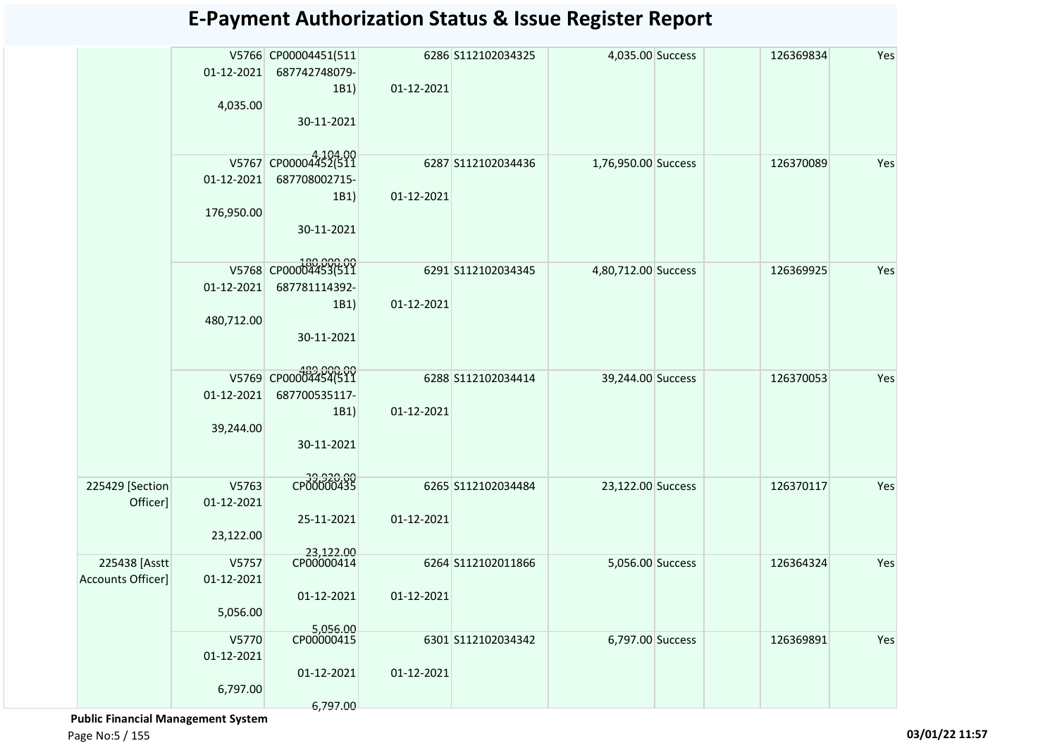|                   |            | V5766 CP00004451(511   |            | 6286 S112102034325 | 4,035.00 Success    | 126369834 | Yes |
|-------------------|------------|------------------------|------------|--------------------|---------------------|-----------|-----|
|                   | 01-12-2021 | 687742748079-          |            |                    |                     |           |     |
|                   |            | 1B1)                   | 01-12-2021 |                    |                     |           |     |
|                   | 4,035.00   |                        |            |                    |                     |           |     |
|                   |            | 30-11-2021             |            |                    |                     |           |     |
|                   |            |                        |            |                    |                     |           |     |
|                   |            | V5767 CP00004452(511   |            | 6287 S112102034436 | 1,76,950.00 Success | 126370089 | Yes |
|                   | 01-12-2021 | 687708002715-          |            |                    |                     |           |     |
|                   |            | 1B1)                   | 01-12-2021 |                    |                     |           |     |
|                   | 176,950.00 |                        |            |                    |                     |           |     |
|                   |            | 30-11-2021             |            |                    |                     |           |     |
|                   |            |                        |            |                    |                     |           |     |
|                   |            | V5768 CP00004453(511   |            |                    |                     |           |     |
|                   |            |                        |            | 6291 S112102034345 | 4,80,712.00 Success | 126369925 | Yes |
|                   | 01-12-2021 | 687781114392-          |            |                    |                     |           |     |
|                   |            | 1B1)                   | 01-12-2021 |                    |                     |           |     |
|                   | 480,712.00 | 30-11-2021             |            |                    |                     |           |     |
|                   |            |                        |            |                    |                     |           |     |
|                   |            |                        |            |                    |                     |           |     |
|                   |            | V5769 CP00004454(511   |            | 6288 S112102034414 | 39,244.00 Success   | 126370053 | Yes |
|                   | 01-12-2021 | 687700535117-          |            |                    |                     |           |     |
|                   |            | 1B1)                   | 01-12-2021 |                    |                     |           |     |
|                   | 39,244.00  |                        |            |                    |                     |           |     |
|                   |            | 30-11-2021             |            |                    |                     |           |     |
|                   |            |                        |            |                    |                     |           |     |
| 225429 [Section   | V5763      | CP00000435             |            | 6265 S112102034484 | 23,122.00 Success   | 126370117 | Yes |
| Officer]          | 01-12-2021 |                        |            |                    |                     |           |     |
|                   |            | 25-11-2021             | 01-12-2021 |                    |                     |           |     |
|                   | 23,122.00  |                        |            |                    |                     |           |     |
|                   |            | 23,122.00              |            |                    |                     |           |     |
| 225438 [Asstt     | V5757      | CP00000414             |            | 6264 S112102011866 | 5,056.00 Success    | 126364324 | Yes |
| Accounts Officer] | 01-12-2021 |                        |            |                    |                     |           |     |
|                   |            | 01-12-2021             | 01-12-2021 |                    |                     |           |     |
|                   | 5,056.00   |                        |            |                    |                     |           |     |
|                   | V5770      | 5,056.00<br>CP00000415 |            | 6301 S112102034342 | 6,797.00 Success    | 126369891 | Yes |
|                   | 01-12-2021 |                        |            |                    |                     |           |     |
|                   |            | 01-12-2021             | 01-12-2021 |                    |                     |           |     |
|                   | 6,797.00   |                        |            |                    |                     |           |     |
|                   |            | 6,797.00               |            |                    |                     |           |     |

 **Public Financial Management System**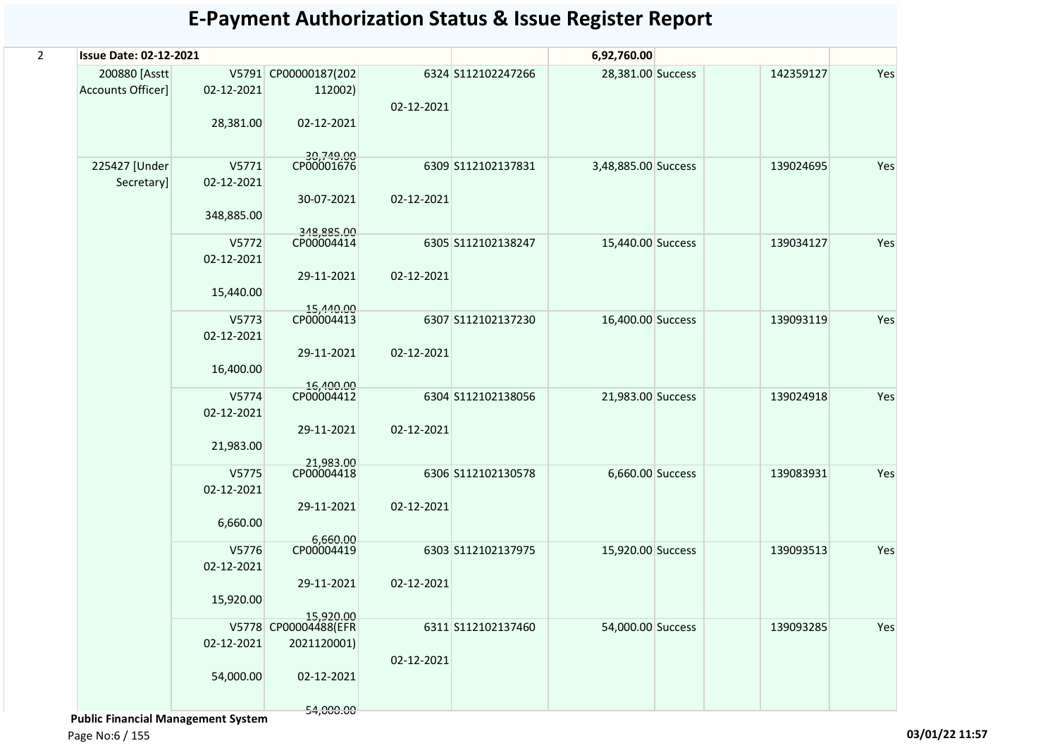| $\overline{a}$ | <b>Issue Date: 02-12-2021</b>       |                                   |                                                                |            |                    | 6,92,760.00         |           |     |
|----------------|-------------------------------------|-----------------------------------|----------------------------------------------------------------|------------|--------------------|---------------------|-----------|-----|
|                | 200880 [Asstt]<br>Accounts Officer] | 02-12-2021<br>28,381.00           | V5791 CP00000187(202<br>112002)<br>02-12-2021                  | 02-12-2021 | 6324 S112102247266 | 28,381.00 Success   | 142359127 | Yes |
|                | 225427 [Under<br>Secretary]         | V5771<br>02-12-2021<br>348,885.00 | 30,749.00<br>CP00001676<br>30-07-2021                          | 02-12-2021 | 6309 S112102137831 | 3,48,885.00 Success | 139024695 | Yes |
|                |                                     | V5772<br>02-12-2021<br>15,440.00  | 348,885.00<br>CP00004414<br>29-11-2021                         | 02-12-2021 | 6305 S112102138247 | 15,440.00 Success   | 139034127 | Yes |
|                |                                     | V5773<br>02-12-2021<br>16,400.00  | 15,440.00<br>CP00004413<br>29-11-2021                          | 02-12-2021 | 6307 S112102137230 | 16,400.00 Success   | 139093119 | Yes |
|                |                                     | V5774<br>02-12-2021<br>21,983.00  | 16,400.00<br>CP00004412<br>29-11-2021                          | 02-12-2021 | 6304 S112102138056 | 21,983.00 Success   | 139024918 | Yes |
|                |                                     | V5775<br>02-12-2021<br>6,660.00   | 21.983.00<br>CP00004418<br>29-11-2021                          | 02-12-2021 | 6306 S112102130578 | 6,660.00 Success    | 139083931 | Yes |
|                |                                     | V5776<br>02-12-2021<br>15,920.00  | 6,660.00<br>CP00004419<br>29-11-2021                           | 02-12-2021 | 6303 S112102137975 | 15,920.00 Success   | 139093513 | Yes |
|                |                                     | 02-12-2021<br>54,000.00           | 15,920.00<br>V5778 CP00004488(EFR<br>2021120001)<br>02-12-2021 | 02-12-2021 | 6311 S112102137460 | 54,000.00 Success   | 139093285 | Yes |
|                |                                     |                                   | 54,000.00                                                      |            |                    |                     |           |     |

 **Public Financial Management System** 

Page No:6 / 155 **03/01/22 11:57**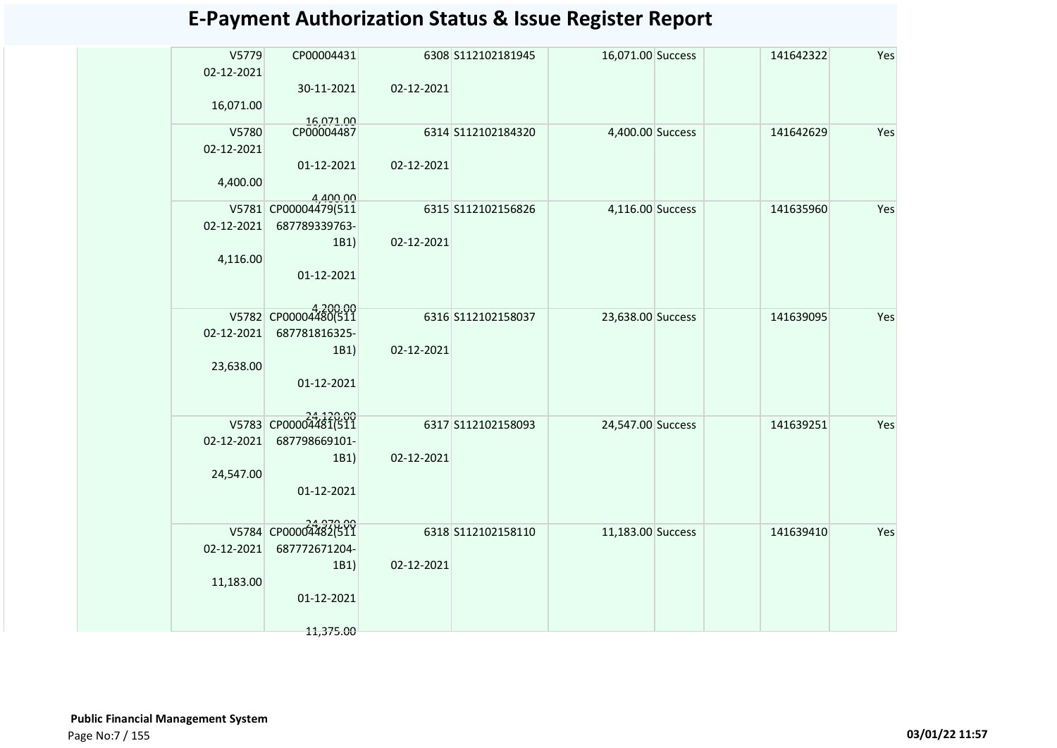| V5779      | CP00004431              |            | 6308 S112102181945 | 16,071.00 Success | 141642322 | Yes |
|------------|-------------------------|------------|--------------------|-------------------|-----------|-----|
| 02-12-2021 |                         |            |                    |                   |           |     |
|            | 30-11-2021              | 02-12-2021 |                    |                   |           |     |
| 16,071.00  |                         |            |                    |                   |           |     |
| V5780      | 16,071.00<br>CP00004487 |            | 6314 S112102184320 | 4,400.00 Success  | 141642629 | Yes |
| 02-12-2021 |                         |            |                    |                   |           |     |
|            | 01-12-2021              | 02-12-2021 |                    |                   |           |     |
| 4,400.00   |                         |            |                    |                   |           |     |
|            | 4.400.00                |            |                    |                   |           |     |
|            | V5781 CP00004479(511    |            | 6315 S112102156826 | 4,116.00 Success  | 141635960 | Yes |
| 02-12-2021 | 687789339763-           |            |                    |                   |           |     |
|            | 1B1)                    | 02-12-2021 |                    |                   |           |     |
| 4,116.00   | 01-12-2021              |            |                    |                   |           |     |
|            |                         |            |                    |                   |           |     |
|            |                         |            |                    |                   |           |     |
|            | V5782 CP00004480(511    |            | 6316 S112102158037 | 23,638.00 Success | 141639095 | Yes |
| 02-12-2021 | 687781816325-           |            |                    |                   |           |     |
|            | 1B1)                    | 02-12-2021 |                    |                   |           |     |
| 23,638.00  | 01-12-2021              |            |                    |                   |           |     |
|            |                         |            |                    |                   |           |     |
|            |                         |            |                    |                   |           |     |
|            | V5783 CP00004481(511    |            | 6317 S112102158093 | 24,547.00 Success | 141639251 | Yes |
| 02-12-2021 | 687798669101-<br>1B1)   | 02-12-2021 |                    |                   |           |     |
| 24,547.00  |                         |            |                    |                   |           |     |
|            | 01-12-2021              |            |                    |                   |           |     |
|            |                         |            |                    |                   |           |     |
|            | V5784 CP00004482(511    |            |                    |                   |           |     |
| 02-12-2021 | 687772671204-           |            | 6318 S112102158110 | 11,183.00 Success | 141639410 | Yes |
|            | 1B1)                    | 02-12-2021 |                    |                   |           |     |
| 11,183.00  |                         |            |                    |                   |           |     |
|            | 01-12-2021              |            |                    |                   |           |     |
|            |                         |            |                    |                   |           |     |
|            | 11,375.00               |            |                    |                   |           |     |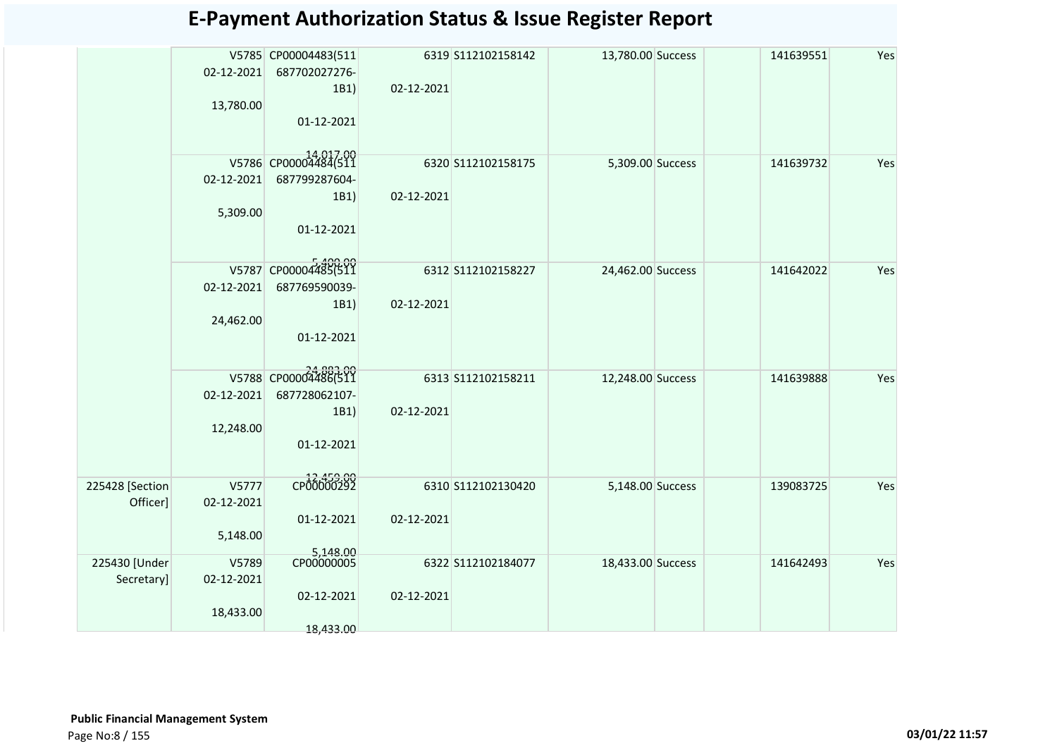|                             | 02-12-2021<br>13,780.00          | V5785 CP00004483(511<br>687702027276-<br>1B1)<br>01-12-2021 | 02-12-2021 | 6319 S112102158142 | 13,780.00 Success | 141639551 | Yes |
|-----------------------------|----------------------------------|-------------------------------------------------------------|------------|--------------------|-------------------|-----------|-----|
|                             | V5786<br>02-12-2021<br>5,309.00  | CP00004484(511<br>687799287604-<br>1B1)<br>01-12-2021       | 02-12-2021 | 6320 S112102158175 | 5,309.00 Success  | 141639732 | Yes |
|                             | 02-12-2021<br>24,462.00          | V5787 CP00004485(511<br>687769590039-<br>1B1)<br>01-12-2021 | 02-12-2021 | 6312 S112102158227 | 24,462.00 Success | 141642022 | Yes |
|                             | 02-12-2021<br>12,248.00          | V5788 CP00004486(511<br>687728062107-<br>1B1)<br>01-12-2021 | 02-12-2021 | 6313 S112102158211 | 12,248.00 Success | 141639888 | Yes |
| 225428 [Section<br>Officer] | V5777<br>02-12-2021<br>5,148.00  | CP00000292<br>01-12-2021                                    | 02-12-2021 | 6310 S112102130420 | 5,148.00 Success  | 139083725 | Yes |
| 225430 [Under<br>Secretary] | V5789<br>02-12-2021<br>18,433.00 | 5,148.00<br>CP00000005<br>02-12-2021<br>18,433.00           | 02-12-2021 | 6322 S112102184077 | 18,433.00 Success | 141642493 | Yes |
|                             |                                  |                                                             |            |                    |                   |           |     |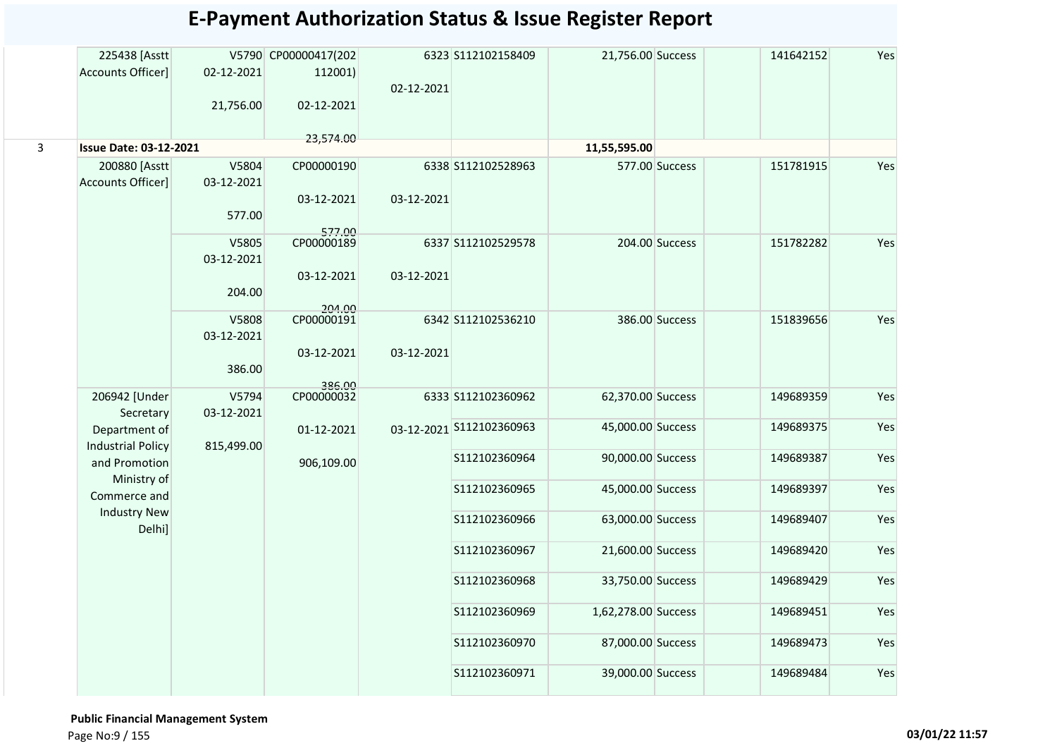|                | 225438 [Asstt                 |            | V5790 CP00000417(202 |            | 6323 S112102158409       | 21,756.00 Success   |                | 141642152 | Yes |
|----------------|-------------------------------|------------|----------------------|------------|--------------------------|---------------------|----------------|-----------|-----|
|                | <b>Accounts Officer]</b>      | 02-12-2021 | 112001)              |            |                          |                     |                |           |     |
|                |                               |            |                      | 02-12-2021 |                          |                     |                |           |     |
|                |                               | 21,756.00  | 02-12-2021           |            |                          |                     |                |           |     |
|                |                               |            |                      |            |                          |                     |                |           |     |
|                |                               |            | 23,574.00            |            |                          |                     |                |           |     |
| $\overline{3}$ | <b>Issue Date: 03-12-2021</b> |            |                      |            |                          | 11,55,595.00        |                |           |     |
|                | 200880 [Asstt                 | V5804      | CP00000190           |            | 6338 S112102528963       |                     | 577.00 Success | 151781915 | Yes |
|                | Accounts Officer]             | 03-12-2021 |                      |            |                          |                     |                |           |     |
|                |                               |            | 03-12-2021           | 03-12-2021 |                          |                     |                |           |     |
|                |                               | 577.00     |                      |            |                          |                     |                |           |     |
|                |                               |            | 577.00<br>CP00000189 |            |                          |                     |                |           |     |
|                |                               | V5805      |                      |            | 6337 S112102529578       |                     | 204.00 Success | 151782282 | Yes |
|                |                               | 03-12-2021 |                      |            |                          |                     |                |           |     |
|                |                               |            | 03-12-2021           | 03-12-2021 |                          |                     |                |           |     |
|                |                               | 204.00     |                      |            |                          |                     |                |           |     |
|                |                               | V5808      | 204.00<br>CP00000191 |            | 6342 S112102536210       |                     | 386.00 Success | 151839656 | Yes |
|                |                               | 03-12-2021 |                      |            |                          |                     |                |           |     |
|                |                               |            | 03-12-2021           | 03-12-2021 |                          |                     |                |           |     |
|                |                               | 386.00     |                      |            |                          |                     |                |           |     |
|                |                               |            | 386.00               |            |                          |                     |                |           |     |
|                | 206942 [Under                 | V5794      | CP00000032           |            | 6333 S112102360962       | 62,370.00 Success   |                | 149689359 | Yes |
|                | Secretary                     | 03-12-2021 |                      |            |                          |                     |                |           |     |
|                | Department of                 |            | 01-12-2021           |            | 03-12-2021 S112102360963 | 45,000.00 Success   |                | 149689375 | Yes |
|                | <b>Industrial Policy</b>      | 815,499.00 |                      |            |                          |                     |                |           |     |
|                | and Promotion                 |            | 906,109.00           |            | S112102360964            | 90,000.00 Success   |                | 149689387 | Yes |
|                | Ministry of                   |            |                      |            |                          |                     |                |           |     |
|                | Commerce and                  |            |                      |            | S112102360965            | 45,000.00 Success   |                | 149689397 | Yes |
|                | <b>Industry New</b>           |            |                      |            | S112102360966            | 63,000.00 Success   |                | 149689407 | Yes |
|                | Delhi]                        |            |                      |            |                          |                     |                |           |     |
|                |                               |            |                      |            | S112102360967            | 21,600.00 Success   |                | 149689420 | Yes |
|                |                               |            |                      |            |                          |                     |                |           |     |
|                |                               |            |                      |            | S112102360968            | 33,750.00 Success   |                | 149689429 | Yes |
|                |                               |            |                      |            |                          |                     |                |           |     |
|                |                               |            |                      |            | S112102360969            | 1,62,278.00 Success |                | 149689451 | Yes |
|                |                               |            |                      |            |                          |                     |                |           |     |
|                |                               |            |                      |            | S112102360970            | 87,000.00 Success   |                | 149689473 | Yes |
|                |                               |            |                      |            |                          |                     |                |           |     |
|                |                               |            |                      |            | S112102360971            | 39,000.00 Success   |                | 149689484 | Yes |
|                |                               |            |                      |            |                          |                     |                |           |     |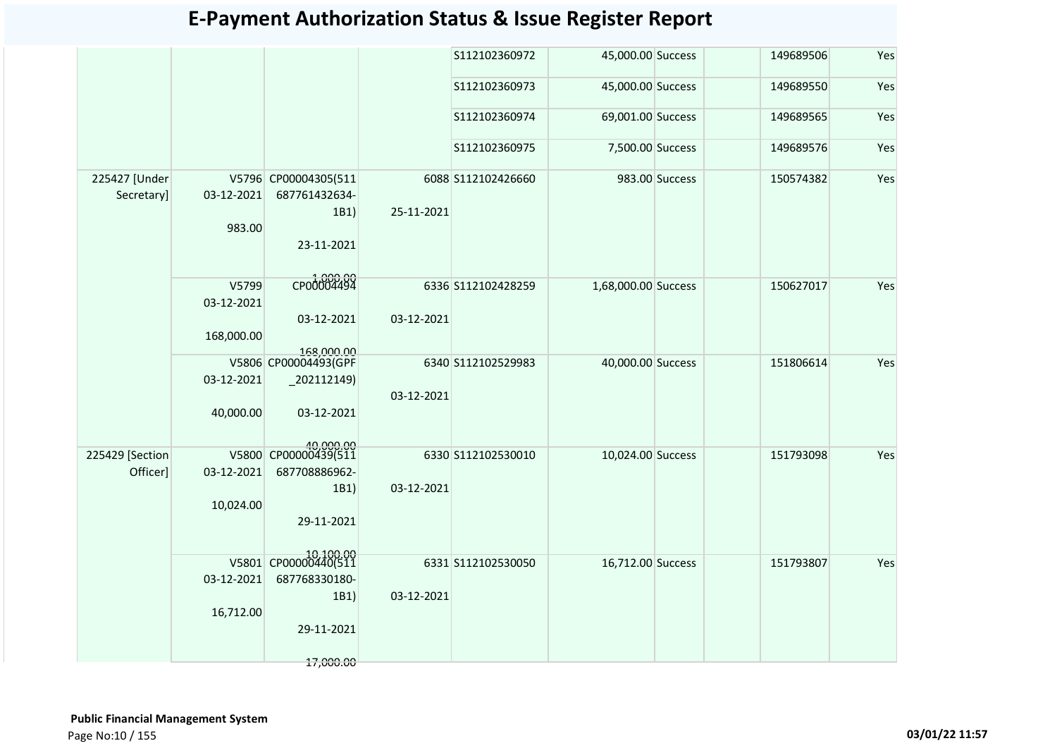|                             |                      |                                                             |            | S112102360972      | 45,000.00 Success   |                | 149689506 | Yes |
|-----------------------------|----------------------|-------------------------------------------------------------|------------|--------------------|---------------------|----------------|-----------|-----|
|                             |                      |                                                             |            | S112102360973      | 45,000.00 Success   |                | 149689550 | Yes |
|                             |                      |                                                             |            | S112102360974      | 69,001.00 Success   |                | 149689565 | Yes |
|                             |                      |                                                             |            | S112102360975      | 7,500.00 Success    |                | 149689576 | Yes |
| 225427 [Under<br>Secretary] | 03-12-2021<br>983.00 | V5796 CP00004305(511<br>687761432634-<br>1B1)<br>23-11-2021 | 25-11-2021 | 6088 S112102426660 |                     | 983.00 Success | 150574382 | Yes |
|                             |                      |                                                             |            |                    |                     |                |           |     |
|                             | V5799<br>03-12-2021  | CP00004494                                                  |            | 6336 S112102428259 | 1,68,000.00 Success |                | 150627017 | Yes |
|                             | 168,000.00           | 03-12-2021<br>168,000.00                                    | 03-12-2021 |                    |                     |                |           |     |
|                             | 03-12-2021           | V5806 CP00004493(GPF<br>$_2$ 202112149)                     |            | 6340 S112102529983 | 40,000.00 Success   |                | 151806614 | Yes |
|                             | 40,000.00            | 03-12-2021                                                  | 03-12-2021 |                    |                     |                |           |     |
| 225429 [Section             |                      | 40,000.00<br>V5800 CP00000439(511                           |            | 6330 S112102530010 | 10,024.00 Success   |                | 151793098 | Yes |
| Officer]                    | 03-12-2021           | 687708886962-                                               |            |                    |                     |                |           |     |
|                             |                      | 1B1)                                                        | 03-12-2021 |                    |                     |                |           |     |
|                             | 10,024.00            |                                                             |            |                    |                     |                |           |     |
|                             |                      | 29-11-2021                                                  |            |                    |                     |                |           |     |
|                             |                      | V5801 CP00000440(511                                        |            | 6331 S112102530050 | 16,712.00 Success   |                | 151793807 | Yes |
|                             | 03-12-2021           | 687768330180-                                               |            |                    |                     |                |           |     |
|                             |                      | 1B1)                                                        | 03-12-2021 |                    |                     |                |           |     |
|                             | 16,712.00            |                                                             |            |                    |                     |                |           |     |
|                             |                      | 29-11-2021                                                  |            |                    |                     |                |           |     |
|                             |                      | 17,000.00                                                   |            |                    |                     |                |           |     |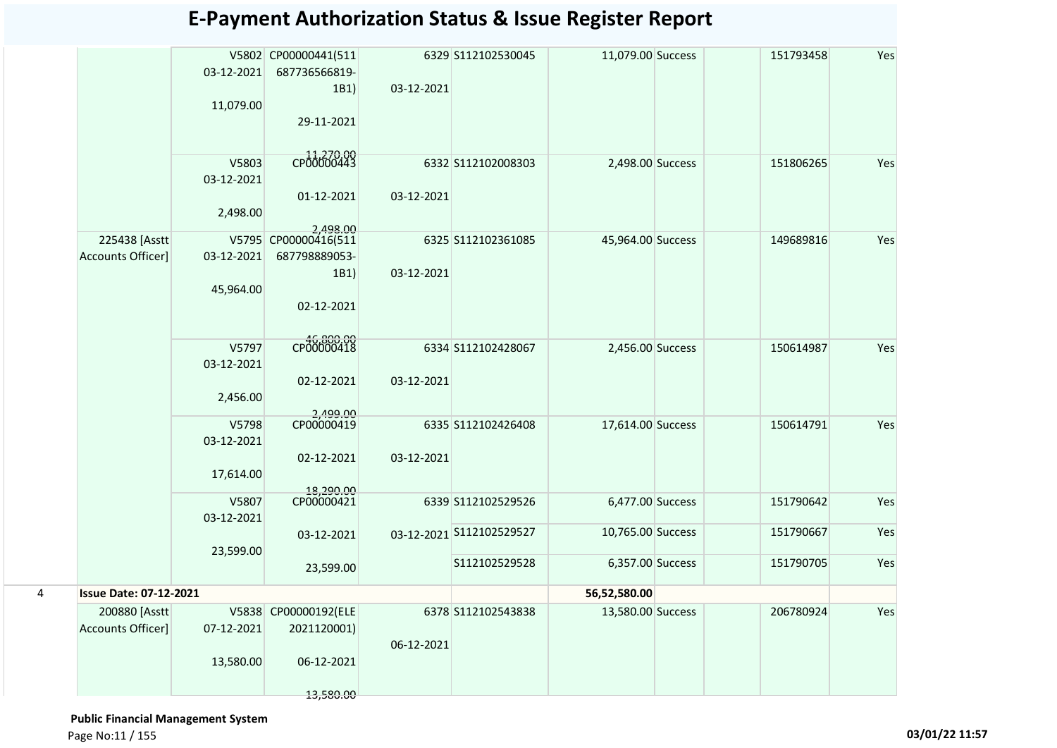|   |                                           | 03-12-2021<br>11,079.00          | V5802 CP00000441(511<br>687736566819-<br>1B1)<br>29-11-2021    | 03-12-2021 | 6329 S112102530045       | 11,079.00 Success | 151793458 | Yes |
|---|-------------------------------------------|----------------------------------|----------------------------------------------------------------|------------|--------------------------|-------------------|-----------|-----|
|   |                                           | V5803<br>03-12-2021<br>2,498.00  | CP00000443<br>01-12-2021<br>2.498.00                           | 03-12-2021 | 6332 S112102008303       | 2,498.00 Success  | 151806265 | Yes |
|   | 225438 [Asstt<br><b>Accounts Officer]</b> | 03-12-2021<br>45,964.00          | V5795 CP00000416(511<br>687798889053-<br>1B1)<br>02-12-2021    | 03-12-2021 | 6325 S112102361085       | 45,964.00 Success | 149689816 | Yes |
|   |                                           | V5797<br>03-12-2021<br>2,456.00  | CP00000418<br>02-12-2021                                       | 03-12-2021 | 6334 S112102428067       | 2,456.00 Success  | 150614987 | Yes |
|   |                                           | V5798<br>03-12-2021<br>17,614.00 | 00.009,2<br>CP00000419<br>02-12-2021<br>18,290.00              | 03-12-2021 | 6335 S112102426408       | 17,614.00 Success | 150614791 | Yes |
|   |                                           | V5807<br>03-12-2021              | CP00000421                                                     |            | 6339 S112102529526       | 6,477.00 Success  | 151790642 | Yes |
|   |                                           | 23,599.00                        | 03-12-2021                                                     |            | 03-12-2021 S112102529527 | 10,765.00 Success | 151790667 | Yes |
|   |                                           |                                  | 23,599.00                                                      |            | S112102529528            | 6,357.00 Success  | 151790705 | Yes |
| 4 | <b>Issue Date: 07-12-2021</b>             |                                  |                                                                |            |                          | 56,52,580.00      |           |     |
|   | 200880 [Asstt<br>Accounts Officer]        | 07-12-2021<br>13,580.00          | V5838 CP00000192(ELE<br>2021120001)<br>06-12-2021<br>13,580.00 | 06-12-2021 | 6378 S112102543838       | 13,580.00 Success | 206780924 | Yes |

 **Public Financial Management System** 

Page No:11 / 155 **03/01/22 11:57**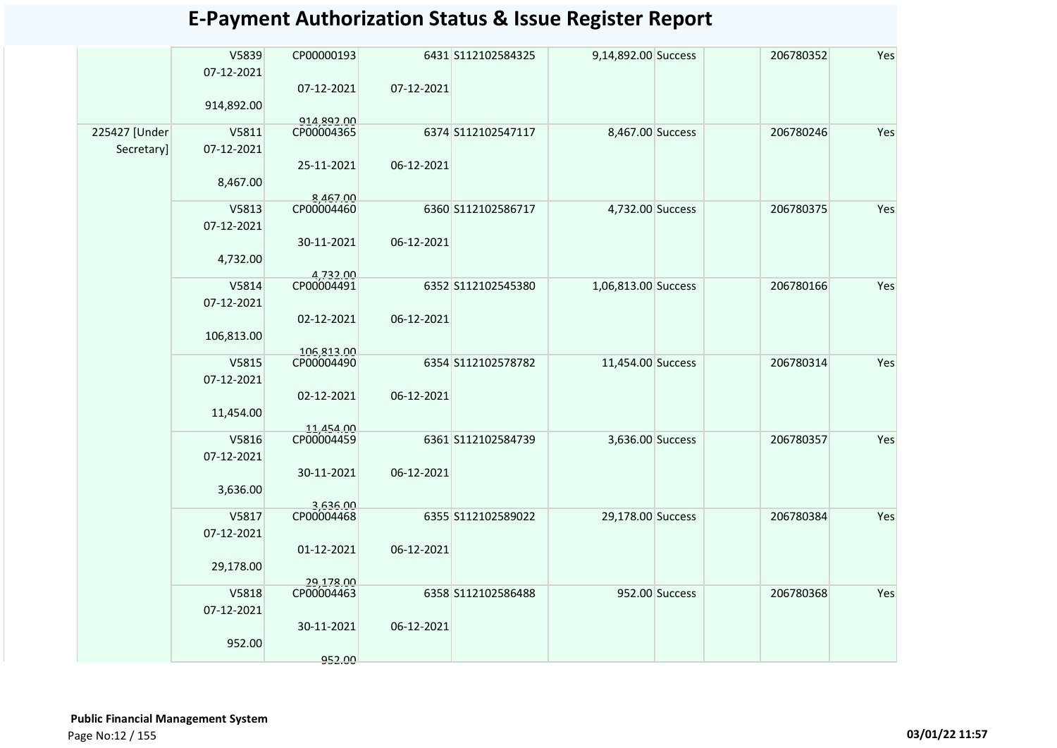|               | V5839      | CP00000193               |            | 6431 S112102584325 | 9,14,892.00 Success |                | 206780352 | Yes |
|---------------|------------|--------------------------|------------|--------------------|---------------------|----------------|-----------|-----|
|               | 07-12-2021 |                          |            |                    |                     |                |           |     |
|               |            | 07-12-2021               | 07-12-2021 |                    |                     |                |           |     |
|               | 914,892.00 |                          |            |                    |                     |                |           |     |
|               |            | 914,892.00<br>CP00004365 |            |                    |                     |                |           |     |
| 225427 [Under | V5811      |                          |            | 6374 S112102547117 | 8,467.00 Success    |                | 206780246 | Yes |
| Secretary]    | 07-12-2021 |                          |            |                    |                     |                |           |     |
|               |            | 25-11-2021               | 06-12-2021 |                    |                     |                |           |     |
|               | 8,467.00   |                          |            |                    |                     |                |           |     |
|               | V5813      | 8,467.00<br>CP00004460   |            | 6360 S112102586717 | 4,732.00 Success    |                | 206780375 | Yes |
|               | 07-12-2021 |                          |            |                    |                     |                |           |     |
|               |            | 30-11-2021               | 06-12-2021 |                    |                     |                |           |     |
|               | 4,732.00   |                          |            |                    |                     |                |           |     |
|               |            | 4,732.00                 |            |                    |                     |                |           |     |
|               | V5814      | CP00004491               |            | 6352 S112102545380 | 1,06,813.00 Success |                | 206780166 | Yes |
|               | 07-12-2021 |                          |            |                    |                     |                |           |     |
|               |            | 02-12-2021               | 06-12-2021 |                    |                     |                |           |     |
|               | 106,813.00 |                          |            |                    |                     |                |           |     |
|               | V5815      | 106.813.00<br>CP00004490 |            | 6354 S112102578782 | 11,454.00 Success   |                | 206780314 | Yes |
|               | 07-12-2021 |                          |            |                    |                     |                |           |     |
|               |            | 02-12-2021               | 06-12-2021 |                    |                     |                |           |     |
|               | 11,454.00  |                          |            |                    |                     |                |           |     |
|               |            | 11,454.00                |            |                    |                     |                |           |     |
|               | V5816      | CP00004459               |            | 6361 S112102584739 | 3,636.00 Success    |                | 206780357 | Yes |
|               | 07-12-2021 |                          |            |                    |                     |                |           |     |
|               |            | 30-11-2021               | 06-12-2021 |                    |                     |                |           |     |
|               | 3,636.00   |                          |            |                    |                     |                |           |     |
|               | V5817      | 3,636.00<br>CP00004468   |            | 6355 S112102589022 | 29,178.00 Success   |                | 206780384 | Yes |
|               | 07-12-2021 |                          |            |                    |                     |                |           |     |
|               |            | 01-12-2021               | 06-12-2021 |                    |                     |                |           |     |
|               | 29,178.00  |                          |            |                    |                     |                |           |     |
|               |            | 29,178.00                |            |                    |                     |                |           |     |
|               | V5818      | CP00004463               |            | 6358 S112102586488 |                     | 952.00 Success | 206780368 | Yes |
|               | 07-12-2021 |                          |            |                    |                     |                |           |     |
|               |            | 30-11-2021               | 06-12-2021 |                    |                     |                |           |     |
|               | 952.00     |                          |            |                    |                     |                |           |     |
|               |            | 952.00                   |            |                    |                     |                |           |     |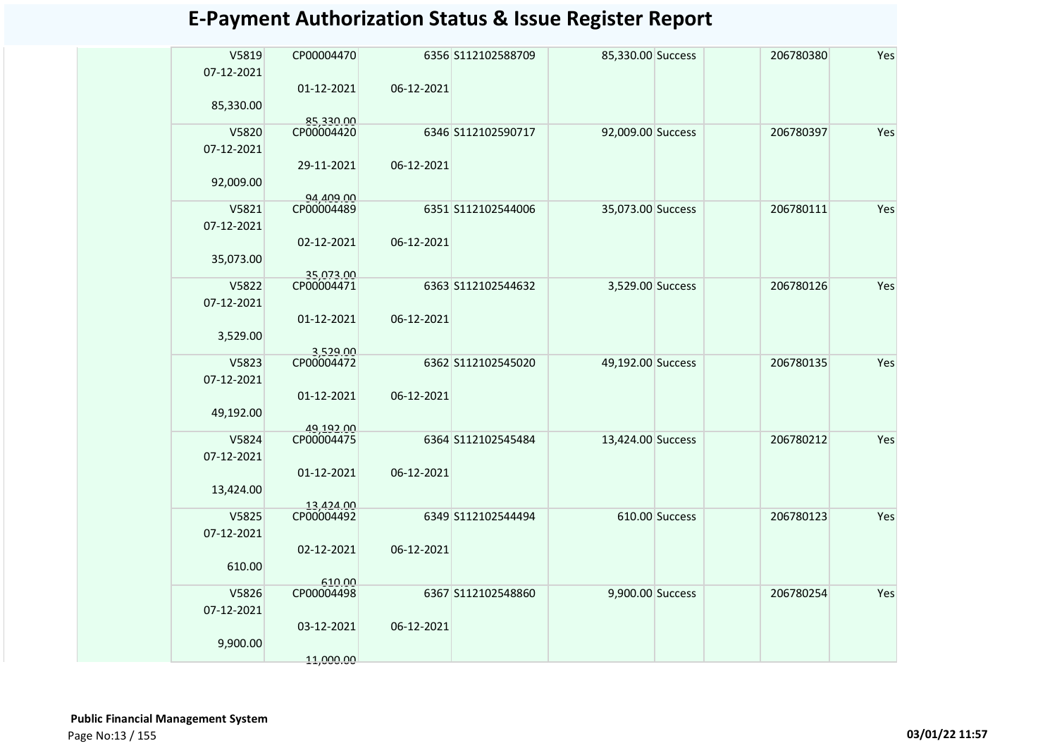| V5819<br>CP00004470<br>6356 S112102588709<br>85,330.00 Success<br>206780380              | Yes |
|------------------------------------------------------------------------------------------|-----|
|                                                                                          |     |
| 07-12-2021                                                                               |     |
| 06-12-2021<br>01-12-2021                                                                 |     |
| 85,330.00                                                                                |     |
| 85,330.00<br>V5820<br>CP00004420<br>6346 S112102590717<br>92,009.00 Success<br>206780397 | Yes |
| 07-12-2021                                                                               |     |
| 29-11-2021<br>06-12-2021                                                                 |     |
| 92,009.00                                                                                |     |
| 94.409.00                                                                                |     |
| CP00004489<br>V5821<br>6351 S112102544006<br>35,073.00 Success<br>206780111              | Yes |
| 07-12-2021                                                                               |     |
| 02-12-2021<br>06-12-2021                                                                 |     |
| 35,073.00                                                                                |     |
| 35,073.00                                                                                |     |
| V5822<br>CP00004471<br>6363 S112102544632<br>3,529.00 Success<br>206780126               | Yes |
| 07-12-2021                                                                               |     |
| 06-12-2021<br>01-12-2021                                                                 |     |
| 3,529.00                                                                                 |     |
| 3.529.00<br>V5823<br>CP00004472<br>49,192.00 Success<br>206780135<br>6362 S112102545020  | Yes |
| 07-12-2021                                                                               |     |
| 01-12-2021<br>06-12-2021                                                                 |     |
| 49,192.00                                                                                |     |
| 49,192.00                                                                                |     |
| CP00004475<br>V5824<br>6364 S112102545484<br>206780212<br>13,424.00 Success              | Yes |
| 07-12-2021                                                                               |     |
| 01-12-2021<br>06-12-2021                                                                 |     |
| 13,424.00                                                                                |     |
| 13.424.00                                                                                |     |
| CP00004492<br>V5825<br>6349 S112102544494<br>610.00 Success<br>206780123                 | Yes |
| 07-12-2021                                                                               |     |
| 06-12-2021<br>02-12-2021                                                                 |     |
| 610.00                                                                                   |     |
| 610.00<br>V5826<br>CP00004498<br>6367 S112102548860<br>9,900.00 Success<br>206780254     | Yes |
| 07-12-2021                                                                               |     |
| 06-12-2021<br>03-12-2021                                                                 |     |
| 9,900.00                                                                                 |     |
| 11,000.00                                                                                |     |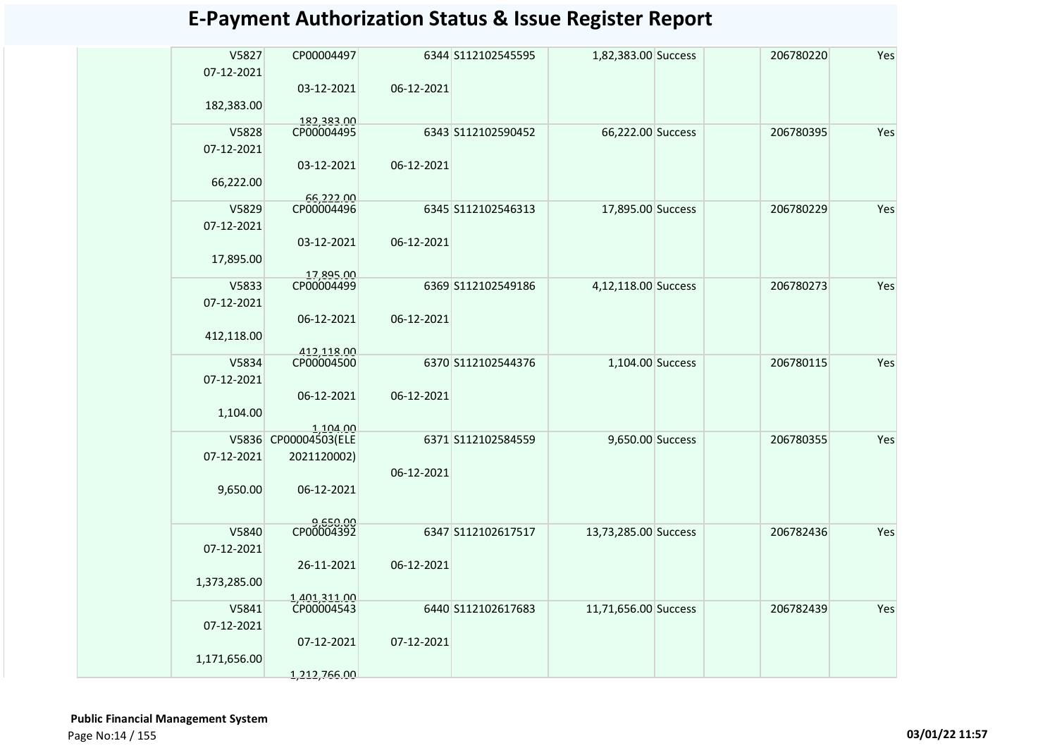| V5827<br>07-12-2021 | CP00004497                 |            | 6344 S112102545595 | 1,82,383.00 Success  | 206780220 | Yes |
|---------------------|----------------------------|------------|--------------------|----------------------|-----------|-----|
|                     | 03-12-2021                 | 06-12-2021 |                    |                      |           |     |
| 182,383.00          |                            |            |                    |                      |           |     |
|                     | 182,383.00                 |            |                    |                      |           |     |
| V5828               | CP00004495                 |            | 6343 S112102590452 | 66,222.00 Success    | 206780395 | Yes |
| 07-12-2021          |                            |            |                    |                      |           |     |
|                     | 03-12-2021                 | 06-12-2021 |                    |                      |           |     |
|                     |                            |            |                    |                      |           |     |
| 66,222.00           |                            |            |                    |                      |           |     |
| V5829               | 66,222.00<br>CP00004496    |            | 6345 S112102546313 | 17,895.00 Success    | 206780229 | Yes |
|                     |                            |            |                    |                      |           |     |
| 07-12-2021          |                            |            |                    |                      |           |     |
|                     | 03-12-2021                 | 06-12-2021 |                    |                      |           |     |
| 17,895.00           |                            |            |                    |                      |           |     |
|                     | 17,895.00                  |            |                    |                      |           |     |
| V5833               | CP00004499                 |            | 6369 S112102549186 | 4,12,118.00 Success  | 206780273 | Yes |
| 07-12-2021          |                            |            |                    |                      |           |     |
|                     | 06-12-2021                 | 06-12-2021 |                    |                      |           |     |
| 412,118.00          |                            |            |                    |                      |           |     |
|                     | 412,118.00                 |            |                    |                      |           |     |
| V5834               | CP00004500                 |            | 6370 S112102544376 | 1,104.00 Success     | 206780115 | Yes |
| 07-12-2021          |                            |            |                    |                      |           |     |
|                     | 06-12-2021                 | 06-12-2021 |                    |                      |           |     |
| 1,104.00            |                            |            |                    |                      |           |     |
|                     | 1,104.00                   |            |                    |                      |           |     |
|                     | V5836 CP00004503(ELE       |            | 6371 S112102584559 | 9,650.00 Success     | 206780355 | Yes |
| 07-12-2021          | 2021120002)                |            |                    |                      |           |     |
|                     |                            | 06-12-2021 |                    |                      |           |     |
| 9,650.00            | 06-12-2021                 |            |                    |                      |           |     |
|                     |                            |            |                    |                      |           |     |
|                     |                            |            |                    |                      |           |     |
| V5840               | 9,650.00<br>CP00004392     |            | 6347 S112102617517 | 13,73,285.00 Success | 206782436 | Yes |
| 07-12-2021          |                            |            |                    |                      |           |     |
|                     | 26-11-2021                 | 06-12-2021 |                    |                      |           |     |
| 1,373,285.00        |                            |            |                    |                      |           |     |
|                     |                            |            |                    |                      |           |     |
| V5841               | 1,401,311.00<br>CP00004543 |            | 6440 S112102617683 | 11,71,656.00 Success | 206782439 | Yes |
| 07-12-2021          |                            |            |                    |                      |           |     |
|                     | 07-12-2021                 | 07-12-2021 |                    |                      |           |     |
| 1,171,656.00        |                            |            |                    |                      |           |     |
|                     | 1,212,766.00               |            |                    |                      |           |     |
|                     |                            |            |                    |                      |           |     |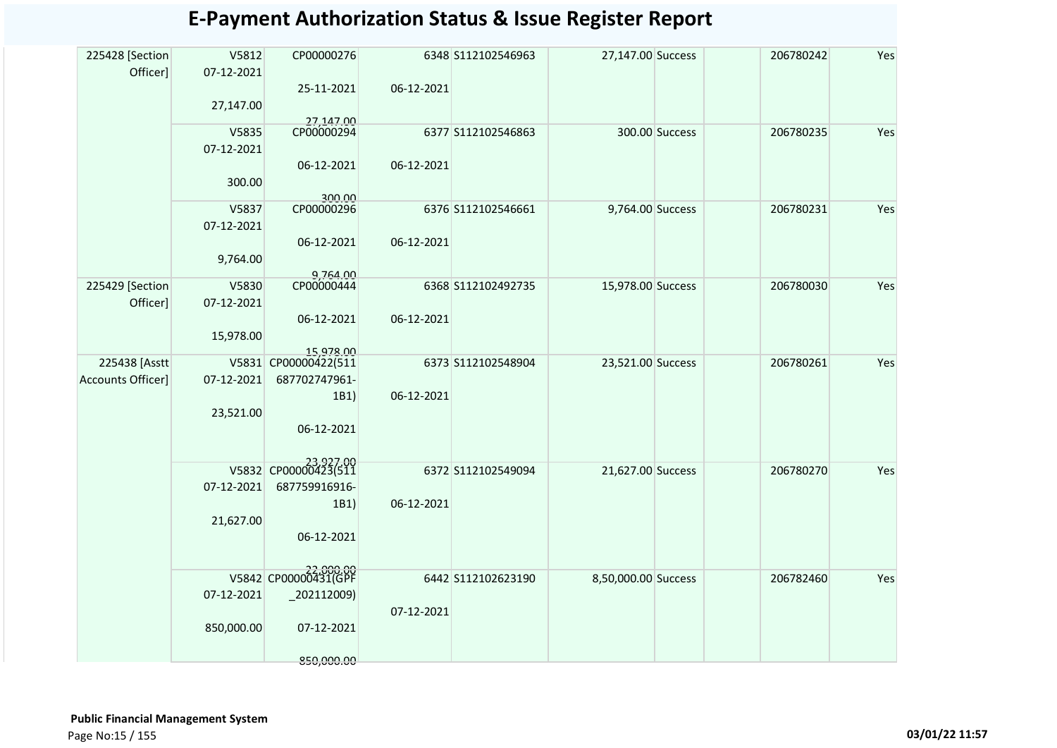| 225428 [Section          | V5812      | CP00000276              |            | 6348 S112102546963 | 27,147.00 Success   |                | 206780242 | Yes |
|--------------------------|------------|-------------------------|------------|--------------------|---------------------|----------------|-----------|-----|
| Officer]                 | 07-12-2021 |                         |            |                    |                     |                |           |     |
|                          |            | 25-11-2021              | 06-12-2021 |                    |                     |                |           |     |
|                          | 27,147.00  |                         |            |                    |                     |                |           |     |
|                          |            |                         |            |                    |                     |                |           |     |
|                          | V5835      | 27,147.00<br>CP00000294 |            | 6377 S112102546863 |                     | 300.00 Success | 206780235 | Yes |
|                          | 07-12-2021 |                         |            |                    |                     |                |           |     |
|                          |            | 06-12-2021              | 06-12-2021 |                    |                     |                |           |     |
|                          | 300.00     |                         |            |                    |                     |                |           |     |
|                          |            | 300.00                  |            |                    |                     |                |           |     |
|                          | V5837      | CP00000296              |            | 6376 S112102546661 | 9,764.00 Success    |                | 206780231 | Yes |
|                          | 07-12-2021 |                         |            |                    |                     |                |           |     |
|                          |            | 06-12-2021              | 06-12-2021 |                    |                     |                |           |     |
|                          | 9,764.00   |                         |            |                    |                     |                |           |     |
|                          |            |                         |            |                    |                     |                |           |     |
| 225429 [Section          | V5830      | 9,764.00<br>CP00000444  |            | 6368 S112102492735 | 15,978.00 Success   |                | 206780030 | Yes |
| Officer]                 | 07-12-2021 |                         |            |                    |                     |                |           |     |
|                          |            | 06-12-2021              | 06-12-2021 |                    |                     |                |           |     |
|                          | 15,978.00  |                         |            |                    |                     |                |           |     |
|                          |            | 15,978.00               |            |                    |                     |                |           |     |
| 225438 [Asstt            |            | V5831 CP00000422(511    |            | 6373 S112102548904 | 23,521.00 Success   |                | 206780261 | Yes |
| <b>Accounts Officer]</b> | 07-12-2021 | 687702747961-           |            |                    |                     |                |           |     |
|                          |            | 1B1)                    | 06-12-2021 |                    |                     |                |           |     |
|                          | 23,521.00  |                         |            |                    |                     |                |           |     |
|                          |            | 06-12-2021              |            |                    |                     |                |           |     |
|                          |            |                         |            |                    |                     |                |           |     |
|                          |            |                         |            |                    |                     |                |           |     |
|                          |            | V5832 CP00000423(511    |            | 6372 S112102549094 | 21,627.00 Success   |                | 206780270 | Yes |
|                          | 07-12-2021 | 687759916916-           |            |                    |                     |                |           |     |
|                          |            | 1B1)                    | 06-12-2021 |                    |                     |                |           |     |
|                          | 21,627.00  |                         |            |                    |                     |                |           |     |
|                          |            | 06-12-2021              |            |                    |                     |                |           |     |
|                          |            |                         |            |                    |                     |                |           |     |
|                          |            | V5842 CP00000431(GPF    |            |                    |                     |                |           |     |
|                          |            |                         |            | 6442 S112102623190 | 8,50,000.00 Success |                | 206782460 | Yes |
|                          | 07-12-2021 | $-202112009$            |            |                    |                     |                |           |     |
|                          |            |                         | 07-12-2021 |                    |                     |                |           |     |
|                          | 850,000.00 | 07-12-2021              |            |                    |                     |                |           |     |
|                          |            |                         |            |                    |                     |                |           |     |
|                          |            | 850,000.00              |            |                    |                     |                |           |     |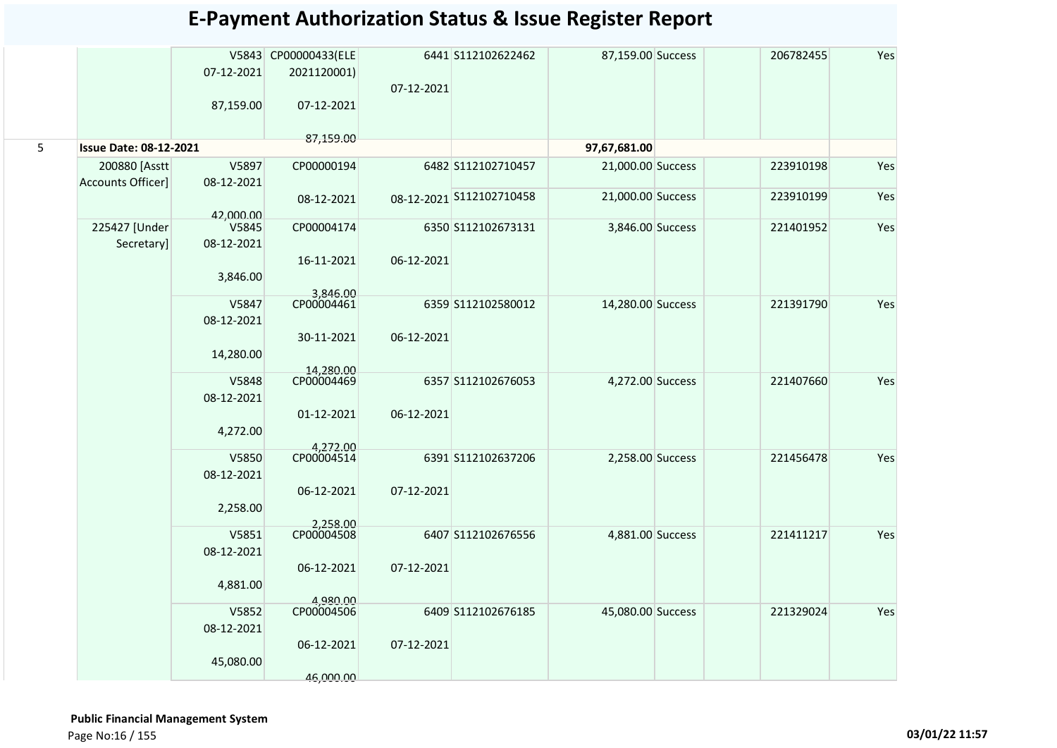|   |                               |                    | V5843 CP00000433(ELE   |            | 6441 S112102622462       | 87,159.00 Success | 206782455 | Yes |
|---|-------------------------------|--------------------|------------------------|------------|--------------------------|-------------------|-----------|-----|
|   |                               | 07-12-2021         | 2021120001)            |            |                          |                   |           |     |
|   |                               |                    |                        | 07-12-2021 |                          |                   |           |     |
|   |                               | 87,159.00          | 07-12-2021             |            |                          |                   |           |     |
|   |                               |                    |                        |            |                          |                   |           |     |
|   |                               |                    | 87,159.00              |            |                          |                   |           |     |
| 5 | <b>Issue Date: 08-12-2021</b> |                    |                        |            |                          | 97,67,681.00      |           |     |
|   | 200880 [Asstt                 | V5897              | CP00000194             |            | 6482 S112102710457       | 21,000.00 Success | 223910198 | Yes |
|   | Accounts Officer]             | 08-12-2021         |                        |            |                          |                   |           |     |
|   |                               |                    | 08-12-2021             |            | 08-12-2021 S112102710458 | 21,000.00 Success | 223910199 | Yes |
|   |                               | 42,000.00<br>V5845 |                        |            |                          |                   |           | Yes |
|   | 225427 [Under                 | 08-12-2021         | CP00004174             |            | 6350 S112102673131       | 3,846.00 Success  | 221401952 |     |
|   | Secretary]                    |                    | 16-11-2021             | 06-12-2021 |                          |                   |           |     |
|   |                               |                    |                        |            |                          |                   |           |     |
|   |                               | 3,846.00           | 3,846.00               |            |                          |                   |           |     |
|   |                               | V5847              | CP00004461             |            | 6359 S112102580012       | 14,280.00 Success | 221391790 | Yes |
|   |                               | 08-12-2021         |                        |            |                          |                   |           |     |
|   |                               |                    | 30-11-2021             | 06-12-2021 |                          |                   |           |     |
|   |                               | 14,280.00          |                        |            |                          |                   |           |     |
|   |                               |                    | 14,280.00              |            |                          |                   |           |     |
|   |                               | V5848              | CP00004469             |            | 6357 S112102676053       | 4,272.00 Success  | 221407660 | Yes |
|   |                               | 08-12-2021         |                        |            |                          |                   |           |     |
|   |                               |                    | 01-12-2021             | 06-12-2021 |                          |                   |           |     |
|   |                               | 4,272.00           |                        |            |                          |                   |           |     |
|   |                               | V5850              | 4,272.00<br>CP00004514 |            | 6391 S112102637206       | 2,258.00 Success  | 221456478 | Yes |
|   |                               | 08-12-2021         |                        |            |                          |                   |           |     |
|   |                               |                    | 06-12-2021             | 07-12-2021 |                          |                   |           |     |
|   |                               | 2,258.00           |                        |            |                          |                   |           |     |
|   |                               |                    | 2,258.00               |            |                          |                   |           |     |
|   |                               | V5851              | CP00004508             |            | 6407 S112102676556       | 4,881.00 Success  | 221411217 | Yes |
|   |                               | 08-12-2021         |                        |            |                          |                   |           |     |
|   |                               |                    | 06-12-2021             | 07-12-2021 |                          |                   |           |     |
|   |                               | 4,881.00           |                        |            |                          |                   |           |     |
|   |                               |                    | 4.980.00               |            |                          |                   |           |     |
|   |                               | V5852              | CP00004506             |            | 6409 S112102676185       | 45,080.00 Success | 221329024 | Yes |
|   |                               | 08-12-2021         |                        |            |                          |                   |           |     |
|   |                               |                    | 06-12-2021             | 07-12-2021 |                          |                   |           |     |
|   |                               | 45,080.00          |                        |            |                          |                   |           |     |
|   |                               |                    | 46,000.00              |            |                          |                   |           |     |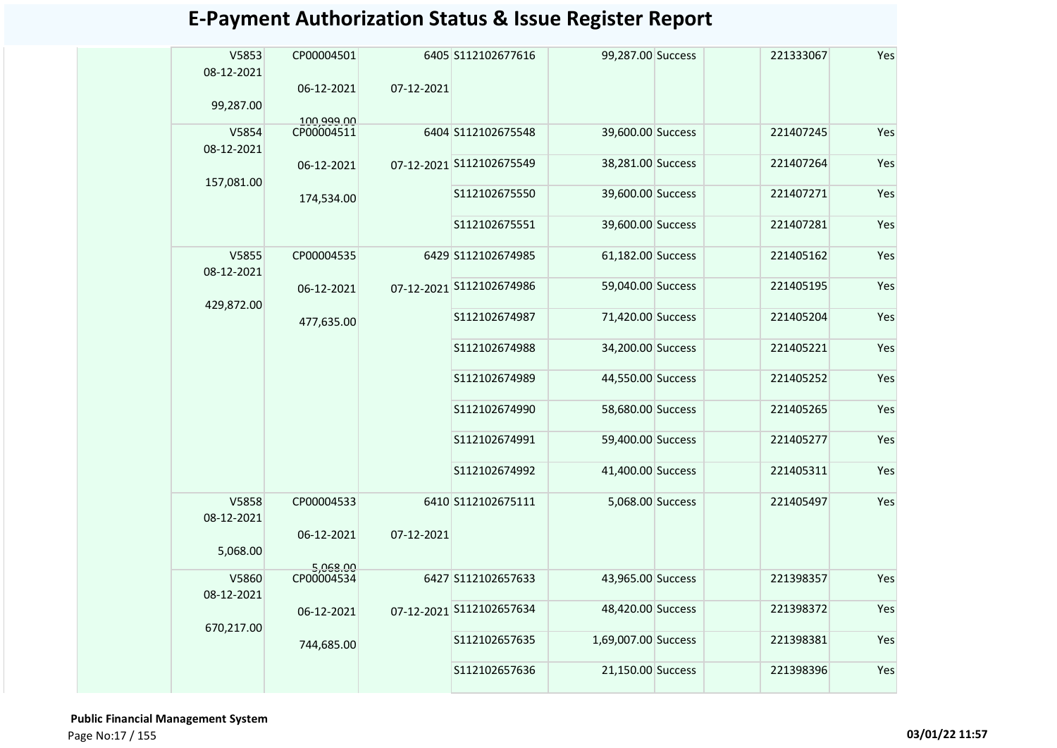| V5853<br>08-12-2021<br>99,287.00 | CP00004501<br>06-12-2021 | 07-12-2021 | 6405 S112102677616       | 99,287.00 Success   | 221333067 | Yes |
|----------------------------------|--------------------------|------------|--------------------------|---------------------|-----------|-----|
| V5854<br>08-12-2021              | 100,999.00<br>CP00004511 |            | 6404 S112102675548       | 39,600.00 Success   | 221407245 | Yes |
|                                  | 06-12-2021               |            | 07-12-2021 S112102675549 | 38,281.00 Success   | 221407264 | Yes |
| 157,081.00                       | 174,534.00               |            | S112102675550            | 39,600.00 Success   | 221407271 | Yes |
|                                  |                          |            | S112102675551            | 39,600.00 Success   | 221407281 | Yes |
| V5855<br>08-12-2021              | CP00004535               |            | 6429 S112102674985       | 61,182.00 Success   | 221405162 | Yes |
| 429,872.00                       | 06-12-2021               |            | 07-12-2021 S112102674986 | 59,040.00 Success   | 221405195 | Yes |
|                                  | 477,635.00               |            | S112102674987            | 71,420.00 Success   | 221405204 | Yes |
|                                  |                          |            | S112102674988            | 34,200.00 Success   | 221405221 | Yes |
|                                  |                          |            | S112102674989            | 44,550.00 Success   | 221405252 | Yes |
|                                  |                          |            | S112102674990            | 58,680.00 Success   | 221405265 | Yes |
|                                  |                          |            | S112102674991            | 59,400.00 Success   | 221405277 | Yes |
|                                  |                          |            | S112102674992            | 41,400.00 Success   | 221405311 | Yes |
| V5858<br>08-12-2021              | CP00004533               |            | 6410 S112102675111       | 5,068.00 Success    | 221405497 | Yes |
| 5,068.00                         | 06-12-2021               | 07-12-2021 |                          |                     |           |     |
| V5860                            | 5,068.00<br>CP00004534   |            | 6427 S112102657633       | 43,965.00 Success   | 221398357 | Yes |
| 08-12-2021                       |                          |            |                          |                     |           |     |
| 670,217.00                       | 06-12-2021               |            | 07-12-2021 S112102657634 | 48,420.00 Success   | 221398372 | Yes |
|                                  | 744,685.00               |            | S112102657635            | 1,69,007.00 Success | 221398381 | Yes |
|                                  |                          |            | S112102657636            | 21,150.00 Success   | 221398396 | Yes |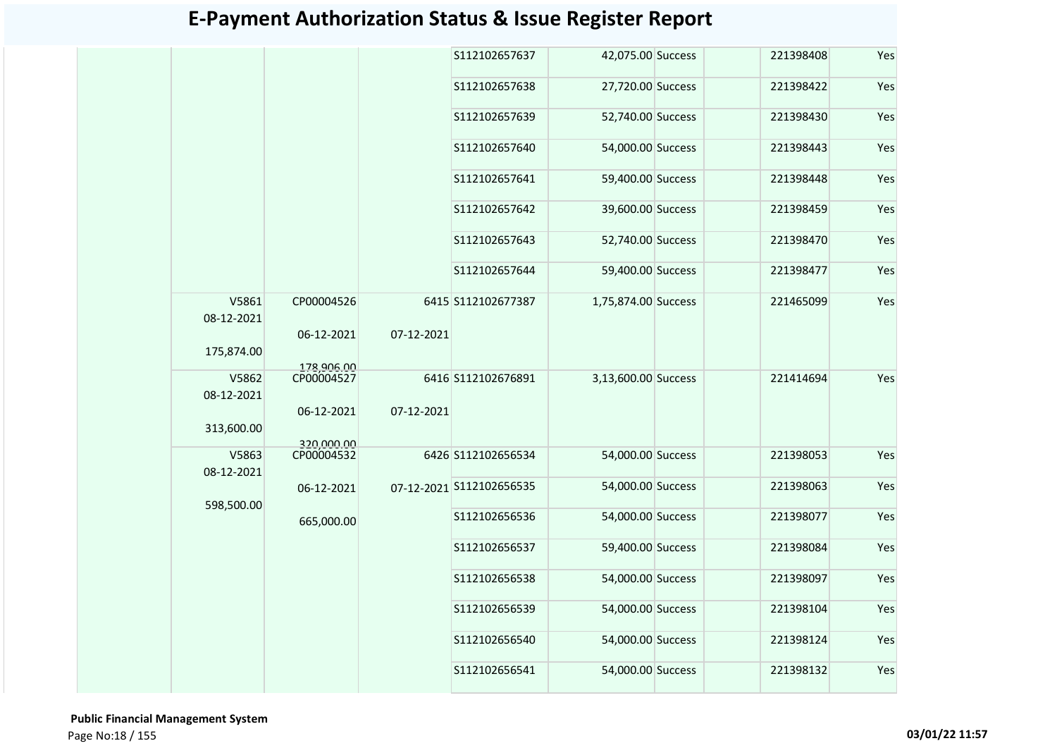|                     |                          |            | S112102657637            | 42,075.00 Success   | 221398408 | Yes |
|---------------------|--------------------------|------------|--------------------------|---------------------|-----------|-----|
|                     |                          |            | S112102657638            | 27,720.00 Success   | 221398422 | Yes |
|                     |                          |            | S112102657639            | 52,740.00 Success   | 221398430 | Yes |
|                     |                          |            | S112102657640            | 54,000.00 Success   | 221398443 | Yes |
|                     |                          |            | S112102657641            | 59,400.00 Success   | 221398448 | Yes |
|                     |                          |            | S112102657642            | 39,600.00 Success   | 221398459 | Yes |
|                     |                          |            | S112102657643            | 52,740.00 Success   | 221398470 | Yes |
|                     |                          |            | S112102657644            | 59,400.00 Success   | 221398477 | Yes |
| V5861<br>08-12-2021 | CP00004526               |            | 6415 S112102677387       | 1,75,874.00 Success | 221465099 | Yes |
| 175,874.00          | 06-12-2021               | 07-12-2021 |                          |                     |           |     |
| V5862               | 178,906.00<br>CP00004527 |            | 6416 S112102676891       | 3,13,600.00 Success | 221414694 | Yes |
| 08-12-2021          |                          |            |                          |                     |           |     |
| 313,600.00          | 06-12-2021               | 07-12-2021 |                          |                     |           |     |
| V5863               | 320,000.00<br>CP00004532 |            | 6426 S112102656534       | 54,000.00 Success   | 221398053 | Yes |
| 08-12-2021          |                          |            |                          |                     |           |     |
| 598,500.00          | 06-12-2021               |            | 07-12-2021 S112102656535 | 54,000.00 Success   | 221398063 | Yes |
|                     | 665,000.00               |            | S112102656536            | 54,000.00 Success   | 221398077 | Yes |
|                     |                          |            | S112102656537            | 59,400.00 Success   | 221398084 | Yes |
|                     |                          |            | S112102656538            | 54,000.00 Success   | 221398097 | Yes |
|                     |                          |            | S112102656539            | 54,000.00 Success   | 221398104 | Yes |
|                     |                          |            | S112102656540            | 54,000.00 Success   | 221398124 | Yes |
|                     |                          |            | S112102656541            | 54,000.00 Success   | 221398132 | Yes |
|                     |                          |            |                          |                     |           |     |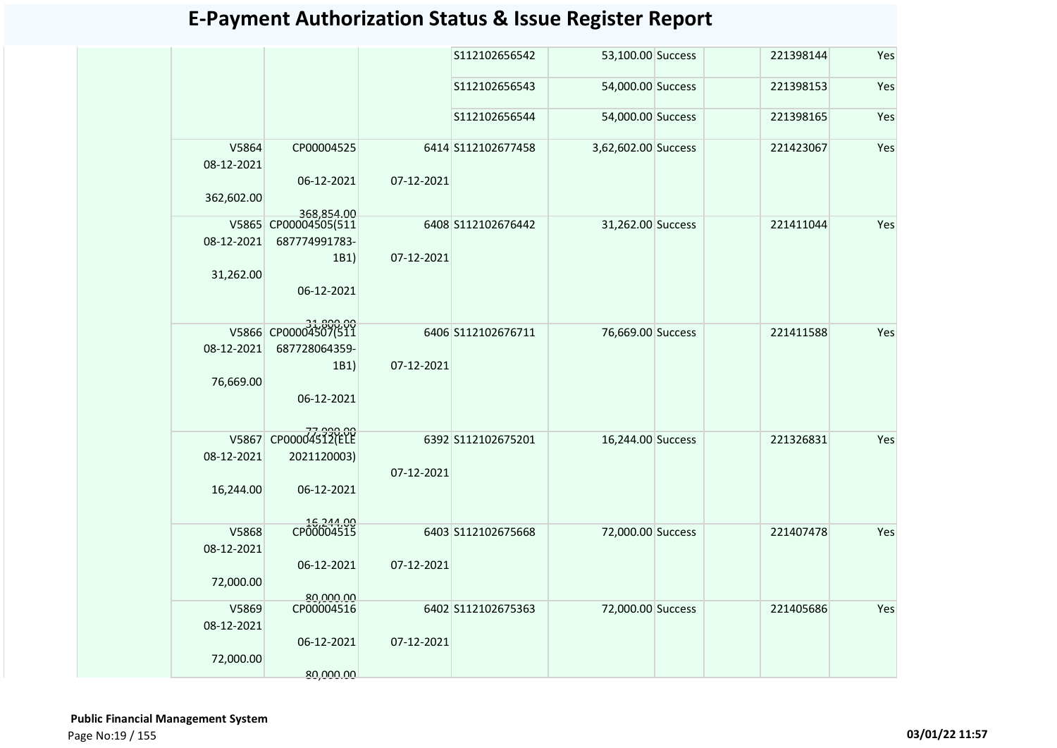|                     |                                    |            | S112102656542      | 53,100.00 Success   | 221398144 | Yes |
|---------------------|------------------------------------|------------|--------------------|---------------------|-----------|-----|
|                     |                                    |            | S112102656543      | 54,000.00 Success   | 221398153 | Yes |
|                     |                                    |            | S112102656544      | 54,000.00 Success   | 221398165 | Yes |
| V5864<br>08-12-2021 | CP00004525                         |            | 6414 S112102677458 | 3,62,602.00 Success | 221423067 | Yes |
| 362,602.00          | 06-12-2021                         | 07-12-2021 |                    |                     |           |     |
|                     | 368,854.00<br>V5865 CP00004505(511 |            | 6408 S112102676442 | 31,262.00 Success   | 221411044 | Yes |
| 08-12-2021          | 687774991783-                      |            |                    |                     |           |     |
|                     | 1B1)                               | 07-12-2021 |                    |                     |           |     |
| 31,262.00           |                                    |            |                    |                     |           |     |
|                     | 06-12-2021                         |            |                    |                     |           |     |
|                     |                                    |            |                    |                     |           |     |
|                     | V5866 CP00004507(511               |            |                    |                     |           | Yes |
| 08-12-2021          | 687728064359-                      |            | 6406 S112102676711 | 76,669.00 Success   | 221411588 |     |
|                     | 1B1)                               | 07-12-2021 |                    |                     |           |     |
| 76,669.00           |                                    |            |                    |                     |           |     |
|                     | 06-12-2021                         |            |                    |                     |           |     |
|                     |                                    |            |                    |                     |           |     |
|                     |                                    |            |                    |                     |           |     |
| V5867               | CP00004532(ELE                     |            | 6392 S112102675201 | 16,244.00 Success   | 221326831 | Yes |
| 08-12-2021          | 2021120003)                        | 07-12-2021 |                    |                     |           |     |
| 16,244.00           | 06-12-2021                         |            |                    |                     |           |     |
|                     |                                    |            |                    |                     |           |     |
| V5868               | 16,244.00<br>CP00004515            |            | 6403 S112102675668 | 72,000.00 Success   | 221407478 | Yes |
| 08-12-2021          |                                    |            |                    |                     |           |     |
|                     | 06-12-2021                         | 07-12-2021 |                    |                     |           |     |
| 72,000.00           |                                    |            |                    |                     |           |     |
|                     | 80,000.00                          |            |                    |                     |           |     |
| V5869               | CP00004516                         |            | 6402 S112102675363 | 72,000.00 Success   | 221405686 | Yes |
| 08-12-2021          |                                    |            |                    |                     |           |     |
|                     | 06-12-2021                         | 07-12-2021 |                    |                     |           |     |
| 72,000.00           |                                    |            |                    |                     |           |     |
|                     | 80,000.00                          |            |                    |                     |           |     |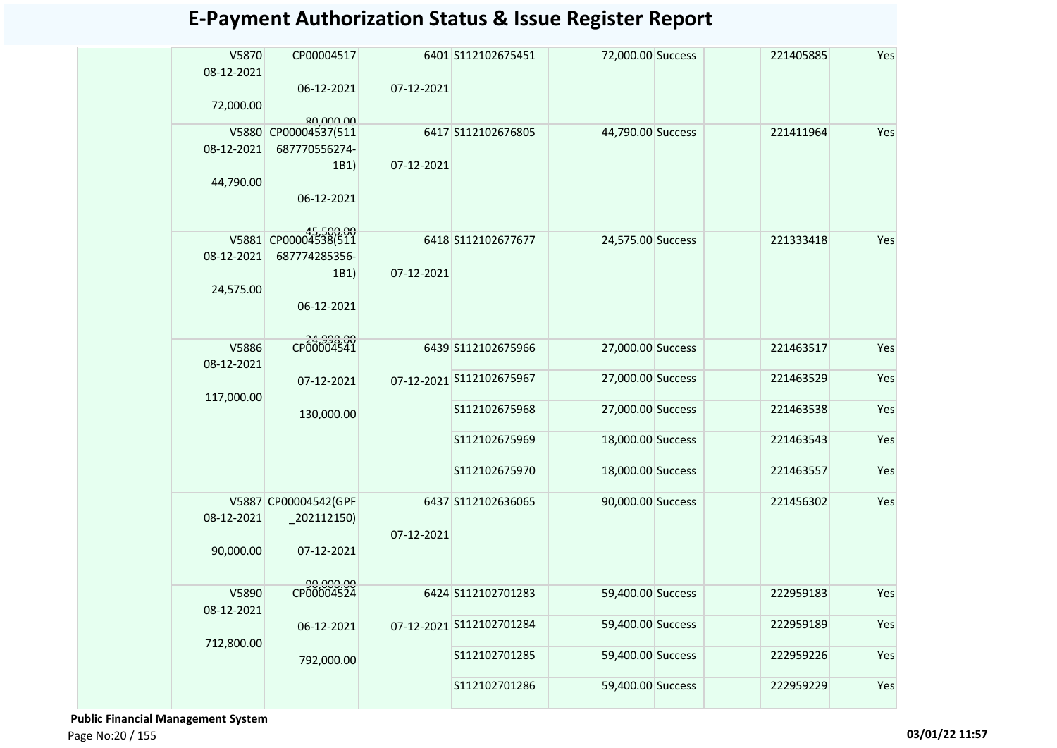| V5870<br>08-12-2021 | CP00004517                        |            | 6401 S112102675451       | 72,000.00 Success | 221405885 | Yes |
|---------------------|-----------------------------------|------------|--------------------------|-------------------|-----------|-----|
| 72,000.00           | 06-12-2021                        | 07-12-2021 |                          |                   |           |     |
|                     | 80,000.00<br>V5880 CP00004537(511 |            | 6417 S112102676805       | 44,790.00 Success | 221411964 | Yes |
| 08-12-2021          | 687770556274-                     |            |                          |                   |           |     |
|                     | 1B1)                              | 07-12-2021 |                          |                   |           |     |
| 44,790.00           |                                   |            |                          |                   |           |     |
|                     | 06-12-2021                        |            |                          |                   |           |     |
|                     | V5881 CP00004538(511              |            |                          |                   |           | Yes |
| 08-12-2021          | 687774285356-                     |            | 6418 S112102677677       | 24,575.00 Success | 221333418 |     |
|                     | 1B1)                              | 07-12-2021 |                          |                   |           |     |
| 24,575.00           |                                   |            |                          |                   |           |     |
|                     | 06-12-2021                        |            |                          |                   |           |     |
|                     |                                   |            |                          |                   |           |     |
| V5886               | CP00004541                        |            | 6439 S112102675966       | 27,000.00 Success | 221463517 | Yes |
| 08-12-2021          |                                   |            |                          |                   |           |     |
|                     | 07-12-2021                        |            | 07-12-2021 S112102675967 | 27,000.00 Success | 221463529 | Yes |
| 117,000.00          |                                   |            |                          |                   |           |     |
|                     | 130,000.00                        |            | S112102675968            | 27,000.00 Success | 221463538 | Yes |
|                     |                                   |            | S112102675969            | 18,000.00 Success | 221463543 | Yes |
|                     |                                   |            |                          |                   |           |     |
|                     |                                   |            | S112102675970            | 18,000.00 Success | 221463557 | Yes |
|                     |                                   |            |                          |                   |           |     |
|                     | V5887 CP00004542(GPF              |            | 6437 S112102636065       | 90,000.00 Success | 221456302 | Yes |
| 08-12-2021          | $-202112150$                      | 07-12-2021 |                          |                   |           |     |
| 90,000.00           | 07-12-2021                        |            |                          |                   |           |     |
|                     |                                   |            |                          |                   |           |     |
|                     | 90,000.00<br>CP00004524           |            |                          |                   |           |     |
| V5890               |                                   |            | 6424 S112102701283       | 59,400.00 Success | 222959183 | Yes |
| 08-12-2021          | 06-12-2021                        |            | 07-12-2021 S112102701284 | 59,400.00 Success | 222959189 | Yes |
| 712,800.00          |                                   |            |                          |                   |           |     |
|                     | 792,000.00                        |            | S112102701285            | 59,400.00 Success | 222959226 | Yes |
|                     |                                   |            |                          |                   |           |     |
|                     |                                   |            | S112102701286            | 59,400.00 Success | 222959229 | Yes |

 **Public Financial Management System**  Page No:20 / 155 **03/01/22 11:57**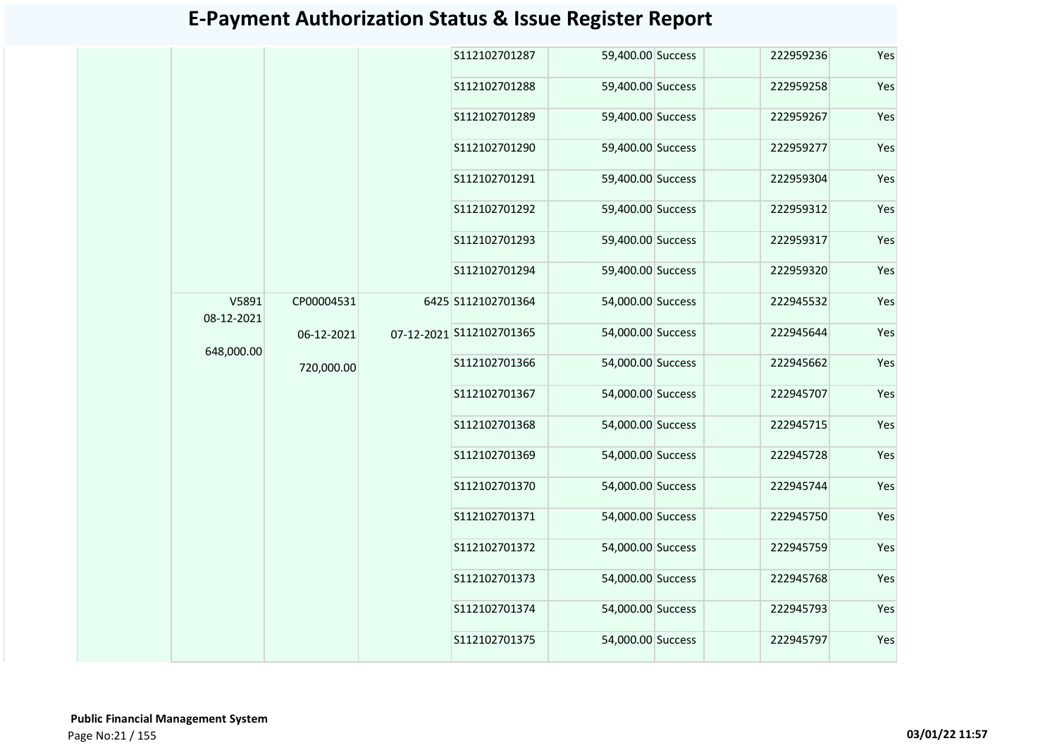|            |            |  | S112102701287            | 59,400.00 Success | 222959236         | Yes       |     |
|------------|------------|--|--------------------------|-------------------|-------------------|-----------|-----|
|            |            |  | S112102701288            | 59,400.00 Success | 222959258         | Yes       |     |
|            |            |  | S112102701289            | 59,400.00 Success | 222959267         | Yes       |     |
|            |            |  | S112102701290            | 59,400.00 Success | 222959277         | Yes       |     |
|            |            |  | S112102701291            | 59,400.00 Success | 222959304         | Yes       |     |
|            |            |  | S112102701292            | 59,400.00 Success | 222959312         | Yes       |     |
|            |            |  | S112102701293            | 59,400.00 Success | 222959317         | Yes       |     |
|            |            |  | S112102701294            | 59,400.00 Success | 222959320         | Yes       |     |
| V5891      | CP00004531 |  | 6425 S112102701364       | 54,000.00 Success | 222945532         | Yes       |     |
| 08-12-2021 | 06-12-2021 |  | 07-12-2021 S112102701365 | 54,000.00 Success | 222945644         | Yes       |     |
| 648,000.00 | 720,000.00 |  | S112102701366            | 54,000.00 Success | 222945662         | Yes       |     |
|            |            |  | S112102701367            | 54,000.00 Success | 222945707         | Yes       |     |
|            |            |  | S112102701368            | 54,000.00 Success | 222945715         | Yes       |     |
|            |            |  | S112102701369            | 54,000.00 Success | 222945728         | Yes       |     |
|            |            |  | S112102701370            | 54,000.00 Success | 222945744         | Yes       |     |
|            |            |  | S112102701371            | 54,000.00 Success | 222945750         | Yes       |     |
|            |            |  | S112102701372            | 54,000.00 Success | 222945759         | Yes       |     |
|            |            |  | S112102701373            | 54,000.00 Success | 222945768         | Yes       |     |
|            |            |  |                          | S112102701374     | 54,000.00 Success | 222945793 | Yes |
|            |            |  | S112102701375            | 54,000.00 Success | 222945797         | Yes       |     |
|            |            |  |                          |                   |                   |           |     |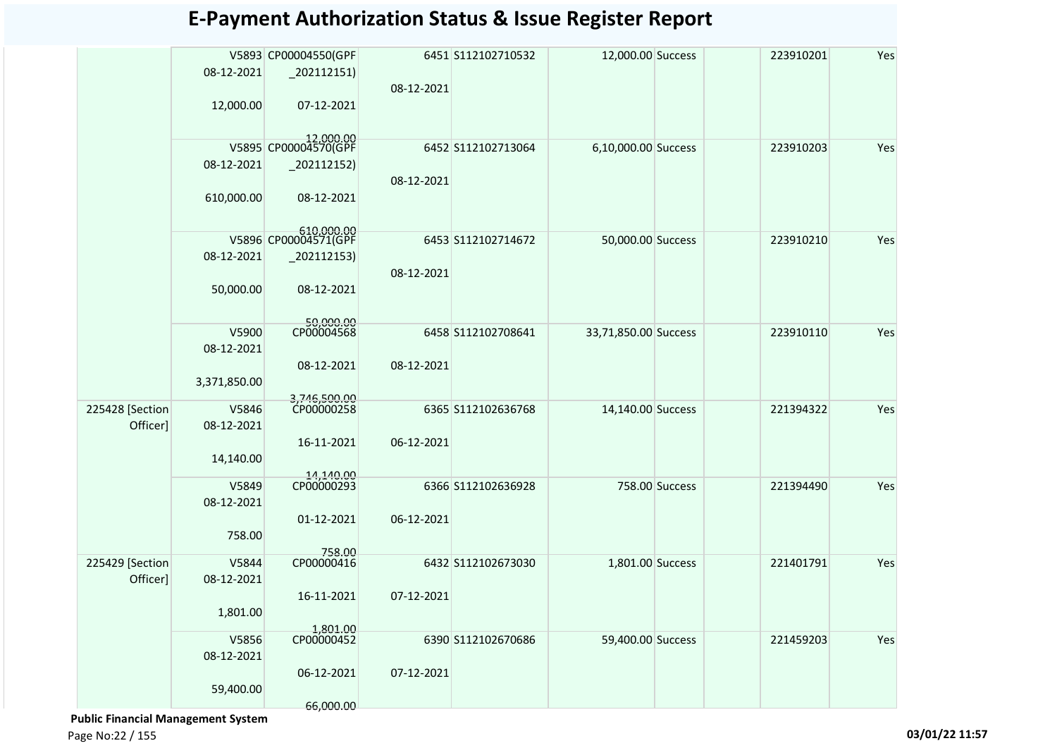|                 |              | V5893 CP00004550(GPF               |            | 6451 S112102710532 | 12,000.00 Success    |                | 223910201 | Yes |
|-----------------|--------------|------------------------------------|------------|--------------------|----------------------|----------------|-----------|-----|
|                 | 08-12-2021   | $-202112151$                       |            |                    |                      |                |           |     |
|                 |              |                                    | 08-12-2021 |                    |                      |                |           |     |
|                 | 12,000.00    | 07-12-2021                         |            |                    |                      |                |           |     |
|                 |              |                                    |            |                    |                      |                |           |     |
|                 |              | 12,000.00<br>V5895 CP00004570(GPF  |            |                    |                      |                |           |     |
|                 |              |                                    |            | 6452 S112102713064 | 6,10,000.00 Success  |                | 223910203 | Yes |
|                 | 08-12-2021   | $_202112152)$                      |            |                    |                      |                |           |     |
|                 |              |                                    | 08-12-2021 |                    |                      |                |           |     |
|                 | 610,000.00   | 08-12-2021                         |            |                    |                      |                |           |     |
|                 |              |                                    |            |                    |                      |                |           |     |
|                 |              | 610,000.00<br>V5896 CP00004571(GPF |            | 6453 S112102714672 | 50,000.00 Success    |                | 223910210 | Yes |
|                 | 08-12-2021   | $_2$ 02112153)                     |            |                    |                      |                |           |     |
|                 |              |                                    | 08-12-2021 |                    |                      |                |           |     |
|                 | 50,000.00    | 08-12-2021                         |            |                    |                      |                |           |     |
|                 |              |                                    |            |                    |                      |                |           |     |
|                 |              |                                    |            |                    |                      |                |           |     |
|                 | V5900        | 50,000.00<br>CP00004568            |            | 6458 S112102708641 | 33,71,850.00 Success |                | 223910110 | Yes |
|                 | 08-12-2021   |                                    |            |                    |                      |                |           |     |
|                 |              | 08-12-2021                         | 08-12-2021 |                    |                      |                |           |     |
|                 | 3,371,850.00 |                                    |            |                    |                      |                |           |     |
|                 |              | 3,746,500.00                       |            |                    |                      |                |           |     |
| 225428 [Section | V5846        | CP00000258                         |            | 6365 S112102636768 | 14,140.00 Success    |                | 221394322 | Yes |
| Officer]        | 08-12-2021   |                                    |            |                    |                      |                |           |     |
|                 |              | 16-11-2021                         | 06-12-2021 |                    |                      |                |           |     |
|                 | 14,140.00    |                                    |            |                    |                      |                |           |     |
|                 | V5849        | 14,140.00<br>CP00000293            |            | 6366 S112102636928 |                      | 758.00 Success | 221394490 | Yes |
|                 | 08-12-2021   |                                    |            |                    |                      |                |           |     |
|                 |              | 01-12-2021                         | 06-12-2021 |                    |                      |                |           |     |
|                 | 758.00       |                                    |            |                    |                      |                |           |     |
|                 |              | 758.00                             |            |                    |                      |                |           |     |
| 225429 [Section | V5844        | CP00000416                         |            | 6432 S112102673030 | 1,801.00 Success     |                | 221401791 | Yes |
| Officer]        | 08-12-2021   |                                    |            |                    |                      |                |           |     |
|                 |              | 16-11-2021                         | 07-12-2021 |                    |                      |                |           |     |
|                 | 1,801.00     |                                    |            |                    |                      |                |           |     |
|                 |              |                                    |            |                    |                      |                |           |     |
|                 | V5856        | 1,801.00<br>CP00000452             |            | 6390 S112102670686 | 59,400.00 Success    |                | 221459203 | Yes |
|                 | 08-12-2021   |                                    |            |                    |                      |                |           |     |
|                 |              | 06-12-2021                         | 07-12-2021 |                    |                      |                |           |     |
|                 | 59,400.00    |                                    |            |                    |                      |                |           |     |
|                 |              | 66,000.00                          |            |                    |                      |                |           |     |

 **Public Financial Management System** 

Page No:22 / 155 **03/01/22 11:57**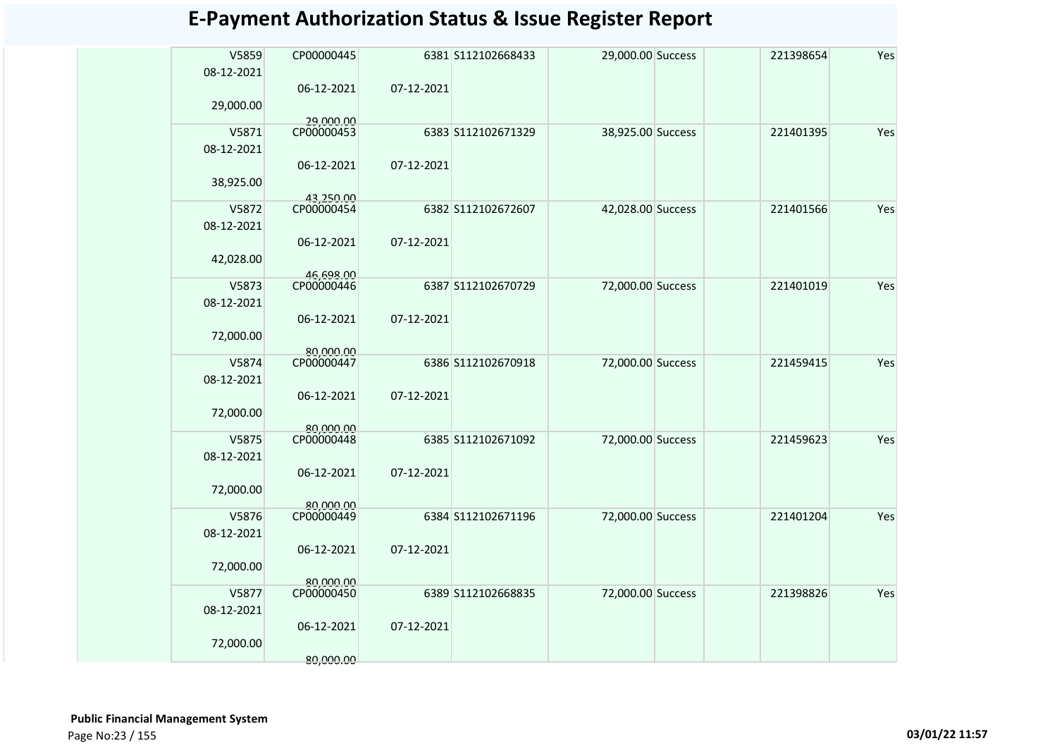| V5859<br>08-12-2021 | CP00000445              |            | 6381 S112102668433 | 29,000.00 Success | 221398654 | Yes |
|---------------------|-------------------------|------------|--------------------|-------------------|-----------|-----|
|                     | 06-12-2021              | 07-12-2021 |                    |                   |           |     |
| 29,000.00           |                         |            |                    |                   |           |     |
| V5871               | 29,000.00<br>CP00000453 |            | 6383 S112102671329 | 38,925.00 Success | 221401395 | Yes |
| 08-12-2021          |                         |            |                    |                   |           |     |
|                     | 06-12-2021              | 07-12-2021 |                    |                   |           |     |
| 38,925.00           |                         |            |                    |                   |           |     |
| V5872               | 43,250.00<br>CP00000454 |            | 6382 S112102672607 | 42,028.00 Success | 221401566 | Yes |
| 08-12-2021          |                         |            |                    |                   |           |     |
|                     | 06-12-2021              | 07-12-2021 |                    |                   |           |     |
| 42,028.00           |                         |            |                    |                   |           |     |
|                     | 46,698.00               |            |                    |                   |           |     |
| V5873               | CP00000446              |            | 6387 S112102670729 | 72,000.00 Success | 221401019 | Yes |
| 08-12-2021          |                         |            |                    |                   |           |     |
|                     | 06-12-2021              | 07-12-2021 |                    |                   |           |     |
| 72,000.00           | 80,000.00               |            |                    |                   |           |     |
| V5874               | CP00000447              |            | 6386 S112102670918 | 72,000.00 Success | 221459415 | Yes |
| 08-12-2021          |                         |            |                    |                   |           |     |
|                     | 06-12-2021              | 07-12-2021 |                    |                   |           |     |
| 72,000.00           |                         |            |                    |                   |           |     |
| V5875               | 80.000.00<br>CP00000448 |            | 6385 S112102671092 | 72,000.00 Success | 221459623 | Yes |
| 08-12-2021          |                         |            |                    |                   |           |     |
|                     | 06-12-2021              | 07-12-2021 |                    |                   |           |     |
| 72,000.00           |                         |            |                    |                   |           |     |
|                     | 80.000.00               |            |                    |                   |           |     |
| V5876<br>08-12-2021 | CP00000449              |            | 6384 S112102671196 | 72,000.00 Success | 221401204 | Yes |
|                     | 06-12-2021              | 07-12-2021 |                    |                   |           |     |
| 72,000.00           |                         |            |                    |                   |           |     |
|                     | 80,000.00               |            |                    |                   |           |     |
| V5877               | CP00000450              |            | 6389 S112102668835 | 72,000.00 Success | 221398826 | Yes |
| 08-12-2021          |                         |            |                    |                   |           |     |
|                     | 06-12-2021              | 07-12-2021 |                    |                   |           |     |
| 72,000.00           | 80,000,00               |            |                    |                   |           |     |
|                     |                         |            |                    |                   |           |     |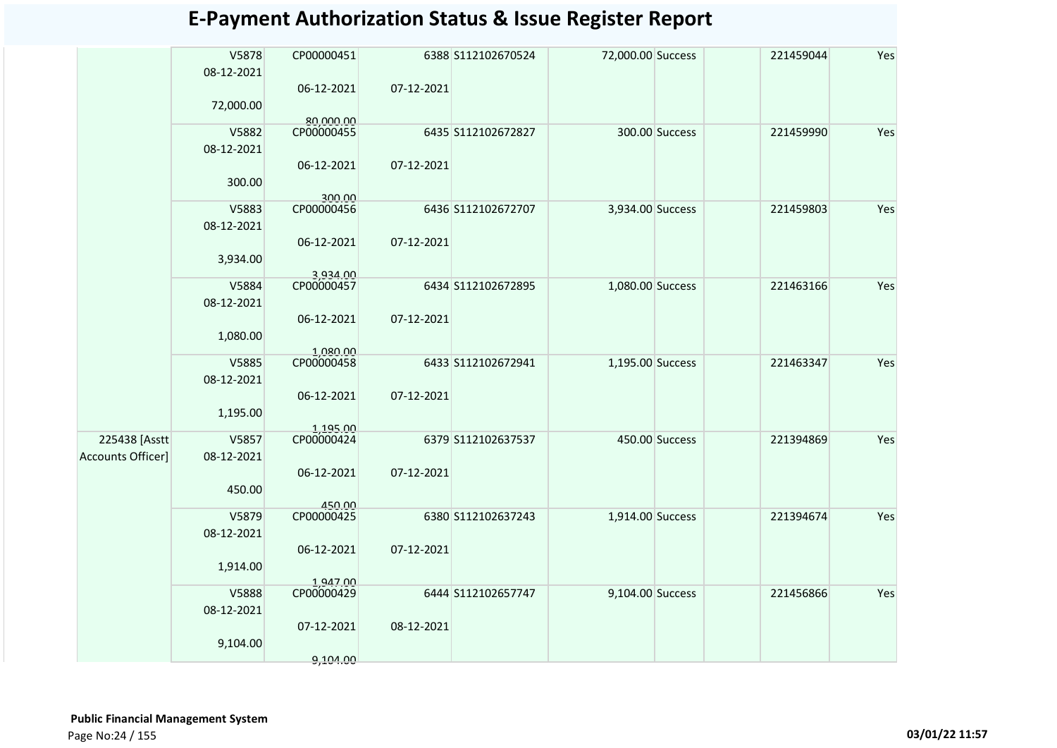|                   | V5878<br>08-12-2021 | CP00000451             |            | 6388 S112102670524 | 72,000.00 Success |                | 221459044 | Yes |
|-------------------|---------------------|------------------------|------------|--------------------|-------------------|----------------|-----------|-----|
|                   | 72,000.00           | 06-12-2021             | 07-12-2021 |                    |                   |                |           |     |
|                   |                     | 80.000.00              |            |                    |                   |                |           |     |
|                   | V5882<br>08-12-2021 | CP00000455             |            | 6435 S112102672827 |                   | 300.00 Success | 221459990 | Yes |
|                   | 300.00              | 06-12-2021<br>300.00   | 07-12-2021 |                    |                   |                |           |     |
|                   | V5883               | CP00000456             |            | 6436 S112102672707 | 3,934.00 Success  |                | 221459803 | Yes |
|                   | 08-12-2021          |                        |            |                    |                   |                |           |     |
|                   | 3,934.00            | 06-12-2021<br>3,934.00 | 07-12-2021 |                    |                   |                |           |     |
|                   | V5884               | CP00000457             |            | 6434 S112102672895 | 1,080.00 Success  |                | 221463166 | Yes |
|                   | 08-12-2021          |                        |            |                    |                   |                |           |     |
|                   | 1,080.00            | 06-12-2021<br>1,080.00 | 07-12-2021 |                    |                   |                |           |     |
|                   | V5885<br>08-12-2021 | CP00000458             |            | 6433 S112102672941 | 1,195.00 Success  |                | 221463347 | Yes |
|                   |                     | 06-12-2021             | 07-12-2021 |                    |                   |                |           |     |
|                   | 1,195.00            |                        |            |                    |                   |                |           |     |
| 225438 [Asstt     | V5857               | 1,195.00<br>CP00000424 |            | 6379 S112102637537 |                   | 450.00 Success | 221394869 | Yes |
| Accounts Officer] | 08-12-2021          |                        |            |                    |                   |                |           |     |
|                   | 450.00              | 06-12-2021             | 07-12-2021 |                    |                   |                |           |     |
|                   | V5879               | 450.00<br>CP00000425   |            | 6380 S112102637243 | 1,914.00 Success  |                | 221394674 | Yes |
|                   | 08-12-2021          |                        |            |                    |                   |                |           |     |
|                   |                     |                        |            |                    |                   |                |           |     |
|                   | 1,914.00            | 06-12-2021             | 07-12-2021 |                    |                   |                |           |     |
|                   | V5888               | 1,947.00<br>CP00000429 |            | 6444 S112102657747 | 9,104.00 Success  |                | 221456866 | Yes |
|                   | 08-12-2021          |                        |            |                    |                   |                |           |     |
|                   |                     | 07-12-2021             | 08-12-2021 |                    |                   |                |           |     |
|                   | 9,104.00            |                        |            |                    |                   |                |           |     |
|                   |                     | 9,104.00               |            |                    |                   |                |           |     |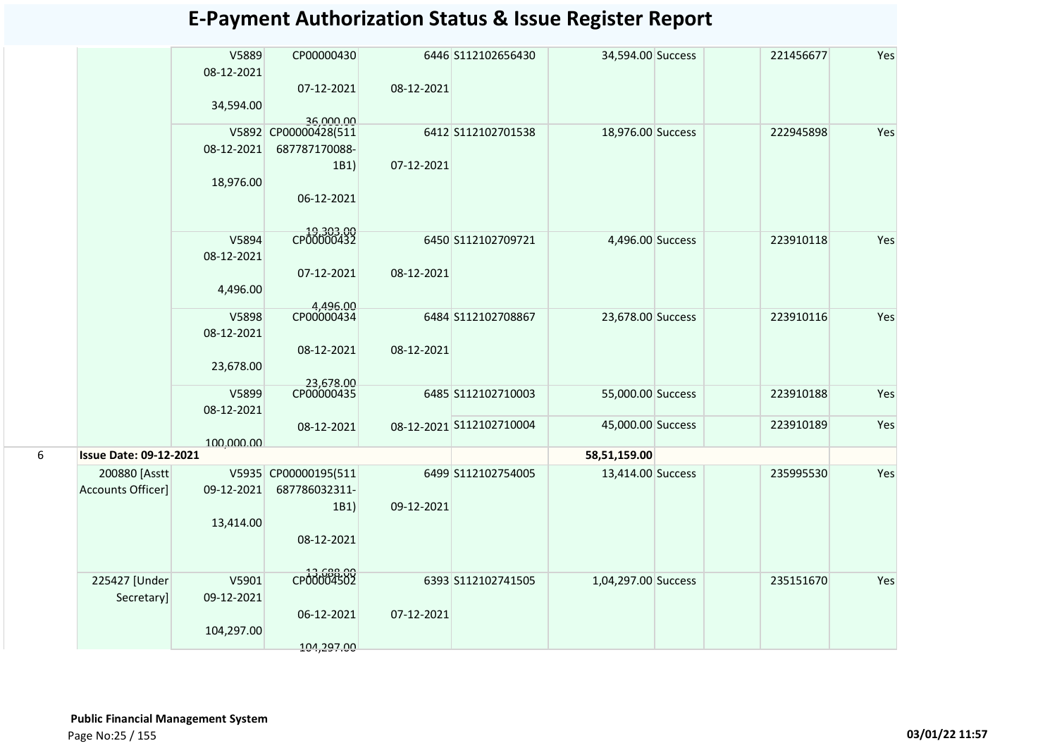|   |                               | V5889<br>08-12-2021 | CP00000430                        |            | 6446 S112102656430       | 34,594.00 Success   | 221456677 | Yes |
|---|-------------------------------|---------------------|-----------------------------------|------------|--------------------------|---------------------|-----------|-----|
|   |                               |                     | 07-12-2021                        | 08-12-2021 |                          |                     |           |     |
|   |                               | 34,594.00           |                                   |            |                          |                     |           |     |
|   |                               |                     | 36,000.00<br>V5892 CP00000428(511 |            | 6412 S112102701538       | 18,976.00 Success   | 222945898 | Yes |
|   |                               | 08-12-2021          | 687787170088-                     |            |                          |                     |           |     |
|   |                               |                     | 1B1)                              | 07-12-2021 |                          |                     |           |     |
|   |                               | 18,976.00           |                                   |            |                          |                     |           |     |
|   |                               |                     | 06-12-2021                        |            |                          |                     |           |     |
|   |                               | V5894               | CP00000432                        |            | 6450 S112102709721       | 4,496.00 Success    | 223910118 | Yes |
|   |                               | 08-12-2021          |                                   |            |                          |                     |           |     |
|   |                               |                     | 07-12-2021                        | 08-12-2021 |                          |                     |           |     |
|   |                               | 4,496.00            |                                   |            |                          |                     |           |     |
|   |                               |                     | 4.496.00                          |            |                          |                     |           |     |
|   |                               | V5898<br>08-12-2021 | CP00000434                        |            | 6484 S112102708867       | 23,678.00 Success   | 223910116 | Yes |
|   |                               |                     | 08-12-2021                        | 08-12-2021 |                          |                     |           |     |
|   |                               | 23,678.00           |                                   |            |                          |                     |           |     |
|   |                               | V5899               | 23,678.00<br>CP00000435           |            | 6485 S112102710003       | 55,000.00 Success   | 223910188 | Yes |
|   |                               | 08-12-2021          |                                   |            |                          |                     |           |     |
|   |                               |                     | 08-12-2021                        |            | 08-12-2021 S112102710004 | 45,000.00 Success   | 223910189 | Yes |
|   |                               | 100,000.00          |                                   |            |                          |                     |           |     |
| 6 | <b>Issue Date: 09-12-2021</b> |                     |                                   |            |                          | 58,51,159.00        |           |     |
|   | 200880 [Asstt                 |                     | V5935 CP00000195(511              |            | 6499 S112102754005       | 13,414.00 Success   | 235995530 | Yes |
|   | Accounts Officer]             | 09-12-2021          | 687786032311-<br>1B1)             | 09-12-2021 |                          |                     |           |     |
|   |                               | 13,414.00           |                                   |            |                          |                     |           |     |
|   |                               |                     | 08-12-2021                        |            |                          |                     |           |     |
|   |                               |                     |                                   |            |                          |                     |           |     |
|   | 225427 [Under                 | V5901               | CP00004502                        |            | 6393 S112102741505       | 1,04,297.00 Success | 235151670 | Yes |
|   | Secretary]                    | 09-12-2021          |                                   |            |                          |                     |           |     |
|   |                               |                     | 06-12-2021                        | 07-12-2021 |                          |                     |           |     |
|   |                               | 104,297.00          |                                   |            |                          |                     |           |     |
|   |                               |                     | 104,297.00                        |            |                          |                     |           |     |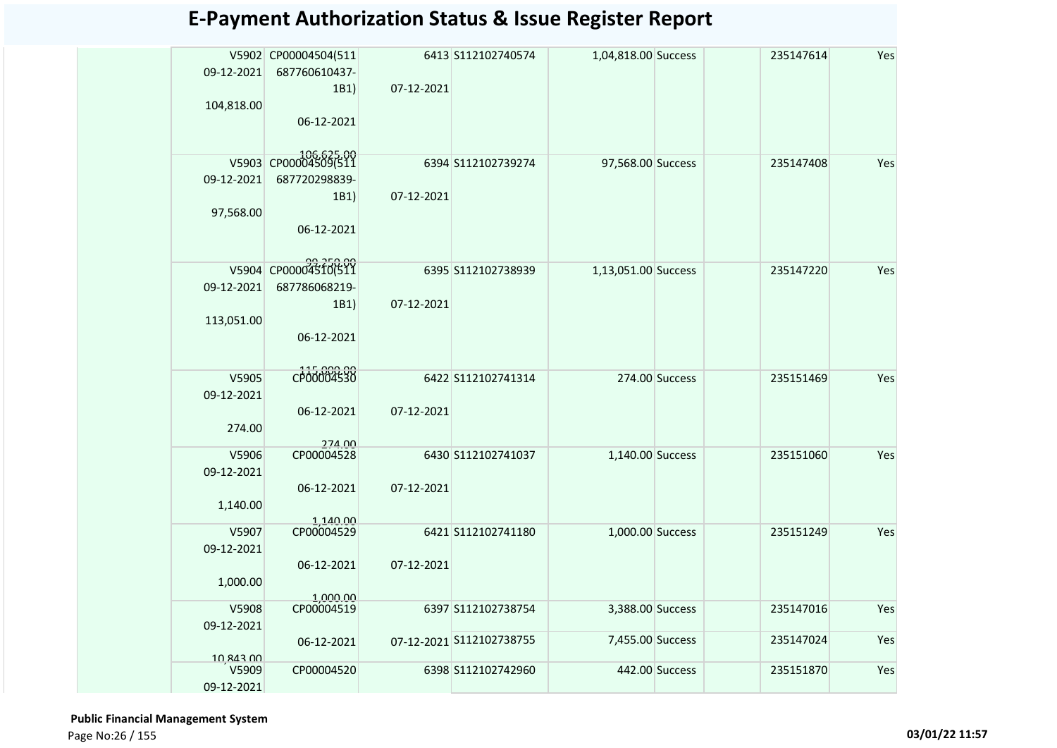| 09-12-2021<br>104,818.00         | V5902 CP00004504(511<br>687760610437-<br>1B1)<br>06-12-2021 | 07-12-2021 | 6413 S112102740574       | 1,04,818.00 Success |                | 235147614 | Yes |
|----------------------------------|-------------------------------------------------------------|------------|--------------------------|---------------------|----------------|-----------|-----|
| 09-12-2021<br>97,568.00          | V5903 CP00004509(511<br>687720298839-<br>1B1)<br>06-12-2021 | 07-12-2021 | 6394 S112102739274       | 97,568.00 Success   |                | 235147408 | Yes |
| 09-12-2021<br>113,051.00         | V5904 CP00004510(511<br>687786068219-<br>1B1)<br>06-12-2021 | 07-12-2021 | 6395 S112102738939       | 1,13,051.00 Success |                | 235147220 | Yes |
| V5905<br>09-12-2021<br>274.00    | CP00004530<br>06-12-2021                                    | 07-12-2021 | 6422 S112102741314       |                     | 274.00 Success | 235151469 | Yes |
| V5906<br>09-12-2021<br>1,140.00  | 274.00<br>CP00004528<br>06-12-2021                          | 07-12-2021 | 6430 S112102741037       | 1,140.00 Success    |                | 235151060 | Yes |
| V5907<br>09-12-2021<br>1,000.00  | 1,140.00<br>06-12-2021                                      | 07-12-2021 | 6421 S112102741180       | 1,000.00 Success    |                | 235151249 | Yes |
| V5908<br>09-12-2021              | 1.000.00<br>CP00004519                                      |            | 6397 S112102738754       | 3,388.00 Success    |                | 235147016 | Yes |
|                                  | 06-12-2021                                                  |            | 07-12-2021 S112102738755 | 7,455.00 Success    |                | 235147024 | Yes |
| 10,843.00<br>V5909<br>09-12-2021 | CP00004520                                                  |            | 6398 S112102742960       |                     | 442.00 Success | 235151870 | Yes |

 **Public Financial Management System**  Page No:26 / 155 **03/01/22 11:57**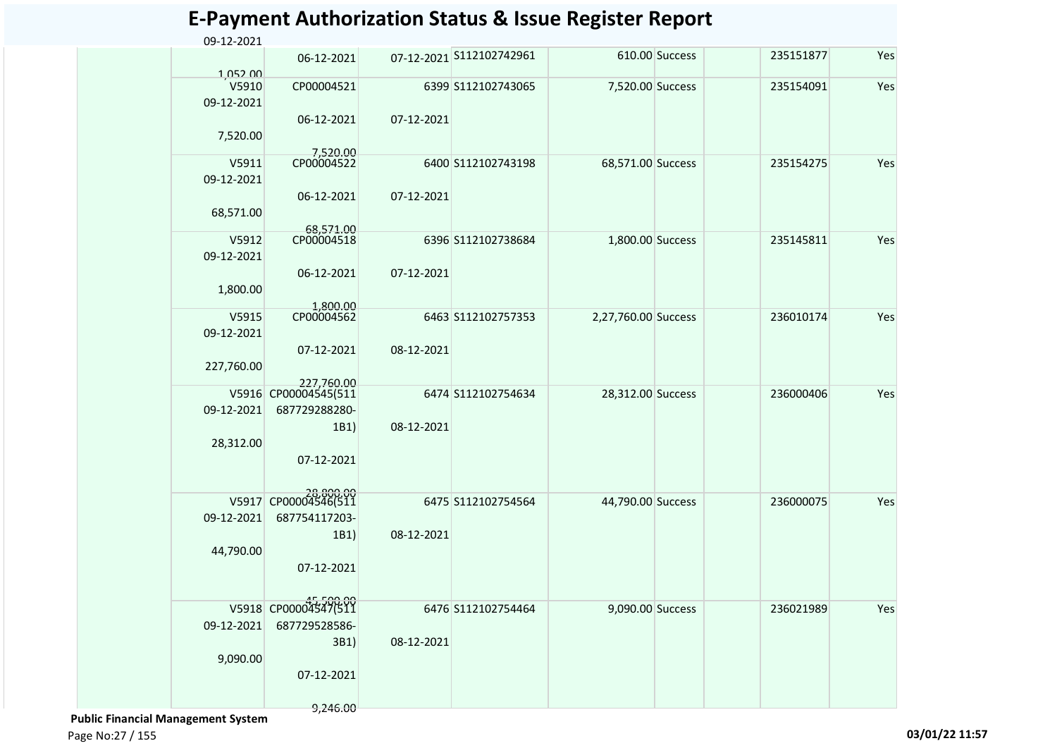| 07-12-2021 S112102742961<br>610.00 Success<br>235151877<br>06-12-2021<br>1.052.00<br>V5910<br>CP00004521<br>6399 S112102743065<br>7,520.00 Success<br>235154091<br>09-12-2021<br>06-12-2021<br>07-12-2021<br>7,520.00<br>7,520.00<br>CP00004522<br>V5911<br>6400 S112102743198<br>68,571.00 Success<br>235154275<br>09-12-2021<br>07-12-2021<br>06-12-2021<br>68,571.00<br>68,571.00<br>V5912<br>CP00004518<br>6396 S112102738684<br>1,800.00 Success<br>235145811<br>09-12-2021<br>06-12-2021<br>07-12-2021<br>1,800.00<br>1,800.00<br>CP00004562<br>2,27,760.00 Success<br>236010174<br>V5915<br>6463 S112102757353<br>09-12-2021<br>08-12-2021<br>07-12-2021<br>227,760.00<br>227.760.00<br>V5916 CP00004545(511<br>28,312.00 Success<br>6474 S112102754634<br>236000406<br>09-12-2021<br>687729288280-<br>1B1)<br>08-12-2021<br>28,312.00<br>07-12-2021<br>V5917 CP00004546(511<br>44,790.00 Success<br>6475 S112102754564<br>236000075<br>09-12-2021<br>687754117203-<br>08-12-2021<br>1B1)<br>44,790.00<br>07-12-2021<br>V5918 CP00004547(511<br>9,090.00 Success<br>6476 S112102754464<br>236021989<br>09-12-2021<br>687729528586-<br>3B1)<br>08-12-2021<br>9,090.00<br>07-12-2021 | 09-12-2021 |  | - 1102101111021 |  |     |
|-------------------------------------------------------------------------------------------------------------------------------------------------------------------------------------------------------------------------------------------------------------------------------------------------------------------------------------------------------------------------------------------------------------------------------------------------------------------------------------------------------------------------------------------------------------------------------------------------------------------------------------------------------------------------------------------------------------------------------------------------------------------------------------------------------------------------------------------------------------------------------------------------------------------------------------------------------------------------------------------------------------------------------------------------------------------------------------------------------------------------------------------------------------------------------------------|------------|--|-----------------|--|-----|
|                                                                                                                                                                                                                                                                                                                                                                                                                                                                                                                                                                                                                                                                                                                                                                                                                                                                                                                                                                                                                                                                                                                                                                                           |            |  |                 |  | Yes |
|                                                                                                                                                                                                                                                                                                                                                                                                                                                                                                                                                                                                                                                                                                                                                                                                                                                                                                                                                                                                                                                                                                                                                                                           |            |  |                 |  | Yes |
|                                                                                                                                                                                                                                                                                                                                                                                                                                                                                                                                                                                                                                                                                                                                                                                                                                                                                                                                                                                                                                                                                                                                                                                           |            |  |                 |  |     |
|                                                                                                                                                                                                                                                                                                                                                                                                                                                                                                                                                                                                                                                                                                                                                                                                                                                                                                                                                                                                                                                                                                                                                                                           |            |  |                 |  |     |
|                                                                                                                                                                                                                                                                                                                                                                                                                                                                                                                                                                                                                                                                                                                                                                                                                                                                                                                                                                                                                                                                                                                                                                                           |            |  |                 |  | Yes |
|                                                                                                                                                                                                                                                                                                                                                                                                                                                                                                                                                                                                                                                                                                                                                                                                                                                                                                                                                                                                                                                                                                                                                                                           |            |  |                 |  |     |
|                                                                                                                                                                                                                                                                                                                                                                                                                                                                                                                                                                                                                                                                                                                                                                                                                                                                                                                                                                                                                                                                                                                                                                                           |            |  |                 |  |     |
|                                                                                                                                                                                                                                                                                                                                                                                                                                                                                                                                                                                                                                                                                                                                                                                                                                                                                                                                                                                                                                                                                                                                                                                           |            |  |                 |  | Yes |
|                                                                                                                                                                                                                                                                                                                                                                                                                                                                                                                                                                                                                                                                                                                                                                                                                                                                                                                                                                                                                                                                                                                                                                                           |            |  |                 |  |     |
|                                                                                                                                                                                                                                                                                                                                                                                                                                                                                                                                                                                                                                                                                                                                                                                                                                                                                                                                                                                                                                                                                                                                                                                           |            |  |                 |  |     |
|                                                                                                                                                                                                                                                                                                                                                                                                                                                                                                                                                                                                                                                                                                                                                                                                                                                                                                                                                                                                                                                                                                                                                                                           |            |  |                 |  |     |
|                                                                                                                                                                                                                                                                                                                                                                                                                                                                                                                                                                                                                                                                                                                                                                                                                                                                                                                                                                                                                                                                                                                                                                                           |            |  |                 |  | Yes |
|                                                                                                                                                                                                                                                                                                                                                                                                                                                                                                                                                                                                                                                                                                                                                                                                                                                                                                                                                                                                                                                                                                                                                                                           |            |  |                 |  |     |
|                                                                                                                                                                                                                                                                                                                                                                                                                                                                                                                                                                                                                                                                                                                                                                                                                                                                                                                                                                                                                                                                                                                                                                                           |            |  |                 |  |     |
|                                                                                                                                                                                                                                                                                                                                                                                                                                                                                                                                                                                                                                                                                                                                                                                                                                                                                                                                                                                                                                                                                                                                                                                           |            |  |                 |  | Yes |
|                                                                                                                                                                                                                                                                                                                                                                                                                                                                                                                                                                                                                                                                                                                                                                                                                                                                                                                                                                                                                                                                                                                                                                                           |            |  |                 |  |     |
|                                                                                                                                                                                                                                                                                                                                                                                                                                                                                                                                                                                                                                                                                                                                                                                                                                                                                                                                                                                                                                                                                                                                                                                           |            |  |                 |  |     |
|                                                                                                                                                                                                                                                                                                                                                                                                                                                                                                                                                                                                                                                                                                                                                                                                                                                                                                                                                                                                                                                                                                                                                                                           |            |  |                 |  |     |
|                                                                                                                                                                                                                                                                                                                                                                                                                                                                                                                                                                                                                                                                                                                                                                                                                                                                                                                                                                                                                                                                                                                                                                                           |            |  |                 |  | Yes |
|                                                                                                                                                                                                                                                                                                                                                                                                                                                                                                                                                                                                                                                                                                                                                                                                                                                                                                                                                                                                                                                                                                                                                                                           |            |  |                 |  |     |
|                                                                                                                                                                                                                                                                                                                                                                                                                                                                                                                                                                                                                                                                                                                                                                                                                                                                                                                                                                                                                                                                                                                                                                                           |            |  |                 |  |     |
|                                                                                                                                                                                                                                                                                                                                                                                                                                                                                                                                                                                                                                                                                                                                                                                                                                                                                                                                                                                                                                                                                                                                                                                           |            |  |                 |  |     |
|                                                                                                                                                                                                                                                                                                                                                                                                                                                                                                                                                                                                                                                                                                                                                                                                                                                                                                                                                                                                                                                                                                                                                                                           |            |  |                 |  |     |
|                                                                                                                                                                                                                                                                                                                                                                                                                                                                                                                                                                                                                                                                                                                                                                                                                                                                                                                                                                                                                                                                                                                                                                                           |            |  |                 |  | Yes |
|                                                                                                                                                                                                                                                                                                                                                                                                                                                                                                                                                                                                                                                                                                                                                                                                                                                                                                                                                                                                                                                                                                                                                                                           |            |  |                 |  |     |
|                                                                                                                                                                                                                                                                                                                                                                                                                                                                                                                                                                                                                                                                                                                                                                                                                                                                                                                                                                                                                                                                                                                                                                                           |            |  |                 |  |     |
|                                                                                                                                                                                                                                                                                                                                                                                                                                                                                                                                                                                                                                                                                                                                                                                                                                                                                                                                                                                                                                                                                                                                                                                           |            |  |                 |  |     |

 **Public Financial Management System** 

9,246.00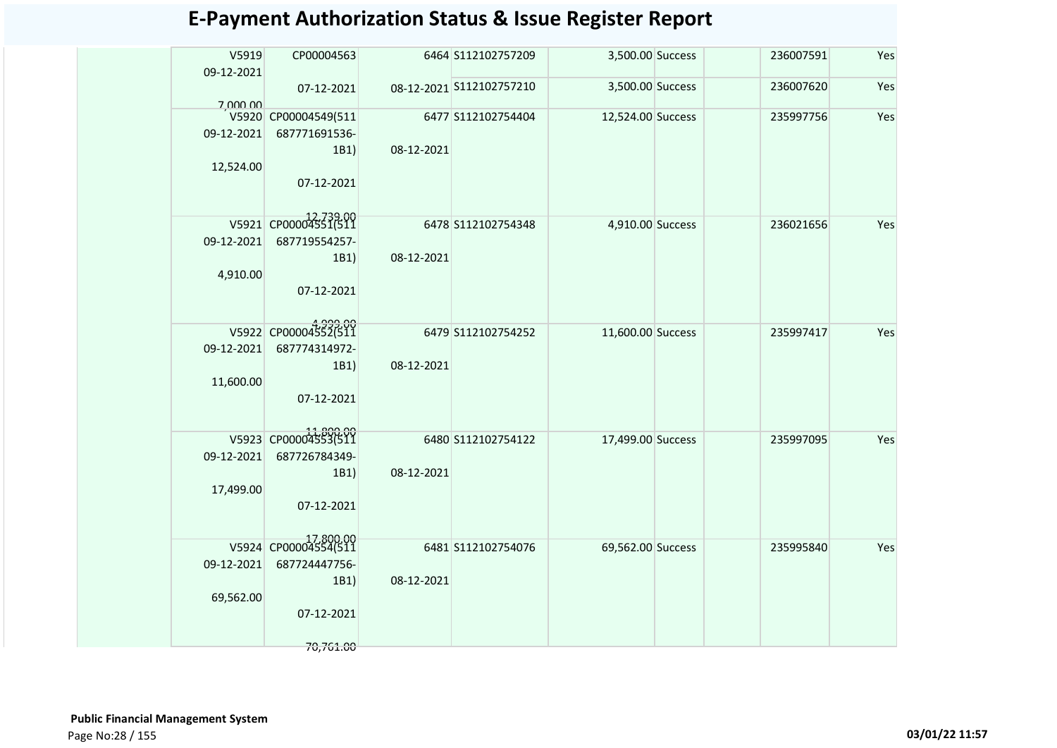| V5919<br>09-12-2021 | CP00004563                                    |            | 6464 S112102757209       | 3,500.00 Success  | 236007591 | Yes |
|---------------------|-----------------------------------------------|------------|--------------------------|-------------------|-----------|-----|
| 7,000.00            | 07-12-2021                                    |            | 08-12-2021 S112102757210 | 3,500.00 Success  | 236007620 | Yes |
| 09-12-2021          | V5920 CP00004549(511<br>687771691536-<br>1B1) | 08-12-2021 | 6477 S112102754404       | 12,524.00 Success | 235997756 | Yes |
| 12,524.00           | 07-12-2021                                    |            |                          |                   |           |     |
|                     | V5921 CP00004551(511                          |            | 6478 S112102754348       | 4,910.00 Success  | 236021656 | Yes |
| 09-12-2021          | 687719554257-<br>1B1)                         | 08-12-2021 |                          |                   |           |     |
| 4,910.00            | 07-12-2021                                    |            |                          |                   |           |     |
|                     | V5922 CP00004552(511                          |            | 6479 S112102754252       | 11,600.00 Success | 235997417 | Yes |
| 09-12-2021          | 687774314972-<br>1B1)                         | 08-12-2021 |                          |                   |           |     |
| 11,600.00           | 07-12-2021                                    |            |                          |                   |           |     |
|                     |                                               |            |                          |                   |           |     |
| 09-12-2021          | V5923 CP00004553(511<br>687726784349-         |            | 6480 S112102754122       | 17,499.00 Success | 235997095 | Yes |
|                     | 1B1)                                          | 08-12-2021 |                          |                   |           |     |
| 17,499.00           | 07-12-2021                                    |            |                          |                   |           |     |
|                     | V5924 CP00004554(511                          |            | 6481 S112102754076       | 69,562.00 Success | 235995840 | Yes |
| 09-12-2021          | 687724447756-                                 |            |                          |                   |           |     |
|                     | 1B1)                                          | 08-12-2021 |                          |                   |           |     |
| 69,562.00           | 07-12-2021                                    |            |                          |                   |           |     |
|                     | 70,761.00                                     |            |                          |                   |           |     |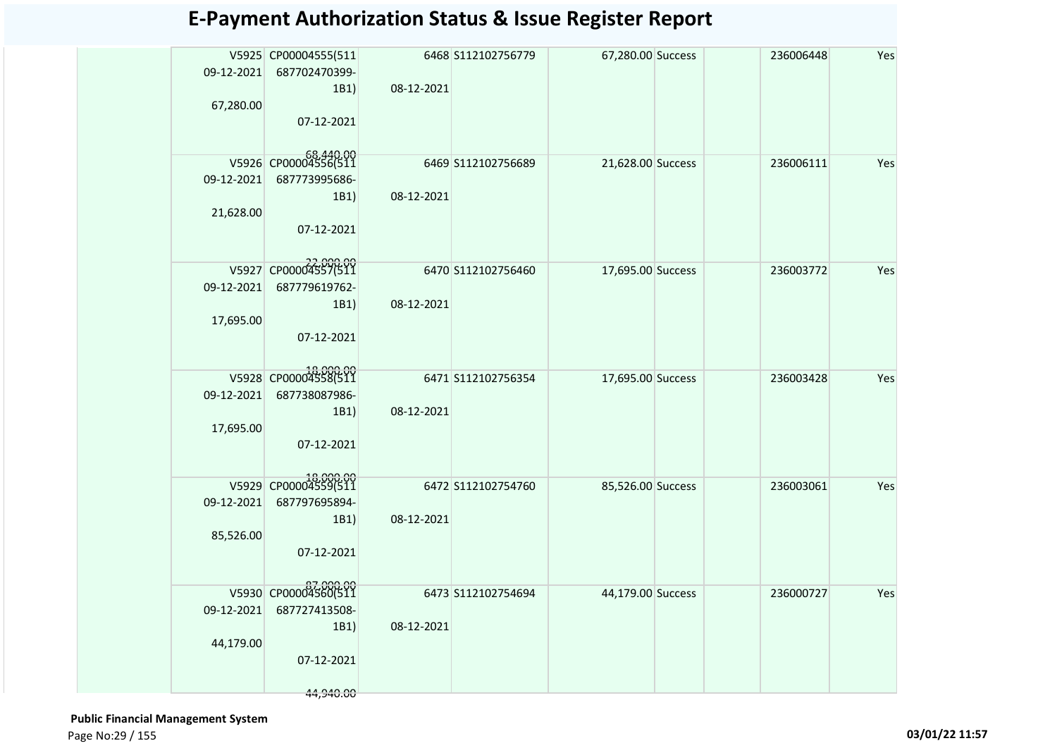| 09-12-2021<br>67,280.00 | V5925 CP00004555(511<br>687702470399-<br>1B1)<br>07-12-2021              | 08-12-2021 | 6468 S112102756779 | 67,280.00 Success | 236006448 | Yes |
|-------------------------|--------------------------------------------------------------------------|------------|--------------------|-------------------|-----------|-----|
| 09-12-2021<br>21,628.00 | V5926 CP00004556(511<br>687773995686-<br>1B1)<br>07-12-2021              | 08-12-2021 | 6469 S112102756689 | 21,628.00 Success | 236006111 | Yes |
| 09-12-2021<br>17,695.00 | V5927 CP00004557(511<br>687779619762-<br>1B1)<br>07-12-2021              | 08-12-2021 | 6470 S112102756460 | 17,695.00 Success | 236003772 | Yes |
| 09-12-2021<br>17,695.00 | V5928 CP00004558(511<br>687738087986-<br>1B1)<br>07-12-2021              | 08-12-2021 | 6471 S112102756354 | 17,695.00 Success | 236003428 | Yes |
| 09-12-2021<br>85,526.00 | V5929 CP00004559(511<br>687797695894-<br>1B1)<br>07-12-2021              | 08-12-2021 | 6472 S112102754760 | 85,526.00 Success | 236003061 | Yes |
| 09-12-2021<br>44,179.00 | V5930 CP00004560(511<br>687727413508-<br>1B1)<br>07-12-2021<br>44,940.00 | 08-12-2021 | 6473 S112102754694 | 44,179.00 Success | 236000727 | Yes |

 **Public Financial Management System**  Page No:29 / 155 **03/01/22 11:57**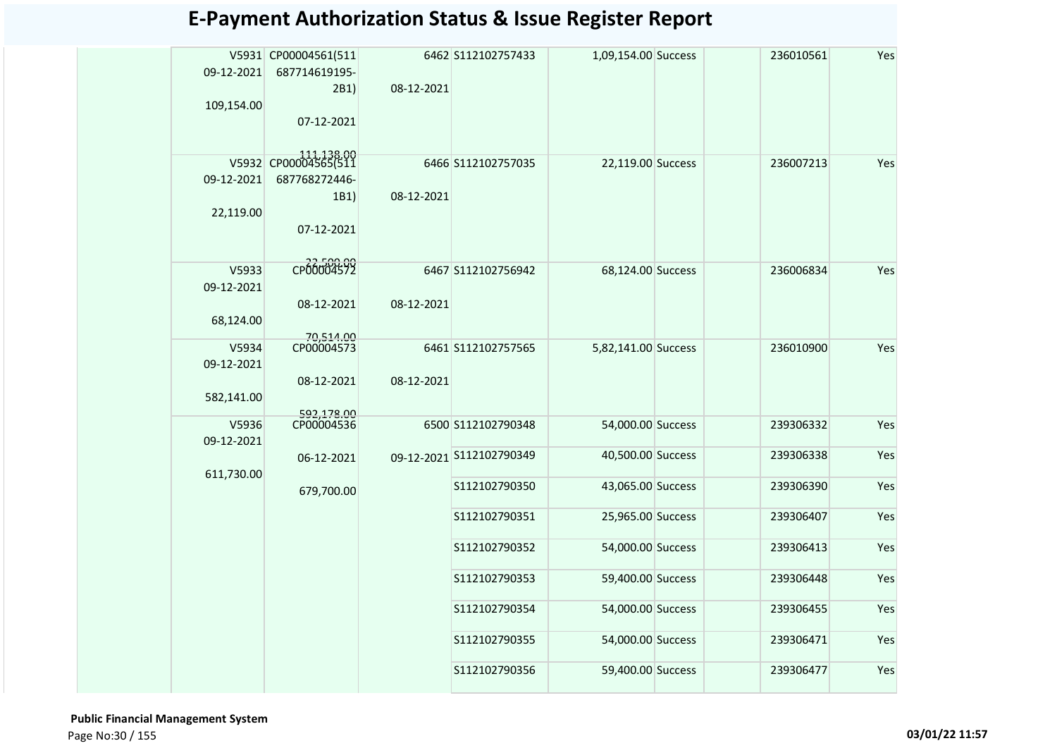| 09-12-2021 | V5931 CP00004561(511<br>687714619195- |            | 6462 S112102757433       | 1,09,154.00 Success | 236010561 | Yes |
|------------|---------------------------------------|------------|--------------------------|---------------------|-----------|-----|
|            | 2B1)                                  | 08-12-2021 |                          |                     |           |     |
| 109,154.00 | 07-12-2021                            |            |                          |                     |           |     |
|            |                                       |            |                          |                     |           |     |
|            | V5932 CP00004565(511                  |            | 6466 S112102757035       | 22,119.00 Success   | 236007213 | Yes |
| 09-12-2021 | 687768272446-                         |            |                          |                     |           |     |
|            | 1B1)                                  | 08-12-2021 |                          |                     |           |     |
| 22,119.00  |                                       |            |                          |                     |           |     |
|            | 07-12-2021                            |            |                          |                     |           |     |
| V5933      | CP00004572                            |            | 6467 S112102756942       | 68,124.00 Success   | 236006834 | Yes |
| 09-12-2021 |                                       |            |                          |                     |           |     |
|            | 08-12-2021                            | 08-12-2021 |                          |                     |           |     |
| 68,124.00  |                                       |            |                          |                     |           |     |
| V5934      | 70,514.00<br>CP00004573               |            | 6461 S112102757565       | 5,82,141.00 Success | 236010900 | Yes |
| 09-12-2021 |                                       |            |                          |                     |           |     |
|            | 08-12-2021                            | 08-12-2021 |                          |                     |           |     |
| 582,141.00 |                                       |            |                          |                     |           |     |
| V5936      | 592,178.00<br>CP00004536              |            | 6500 S112102790348       | 54,000.00 Success   | 239306332 | Yes |
| 09-12-2021 |                                       |            |                          |                     |           |     |
| 611,730.00 | 06-12-2021                            |            | 09-12-2021 S112102790349 | 40,500.00 Success   | 239306338 | Yes |
|            | 679,700.00                            |            | S112102790350            | 43,065.00 Success   | 239306390 | Yes |
|            |                                       |            |                          |                     |           |     |
|            |                                       |            | S112102790351            | 25,965.00 Success   | 239306407 | Yes |
|            |                                       |            | S112102790352            | 54,000.00 Success   | 239306413 | Yes |
|            |                                       |            | S112102790353            | 59,400.00 Success   | 239306448 | Yes |
|            |                                       |            | S112102790354            | 54,000.00 Success   | 239306455 | Yes |
|            |                                       |            |                          |                     |           |     |
|            |                                       |            | S112102790355            | 54,000.00 Success   | 239306471 | Yes |
|            |                                       |            | S112102790356            | 59,400.00 Success   | 239306477 | Yes |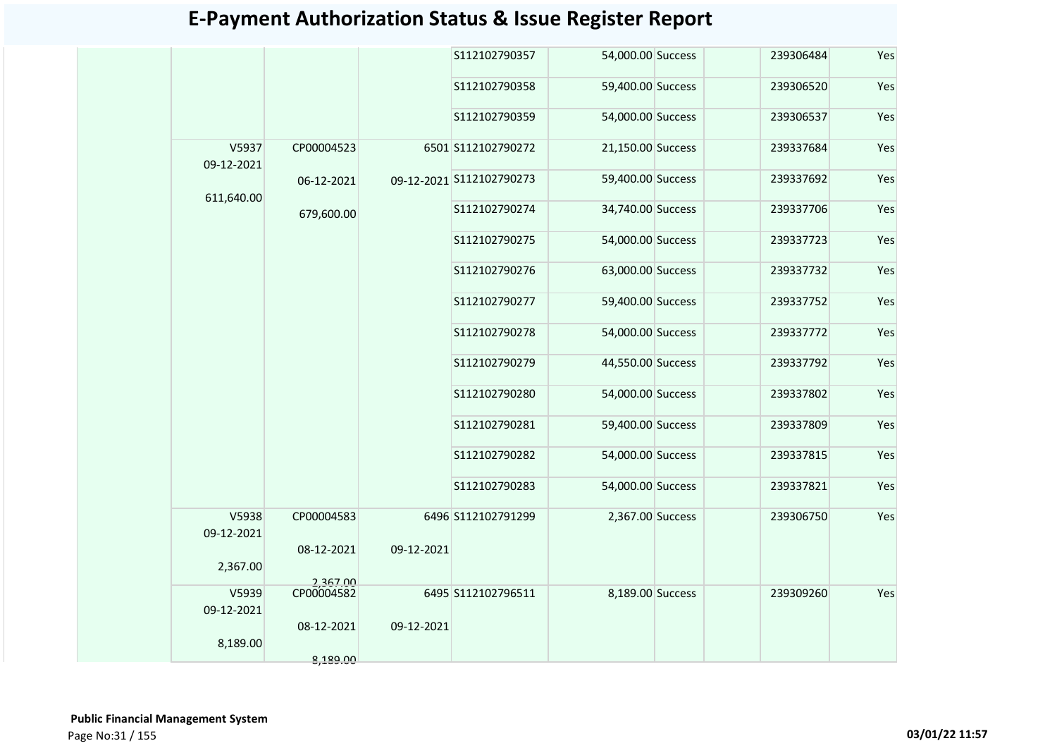|                     |            |            | S112102790357            | 54,000.00 Success | 239306484 | Yes |
|---------------------|------------|------------|--------------------------|-------------------|-----------|-----|
|                     |            |            | S112102790358            | 59,400.00 Success | 239306520 | Yes |
|                     |            |            | S112102790359            | 54,000.00 Success | 239306537 | Yes |
| V5937<br>09-12-2021 | CP00004523 |            | 6501 S112102790272       | 21,150.00 Success | 239337684 | Yes |
| 611,640.00          | 06-12-2021 |            | 09-12-2021 S112102790273 | 59,400.00 Success | 239337692 | Yes |
|                     | 679,600.00 |            | S112102790274            | 34,740.00 Success | 239337706 | Yes |
|                     |            |            | S112102790275            | 54,000.00 Success | 239337723 | Yes |
|                     |            |            | S112102790276            | 63,000.00 Success | 239337732 | Yes |
|                     |            |            | S112102790277            | 59,400.00 Success | 239337752 | Yes |
|                     |            |            | S112102790278            | 54,000.00 Success | 239337772 | Yes |
|                     |            |            | S112102790279            | 44,550.00 Success | 239337792 | Yes |
|                     |            |            | S112102790280            | 54,000.00 Success | 239337802 | Yes |
|                     |            |            | S112102790281            | 59,400.00 Success | 239337809 | Yes |
|                     |            |            | S112102790282            | 54,000.00 Success | 239337815 | Yes |
|                     |            |            | S112102790283            | 54,000.00 Success | 239337821 | Yes |
| V5938<br>09-12-2021 | CP00004583 |            | 6496 S112102791299       | 2,367.00 Success  | 239306750 | Yes |
| 2,367.00            | 08-12-2021 | 09-12-2021 |                          |                   |           |     |
|                     | 2,367.00   |            |                          |                   |           |     |
| V5939<br>09-12-2021 | CP00004582 |            | 6495 S112102796511       | 8,189.00 Success  | 239309260 | Yes |
| 8,189.00            | 08-12-2021 | 09-12-2021 |                          |                   |           |     |
|                     | 8,189.00   |            |                          |                   |           |     |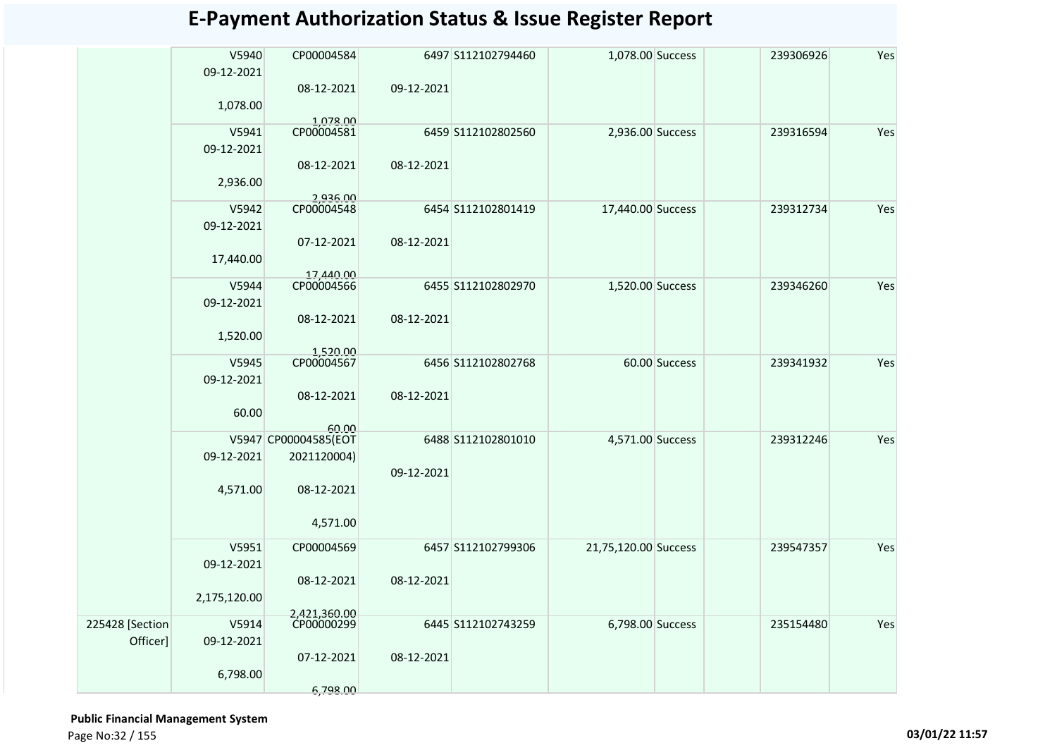|                 | V5940<br>09-12-2021 | CP00004584                    |            | 6497 S112102794460 | 1,078.00 Success     |               | 239306926 | Yes |
|-----------------|---------------------|-------------------------------|------------|--------------------|----------------------|---------------|-----------|-----|
|                 |                     | 08-12-2021                    | 09-12-2021 |                    |                      |               |           |     |
|                 | 1,078.00            |                               |            |                    |                      |               |           |     |
|                 | V5941               | 1,078.00<br>CP00004581        |            | 6459 S112102802560 | 2,936.00 Success     |               | 239316594 | Yes |
|                 | 09-12-2021          |                               |            |                    |                      |               |           |     |
|                 |                     | 08-12-2021                    | 08-12-2021 |                    |                      |               |           |     |
|                 | 2,936.00            |                               |            |                    |                      |               |           |     |
|                 | V5942               | 2,936.00<br>CP00004548        |            | 6454 S112102801419 | 17,440.00 Success    |               | 239312734 | Yes |
|                 | 09-12-2021          |                               |            |                    |                      |               |           |     |
|                 |                     | 07-12-2021                    | 08-12-2021 |                    |                      |               |           |     |
|                 | 17,440.00           |                               |            |                    |                      |               |           |     |
|                 |                     | 17,440.00                     |            |                    |                      |               |           |     |
|                 | V5944               | CP00004566                    |            | 6455 S112102802970 | 1,520.00 Success     |               | 239346260 | Yes |
|                 | 09-12-2021          | 08-12-2021                    | 08-12-2021 |                    |                      |               |           |     |
|                 | 1,520.00            |                               |            |                    |                      |               |           |     |
|                 |                     | 1,520.00                      |            |                    |                      |               |           |     |
|                 | V5945               | CP00004567                    |            | 6456 S112102802768 |                      | 60.00 Success | 239341932 | Yes |
|                 | 09-12-2021          |                               |            |                    |                      |               |           |     |
|                 |                     | 08-12-2021                    | 08-12-2021 |                    |                      |               |           |     |
|                 | 60.00               |                               |            |                    |                      |               |           |     |
|                 |                     | 60.00<br>V5947 CP00004585(EOT |            | 6488 S112102801010 | 4,571.00 Success     |               | 239312246 | Yes |
|                 | 09-12-2021          | 2021120004)                   |            |                    |                      |               |           |     |
|                 |                     |                               | 09-12-2021 |                    |                      |               |           |     |
|                 | 4,571.00            | 08-12-2021                    |            |                    |                      |               |           |     |
|                 |                     |                               |            |                    |                      |               |           |     |
|                 |                     | 4,571.00                      |            |                    |                      |               |           |     |
|                 | V5951               | CP00004569                    |            | 6457 S112102799306 | 21,75,120.00 Success |               | 239547357 | Yes |
|                 | 09-12-2021          |                               |            |                    |                      |               |           |     |
|                 |                     | 08-12-2021                    | 08-12-2021 |                    |                      |               |           |     |
|                 | 2,175,120.00        |                               |            |                    |                      |               |           |     |
| 225428 [Section | V5914               | 2,421,360.00<br>CP00000299    |            | 6445 S112102743259 | 6,798.00 Success     |               | 235154480 | Yes |
| Officer]        | 09-12-2021          |                               |            |                    |                      |               |           |     |
|                 |                     | 07-12-2021                    | 08-12-2021 |                    |                      |               |           |     |
|                 | 6,798.00            |                               |            |                    |                      |               |           |     |
|                 |                     | 6,798.00                      |            |                    |                      |               |           |     |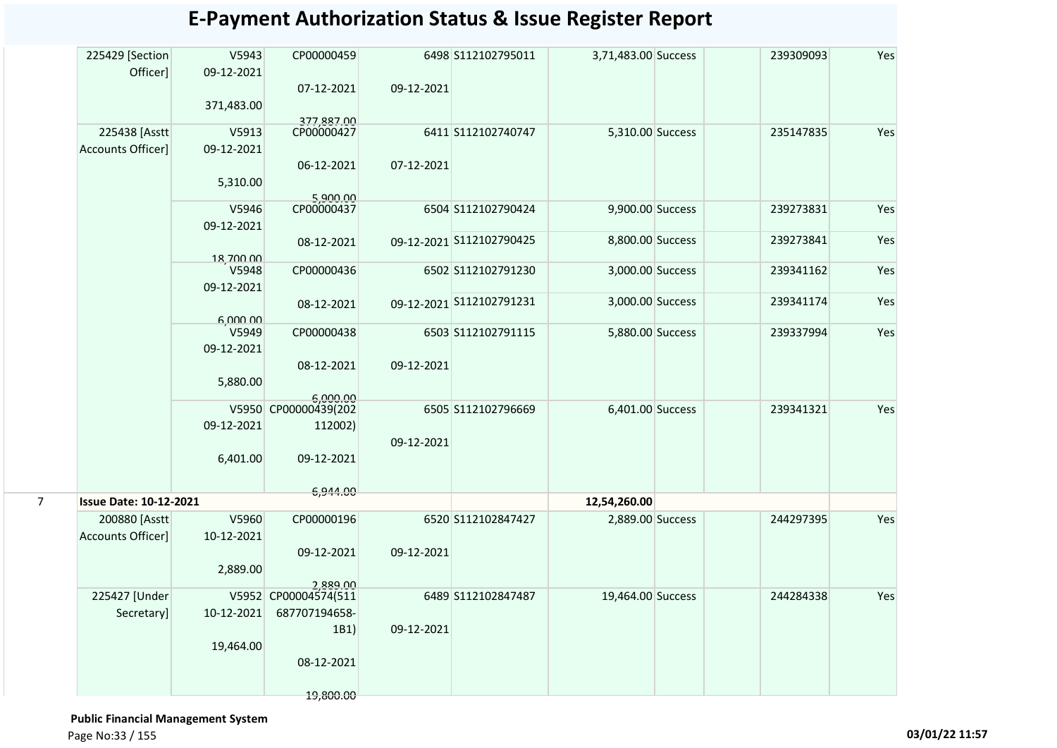|   | 225429 [Section<br>Officer]   | V5943<br>09-12-2021 | CP00000459               |            | 6498 S112102795011       | 3,71,483.00 Success | 239309093 | Yes |
|---|-------------------------------|---------------------|--------------------------|------------|--------------------------|---------------------|-----------|-----|
|   |                               |                     | 07-12-2021               | 09-12-2021 |                          |                     |           |     |
|   |                               | 371,483.00          |                          |            |                          |                     |           |     |
|   |                               |                     | 377,887.00               |            |                          |                     |           |     |
|   | 225438 [Asstt                 | V5913               | CP00000427               |            | 6411 S112102740747       | 5,310.00 Success    | 235147835 | Yes |
|   | Accounts Officer]             | 09-12-2021          |                          |            |                          |                     |           |     |
|   |                               |                     | 06-12-2021               | 07-12-2021 |                          |                     |           |     |
|   |                               | 5,310.00            |                          |            |                          |                     |           |     |
|   |                               |                     | 5,900.00                 |            |                          |                     |           |     |
|   |                               | V5946               | CP00000437               |            | 6504 S112102790424       | 9,900.00 Success    | 239273831 | Yes |
|   |                               | 09-12-2021          |                          |            |                          |                     |           |     |
|   |                               |                     | 08-12-2021               |            | 09-12-2021 S112102790425 | 8,800.00 Success    | 239273841 | Yes |
|   |                               | 18,700.00           |                          |            |                          |                     |           |     |
|   |                               | V5948               | CP00000436               |            | 6502 S112102791230       | 3,000.00 Success    | 239341162 | Yes |
|   |                               | 09-12-2021          |                          |            | 09-12-2021 S112102791231 | 3,000.00 Success    | 239341174 | Yes |
|   |                               |                     | 08-12-2021               |            |                          |                     |           |     |
|   |                               | 6,000.00<br>V5949   | CP00000438               |            | 6503 S112102791115       | 5,880.00 Success    | 239337994 | Yes |
|   |                               | 09-12-2021          |                          |            |                          |                     |           |     |
|   |                               |                     | 08-12-2021               | 09-12-2021 |                          |                     |           |     |
|   |                               | 5,880.00            |                          |            |                          |                     |           |     |
|   |                               |                     | 6,000.00                 |            |                          |                     |           |     |
|   |                               |                     | V5950 CP00000439(202     |            | 6505 S112102796669       | 6,401.00 Success    | 239341321 | Yes |
|   |                               | 09-12-2021          | 112002)                  |            |                          |                     |           |     |
|   |                               |                     |                          | 09-12-2021 |                          |                     |           |     |
|   |                               | 6,401.00            | 09-12-2021               |            |                          |                     |           |     |
|   |                               |                     |                          |            |                          |                     |           |     |
|   |                               |                     | 6,944.00                 |            |                          |                     |           |     |
| 7 | <b>Issue Date: 10-12-2021</b> |                     |                          |            |                          | 12,54,260.00        |           |     |
|   | 200880 [Asstt                 | V5960               | CP00000196               |            | 6520 S112102847427       | 2,889.00 Success    | 244297395 | Yes |
|   | Accounts Officer]             | 10-12-2021          |                          |            |                          |                     |           |     |
|   |                               |                     | 09-12-2021               | 09-12-2021 |                          |                     |           |     |
|   |                               | 2,889.00            |                          |            |                          |                     |           |     |
|   | 225427 [Under                 |                     | 2.889.00                 |            | 6489 S112102847487       | 19,464.00 Success   | 244284338 | Yes |
|   |                               |                     | V5952 CP00004574(511     |            |                          |                     |           |     |
|   | Secretary]                    |                     | 10-12-2021 687707194658- |            |                          |                     |           |     |
|   |                               |                     | 1B1                      | 09-12-2021 |                          |                     |           |     |
|   |                               | 19,464.00           |                          |            |                          |                     |           |     |
|   |                               |                     | 08-12-2021               |            |                          |                     |           |     |
|   |                               |                     | 19,800.00                |            |                          |                     |           |     |
|   |                               |                     |                          |            |                          |                     |           |     |

 **Public Financial Management System** 

Page No:33 / 155 **03/01/22 11:57**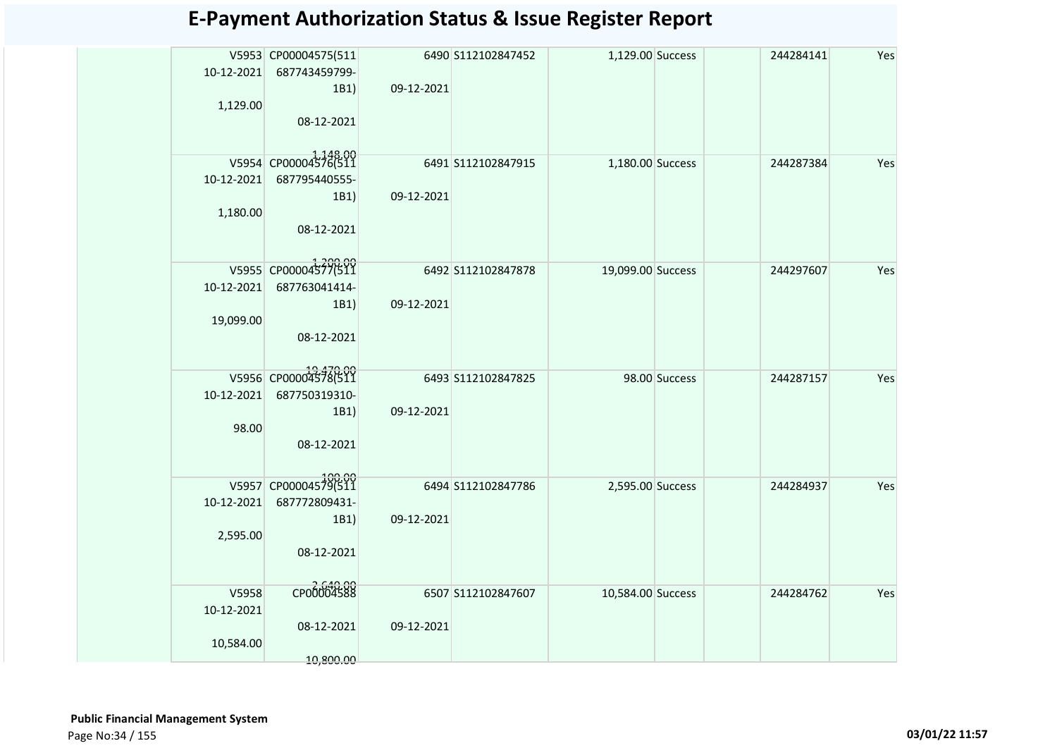| 10-12-2021<br>1,129.00           | V5953 CP00004575(511<br>687743459799-<br>1B1)<br>08-12-2021 | 09-12-2021 | 6490 S112102847452  | 1,129.00 Success  |               | 244284141 | Yes |
|----------------------------------|-------------------------------------------------------------|------------|---------------------|-------------------|---------------|-----------|-----|
| 10-12-2021<br>1,180.00           | V5954 CP00004576(511<br>687795440555-<br>1B1)<br>08-12-2021 | 09-12-2021 | 6491 S112102847915  | 1,180.00 Success  |               | 244287384 | Yes |
| 10-12-2021<br>19,099.00          | V5955 CP00004577(511<br>687763041414-<br>1B1)<br>08-12-2021 | 09-12-2021 | 6492 S112102847878  | 19,099.00 Success |               | 244297607 | Yes |
| 10-12-2021<br>98.00              | V5956 CP00004378(511<br>687750319310-<br>1B1)<br>08-12-2021 | 09-12-2021 | 6493 \$112102847825 |                   | 98.00 Success | 244287157 | Yes |
| 10-12-2021<br>2,595.00           | V5957 CP00004579(511<br>687772809431-<br>1B1)<br>08-12-2021 | 09-12-2021 | 6494 S112102847786  | 2,595.00 Success  |               | 244284937 | Yes |
| V5958<br>10-12-2021<br>10,584.00 | CP00004588<br>08-12-2021<br>10.800.00                       | 09-12-2021 | 6507 S112102847607  | 10,584.00 Success |               | 244284762 | Yes |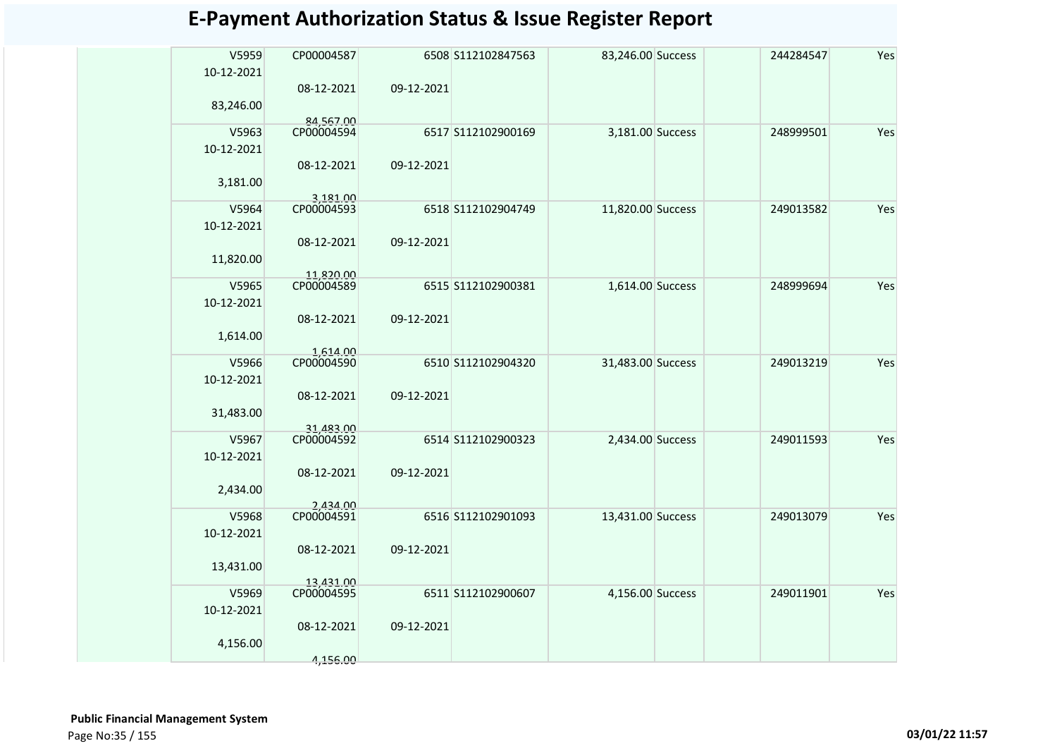| V5959<br>10-12-2021 | CP00004587              |            | 6508 S112102847563 | 83,246.00 Success | 244284547 | Yes |
|---------------------|-------------------------|------------|--------------------|-------------------|-----------|-----|
|                     | 08-12-2021              | 09-12-2021 |                    |                   |           |     |
| 83,246.00           |                         |            |                    |                   |           |     |
| V5963               | 84,567.00<br>CP00004594 |            | 6517 S112102900169 | 3,181.00 Success  | 248999501 | Yes |
| 10-12-2021          |                         |            |                    |                   |           |     |
|                     | 08-12-2021              | 09-12-2021 |                    |                   |           |     |
| 3,181.00            |                         |            |                    |                   |           |     |
| V5964               | 3,181.00<br>CP00004593  |            | 6518 S112102904749 | 11,820.00 Success | 249013582 | Yes |
| 10-12-2021          |                         |            |                    |                   |           |     |
|                     | 08-12-2021              | 09-12-2021 |                    |                   |           |     |
| 11,820.00           |                         |            |                    |                   |           |     |
| V5965               | 11,820.00<br>CP00004589 |            | 6515 S112102900381 | 1,614.00 Success  | 248999694 | Yes |
| 10-12-2021          |                         |            |                    |                   |           |     |
|                     | 08-12-2021              | 09-12-2021 |                    |                   |           |     |
| 1,614.00            |                         |            |                    |                   |           |     |
| V5966               | 1.614.00<br>CP00004590  |            | 6510 S112102904320 | 31,483.00 Success | 249013219 | Yes |
| 10-12-2021          |                         |            |                    |                   |           |     |
|                     | 08-12-2021              | 09-12-2021 |                    |                   |           |     |
| 31,483.00           |                         |            |                    |                   |           |     |
| V5967               | 31,483.00<br>CP00004592 |            | 6514 S112102900323 | 2,434.00 Success  | 249011593 | Yes |
| 10-12-2021          |                         |            |                    |                   |           |     |
|                     | 08-12-2021              | 09-12-2021 |                    |                   |           |     |
| 2,434.00            |                         |            |                    |                   |           |     |
| V5968               | 2.434.00<br>CP00004591  |            | 6516 S112102901093 | 13,431.00 Success | 249013079 | Yes |
| 10-12-2021          |                         |            |                    |                   |           |     |
|                     | 08-12-2021              | 09-12-2021 |                    |                   |           |     |
| 13,431.00           |                         |            |                    |                   |           |     |
| V5969               | 13,431.00<br>CP00004595 |            | 6511 S112102900607 | 4,156.00 Success  | 249011901 | Yes |
| 10-12-2021          |                         |            |                    |                   |           |     |
|                     | 08-12-2021              | 09-12-2021 |                    |                   |           |     |
| 4,156.00            |                         |            |                    |                   |           |     |
|                     | 4,156.00                |            |                    |                   |           |     |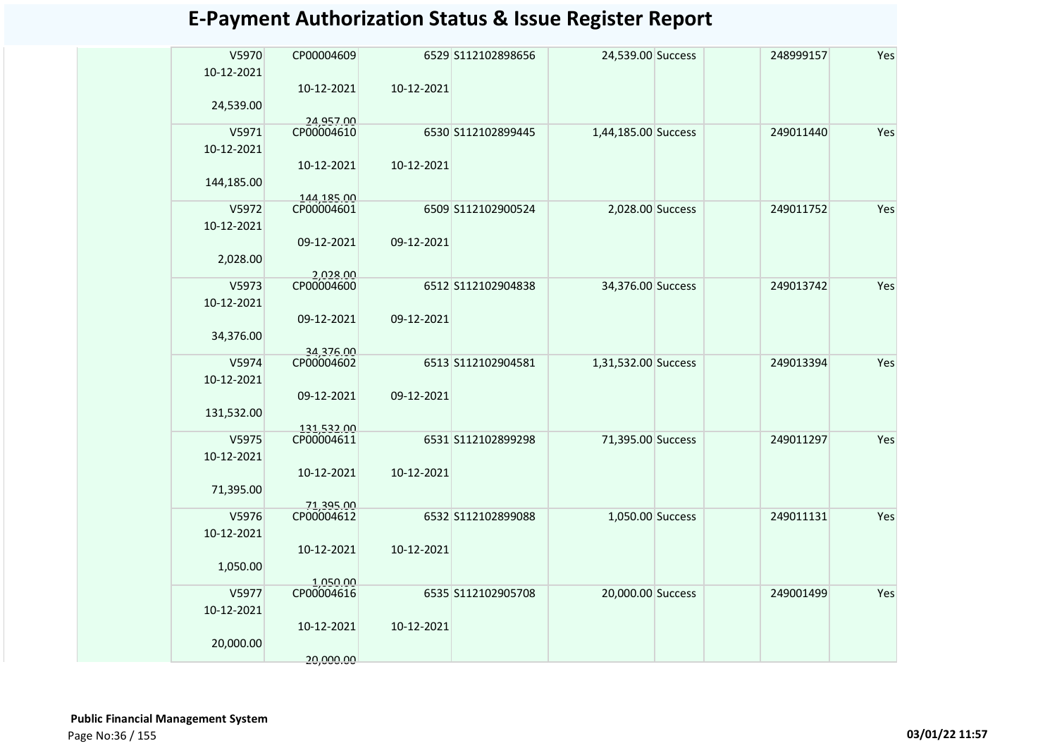| V5970<br>10-12-2021 | CP00004609               |            | 6529 S112102898656 | 24,539.00 Success   | 248999157 | Yes |
|---------------------|--------------------------|------------|--------------------|---------------------|-----------|-----|
|                     | 10-12-2021               | 10-12-2021 |                    |                     |           |     |
| 24,539.00           |                          |            |                    |                     |           |     |
| V5971               | 24,957.00<br>CP00004610  |            | 6530 S112102899445 | 1,44,185.00 Success | 249011440 | Yes |
| 10-12-2021          |                          |            |                    |                     |           |     |
|                     | 10-12-2021               | 10-12-2021 |                    |                     |           |     |
| 144,185.00          |                          |            |                    |                     |           |     |
| V5972               | 144,185.00<br>CP00004601 |            | 6509 S112102900524 | 2,028.00 Success    | 249011752 | Yes |
| 10-12-2021          |                          |            |                    |                     |           |     |
| 2,028.00            | 09-12-2021               | 09-12-2021 |                    |                     |           |     |
|                     | 2,028.00                 |            |                    |                     |           |     |
| V5973               | CP00004600               |            | 6512 S112102904838 | 34,376.00 Success   | 249013742 | Yes |
| 10-12-2021          | 09-12-2021               | 09-12-2021 |                    |                     |           |     |
| 34,376.00           |                          |            |                    |                     |           |     |
|                     | 34.376.00                |            |                    |                     |           |     |
| V5974<br>10-12-2021 | CP00004602               |            | 6513 S112102904581 | 1,31,532.00 Success | 249013394 | Yes |
|                     | 09-12-2021               | 09-12-2021 |                    |                     |           |     |
| 131,532.00          |                          |            |                    |                     |           |     |
|                     | 131,532.00<br>CP00004611 |            |                    |                     |           |     |
| V5975<br>10-12-2021 |                          |            | 6531 S112102899298 | 71,395.00 Success   | 249011297 | Yes |
|                     | 10-12-2021               | 10-12-2021 |                    |                     |           |     |
| 71,395.00           |                          |            |                    |                     |           |     |
| V5976               | 71,395.00<br>CP00004612  |            | 6532 S112102899088 | 1,050.00 Success    | 249011131 | Yes |
| 10-12-2021          |                          |            |                    |                     |           |     |
|                     | 10-12-2021               | 10-12-2021 |                    |                     |           |     |
| 1,050.00            |                          |            |                    |                     |           |     |
| V5977               | 1,050.00<br>CP00004616   |            | 6535 S112102905708 | 20,000.00 Success   | 249001499 | Yes |
| 10-12-2021          |                          |            |                    |                     |           |     |
|                     | 10-12-2021               | 10-12-2021 |                    |                     |           |     |
| 20,000.00           |                          |            |                    |                     |           |     |
|                     | 20,000.00                |            |                    |                     |           |     |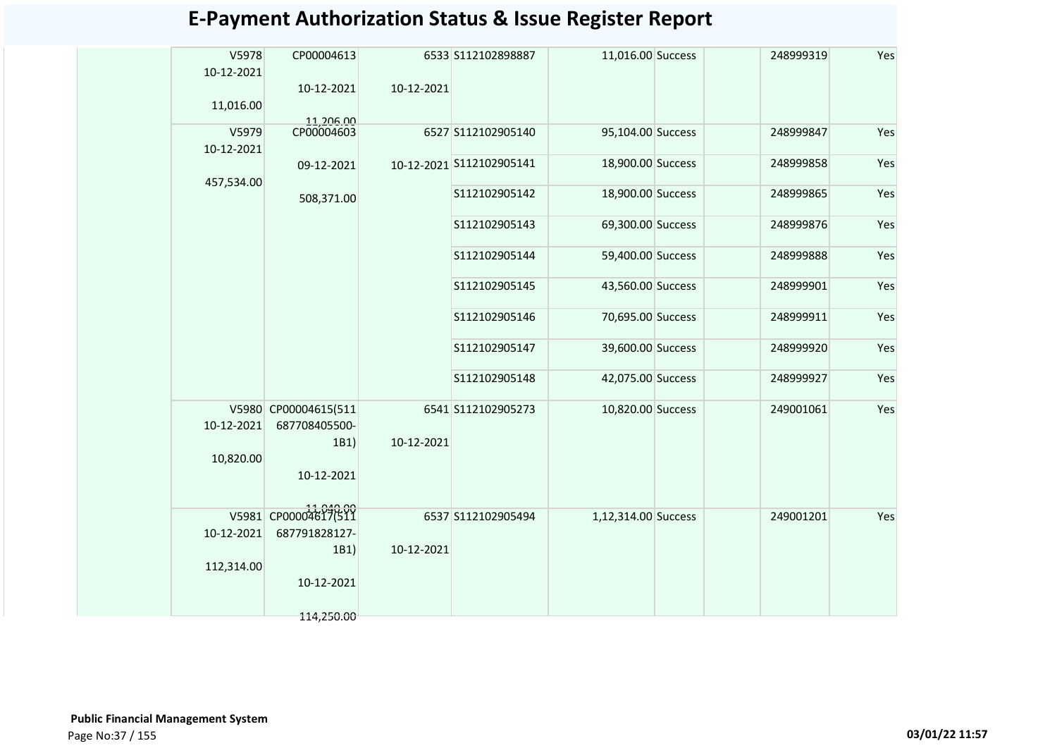| V5978      | CP00004613            |            | 6533 S112102898887       | 11,016.00 Success   | 248999319 | Yes |
|------------|-----------------------|------------|--------------------------|---------------------|-----------|-----|
| 10-12-2021 |                       |            |                          |                     |           |     |
|            | 10-12-2021            | 10-12-2021 |                          |                     |           |     |
| 11,016.00  | 11,206.00             |            |                          |                     |           |     |
| V5979      | CP00004603            |            | 6527 S112102905140       | 95,104.00 Success   | 248999847 | Yes |
| 10-12-2021 |                       |            | 10-12-2021 S112102905141 | 18,900.00 Success   | 248999858 | Yes |
| 457,534.00 | 09-12-2021            |            |                          |                     |           |     |
|            | 508,371.00            |            | S112102905142            | 18,900.00 Success   | 248999865 | Yes |
|            |                       |            | S112102905143            | 69,300.00 Success   | 248999876 | Yes |
|            |                       |            | S112102905144            | 59,400.00 Success   | 248999888 | Yes |
|            |                       |            | S112102905145            | 43,560.00 Success   | 248999901 | Yes |
|            |                       |            | S112102905146            | 70,695.00 Success   | 248999911 | Yes |
|            |                       |            | S112102905147            | 39,600.00 Success   | 248999920 | Yes |
|            |                       |            | S112102905148            | 42,075.00 Success   | 248999927 | Yes |
|            | V5980 CP00004615(511  |            | 6541 S112102905273       | 10,820.00 Success   | 249001061 | Yes |
| 10-12-2021 | 687708405500-<br>1B1) | 10-12-2021 |                          |                     |           |     |
| 10,820.00  |                       |            |                          |                     |           |     |
|            | 10-12-2021            |            |                          |                     |           |     |
|            | V5981 CP00004617(511  |            |                          |                     |           |     |
| 10-12-2021 | 687791828127-         |            | 6537 S112102905494       | 1,12,314.00 Success | 249001201 | Yes |
|            | 1B1)                  | 10-12-2021 |                          |                     |           |     |
| 112,314.00 |                       |            |                          |                     |           |     |
|            | 10-12-2021            |            |                          |                     |           |     |
|            | 114,250.00            |            |                          |                     |           |     |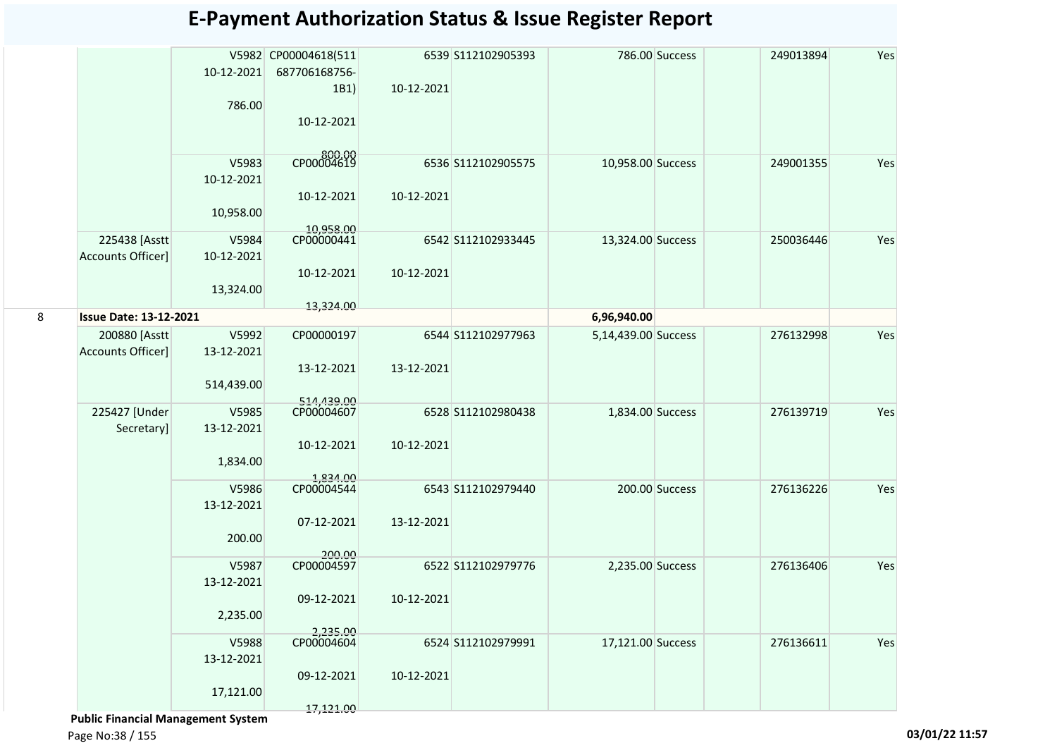|   |                               |            | V5982 CP00004618(511   |            | 6539 S112102905393 |                     | 786.00 Success | 249013894 | Yes |
|---|-------------------------------|------------|------------------------|------------|--------------------|---------------------|----------------|-----------|-----|
|   |                               | 10-12-2021 | 687706168756-          |            |                    |                     |                |           |     |
|   |                               |            | 1B1)                   | 10-12-2021 |                    |                     |                |           |     |
|   |                               | 786.00     |                        |            |                    |                     |                |           |     |
|   |                               |            | 10-12-2021             |            |                    |                     |                |           |     |
|   |                               |            |                        |            |                    |                     |                |           |     |
|   |                               | V5983      | CP00004619             |            | 6536 S112102905575 | 10,958.00 Success   |                | 249001355 | Yes |
|   |                               | 10-12-2021 |                        |            |                    |                     |                |           |     |
|   |                               |            | 10-12-2021             | 10-12-2021 |                    |                     |                |           |     |
|   |                               | 10,958.00  |                        |            |                    |                     |                |           |     |
|   |                               |            | 10.958.00              |            |                    |                     |                |           |     |
|   | 225438 [Asstt]                | V5984      | CP00000441             |            | 6542 S112102933445 | 13,324.00 Success   |                | 250036446 | Yes |
|   | <b>Accounts Officer]</b>      | 10-12-2021 |                        |            |                    |                     |                |           |     |
|   |                               |            | 10-12-2021             | 10-12-2021 |                    |                     |                |           |     |
|   |                               | 13,324.00  |                        |            |                    |                     |                |           |     |
| 8 | <b>Issue Date: 13-12-2021</b> |            | 13,324.00              |            |                    | 6,96,940.00         |                |           |     |
|   | 200880 [Asstt]                | V5992      | CP00000197             |            | 6544 S112102977963 | 5,14,439.00 Success |                | 276132998 | Yes |
|   | <b>Accounts Officer]</b>      | 13-12-2021 |                        |            |                    |                     |                |           |     |
|   |                               |            | 13-12-2021             | 13-12-2021 |                    |                     |                |           |     |
|   |                               | 514,439.00 |                        |            |                    |                     |                |           |     |
|   |                               |            | 514.439.00             |            |                    |                     |                |           |     |
|   | 225427 [Under                 | V5985      | CP00004607             |            | 6528 S112102980438 | 1,834.00 Success    |                | 276139719 | Yes |
|   | Secretary]                    | 13-12-2021 |                        |            |                    |                     |                |           |     |
|   |                               |            | 10-12-2021             | 10-12-2021 |                    |                     |                |           |     |
|   |                               | 1,834.00   |                        |            |                    |                     |                |           |     |
|   |                               | V5986      | 1,834.00<br>CP00004544 |            | 6543 S112102979440 |                     | 200.00 Success | 276136226 | Yes |
|   |                               | 13-12-2021 |                        |            |                    |                     |                |           |     |
|   |                               |            | 07-12-2021             | 13-12-2021 |                    |                     |                |           |     |
|   |                               | 200.00     |                        |            |                    |                     |                |           |     |
|   |                               |            | 200.00                 |            |                    |                     |                |           |     |
|   |                               | V5987      | CP00004597             |            | 6522 S112102979776 | 2,235.00 Success    |                | 276136406 | Yes |
|   |                               | 13-12-2021 |                        |            |                    |                     |                |           |     |
|   |                               |            | 09-12-2021             | 10-12-2021 |                    |                     |                |           |     |
|   |                               | 2,235.00   |                        |            |                    |                     |                |           |     |
|   |                               | V5988      | 2,235.00<br>CP00004604 |            | 6524 S112102979991 | 17,121.00 Success   |                | 276136611 | Yes |
|   |                               | 13-12-2021 |                        |            |                    |                     |                |           |     |
|   |                               |            | 09-12-2021             | 10-12-2021 |                    |                     |                |           |     |
|   |                               | 17,121.00  |                        |            |                    |                     |                |           |     |
|   |                               |            | 17,121.00              |            |                    |                     |                |           |     |

 **Public Financial Management System**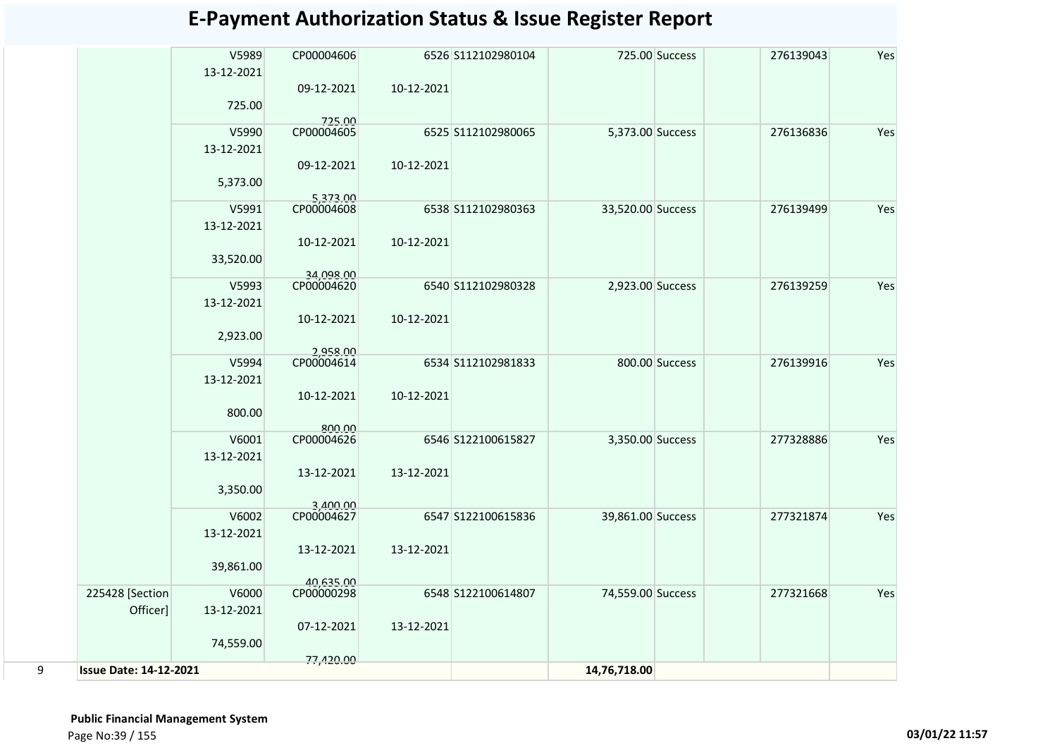|   |                               | V5989<br>13-12-2021 | CP00004606              |            | 6526 S112102980104 |                   | 725.00 Success | 276139043 | Yes |
|---|-------------------------------|---------------------|-------------------------|------------|--------------------|-------------------|----------------|-----------|-----|
|   |                               |                     | 09-12-2021              | 10-12-2021 |                    |                   |                |           |     |
|   |                               | 725.00              |                         |            |                    |                   |                |           |     |
|   |                               | V5990               | 725.00<br>CP00004605    |            | 6525 S112102980065 | 5,373.00 Success  |                | 276136836 | Yes |
|   |                               | 13-12-2021          |                         |            |                    |                   |                |           |     |
|   |                               |                     | 09-12-2021              | 10-12-2021 |                    |                   |                |           |     |
|   |                               | 5,373.00            |                         |            |                    |                   |                |           |     |
|   |                               |                     | 5,373.00                |            |                    |                   |                |           |     |
|   |                               | V5991               | CP00004608              |            | 6538 S112102980363 | 33,520.00 Success |                | 276139499 | Yes |
|   |                               | 13-12-2021          |                         |            |                    |                   |                |           |     |
|   |                               |                     | 10-12-2021              | 10-12-2021 |                    |                   |                |           |     |
|   |                               | 33,520.00           |                         |            |                    |                   |                |           |     |
|   |                               | V5993               | 34,098.00<br>CP00004620 |            | 6540 S112102980328 | 2,923.00 Success  |                | 276139259 | Yes |
|   |                               | 13-12-2021          |                         |            |                    |                   |                |           |     |
|   |                               |                     | 10-12-2021              | 10-12-2021 |                    |                   |                |           |     |
|   |                               | 2,923.00            |                         |            |                    |                   |                |           |     |
|   |                               |                     | 2.958.00                |            |                    |                   |                |           |     |
|   |                               | V5994               | CP00004614              |            | 6534 S112102981833 |                   | 800.00 Success | 276139916 | Yes |
|   |                               | 13-12-2021          |                         |            |                    |                   |                |           |     |
|   |                               |                     | 10-12-2021              | 10-12-2021 |                    |                   |                |           |     |
|   |                               | 800.00              |                         |            |                    |                   |                |           |     |
|   |                               | V6001               | 800.00<br>CP00004626    |            | 6546 S122100615827 | 3,350.00 Success  |                | 277328886 | Yes |
|   |                               | 13-12-2021          |                         |            |                    |                   |                |           |     |
|   |                               |                     | 13-12-2021              | 13-12-2021 |                    |                   |                |           |     |
|   |                               | 3,350.00            |                         |            |                    |                   |                |           |     |
|   |                               |                     | 3.400.00                |            |                    |                   |                |           |     |
|   |                               | V6002               | CP00004627              |            | 6547 S122100615836 | 39,861.00 Success |                | 277321874 | Yes |
|   |                               | 13-12-2021          |                         |            |                    |                   |                |           |     |
|   |                               |                     | 13-12-2021              | 13-12-2021 |                    |                   |                |           |     |
|   |                               | 39,861.00           |                         |            |                    |                   |                |           |     |
|   |                               |                     | 40,635.00               |            |                    |                   |                |           |     |
|   | 225428 [Section<br>Officer]   | V6000<br>13-12-2021 | CP00000298              |            | 6548 S122100614807 | 74,559.00 Success |                | 277321668 | Yes |
|   |                               |                     | 07-12-2021              | 13-12-2021 |                    |                   |                |           |     |
|   |                               | 74,559.00           |                         |            |                    |                   |                |           |     |
|   |                               |                     | 77,420.00               |            |                    |                   |                |           |     |
| 9 | <b>Issue Date: 14-12-2021</b> |                     |                         |            |                    | 14,76,718.00      |                |           |     |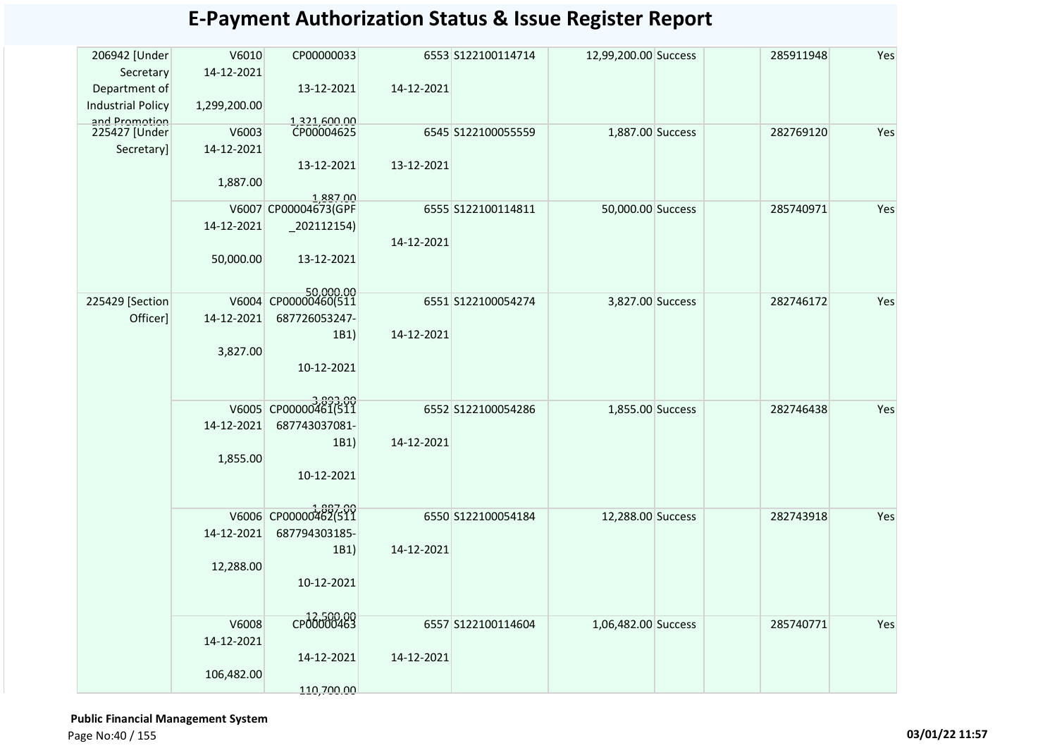| 206942 [Under                  | V6010        | CP00000033                        |            | 6553 S122100114714 | 12,99,200.00 Success | 285911948 | Yes |
|--------------------------------|--------------|-----------------------------------|------------|--------------------|----------------------|-----------|-----|
| Secretary                      | 14-12-2021   |                                   |            |                    |                      |           |     |
| Department of                  |              | 13-12-2021                        | 14-12-2021 |                    |                      |           |     |
| <b>Industrial Policy</b>       | 1,299,200.00 |                                   |            |                    |                      |           |     |
| and Promotion<br>225427 [Under | V6003        | 1.321.600.00<br>CP00004625        |            | 6545 S122100055559 | 1,887.00 Success     | 282769120 | Yes |
| Secretary]                     | 14-12-2021   |                                   |            |                    |                      |           |     |
|                                |              | 13-12-2021                        | 13-12-2021 |                    |                      |           |     |
|                                | 1,887.00     |                                   |            |                    |                      |           |     |
|                                |              | 1.887.00                          |            |                    |                      |           |     |
|                                |              | V6007 CP00004673(GPF              |            | 6555 S122100114811 | 50,000.00 Success    | 285740971 | Yes |
|                                | 14-12-2021   | $_202112154)$                     |            |                    |                      |           |     |
|                                |              |                                   | 14-12-2021 |                    |                      |           |     |
|                                | 50,000.00    | 13-12-2021                        |            |                    |                      |           |     |
|                                |              |                                   |            |                    |                      |           |     |
| 225429 [Section                |              | 50,000.00<br>V6004 CP00000460(511 |            | 6551 S122100054274 | 3,827.00 Success     | 282746172 | Yes |
| Officer]                       | 14-12-2021   | 687726053247-                     |            |                    |                      |           |     |
|                                |              | 1B1)                              | 14-12-2021 |                    |                      |           |     |
|                                | 3,827.00     |                                   |            |                    |                      |           |     |
|                                |              | 10-12-2021                        |            |                    |                      |           |     |
|                                |              |                                   |            |                    |                      |           |     |
|                                | V6005        | CP00000461(511                    |            | 6552 S122100054286 | 1,855.00 Success     | 282746438 | Yes |
|                                | 14-12-2021   | 687743037081-                     |            |                    |                      |           |     |
|                                |              | 1B1)                              | 14-12-2021 |                    |                      |           |     |
|                                | 1,855.00     |                                   |            |                    |                      |           |     |
|                                |              | 10-12-2021                        |            |                    |                      |           |     |
|                                |              |                                   |            |                    |                      |           |     |
|                                |              | V6006 CP00000462(511              |            |                    |                      |           |     |
|                                |              |                                   |            | 6550 S122100054184 | 12,288.00 Success    | 282743918 | Yes |
|                                | 14-12-2021   | 687794303185-<br>1B1)             | 14-12-2021 |                    |                      |           |     |
|                                | 12,288.00    |                                   |            |                    |                      |           |     |
|                                |              | 10-12-2021                        |            |                    |                      |           |     |
|                                |              |                                   |            |                    |                      |           |     |
|                                |              |                                   |            |                    |                      |           |     |
|                                | V6008        | CP00000463                        |            | 6557 S122100114604 | 1,06,482.00 Success  | 285740771 | Yes |
|                                | 14-12-2021   |                                   |            |                    |                      |           |     |
|                                |              | 14-12-2021                        | 14-12-2021 |                    |                      |           |     |
|                                | 106,482.00   |                                   |            |                    |                      |           |     |
|                                |              | 110,700.00                        |            |                    |                      |           |     |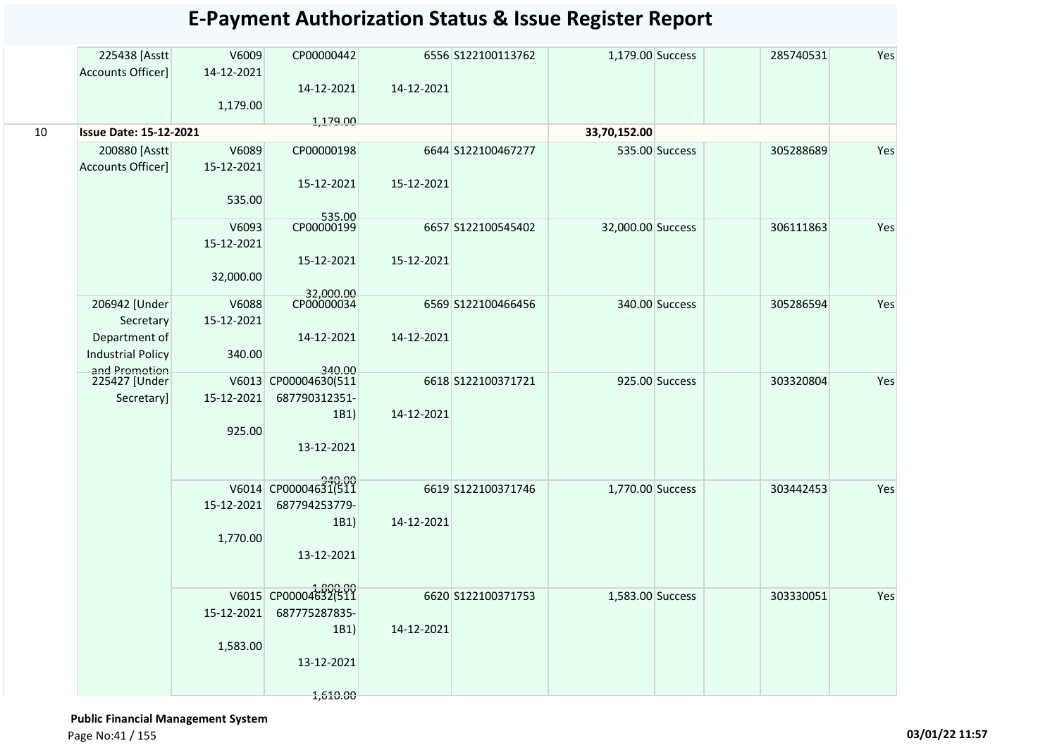|    | 225438 [Asstt<br>Accounts Officer]        | V6009<br>14-12-2021 | CP00000442              |            | 6556 S122100113762  | 1,179.00 Success  |                | 285740531 | Yes |
|----|-------------------------------------------|---------------------|-------------------------|------------|---------------------|-------------------|----------------|-----------|-----|
|    |                                           |                     | 14-12-2021              | 14-12-2021 |                     |                   |                |           |     |
|    |                                           | 1,179.00            |                         |            |                     |                   |                |           |     |
| 10 | <b>Issue Date: 15-12-2021</b>             |                     | 1,179.00                |            |                     | 33,70,152.00      |                |           |     |
|    | 200880 [Asstt                             | V6089               | CP00000198              |            | 6644 S122100467277  |                   | 535.00 Success | 305288689 | Yes |
|    | Accounts Officer]                         | 15-12-2021          |                         |            |                     |                   |                |           |     |
|    |                                           |                     | 15-12-2021              | 15-12-2021 |                     |                   |                |           |     |
|    |                                           | 535.00              |                         |            |                     |                   |                |           |     |
|    |                                           |                     | 535.00<br>CP00000199    |            |                     |                   |                |           |     |
|    |                                           | V6093<br>15-12-2021 |                         |            | 6657 S122100545402  | 32,000.00 Success |                | 306111863 | Yes |
|    |                                           |                     | 15-12-2021              | 15-12-2021 |                     |                   |                |           |     |
|    |                                           | 32,000.00           |                         |            |                     |                   |                |           |     |
|    |                                           |                     | 32,000.00<br>CP00000034 |            |                     |                   |                |           |     |
|    | 206942 [Under                             | V6088               |                         |            | 6569 S122100466456  |                   | 340.00 Success | 305286594 | Yes |
|    | Secretary                                 | 15-12-2021          |                         |            |                     |                   |                |           |     |
|    | Department of                             |                     | 14-12-2021              | 14-12-2021 |                     |                   |                |           |     |
|    | <b>Industrial Policy</b><br>and Promotion | 340.00              | 340.00                  |            |                     |                   |                |           |     |
|    | 225427 [Under                             |                     | V6013 CP00004630(511    |            | 6618 \$122100371721 |                   | 925.00 Success | 303320804 | Yes |
|    | Secretary]                                | 15-12-2021          | 687790312351-           |            |                     |                   |                |           |     |
|    |                                           |                     | 1B1)                    | 14-12-2021 |                     |                   |                |           |     |
|    |                                           | 925.00              |                         |            |                     |                   |                |           |     |
|    |                                           |                     | 13-12-2021              |            |                     |                   |                |           |     |
|    |                                           |                     |                         |            |                     |                   |                |           |     |
|    |                                           |                     | V6014 CP00004631(511    |            | 6619 S122100371746  | 1,770.00 Success  |                | 303442453 | Yes |
|    |                                           | 15-12-2021          | 687794253779-           |            |                     |                   |                |           |     |
|    |                                           |                     | 1B1)                    | 14-12-2021 |                     |                   |                |           |     |
|    |                                           | 1,770.00            |                         |            |                     |                   |                |           |     |
|    |                                           |                     | 13-12-2021              |            |                     |                   |                |           |     |
|    |                                           |                     |                         |            |                     |                   |                |           |     |
|    |                                           |                     | V6015 CP00004632(511    |            | 6620 S122100371753  | 1,583.00 Success  |                | 303330051 | Yes |
|    |                                           | 15-12-2021          | 687775287835-           |            |                     |                   |                |           |     |
|    |                                           |                     | 1B1)                    | 14-12-2021 |                     |                   |                |           |     |
|    |                                           | 1,583.00            | 13-12-2021              |            |                     |                   |                |           |     |
|    |                                           |                     |                         |            |                     |                   |                |           |     |
|    |                                           |                     | 1,610.00                |            |                     |                   |                |           |     |

 **Public Financial Management System**  Page No:41 / 155 **03/01/22 11:57**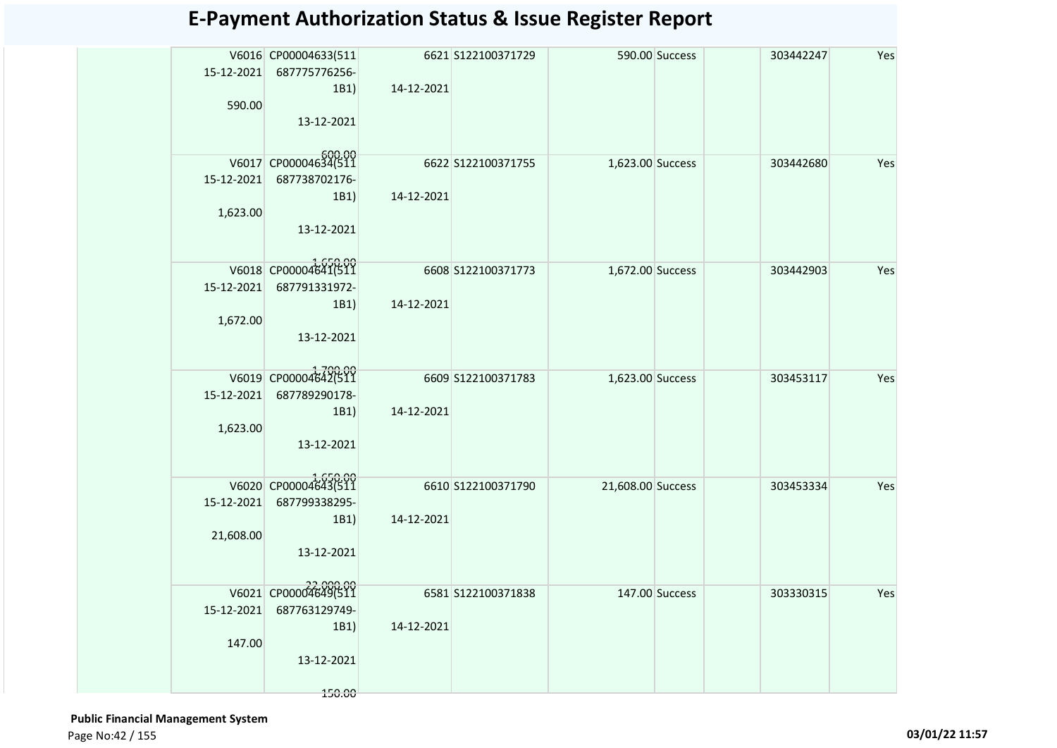| 15-12-2021 | V6016 CP00004633(511<br>687775776256- |            | 6621 S122100371729 |                   | 590.00 Success | 303442247 | Yes |
|------------|---------------------------------------|------------|--------------------|-------------------|----------------|-----------|-----|
|            | 1B1                                   | 14-12-2021 |                    |                   |                |           |     |
| 590.00     |                                       |            |                    |                   |                |           |     |
|            | 13-12-2021                            |            |                    |                   |                |           |     |
|            | V6017 CP00004634(511                  |            | 6622 S122100371755 | 1,623.00 Success  |                |           |     |
| 15-12-2021 | 687738702176-                         |            |                    |                   |                | 303442680 | Yes |
|            | 1B1                                   | 14-12-2021 |                    |                   |                |           |     |
| 1,623.00   |                                       |            |                    |                   |                |           |     |
|            | 13-12-2021                            |            |                    |                   |                |           |     |
|            |                                       |            |                    |                   |                |           |     |
|            | V6018 CP00004641(511                  |            | 6608 S122100371773 | 1,672.00 Success  |                | 303442903 | Yes |
| 15-12-2021 | 687791331972-                         | 14-12-2021 |                    |                   |                |           |     |
| 1,672.00   | 1B1                                   |            |                    |                   |                |           |     |
|            | 13-12-2021                            |            |                    |                   |                |           |     |
|            |                                       |            |                    |                   |                |           |     |
|            | V6019 CP00004642(511                  |            | 6609 S122100371783 | 1,623.00 Success  |                | 303453117 | Yes |
| 15-12-2021 | 687789290178-                         |            |                    |                   |                |           |     |
|            | 1B1                                   | 14-12-2021 |                    |                   |                |           |     |
| 1,623.00   | 13-12-2021                            |            |                    |                   |                |           |     |
|            |                                       |            |                    |                   |                |           |     |
|            | V6020 CP00004643(511                  |            | 6610 S122100371790 | 21,608.00 Success |                | 303453334 | Yes |
| 15-12-2021 | 687799338295-                         |            |                    |                   |                |           |     |
|            | 1B1)                                  | 14-12-2021 |                    |                   |                |           |     |
| 21,608.00  |                                       |            |                    |                   |                |           |     |
|            | 13-12-2021                            |            |                    |                   |                |           |     |
|            | 22,000.00<br>V6021 CP00004649(511     |            | 6581 S122100371838 | 147.00 Success    |                | 303330315 | Yes |
| 15-12-2021 | 687763129749-                         |            |                    |                   |                |           |     |
|            | 1B1                                   | 14-12-2021 |                    |                   |                |           |     |
| 147.00     |                                       |            |                    |                   |                |           |     |
|            | 13-12-2021                            |            |                    |                   |                |           |     |
|            | 150.00                                |            |                    |                   |                |           |     |

 **Public Financial Management System**  Page No:42 / 155 **03/01/22 11:57**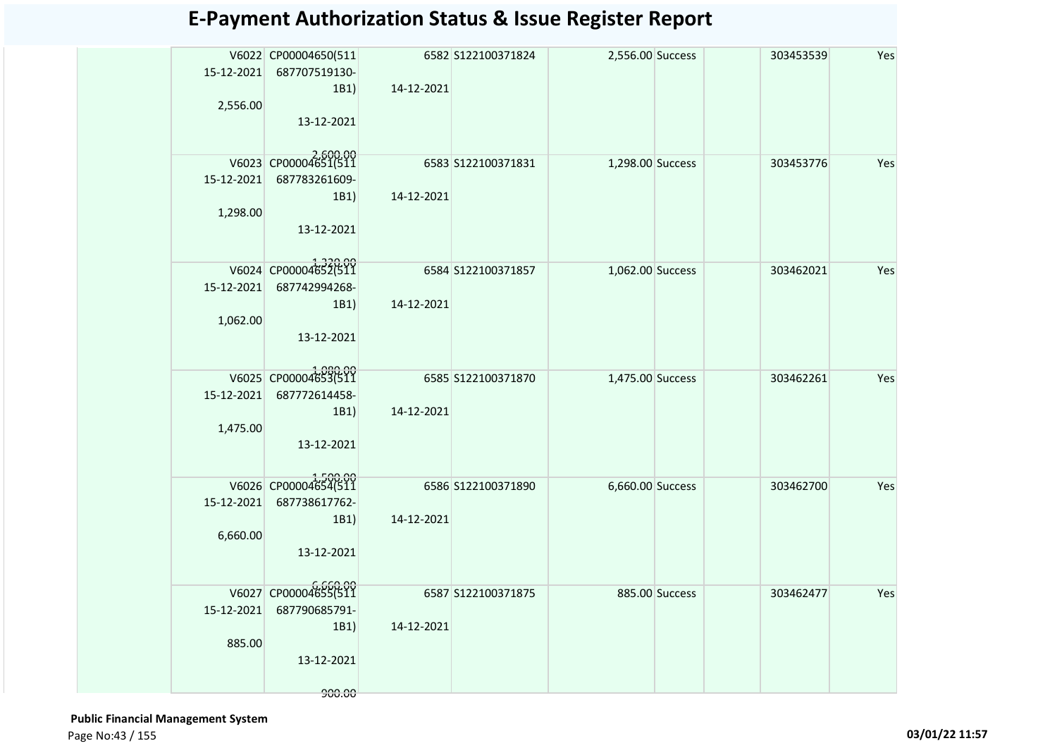|            | V6022 CP00004650(511             |            | 6582 S122100371824  | 2,556.00 Success |                | 303453539 | Yes |
|------------|----------------------------------|------------|---------------------|------------------|----------------|-----------|-----|
|            | 15-12-2021 687707519130-         |            |                     |                  |                |           |     |
|            | 1B1)                             | 14-12-2021 |                     |                  |                |           |     |
| 2,556.00   |                                  |            |                     |                  |                |           |     |
|            | 13-12-2021                       |            |                     |                  |                |           |     |
|            |                                  |            |                     |                  |                |           |     |
|            | V6023 CP00004651(511             |            | 6583 \$122100371831 | 1,298.00 Success |                | 303453776 | Yes |
| 15-12-2021 | 687783261609-                    |            |                     |                  |                |           |     |
|            | 1B1)                             | 14-12-2021 |                     |                  |                |           |     |
| 1,298.00   |                                  |            |                     |                  |                |           |     |
|            | 13-12-2021                       |            |                     |                  |                |           |     |
|            |                                  |            |                     |                  |                |           |     |
|            | V6024 CP00004652(511             |            | 6584 \$122100371857 | 1,062.00 Success |                | 303462021 | Yes |
| 15-12-2021 | 687742994268-                    |            |                     |                  |                |           |     |
|            | 1B1)                             | 14-12-2021 |                     |                  |                |           |     |
| 1,062.00   |                                  |            |                     |                  |                |           |     |
|            | 13-12-2021                       |            |                     |                  |                |           |     |
|            |                                  |            |                     |                  |                |           |     |
|            | V6025 CP00004653(511             |            | 6585 \$122100371870 | 1,475.00 Success |                | 303462261 | Yes |
| 15-12-2021 | 687772614458-                    |            |                     |                  |                |           |     |
|            | 1B1)                             | 14-12-2021 |                     |                  |                |           |     |
| 1,475.00   |                                  |            |                     |                  |                |           |     |
|            | 13-12-2021                       |            |                     |                  |                |           |     |
|            |                                  |            |                     |                  |                |           |     |
|            | V6026 CP00004654(511             |            | 6586 \$122100371890 | 6,660.00 Success |                | 303462700 | Yes |
| 15-12-2021 | 687738617762-                    |            |                     |                  |                |           |     |
|            | 1B1)                             | 14-12-2021 |                     |                  |                |           |     |
| 6,660.00   |                                  |            |                     |                  |                |           |     |
|            | 13-12-2021                       |            |                     |                  |                |           |     |
|            |                                  |            |                     |                  |                |           |     |
|            | 0,000.00<br>V6027 CP00004655(511 |            | 6587 S122100371875  |                  | 885.00 Success | 303462477 | Yes |
| 15-12-2021 | 687790685791-                    |            |                     |                  |                |           |     |
|            | 1B1)                             | 14-12-2021 |                     |                  |                |           |     |
| 885.00     |                                  |            |                     |                  |                |           |     |
|            | 13-12-2021                       |            |                     |                  |                |           |     |
|            |                                  |            |                     |                  |                |           |     |
|            | 900.00                           |            |                     |                  |                |           |     |

 **Public Financial Management System**  Page No:43 / 155 **03/01/22 11:57**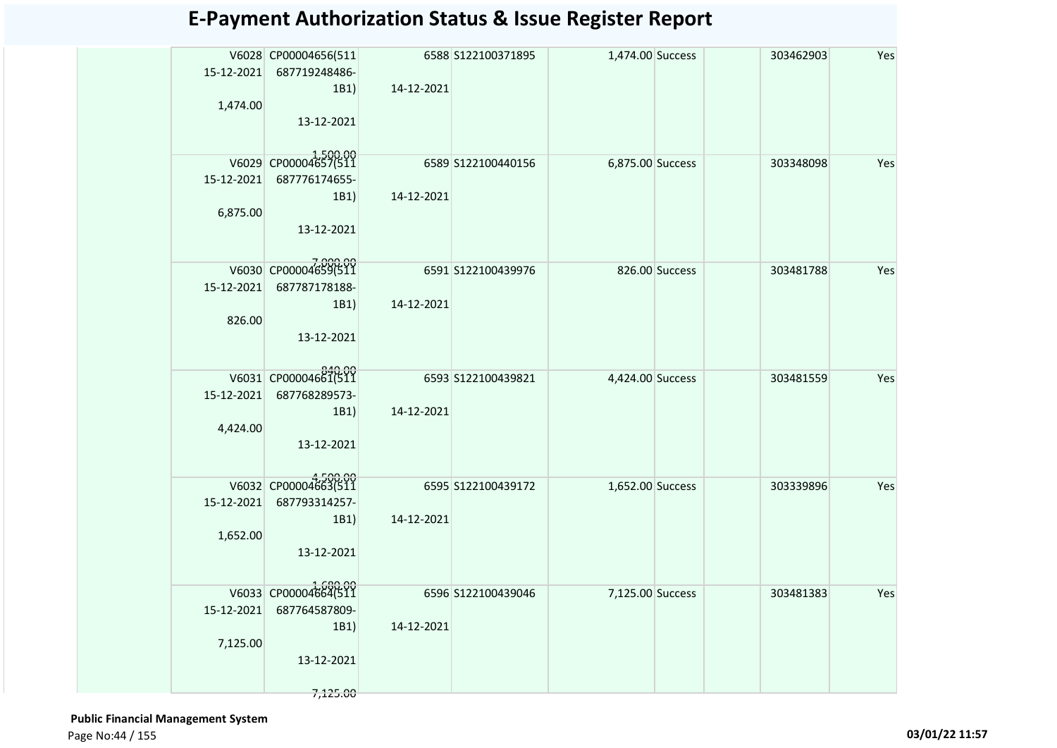|            | V6028 CP00004656(511 |            | 6588 S122100371895 | 1,474.00 Success |                | 303462903 | Yes |
|------------|----------------------|------------|--------------------|------------------|----------------|-----------|-----|
| 15-12-2021 | 687719248486-        |            |                    |                  |                |           |     |
|            | 1B1)                 | 14-12-2021 |                    |                  |                |           |     |
| 1,474.00   |                      |            |                    |                  |                |           |     |
|            | 13-12-2021           |            |                    |                  |                |           |     |
|            |                      |            |                    |                  |                |           |     |
|            | V6029 CP00004657(511 |            | 6589 S122100440156 | 6,875.00 Success |                | 303348098 | Yes |
| 15-12-2021 | 687776174655-        |            |                    |                  |                |           |     |
|            | 1B1)                 | 14-12-2021 |                    |                  |                |           |     |
| 6,875.00   |                      |            |                    |                  |                |           |     |
|            | 13-12-2021           |            |                    |                  |                |           |     |
|            |                      |            |                    |                  |                |           |     |
|            | V6030 CP00004659(511 |            | 6591 S122100439976 |                  | 826.00 Success | 303481788 | Yes |
| 15-12-2021 | 687787178188-        |            |                    |                  |                |           |     |
|            | 1B1                  | 14-12-2021 |                    |                  |                |           |     |
| 826.00     |                      |            |                    |                  |                |           |     |
|            | 13-12-2021           |            |                    |                  |                |           |     |
|            |                      |            |                    |                  |                |           |     |
|            | V6031 CP00004661(511 |            | 6593 S122100439821 | 4,424.00 Success |                | 303481559 | Yes |
| 15-12-2021 | 687768289573-        |            |                    |                  |                |           |     |
|            | 1B1)                 | 14-12-2021 |                    |                  |                |           |     |
| 4,424.00   |                      |            |                    |                  |                |           |     |
|            | 13-12-2021           |            |                    |                  |                |           |     |
|            |                      |            |                    |                  |                |           |     |
|            | V6032 CP00004663(511 |            |                    |                  |                |           |     |
| 15-12-2021 | 687793314257-        |            | 6595 S122100439172 | 1,652.00 Success |                | 303339896 | Yes |
|            | 1B1)                 | 14-12-2021 |                    |                  |                |           |     |
| 1,652.00   |                      |            |                    |                  |                |           |     |
|            | 13-12-2021           |            |                    |                  |                |           |     |
|            |                      |            |                    |                  |                |           |     |
|            |                      |            |                    |                  |                |           |     |
|            | V6033 CP00004664(511 |            | 6596 S122100439046 | 7,125.00 Success |                | 303481383 | Yes |
| 15-12-2021 | 687764587809-        |            |                    |                  |                |           |     |
|            | 1B1                  | 14-12-2021 |                    |                  |                |           |     |
| 7,125.00   |                      |            |                    |                  |                |           |     |
|            | 13-12-2021           |            |                    |                  |                |           |     |
|            | 7,125.00             |            |                    |                  |                |           |     |

 **Public Financial Management System**  Page No:44 / 155 **03/01/22 11:57**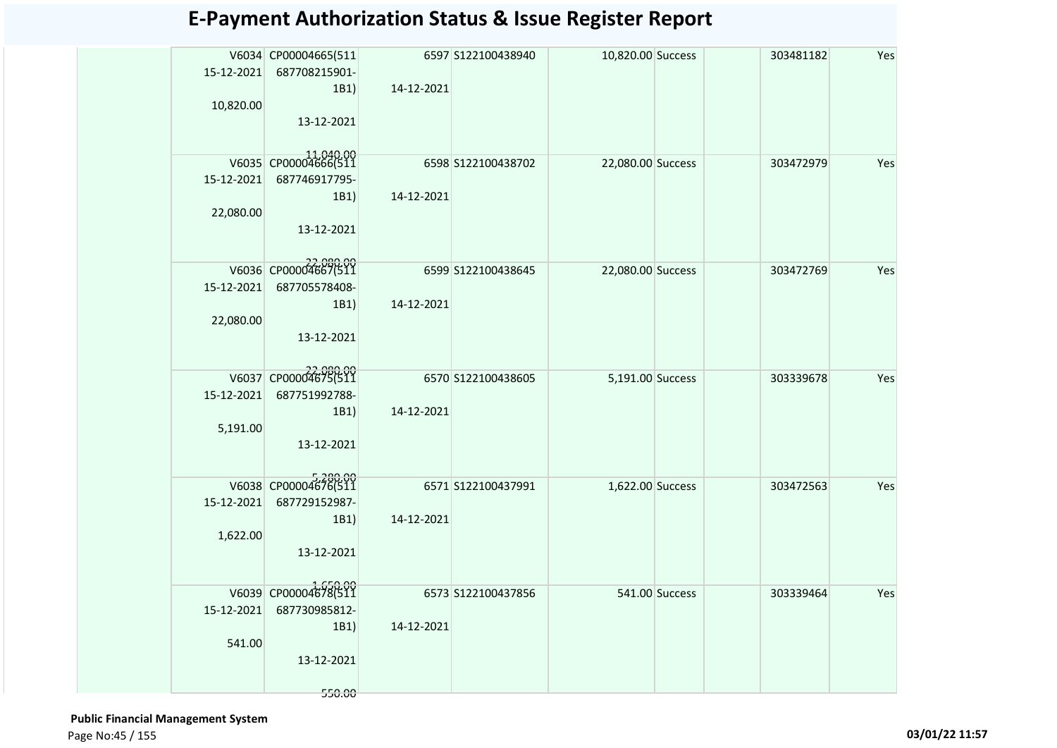|            | V6034 CP00004665(511 |            | 6597 S122100438940 | 10,820.00 Success | 303481182 | Yes |
|------------|----------------------|------------|--------------------|-------------------|-----------|-----|
| 15-12-2021 | 687708215901-        |            |                    |                   |           |     |
|            | 1B1)                 | 14-12-2021 |                    |                   |           |     |
| 10,820.00  |                      |            |                    |                   |           |     |
|            | 13-12-2021           |            |                    |                   |           |     |
|            |                      |            |                    |                   |           |     |
|            | V6035 CP00004666(511 |            | 6598 S122100438702 | 22,080.00 Success | 303472979 | Yes |
| 15-12-2021 | 687746917795-        |            |                    |                   |           |     |
|            | 1B1)                 | 14-12-2021 |                    |                   |           |     |
| 22,080.00  |                      |            |                    |                   |           |     |
|            | 13-12-2021           |            |                    |                   |           |     |
|            |                      |            |                    |                   |           |     |
|            | V6036 CP00004667(511 |            | 6599 S122100438645 | 22,080.00 Success | 303472769 | Yes |
| 15-12-2021 | 687705578408-        |            |                    |                   |           |     |
|            | 1B1)                 | 14-12-2021 |                    |                   |           |     |
| 22,080.00  |                      |            |                    |                   |           |     |
|            | 13-12-2021           |            |                    |                   |           |     |
|            |                      |            |                    |                   |           |     |
|            | V6037 CP00004675(511 |            | 6570 S122100438605 | 5,191.00 Success  | 303339678 | Yes |
| 15-12-2021 | 687751992788-        |            |                    |                   |           |     |
|            | 1B1)                 | 14-12-2021 |                    |                   |           |     |
| 5,191.00   |                      |            |                    |                   |           |     |
|            | 13-12-2021           |            |                    |                   |           |     |
|            |                      |            |                    |                   |           |     |
|            | V6038 CP00004676(511 |            | 6571 S122100437991 | 1,622.00 Success  | 303472563 | Yes |
| 15-12-2021 | 687729152987-        |            |                    |                   |           |     |
|            | 1B1)                 | 14-12-2021 |                    |                   |           |     |
| 1,622.00   |                      |            |                    |                   |           |     |
|            | 13-12-2021           |            |                    |                   |           |     |
|            |                      |            |                    |                   |           |     |
|            | V6039 CP00004678(511 |            | 6573 S122100437856 | 541.00 Success    | 303339464 | Yes |
| 15-12-2021 | 687730985812-        |            |                    |                   |           |     |
|            | 1B1)                 | 14-12-2021 |                    |                   |           |     |
| 541.00     |                      |            |                    |                   |           |     |
|            | 13-12-2021           |            |                    |                   |           |     |
|            | 550.00               |            |                    |                   |           |     |
|            |                      |            |                    |                   |           |     |

 **Public Financial Management System**  Page No:45 / 155 **03/01/22 11:57**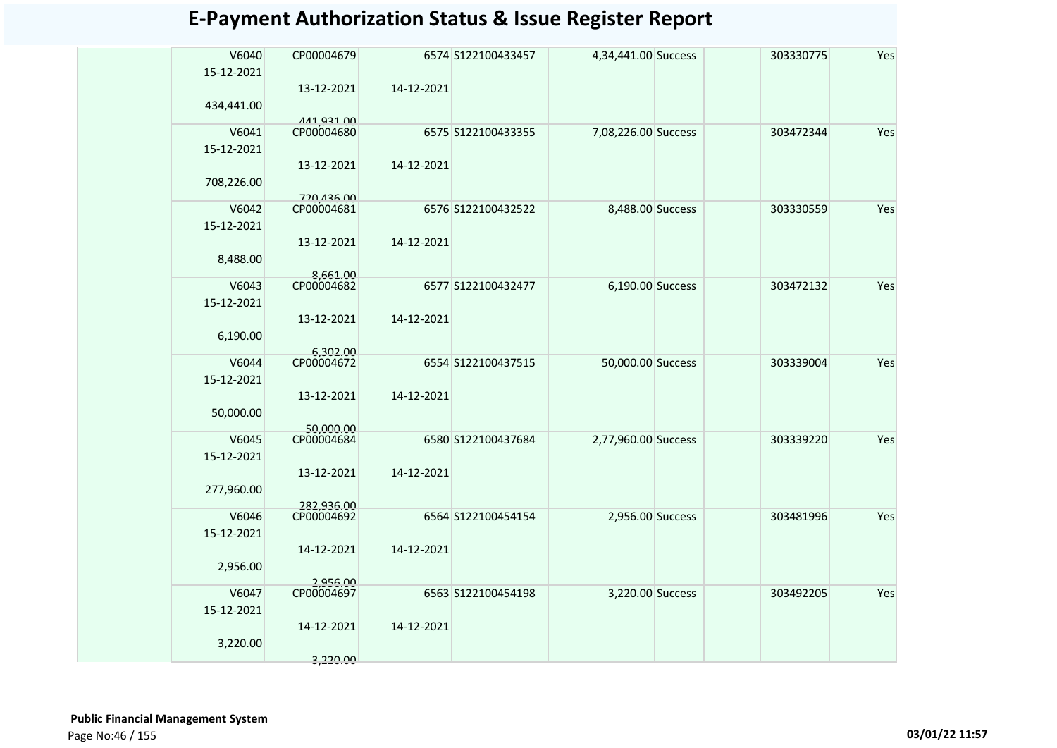| V6040      | CP00004679               |            | 6574 S122100433457 | 4,34,441.00 Success | 303330775 | Yes |
|------------|--------------------------|------------|--------------------|---------------------|-----------|-----|
| 15-12-2021 |                          |            |                    |                     |           |     |
|            | 13-12-2021               | 14-12-2021 |                    |                     |           |     |
| 434,441.00 |                          |            |                    |                     |           |     |
| V6041      | 441,931.00<br>CP00004680 |            | 6575 S122100433355 | 7,08,226.00 Success | 303472344 | Yes |
| 15-12-2021 |                          |            |                    |                     |           |     |
|            | 13-12-2021               | 14-12-2021 |                    |                     |           |     |
| 708,226.00 |                          |            |                    |                     |           |     |
| V6042      | 720,436.00<br>CP00004681 |            | 6576 S122100432522 | 8,488.00 Success    | 303330559 | Yes |
| 15-12-2021 |                          |            |                    |                     |           |     |
|            | 13-12-2021               | 14-12-2021 |                    |                     |           |     |
| 8,488.00   |                          |            |                    |                     |           |     |
| V6043      | 8,661.00<br>CP00004682   |            | 6577 S122100432477 | 6,190.00 Success    | 303472132 | Yes |
| 15-12-2021 |                          |            |                    |                     |           |     |
|            | 13-12-2021               | 14-12-2021 |                    |                     |           |     |
| 6,190.00   |                          |            |                    |                     |           |     |
| V6044      | 6,302.00<br>CP00004672   |            | 6554 S122100437515 | 50,000.00 Success   | 303339004 | Yes |
| 15-12-2021 |                          |            |                    |                     |           |     |
|            | 13-12-2021               | 14-12-2021 |                    |                     |           |     |
| 50,000.00  |                          |            |                    |                     |           |     |
| V6045      | 50,000.00<br>CP00004684  |            | 6580 S122100437684 | 2,77,960.00 Success | 303339220 | Yes |
| 15-12-2021 |                          |            |                    |                     |           |     |
|            | 13-12-2021               | 14-12-2021 |                    |                     |           |     |
| 277,960.00 |                          |            |                    |                     |           |     |
| V6046      | 282,936.00<br>CP00004692 |            | 6564 S122100454154 | 2,956.00 Success    | 303481996 | Yes |
| 15-12-2021 |                          |            |                    |                     |           |     |
|            | 14-12-2021               | 14-12-2021 |                    |                     |           |     |
| 2,956.00   |                          |            |                    |                     |           |     |
| V6047      | 2,956.00<br>CP00004697   |            | 6563 S122100454198 | 3,220.00 Success    | 303492205 | Yes |
| 15-12-2021 |                          |            |                    |                     |           |     |
|            | 14-12-2021               | 14-12-2021 |                    |                     |           |     |
| 3,220.00   |                          |            |                    |                     |           |     |
|            | 3.220.00                 |            |                    |                     |           |     |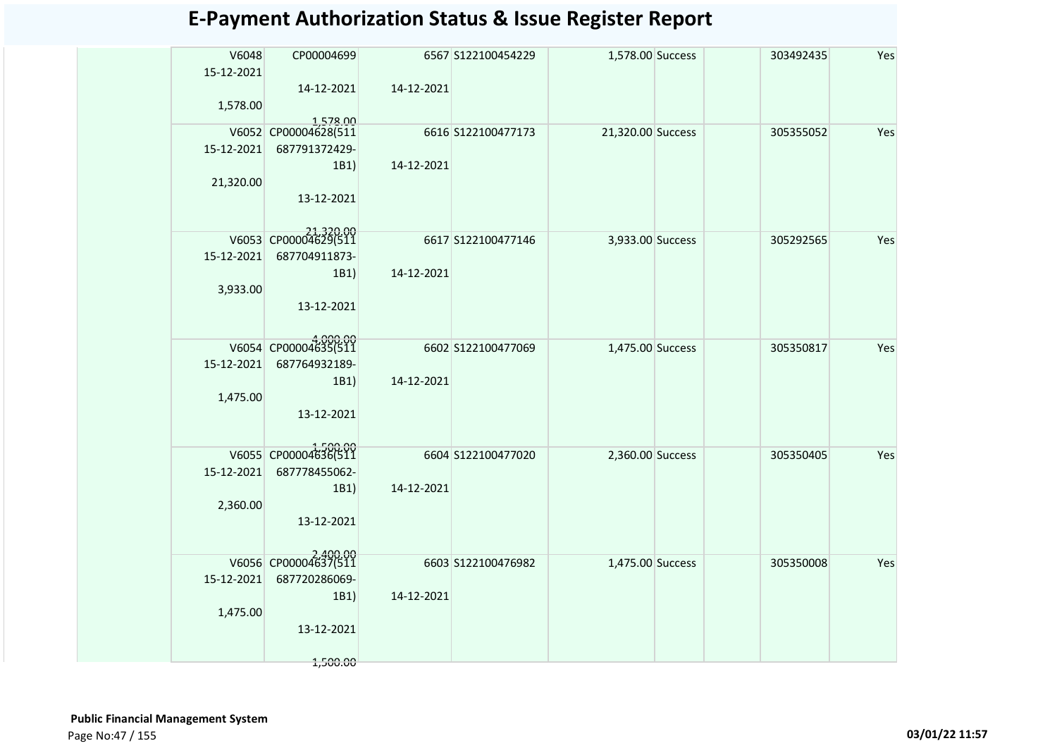| V6048<br>15-12-2021 | CP00004699                       |            | 6567 S122100454229 | 1,578.00 Success  | 303492435 | Yes |
|---------------------|----------------------------------|------------|--------------------|-------------------|-----------|-----|
| 1,578.00            | 14-12-2021                       | 14-12-2021 |                    |                   |           |     |
|                     | 1,578.00<br>V6052 CP00004628(511 |            | 6616 S122100477173 | 21,320.00 Success | 305355052 | Yes |
| 15-12-2021          | 687791372429-<br>1B1)            | 14-12-2021 |                    |                   |           |     |
| 21,320.00           | 13-12-2021                       |            |                    |                   |           |     |
|                     | V6053 CP00004629(511             |            | 6617 S122100477146 | 3,933.00 Success  | 305292565 | Yes |
| 15-12-2021          | 687704911873-                    |            |                    |                   |           |     |
| 3,933.00            | 1B1)                             | 14-12-2021 |                    |                   |           |     |
|                     | 13-12-2021                       |            |                    |                   |           |     |
|                     | V6054 CP00004635(511             |            | 6602 S122100477069 | 1,475.00 Success  | 305350817 | Yes |
| 15-12-2021          | 687764932189-                    |            |                    |                   |           |     |
| 1,475.00            | 1B1)                             | 14-12-2021 |                    |                   |           |     |
|                     | 13-12-2021                       |            |                    |                   |           |     |
|                     | V6055 CP00004636(511             |            | 6604 S122100477020 | 2,360.00 Success  | 305350405 | Yes |
| 15-12-2021          | 687778455062-<br>1B1)            | 14-12-2021 |                    |                   |           |     |
| 2,360.00            |                                  |            |                    |                   |           |     |
|                     | 13-12-2021                       |            |                    |                   |           |     |
|                     | V6056 CP00004637(511             |            | 6603 S122100476982 | 1,475.00 Success  | 305350008 | Yes |
| 15-12-2021          | 687720286069-                    |            |                    |                   |           |     |
| 1,475.00            | 1B1)                             | 14-12-2021 |                    |                   |           |     |
|                     | 13-12-2021                       |            |                    |                   |           |     |
|                     | 1,500.00                         |            |                    |                   |           |     |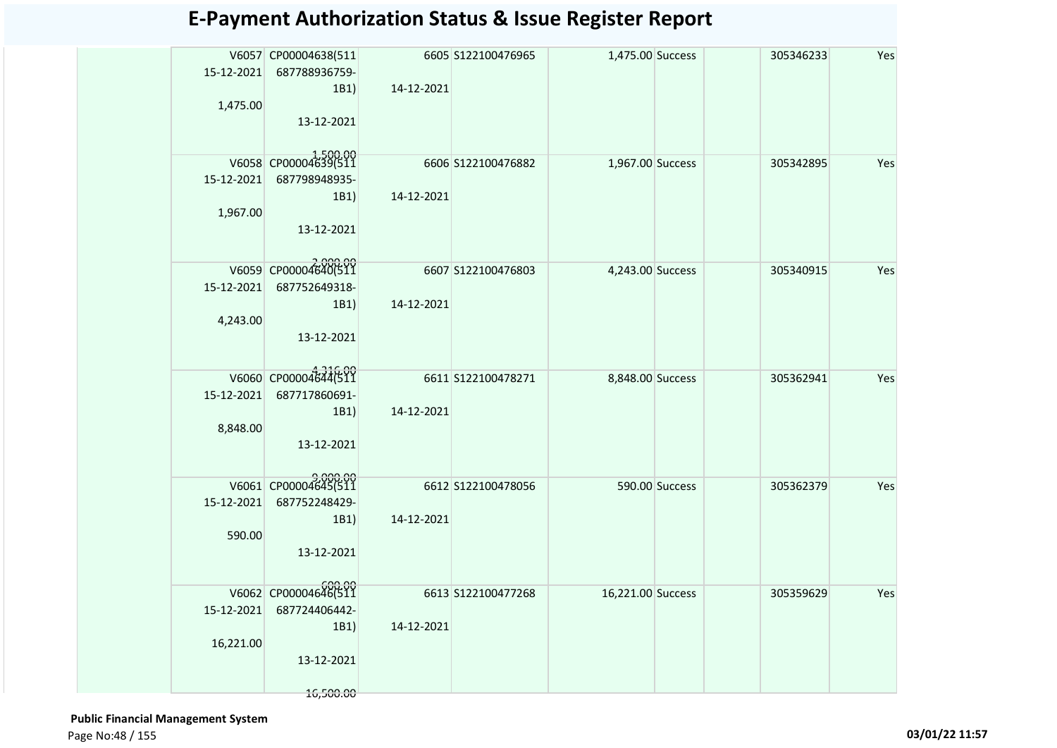|            | V6057 CP00004638(511           |            | 6605 S122100476965 | 1,475.00 Success  |                | 305346233 | Yes |
|------------|--------------------------------|------------|--------------------|-------------------|----------------|-----------|-----|
|            | 15-12-2021 687788936759-       |            |                    |                   |                |           |     |
|            | 1B1)                           | 14-12-2021 |                    |                   |                |           |     |
| 1,475.00   |                                |            |                    |                   |                |           |     |
|            | 13-12-2021                     |            |                    |                   |                |           |     |
|            |                                |            |                    |                   |                |           |     |
|            | V6058 CP00004639(511           |            | 6606 S122100476882 | 1,967.00 Success  |                | 305342895 | Yes |
| 15-12-2021 | 687798948935-                  |            |                    |                   |                |           |     |
|            | 1B1)                           | 14-12-2021 |                    |                   |                |           |     |
| 1,967.00   |                                |            |                    |                   |                |           |     |
|            | 13-12-2021                     |            |                    |                   |                |           |     |
|            |                                |            |                    |                   |                |           |     |
|            | V6059 CP00004640(511           |            | 6607 S122100476803 | 4,243.00 Success  |                | 305340915 | Yes |
| 15-12-2021 | 687752649318-                  |            |                    |                   |                |           |     |
|            | 1B1)                           | 14-12-2021 |                    |                   |                |           |     |
| 4,243.00   |                                |            |                    |                   |                |           |     |
|            | 13-12-2021                     |            |                    |                   |                |           |     |
|            |                                |            |                    |                   |                |           |     |
|            | V6060 CP00004644(511           |            | 6611 S122100478271 | 8,848.00 Success  |                | 305362941 | Yes |
| 15-12-2021 | 687717860691-                  |            |                    |                   |                |           |     |
|            | 1B1)                           | 14-12-2021 |                    |                   |                |           |     |
| 8,848.00   |                                |            |                    |                   |                |           |     |
|            | 13-12-2021                     |            |                    |                   |                |           |     |
|            |                                |            |                    |                   |                |           |     |
|            | V6061 CP00004645(511           |            | 6612 S122100478056 |                   | 590.00 Success | 305362379 | Yes |
|            | 15-12-2021 687752248429-       |            |                    |                   |                |           |     |
|            | 1B1)                           | 14-12-2021 |                    |                   |                |           |     |
| 590.00     |                                |            |                    |                   |                |           |     |
|            | 13-12-2021                     |            |                    |                   |                |           |     |
|            |                                |            |                    |                   |                |           |     |
|            | 600.00<br>V6062 CP00004646(511 |            | 6613 S122100477268 | 16,221.00 Success |                | 305359629 | Yes |
| 15-12-2021 | 687724406442-                  |            |                    |                   |                |           |     |
|            | 1B1)                           | 14-12-2021 |                    |                   |                |           |     |
| 16,221.00  | 13-12-2021                     |            |                    |                   |                |           |     |
|            |                                |            |                    |                   |                |           |     |
|            | 16,500.00                      |            |                    |                   |                |           |     |

 **Public Financial Management System**  Page No:48 / 155 **03/01/22 11:57**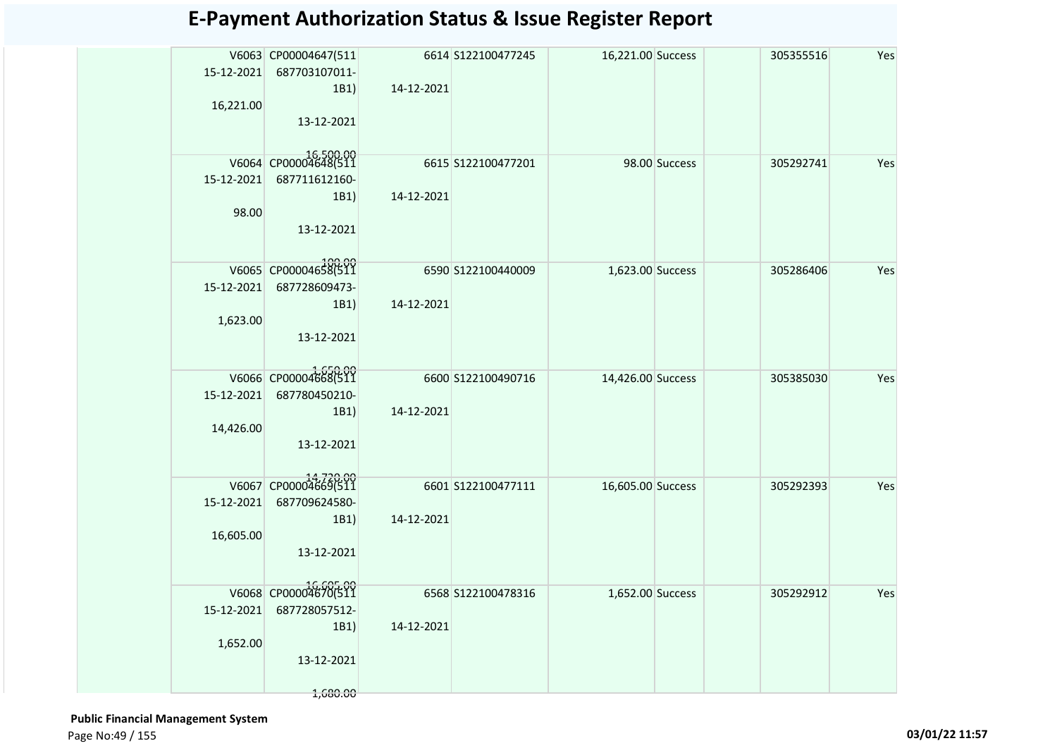| 15-12-2021 | V6063 CP00004647(511<br>687703107011- |            | 6614 S122100477245 | 16,221.00 Success |               | 305355516 | Yes |
|------------|---------------------------------------|------------|--------------------|-------------------|---------------|-----------|-----|
|            | 1B1                                   | 14-12-2021 |                    |                   |               |           |     |
| 16,221.00  |                                       |            |                    |                   |               |           |     |
|            | 13-12-2021                            |            |                    |                   |               |           |     |
|            | V6064 CP00004648(511                  |            | 6615 S122100477201 |                   | 98.00 Success | 305292741 | Yes |
| 15-12-2021 | 687711612160-                         |            |                    |                   |               |           |     |
|            | 1B1)                                  | 14-12-2021 |                    |                   |               |           |     |
| 98.00      |                                       |            |                    |                   |               |           |     |
|            | 13-12-2021                            |            |                    |                   |               |           |     |
|            | V6065 CP00004658(511                  |            | 6590 S122100440009 | 1,623.00 Success  |               | 305286406 | Yes |
| 15-12-2021 | 687728609473-                         |            |                    |                   |               |           |     |
|            | 1B1                                   | 14-12-2021 |                    |                   |               |           |     |
| 1,623.00   | 13-12-2021                            |            |                    |                   |               |           |     |
|            |                                       |            |                    |                   |               |           |     |
|            | V6066 CP00004668(511                  |            |                    |                   |               |           |     |
| 15-12-2021 | 687780450210-                         |            | 6600 S122100490716 | 14,426.00 Success |               | 305385030 | Yes |
|            | 1B1)                                  | 14-12-2021 |                    |                   |               |           |     |
| 14,426.00  |                                       |            |                    |                   |               |           |     |
|            | 13-12-2021                            |            |                    |                   |               |           |     |
|            |                                       |            |                    |                   |               |           |     |
|            | V6067 CP00004669(511                  |            | 6601 S122100477111 | 16,605.00 Success |               | 305292393 | Yes |
| 15-12-2021 | 687709624580-                         |            |                    |                   |               |           |     |
|            | 1B1)                                  | 14-12-2021 |                    |                   |               |           |     |
| 16,605.00  | 13-12-2021                            |            |                    |                   |               |           |     |
|            |                                       |            |                    |                   |               |           |     |
|            | 16,605.00<br>V6068 CP00004670(511     |            | 6568 S122100478316 | 1,652.00 Success  |               | 305292912 | Yes |
| 15-12-2021 | 687728057512-                         |            |                    |                   |               |           |     |
|            | 1B1                                   | 14-12-2021 |                    |                   |               |           |     |
| 1,652.00   |                                       |            |                    |                   |               |           |     |
|            | 13-12-2021                            |            |                    |                   |               |           |     |
|            |                                       |            |                    |                   |               |           |     |
|            | 1,680.00                              |            |                    |                   |               |           |     |

 **Public Financial Management System**  Page No:49 / 155 **03/01/22 11:57**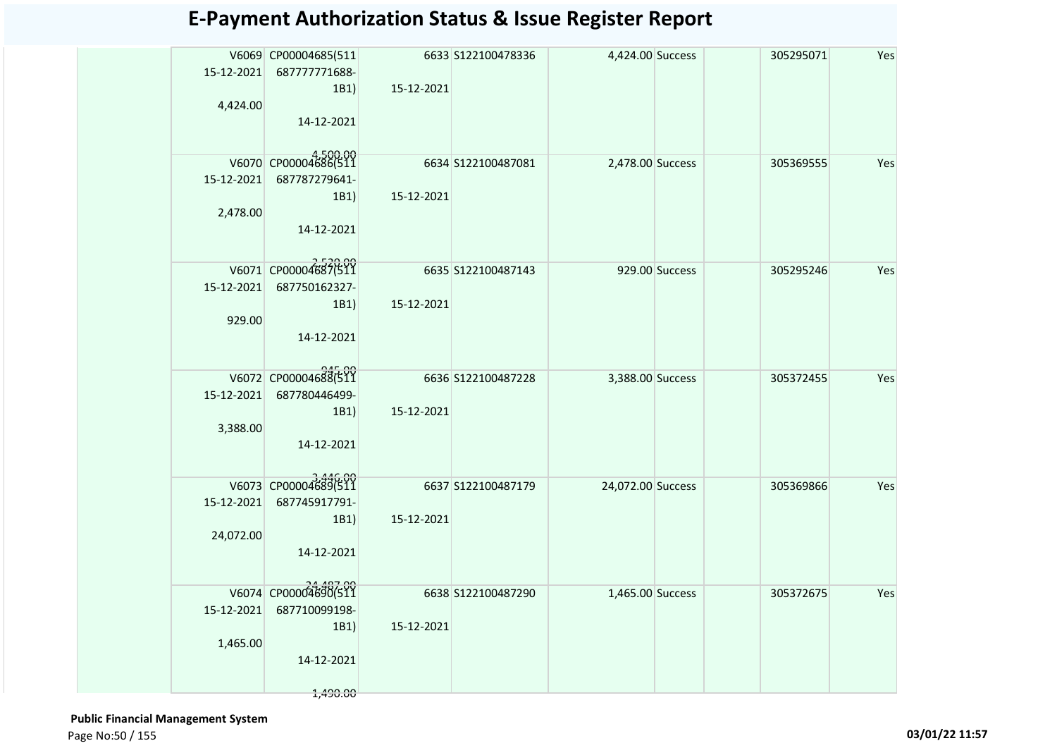| 4,424.00               | V6069 CP00004685(511<br>15-12-2021 687777771688-<br>1B1)<br>14-12-2021  | 15-12-2021 | 6633 S122100478336 | 4,424.00 Success  |                | 305295071 | Yes |
|------------------------|-------------------------------------------------------------------------|------------|--------------------|-------------------|----------------|-----------|-----|
| 15-12-2021<br>2,478.00 | V6070 CP00004686(511<br>687787279641-<br>1B1)<br>14-12-2021             | 15-12-2021 | 6634 S122100487081 | 2,478.00 Success  |                | 305369555 | Yes |
| 15-12-2021<br>929.00   | V6071 CP00004687(511<br>687750162327-<br>1B1)<br>14-12-2021             | 15-12-2021 | 6635 S122100487143 |                   | 929.00 Success | 305295246 | Yes |
| 15-12-2021<br>3,388.00 | V6072 CP00004688(511<br>687780446499-<br>1B1)<br>14-12-2021             | 15-12-2021 | 6636 S122100487228 | 3,388.00 Success  |                | 305372455 | Yes |
| 24,072.00              | V6073 CP00004689(511<br>15-12-2021 687745917791-<br>1B1)<br>14-12-2021  | 15-12-2021 | 6637 S122100487179 | 24,072.00 Success |                | 305369866 | Yes |
| 15-12-2021<br>1,465.00 | V6074 CP00004690(511<br>687710099198-<br>1B1)<br>14-12-2021<br>1,490.00 | 15-12-2021 | 6638 S122100487290 | 1,465.00 Success  |                | 305372675 | Yes |

 **Public Financial Management System**  Page No:50 / 155 **03/01/22 11:57**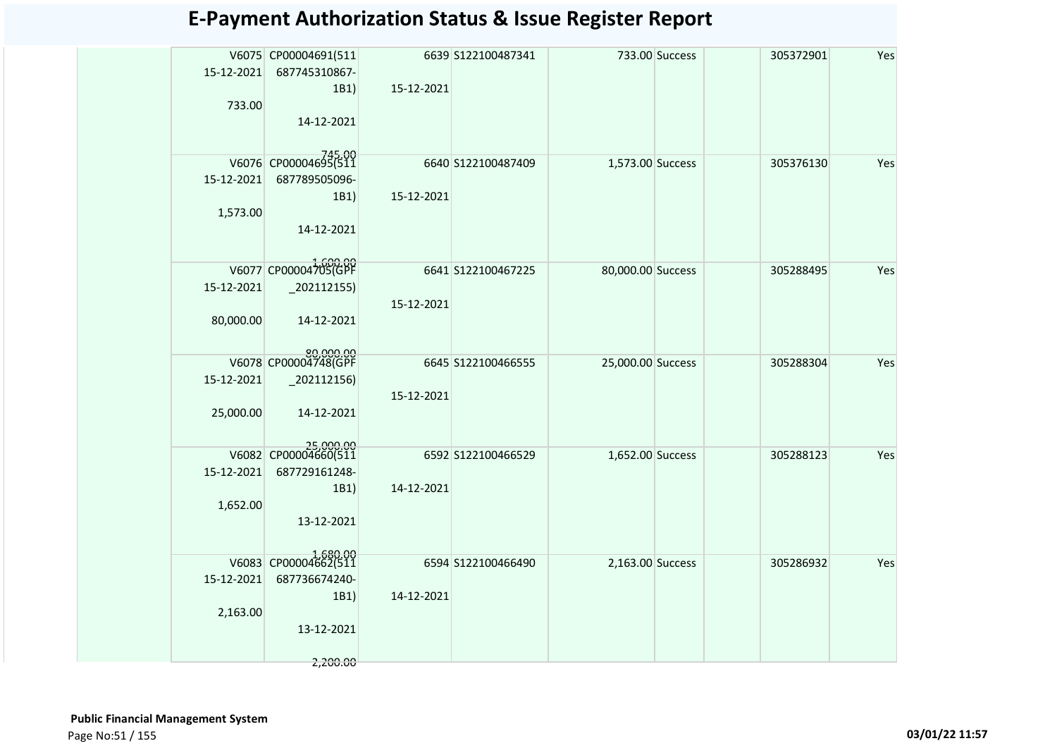|            | V6075 CP00004691(511              |                    | 6639 S122100487341 |                   | 733.00 Success | 305372901 | Yes |
|------------|-----------------------------------|--------------------|--------------------|-------------------|----------------|-----------|-----|
| 15-12-2021 | 687745310867-                     |                    |                    |                   |                |           |     |
|            |                                   | 15-12-2021<br>1B1) |                    |                   |                |           |     |
|            | 733.00                            |                    |                    |                   |                |           |     |
|            | 14-12-2021                        |                    |                    |                   |                |           |     |
|            |                                   |                    |                    |                   |                |           |     |
|            | V6076 CP00004695(511              |                    | 6640 S122100487409 | 1,573.00 Success  |                | 305376130 | Yes |
| 15-12-2021 | 687789505096-                     |                    |                    |                   |                |           |     |
|            |                                   | 15-12-2021<br>1B1) |                    |                   |                |           |     |
| 1,573.00   |                                   |                    |                    |                   |                |           |     |
|            | 14-12-2021                        |                    |                    |                   |                |           |     |
|            |                                   |                    |                    |                   |                |           |     |
|            | V6077 CP00004705(GPF              |                    | 6641 S122100467225 | 80,000.00 Success |                | 305288495 | Yes |
| 15-12-2021 | $-202112155$                      |                    |                    |                   |                |           |     |
|            |                                   | 15-12-2021         |                    |                   |                |           |     |
| 80,000.00  | 14-12-2021                        |                    |                    |                   |                |           |     |
|            |                                   |                    |                    |                   |                |           |     |
|            | 80,000.00<br>V6078 CP00004748(GPF |                    |                    |                   |                |           |     |
|            |                                   |                    | 6645 S122100466555 | 25,000.00 Success |                | 305288304 | Yes |
| 15-12-2021 | $_2$ 02112156)                    |                    |                    |                   |                |           |     |
|            |                                   | 15-12-2021         |                    |                   |                |           |     |
| 25,000.00  | 14-12-2021                        |                    |                    |                   |                |           |     |
|            |                                   |                    |                    |                   |                |           |     |
|            | 25,000.00<br>V6082 CP00004660(511 |                    | 6592 S122100466529 | 1,652.00 Success  |                | 305288123 | Yes |
| 15-12-2021 | 687729161248-                     |                    |                    |                   |                |           |     |
|            |                                   | 14-12-2021<br>1B1) |                    |                   |                |           |     |
| 1,652.00   |                                   |                    |                    |                   |                |           |     |
|            | 13-12-2021                        |                    |                    |                   |                |           |     |
|            |                                   |                    |                    |                   |                |           |     |
|            | V6083 CP00004662(511              |                    | 6594 S122100466490 | 2,163.00 Success  |                | 305286932 | Yes |
| 15-12-2021 | 687736674240-                     |                    |                    |                   |                |           |     |
|            |                                   | 14-12-2021<br>1B1) |                    |                   |                |           |     |
| 2,163.00   |                                   |                    |                    |                   |                |           |     |
|            | 13-12-2021                        |                    |                    |                   |                |           |     |
|            |                                   |                    |                    |                   |                |           |     |
|            | 2,200.00                          |                    |                    |                   |                |           |     |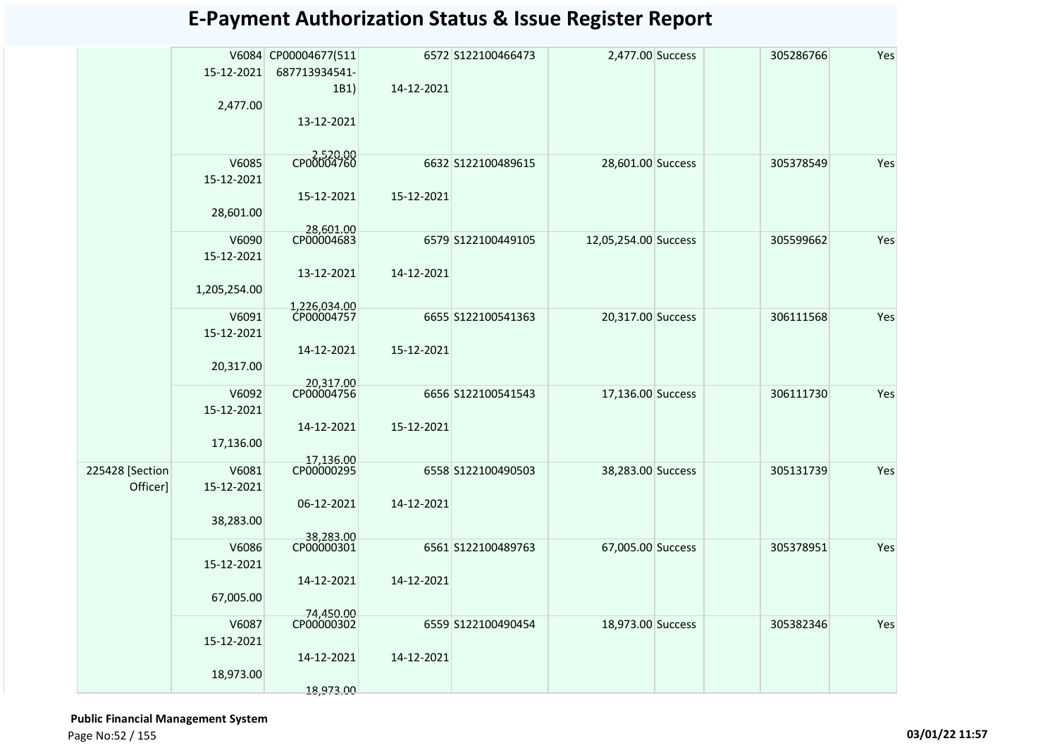|                 | 15-12-2021          | V6084 CP00004677(511<br>687713934541- |            | 6572 S122100466473 | 2,477.00 Success     | 305286766 | Yes |
|-----------------|---------------------|---------------------------------------|------------|--------------------|----------------------|-----------|-----|
|                 |                     | 1B1)                                  | 14-12-2021 |                    |                      |           |     |
|                 | 2,477.00            |                                       |            |                    |                      |           |     |
|                 |                     | 13-12-2021                            |            |                    |                      |           |     |
|                 |                     |                                       |            |                    |                      |           |     |
|                 | V6085               | CP00004760                            |            | 6632 S122100489615 | 28,601.00 Success    | 305378549 | Yes |
|                 | 15-12-2021          |                                       |            |                    |                      |           |     |
|                 |                     | 15-12-2021                            | 15-12-2021 |                    |                      |           |     |
|                 | 28,601.00           |                                       |            |                    |                      |           |     |
|                 | V6090               | 28,601.00<br>CP00004683               |            | 6579 S122100449105 | 12,05,254.00 Success | 305599662 | Yes |
|                 | 15-12-2021          |                                       |            |                    |                      |           |     |
|                 |                     | 13-12-2021                            | 14-12-2021 |                    |                      |           |     |
|                 | 1,205,254.00        |                                       |            |                    |                      |           |     |
|                 | V6091               | 1,226,034.00<br>CP00004757            |            | 6655 S122100541363 | 20,317.00 Success    | 306111568 | Yes |
|                 | 15-12-2021          |                                       |            |                    |                      |           |     |
|                 |                     | 14-12-2021                            | 15-12-2021 |                    |                      |           |     |
|                 | 20,317.00           |                                       |            |                    |                      |           |     |
|                 |                     | 20,317.00                             |            |                    |                      |           |     |
|                 | V6092<br>15-12-2021 | CP00004756                            |            | 6656 S122100541543 | 17,136.00 Success    | 306111730 | Yes |
|                 |                     | 14-12-2021                            | 15-12-2021 |                    |                      |           |     |
|                 | 17,136.00           |                                       |            |                    |                      |           |     |
|                 |                     | 17,136.00                             |            |                    |                      |           |     |
| 225428 [Section | V6081               | CP00000295                            |            | 6558 S122100490503 | 38,283.00 Success    | 305131739 | Yes |
| Officer]        | 15-12-2021          |                                       |            |                    |                      |           |     |
|                 | 38,283.00           | 06-12-2021                            | 14-12-2021 |                    |                      |           |     |
|                 |                     | 38,283.00                             |            |                    |                      |           |     |
|                 | V6086               | CP00000301                            |            | 6561 S122100489763 | 67,005.00 Success    | 305378951 | Yes |
|                 | 15-12-2021          |                                       |            |                    |                      |           |     |
|                 |                     | 14-12-2021                            | 14-12-2021 |                    |                      |           |     |
|                 | 67,005.00           | 74,450.00                             |            |                    |                      |           |     |
|                 | V6087               | CP00000302                            |            | 6559 S122100490454 | 18,973.00 Success    | 305382346 | Yes |
|                 | 15-12-2021          |                                       |            |                    |                      |           |     |
|                 |                     | 14-12-2021                            | 14-12-2021 |                    |                      |           |     |
|                 | 18,973.00           |                                       |            |                    |                      |           |     |
|                 |                     | 18,973.00                             |            |                    |                      |           |     |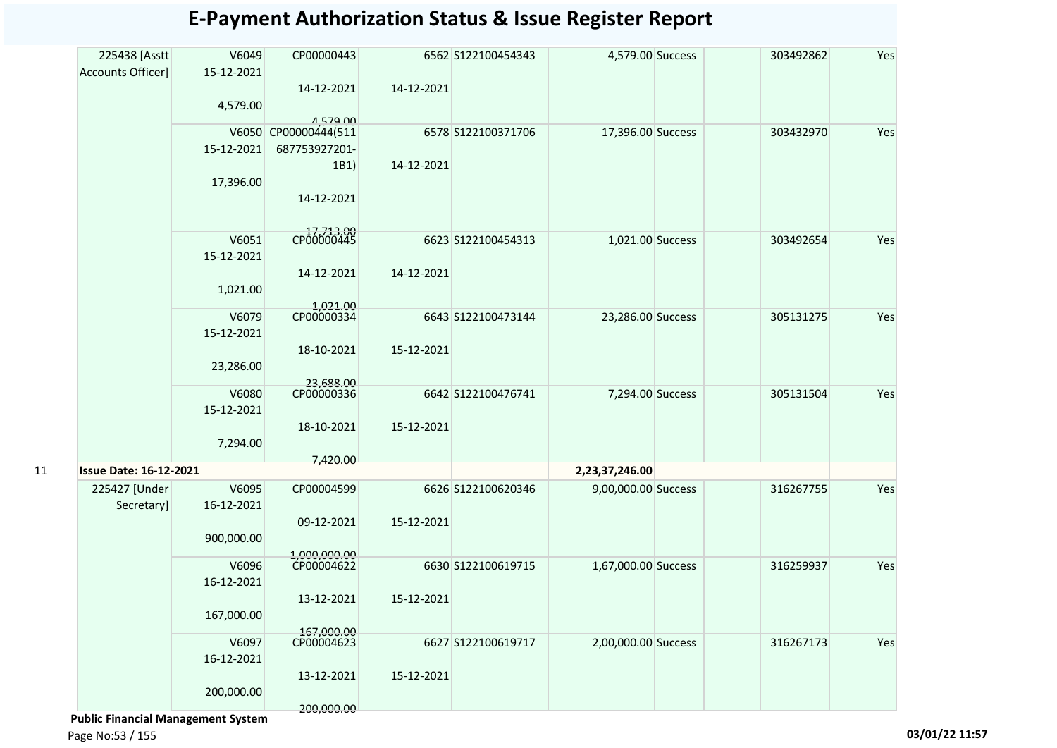| 225438 [Asstt                 | V6049      | CP00000443                       |            | 6562 S122100454343 | 4,579.00 Success    | 303492862 | Yes |
|-------------------------------|------------|----------------------------------|------------|--------------------|---------------------|-----------|-----|
| Accounts Officer]             | 15-12-2021 |                                  |            |                    |                     |           |     |
|                               |            | 14-12-2021                       | 14-12-2021 |                    |                     |           |     |
|                               | 4,579.00   |                                  |            |                    |                     |           |     |
|                               |            | 4,579.00<br>V6050 CP00000444(511 |            | 6578 S122100371706 | 17,396.00 Success   | 303432970 | Yes |
|                               | 15-12-2021 | 687753927201-                    |            |                    |                     |           |     |
|                               |            | 1B1)                             | 14-12-2021 |                    |                     |           |     |
|                               | 17,396.00  |                                  |            |                    |                     |           |     |
|                               |            | 14-12-2021                       |            |                    |                     |           |     |
|                               |            |                                  |            |                    |                     |           |     |
|                               | V6051      | CP00000445                       |            | 6623 S122100454313 | 1,021.00 Success    | 303492654 | Yes |
|                               | 15-12-2021 |                                  |            |                    |                     |           |     |
|                               |            | 14-12-2021                       | 14-12-2021 |                    |                     |           |     |
|                               | 1,021.00   |                                  |            |                    |                     |           |     |
|                               |            |                                  |            |                    |                     |           |     |
|                               | V6079      | 1,021.00<br>CP00000334           |            | 6643 S122100473144 | 23,286.00 Success   | 305131275 | Yes |
|                               | 15-12-2021 |                                  |            |                    |                     |           |     |
|                               |            | 18-10-2021                       | 15-12-2021 |                    |                     |           |     |
|                               | 23,286.00  |                                  |            |                    |                     |           |     |
|                               | V6080      | 23,688.00<br>CP00000336          |            | 6642 S122100476741 | 7,294.00 Success    | 305131504 | Yes |
|                               | 15-12-2021 |                                  |            |                    |                     |           |     |
|                               |            | 18-10-2021                       | 15-12-2021 |                    |                     |           |     |
|                               | 7,294.00   |                                  |            |                    |                     |           |     |
|                               |            | 7,420.00                         |            |                    |                     |           |     |
| <b>Issue Date: 16-12-2021</b> |            |                                  |            |                    | 2,23,37,246.00      |           |     |
| 225427 [Under                 | V6095      | CP00004599                       |            | 6626 S122100620346 | 9,00,000.00 Success | 316267755 | Yes |
| Secretary]                    | 16-12-2021 |                                  |            |                    |                     |           |     |
|                               |            | 09-12-2021                       | 15-12-2021 |                    |                     |           |     |
|                               | 900,000.00 |                                  |            |                    |                     |           |     |
|                               | V6096      | 1,000,000.00<br>CP00004622       |            | 6630 S122100619715 | 1,67,000.00 Success | 316259937 | Yes |
|                               | 16-12-2021 |                                  |            |                    |                     |           |     |
|                               |            | 13-12-2021                       | 15-12-2021 |                    |                     |           |     |
|                               | 167,000.00 |                                  |            |                    |                     |           |     |
|                               |            | 167,000.00                       |            |                    |                     |           |     |
|                               | V6097      | CP00004623                       |            | 6627 S122100619717 | 2,00,000.00 Success | 316267173 | Yes |
|                               | 16-12-2021 |                                  |            |                    |                     |           |     |
|                               |            | 13-12-2021                       | 15-12-2021 |                    |                     |           |     |
|                               | 200,000.00 |                                  |            |                    |                     |           |     |
|                               |            | 200,000.00                       |            |                    |                     |           |     |

 **Public Financial Management System** 

Page No:53 / 155 **03/01/22 11:57**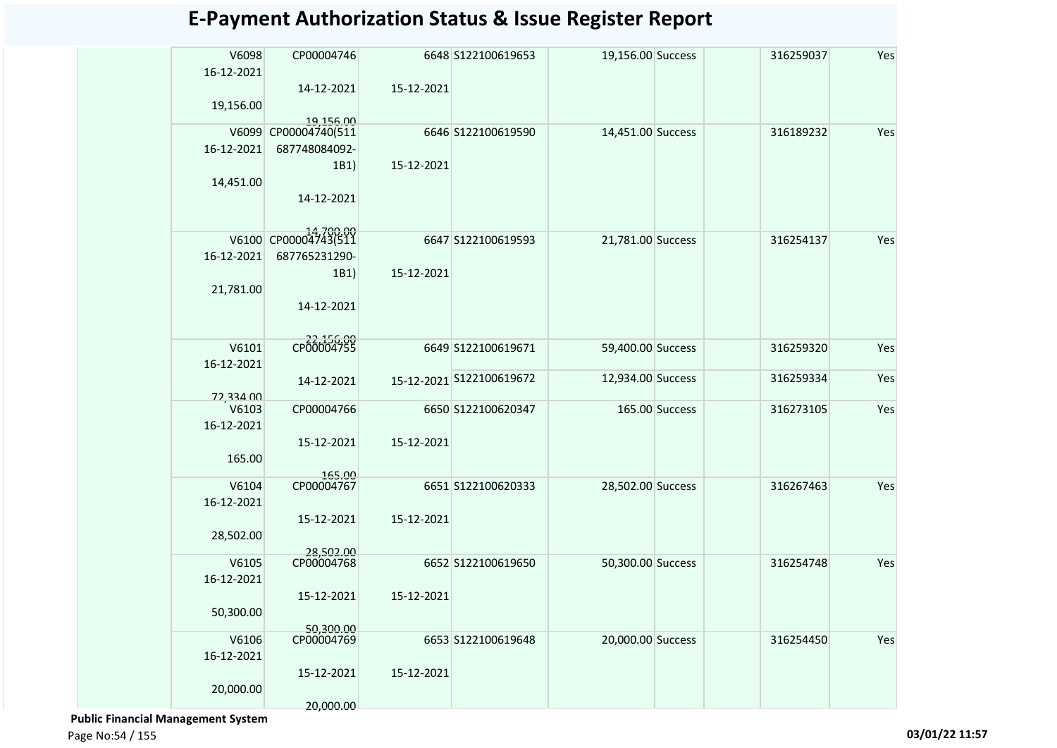| V6098<br>16-12-2021 | CP00004746              |            | 6648 S122100619653       | 19,156.00 Success |                | 316259037 | Yes |
|---------------------|-------------------------|------------|--------------------------|-------------------|----------------|-----------|-----|
|                     | 14-12-2021              | 15-12-2021 |                          |                   |                |           |     |
| 19,156.00           | 19,156.00               |            |                          |                   |                |           |     |
| V6099               | CP00004740(511          |            | 6646 S122100619590       | 14,451.00 Success |                | 316189232 | Yes |
| 16-12-2021          | 687748084092-           |            |                          |                   |                |           |     |
|                     | 1B1)                    | 15-12-2021 |                          |                   |                |           |     |
| 14,451.00           |                         |            |                          |                   |                |           |     |
|                     | 14-12-2021              |            |                          |                   |                |           |     |
| V6100               | CP00004743(511          |            | 6647 S122100619593       | 21,781.00 Success |                | 316254137 | Yes |
| 16-12-2021          | 687765231290-           |            |                          |                   |                |           |     |
|                     | 1B1)                    | 15-12-2021 |                          |                   |                |           |     |
| 21,781.00           |                         |            |                          |                   |                |           |     |
|                     | 14-12-2021              |            |                          |                   |                |           |     |
|                     |                         |            |                          |                   |                |           |     |
| V6101               | CP00004755              |            | 6649 S122100619671       | 59,400.00 Success |                | 316259320 | Yes |
| 16-12-2021          |                         |            |                          |                   |                |           |     |
|                     | 14-12-2021              |            | 15-12-2021 S122100619672 | 12,934.00 Success |                | 316259334 | Yes |
| 72,334.00           |                         |            |                          |                   |                |           |     |
| V6103               | CP00004766              |            | 6650 S122100620347       |                   | 165.00 Success | 316273105 | Yes |
| 16-12-2021          |                         |            |                          |                   |                |           |     |
| 165.00              | 15-12-2021              | 15-12-2021 |                          |                   |                |           |     |
|                     |                         |            |                          |                   |                |           |     |
| V6104               | 165.00<br>CP00004767    |            | 6651 S122100620333       | 28,502.00 Success |                | 316267463 | Yes |
| 16-12-2021          |                         |            |                          |                   |                |           |     |
|                     | 15-12-2021              | 15-12-2021 |                          |                   |                |           |     |
| 28,502.00           |                         |            |                          |                   |                |           |     |
| V6105               | 28.502.00<br>CP00004768 |            | 6652 S122100619650       | 50,300.00 Success |                | 316254748 | Yes |
| 16-12-2021          |                         |            |                          |                   |                |           |     |
|                     | 15-12-2021              | 15-12-2021 |                          |                   |                |           |     |
| 50,300.00           |                         |            |                          |                   |                |           |     |
|                     | 50,300.00<br>CP00004769 |            |                          |                   |                |           |     |
| V6106<br>16-12-2021 |                         |            | 6653 S122100619648       | 20,000.00 Success |                | 316254450 | Yes |
|                     | 15-12-2021              | 15-12-2021 |                          |                   |                |           |     |
| 20,000.00           |                         |            |                          |                   |                |           |     |
|                     | 20,000.00               |            |                          |                   |                |           |     |

 **Public Financial Management System** 

Page No:54 / 155 **03/01/22 11:57**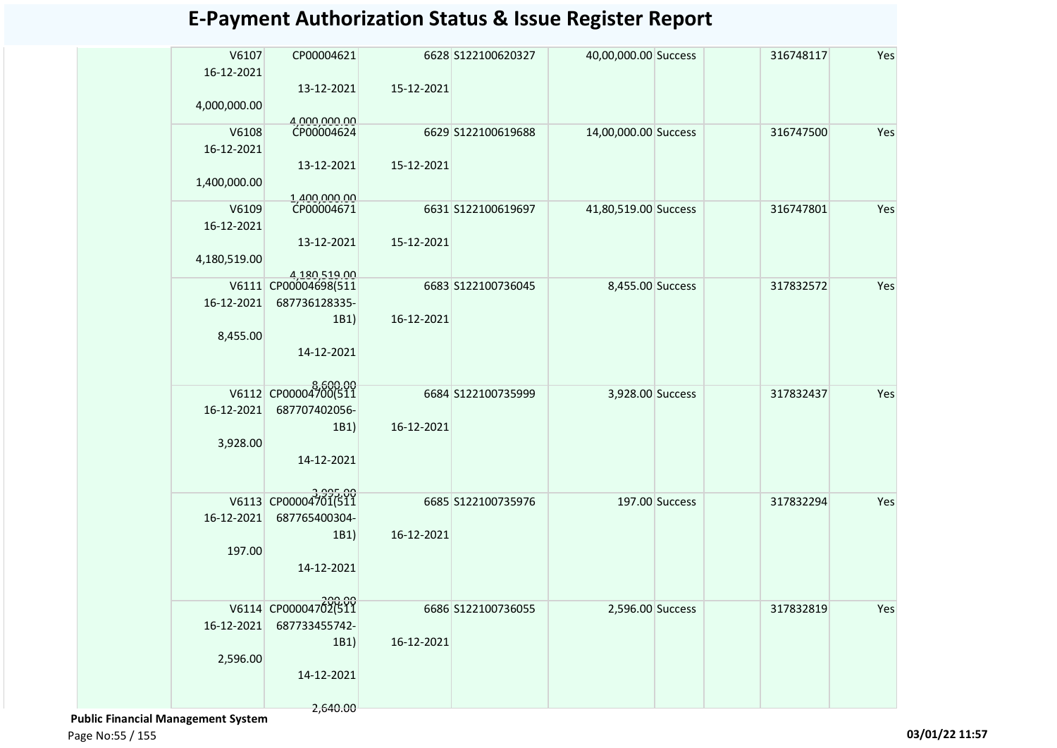| V6107<br>16-12-2021 | CP00004621           |            | 6628 S122100620327 | 40,00,000.00 Success |                | 316748117 | Yes |
|---------------------|----------------------|------------|--------------------|----------------------|----------------|-----------|-----|
| 4,000,000.00        | 13-12-2021           | 15-12-2021 |                    |                      |                |           |     |
|                     | 4.000.000.00         |            |                    |                      |                |           |     |
| V6108<br>16-12-2021 | CP00004624           |            | 6629 S122100619688 | 14,00,000.00 Success |                | 316747500 | Yes |
|                     | 13-12-2021           | 15-12-2021 |                    |                      |                |           |     |
| 1,400,000.00        | 1.400.000.00         |            |                    |                      |                |           |     |
| V6109               | CP00004671           |            | 6631 S122100619697 | 41,80,519.00 Success |                | 316747801 | Yes |
| 16-12-2021          |                      |            |                    |                      |                |           |     |
| 4,180,519.00        | 13-12-2021           | 15-12-2021 |                    |                      |                |           |     |
|                     | 4,180,519.00         |            |                    |                      |                |           |     |
|                     | V6111 CP00004698(511 |            | 6683 S122100736045 | 8,455.00 Success     |                | 317832572 | Yes |
| 16-12-2021          | 687736128335-        |            |                    |                      |                |           |     |
|                     | 1B1)                 | 16-12-2021 |                    |                      |                |           |     |
| 8,455.00            |                      |            |                    |                      |                |           |     |
|                     | 14-12-2021           |            |                    |                      |                |           |     |
|                     |                      |            |                    |                      |                |           |     |
|                     | V6112 CP00004700(511 |            | 6684 S122100735999 |                      |                |           | Yes |
| 16-12-2021          | 687707402056-        |            |                    | 3,928.00 Success     |                | 317832437 |     |
|                     |                      |            |                    |                      |                |           |     |
|                     | 1B1)                 | 16-12-2021 |                    |                      |                |           |     |
| 3,928.00            |                      |            |                    |                      |                |           |     |
|                     | 14-12-2021           |            |                    |                      |                |           |     |
|                     |                      |            |                    |                      |                |           |     |
|                     | V6113 CP00004701(511 |            | 6685 S122100735976 |                      | 197.00 Success | 317832294 | Yes |
| 16-12-2021          | 687765400304-        |            |                    |                      |                |           |     |
|                     | 1B1)                 | 16-12-2021 |                    |                      |                |           |     |
| 197.00              |                      |            |                    |                      |                |           |     |
|                     | 14-12-2021           |            |                    |                      |                |           |     |
|                     |                      |            |                    |                      |                |           |     |
|                     | 20000                |            |                    |                      |                |           |     |
|                     | V6114 CP00004702(511 |            | 6686 S122100736055 | 2,596.00 Success     |                | 317832819 | Yes |
| 16-12-2021          | 687733455742-        |            |                    |                      |                |           |     |
|                     | 1B1)                 | 16-12-2021 |                    |                      |                |           |     |
| 2,596.00            |                      |            |                    |                      |                |           |     |
|                     | 14-12-2021           |            |                    |                      |                |           |     |
|                     |                      |            |                    |                      |                |           |     |

 **Public Financial Management System** 

2,640.00

Page No:55 / 155 **03/01/22 11:57**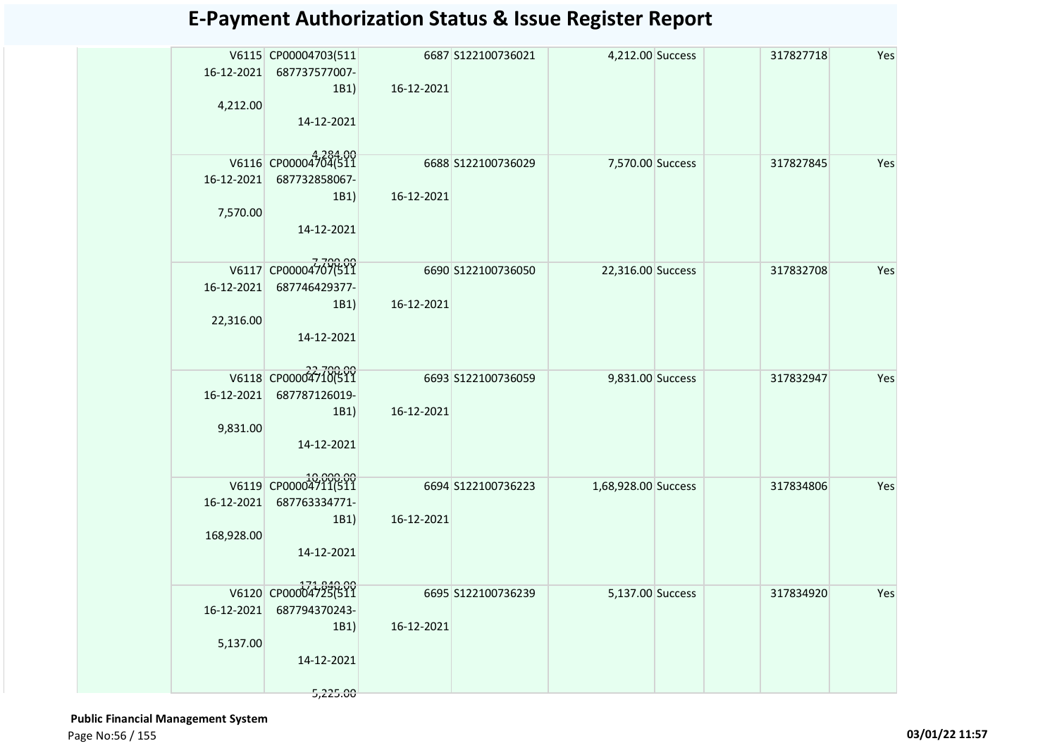| 16-12-2021<br>4,212.00   | V6115 CP00004703(511<br>687737577007-<br>1B1)<br>14-12-2021             | 16-12-2021 | 6687 S122100736021  | 4,212.00 Success    | 317827718 | Yes |
|--------------------------|-------------------------------------------------------------------------|------------|---------------------|---------------------|-----------|-----|
| 16-12-2021<br>7,570.00   | V6116 CP00004704(511<br>687732858067-<br>1B1)<br>14-12-2021             | 16-12-2021 | 6688 \$122100736029 | 7,570.00 Success    | 317827845 | Yes |
| 16-12-2021<br>22,316.00  | V6117 CP00004707(511<br>687746429377-<br>1B1)<br>14-12-2021             | 16-12-2021 | 6690 S122100736050  | 22,316.00 Success   | 317832708 | Yes |
| 16-12-2021<br>9,831.00   | V6118 CP000047100511<br>687787126019-<br>1B1)<br>14-12-2021             | 16-12-2021 | 6693 S122100736059  | 9,831.00 Success    | 317832947 | Yes |
| 16-12-2021<br>168,928.00 | V6119 CP00004711(511<br>687763334771-<br>1B1)<br>14-12-2021             | 16-12-2021 | 6694 S122100736223  | 1,68,928.00 Success | 317834806 | Yes |
| 16-12-2021<br>5,137.00   | V6120 CP00004725(511<br>687794370243-<br>1B1)<br>14-12-2021<br>5,225.00 | 16-12-2021 | 6695 S122100736239  | 5,137.00 Success    | 317834920 | Yes |

 **Public Financial Management System**  Page No:56 / 155 **03/01/22 11:57**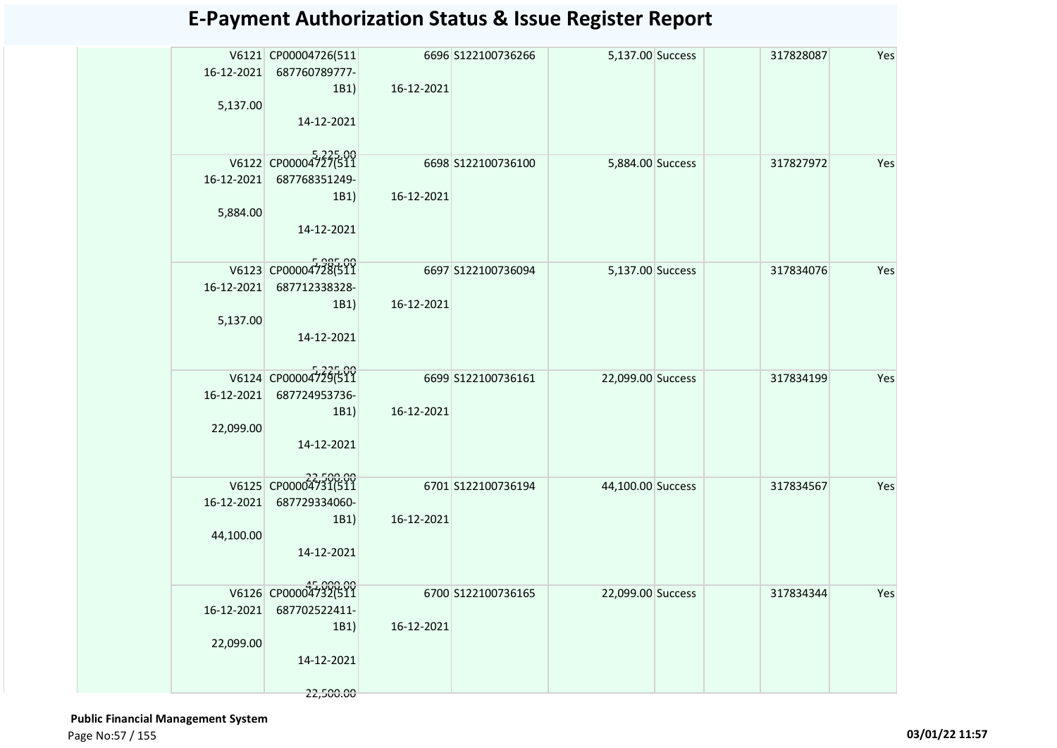| 16-12-2021<br>5,137.00  | V6121 CP00004726(511<br>687760789777-<br>1B1)<br>14-12-2021              | 16-12-2021 | 6696 S122100736266 | 5,137.00 Success  | 317828087 | Yes |
|-------------------------|--------------------------------------------------------------------------|------------|--------------------|-------------------|-----------|-----|
| 16-12-2021<br>5,884.00  | V6122 CP00004727(511<br>687768351249-<br>1B1)<br>14-12-2021              | 16-12-2021 | 6698 S122100736100 | 5,884.00 Success  | 317827972 | Yes |
| 16-12-2021<br>5,137.00  | V6123 CP00004728(511<br>687712338328-<br>1B1)<br>14-12-2021              | 16-12-2021 | 6697 S122100736094 | 5,137.00 Success  | 317834076 | Yes |
| 16-12-2021<br>22,099.00 | V6124 CP00004729(511<br>687724953736-<br>1B1)<br>14-12-2021              | 16-12-2021 | 6699 S122100736161 | 22,099.00 Success | 317834199 | Yes |
| 16-12-2021<br>44,100.00 | V6125 CP00004731(511<br>687729334060-<br>1B1)<br>14-12-2021              | 16-12-2021 | 6701 S122100736194 | 44,100.00 Success | 317834567 | Yes |
| 16-12-2021<br>22,099.00 | V6126 CP00004732(511<br>687702522411-<br>1B1)<br>14-12-2021<br>22,500.00 | 16-12-2021 | 6700 S122100736165 | 22,099.00 Success | 317834344 | Yes |

 **Public Financial Management System**  Page No:57 / 155 **03/01/22 11:57**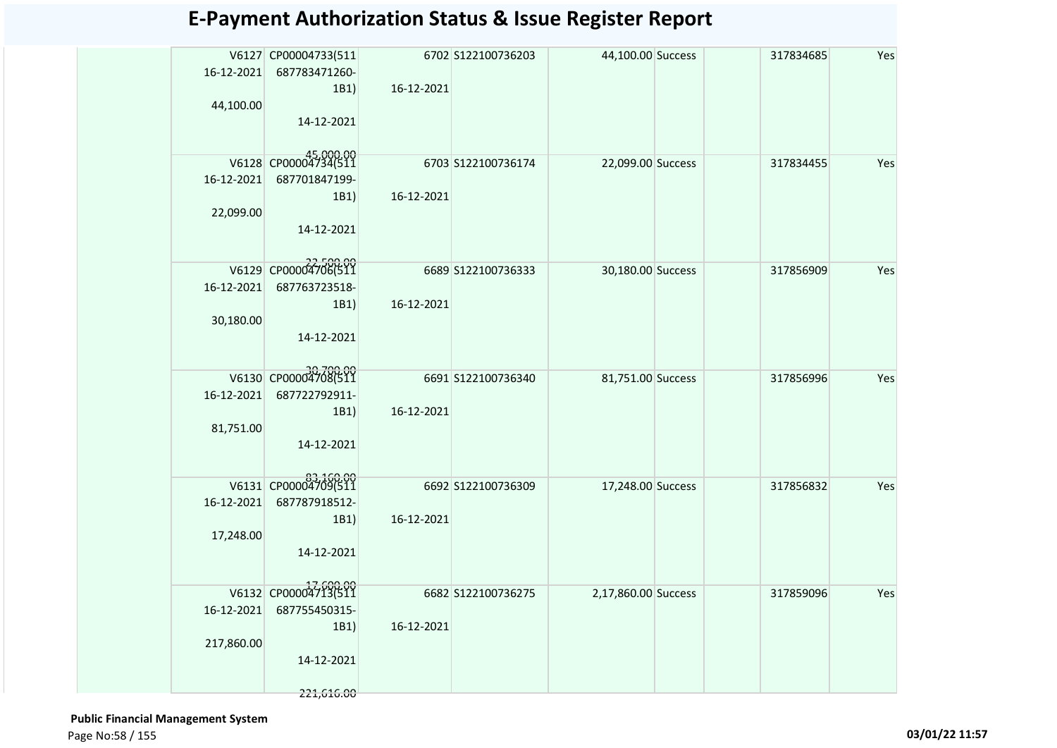| 6702 S122100736203<br>V6127 CP00004733(511<br>44,100.00 Success<br>317834685<br>16-12-2021<br>687783471260-<br>16-12-2021<br>1B1)<br>44,100.00<br>14-12-2021<br>V6128 CP00004734(511<br>6703 S122100736174<br>22,099.00 Success<br>317834455 | Yes<br>Yes |
|----------------------------------------------------------------------------------------------------------------------------------------------------------------------------------------------------------------------------------------------|------------|
|                                                                                                                                                                                                                                              |            |
|                                                                                                                                                                                                                                              |            |
|                                                                                                                                                                                                                                              |            |
|                                                                                                                                                                                                                                              |            |
|                                                                                                                                                                                                                                              |            |
|                                                                                                                                                                                                                                              |            |
|                                                                                                                                                                                                                                              |            |
| 16-12-2021<br>687701847199-                                                                                                                                                                                                                  |            |
| 16-12-2021<br>1B1)                                                                                                                                                                                                                           |            |
| 22,099.00                                                                                                                                                                                                                                    |            |
| 14-12-2021                                                                                                                                                                                                                                   |            |
|                                                                                                                                                                                                                                              |            |
| V6129 CP00004706(511<br>6689 S122100736333<br>30,180.00 Success<br>317856909                                                                                                                                                                 | Yes        |
| 16-12-2021<br>687763723518-                                                                                                                                                                                                                  |            |
| 16-12-2021<br>1B1<br>30,180.00                                                                                                                                                                                                               |            |
| 14-12-2021                                                                                                                                                                                                                                   |            |
|                                                                                                                                                                                                                                              |            |
| V6130 CP00004708(511<br>6691 S122100736340<br>81,751.00 Success<br>317856996                                                                                                                                                                 | Yes        |
| 16-12-2021<br>687722792911-                                                                                                                                                                                                                  |            |
| 16-12-2021<br>1B1)                                                                                                                                                                                                                           |            |
| 81,751.00                                                                                                                                                                                                                                    |            |
| 14-12-2021                                                                                                                                                                                                                                   |            |
|                                                                                                                                                                                                                                              |            |
| V6131 CP00004709(511<br>6692 S122100736309<br>17,248.00 Success<br>317856832                                                                                                                                                                 | Yes        |
| 16-12-2021<br>687787918512-                                                                                                                                                                                                                  |            |
| 16-12-2021<br>1B1)                                                                                                                                                                                                                           |            |
| 17,248.00                                                                                                                                                                                                                                    |            |
| 14-12-2021                                                                                                                                                                                                                                   |            |
|                                                                                                                                                                                                                                              |            |
| V6132 CP00004713(511<br>6682 S122100736275<br>2,17,860.00 Success<br>317859096                                                                                                                                                               | Yes        |
| 687755450315-<br>16-12-2021                                                                                                                                                                                                                  |            |
| 16-12-2021<br>1B1                                                                                                                                                                                                                            |            |
| 217,860.00                                                                                                                                                                                                                                   |            |
| 14-12-2021                                                                                                                                                                                                                                   |            |
| 221,616.00                                                                                                                                                                                                                                   |            |

 **Public Financial Management System**  Page No:58 / 155 **03/01/22 11:57**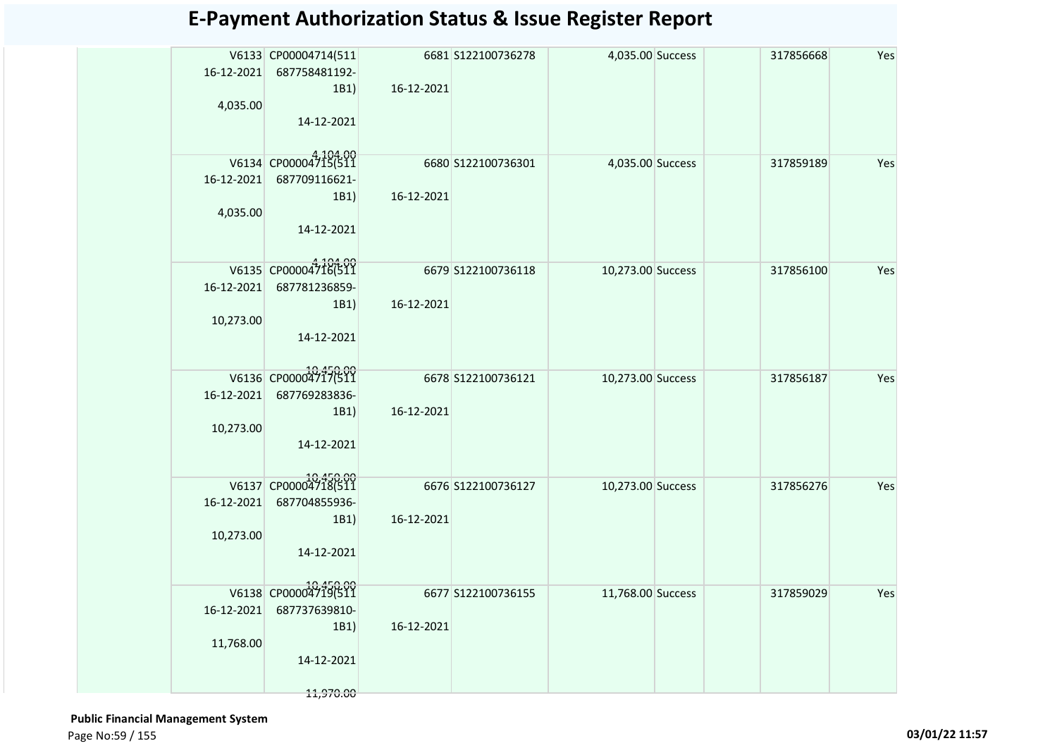| Yes<br>V6133 CP00004714(511<br>6681 S122100736278<br>4,035.00 Success<br>317856668<br>16-12-2021<br>687758481192-<br>16-12-2021<br>1B1<br>4,035.00<br>14-12-2021<br>V6134 CP00004715(511<br>6680 S122100736301<br>4,035.00 Success<br>317859189<br>Yes<br>16-12-2021<br>687709116621-<br>16-12-2021<br>1B1)<br>4,035.00<br>14-12-2021<br>V6135 CP00004716(511<br>6679 S122100736118<br>10,273.00 Success<br>317856100<br>Yes<br>687781236859-<br>16-12-2021<br>16-12-2021<br>1B1)<br>10,273.00<br>14-12-2021<br>V6136 CP00004717(511<br>6678 S122100736121<br>10,273.00 Success<br>Yes<br>317856187<br>16-12-2021<br>687769283836-<br>16-12-2021<br>1B1)<br>10,273.00<br>14-12-2021<br>V6137 CP00004718(511<br>6676 S122100736127<br>10,273.00 Success<br>Yes<br>317856276<br>687704855936-<br>16-12-2021<br>16-12-2021<br>1B1)<br>10,273.00<br>14-12-2021<br>V6138 CP00004719(511<br>6677 S122100736155<br>11,768.00 Success<br>317859029<br>Yes<br>687737639810-<br>16-12-2021<br>16-12-2021<br>1B1<br>11,768.00<br>14-12-2021 |  |  |  |  |
|----------------------------------------------------------------------------------------------------------------------------------------------------------------------------------------------------------------------------------------------------------------------------------------------------------------------------------------------------------------------------------------------------------------------------------------------------------------------------------------------------------------------------------------------------------------------------------------------------------------------------------------------------------------------------------------------------------------------------------------------------------------------------------------------------------------------------------------------------------------------------------------------------------------------------------------------------------------------------------------------------------------------------------|--|--|--|--|
|                                                                                                                                                                                                                                                                                                                                                                                                                                                                                                                                                                                                                                                                                                                                                                                                                                                                                                                                                                                                                                  |  |  |  |  |
|                                                                                                                                                                                                                                                                                                                                                                                                                                                                                                                                                                                                                                                                                                                                                                                                                                                                                                                                                                                                                                  |  |  |  |  |
|                                                                                                                                                                                                                                                                                                                                                                                                                                                                                                                                                                                                                                                                                                                                                                                                                                                                                                                                                                                                                                  |  |  |  |  |
|                                                                                                                                                                                                                                                                                                                                                                                                                                                                                                                                                                                                                                                                                                                                                                                                                                                                                                                                                                                                                                  |  |  |  |  |
|                                                                                                                                                                                                                                                                                                                                                                                                                                                                                                                                                                                                                                                                                                                                                                                                                                                                                                                                                                                                                                  |  |  |  |  |
|                                                                                                                                                                                                                                                                                                                                                                                                                                                                                                                                                                                                                                                                                                                                                                                                                                                                                                                                                                                                                                  |  |  |  |  |
|                                                                                                                                                                                                                                                                                                                                                                                                                                                                                                                                                                                                                                                                                                                                                                                                                                                                                                                                                                                                                                  |  |  |  |  |
|                                                                                                                                                                                                                                                                                                                                                                                                                                                                                                                                                                                                                                                                                                                                                                                                                                                                                                                                                                                                                                  |  |  |  |  |
|                                                                                                                                                                                                                                                                                                                                                                                                                                                                                                                                                                                                                                                                                                                                                                                                                                                                                                                                                                                                                                  |  |  |  |  |
|                                                                                                                                                                                                                                                                                                                                                                                                                                                                                                                                                                                                                                                                                                                                                                                                                                                                                                                                                                                                                                  |  |  |  |  |
|                                                                                                                                                                                                                                                                                                                                                                                                                                                                                                                                                                                                                                                                                                                                                                                                                                                                                                                                                                                                                                  |  |  |  |  |
|                                                                                                                                                                                                                                                                                                                                                                                                                                                                                                                                                                                                                                                                                                                                                                                                                                                                                                                                                                                                                                  |  |  |  |  |
|                                                                                                                                                                                                                                                                                                                                                                                                                                                                                                                                                                                                                                                                                                                                                                                                                                                                                                                                                                                                                                  |  |  |  |  |
|                                                                                                                                                                                                                                                                                                                                                                                                                                                                                                                                                                                                                                                                                                                                                                                                                                                                                                                                                                                                                                  |  |  |  |  |
|                                                                                                                                                                                                                                                                                                                                                                                                                                                                                                                                                                                                                                                                                                                                                                                                                                                                                                                                                                                                                                  |  |  |  |  |
|                                                                                                                                                                                                                                                                                                                                                                                                                                                                                                                                                                                                                                                                                                                                                                                                                                                                                                                                                                                                                                  |  |  |  |  |
|                                                                                                                                                                                                                                                                                                                                                                                                                                                                                                                                                                                                                                                                                                                                                                                                                                                                                                                                                                                                                                  |  |  |  |  |
|                                                                                                                                                                                                                                                                                                                                                                                                                                                                                                                                                                                                                                                                                                                                                                                                                                                                                                                                                                                                                                  |  |  |  |  |
|                                                                                                                                                                                                                                                                                                                                                                                                                                                                                                                                                                                                                                                                                                                                                                                                                                                                                                                                                                                                                                  |  |  |  |  |
|                                                                                                                                                                                                                                                                                                                                                                                                                                                                                                                                                                                                                                                                                                                                                                                                                                                                                                                                                                                                                                  |  |  |  |  |
|                                                                                                                                                                                                                                                                                                                                                                                                                                                                                                                                                                                                                                                                                                                                                                                                                                                                                                                                                                                                                                  |  |  |  |  |
|                                                                                                                                                                                                                                                                                                                                                                                                                                                                                                                                                                                                                                                                                                                                                                                                                                                                                                                                                                                                                                  |  |  |  |  |
|                                                                                                                                                                                                                                                                                                                                                                                                                                                                                                                                                                                                                                                                                                                                                                                                                                                                                                                                                                                                                                  |  |  |  |  |
|                                                                                                                                                                                                                                                                                                                                                                                                                                                                                                                                                                                                                                                                                                                                                                                                                                                                                                                                                                                                                                  |  |  |  |  |
|                                                                                                                                                                                                                                                                                                                                                                                                                                                                                                                                                                                                                                                                                                                                                                                                                                                                                                                                                                                                                                  |  |  |  |  |
|                                                                                                                                                                                                                                                                                                                                                                                                                                                                                                                                                                                                                                                                                                                                                                                                                                                                                                                                                                                                                                  |  |  |  |  |
|                                                                                                                                                                                                                                                                                                                                                                                                                                                                                                                                                                                                                                                                                                                                                                                                                                                                                                                                                                                                                                  |  |  |  |  |
|                                                                                                                                                                                                                                                                                                                                                                                                                                                                                                                                                                                                                                                                                                                                                                                                                                                                                                                                                                                                                                  |  |  |  |  |
|                                                                                                                                                                                                                                                                                                                                                                                                                                                                                                                                                                                                                                                                                                                                                                                                                                                                                                                                                                                                                                  |  |  |  |  |
|                                                                                                                                                                                                                                                                                                                                                                                                                                                                                                                                                                                                                                                                                                                                                                                                                                                                                                                                                                                                                                  |  |  |  |  |
|                                                                                                                                                                                                                                                                                                                                                                                                                                                                                                                                                                                                                                                                                                                                                                                                                                                                                                                                                                                                                                  |  |  |  |  |
|                                                                                                                                                                                                                                                                                                                                                                                                                                                                                                                                                                                                                                                                                                                                                                                                                                                                                                                                                                                                                                  |  |  |  |  |
|                                                                                                                                                                                                                                                                                                                                                                                                                                                                                                                                                                                                                                                                                                                                                                                                                                                                                                                                                                                                                                  |  |  |  |  |
|                                                                                                                                                                                                                                                                                                                                                                                                                                                                                                                                                                                                                                                                                                                                                                                                                                                                                                                                                                                                                                  |  |  |  |  |
| 11,970.00                                                                                                                                                                                                                                                                                                                                                                                                                                                                                                                                                                                                                                                                                                                                                                                                                                                                                                                                                                                                                        |  |  |  |  |

 **Public Financial Management System**  Page No:59 / 155 **03/01/22 11:57**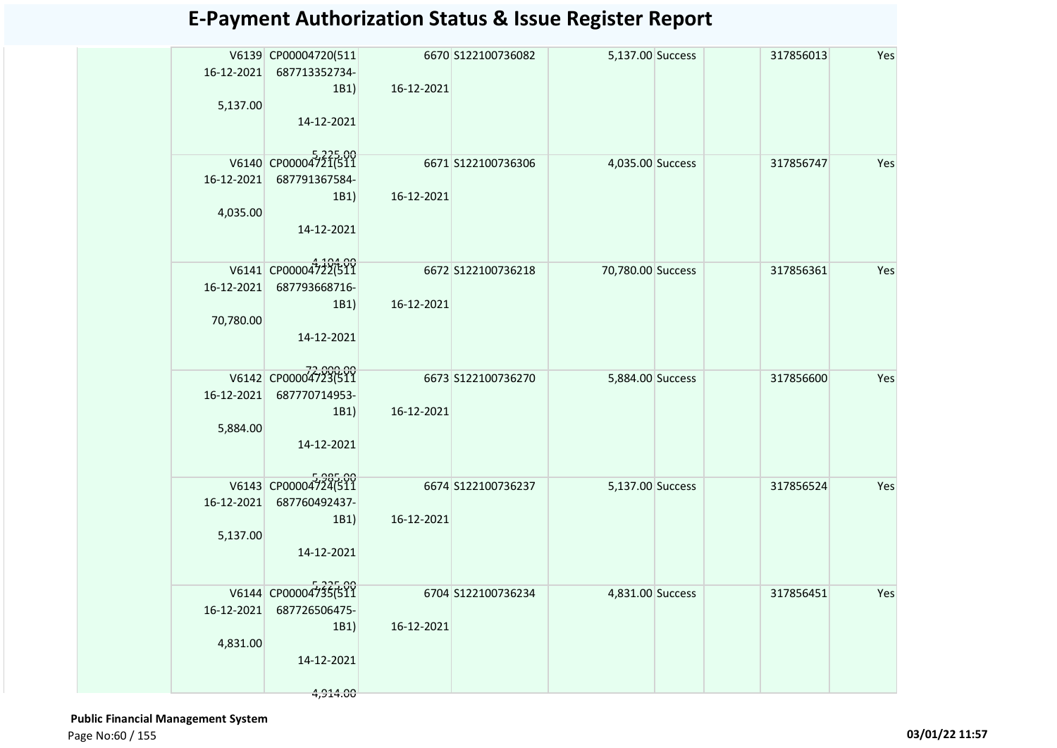|            | V6139 CP00004720(511<br>16-12-2021 687713352734-<br>1B1) | 16-12-2021 | 6670 S122100736082  | 5,137.00 Success  | 317856013 | Yes |
|------------|----------------------------------------------------------|------------|---------------------|-------------------|-----------|-----|
| 5,137.00   | 14-12-2021                                               |            |                     |                   |           |     |
|            | V6140 CP00004721(511                                     |            | 6671 S122100736306  | 4,035.00 Success  | 317856747 | Yes |
|            | 16-12-2021 687791367584-<br>1B1)                         | 16-12-2021 |                     |                   |           |     |
| 4,035.00   | 14-12-2021                                               |            |                     |                   |           |     |
| 16-12-2021 | V6141 CP00004722(511<br>687793668716-                    |            | 6672 \$122100736218 | 70,780.00 Success | 317856361 | Yes |
| 70,780.00  | 1B1)<br>14-12-2021                                       | 16-12-2021 |                     |                   |           |     |
|            | V6142 CP00004723(511                                     |            | 6673 S122100736270  | 5,884.00 Success  | 317856600 | Yes |
| 16-12-2021 | 687770714953-<br>1B1)                                    | 16-12-2021 |                     |                   |           |     |
| 5,884.00   | 14-12-2021                                               |            |                     |                   |           |     |
| 16-12-2021 | V6143 CP00004724(511<br>687760492437-                    |            | 6674 S122100736237  | 5,137.00 Success  | 317856524 | Yes |
|            | 1B1)                                                     | 16-12-2021 |                     |                   |           |     |
| 5,137.00   |                                                          |            |                     |                   |           |     |
|            | 14-12-2021                                               |            |                     |                   |           |     |
|            | V6144 CP00004735(511                                     |            | 6704 S122100736234  | 4,831.00 Success  | 317856451 | Yes |
| 16-12-2021 | 687726506475-                                            |            |                     |                   |           |     |
| 4,831.00   | 1B1)                                                     | 16-12-2021 |                     |                   |           |     |
|            | 14-12-2021                                               |            |                     |                   |           |     |
|            | 4,914.00                                                 |            |                     |                   |           |     |

 **Public Financial Management System**  Page No:60 / 155 **03/01/22 11:57**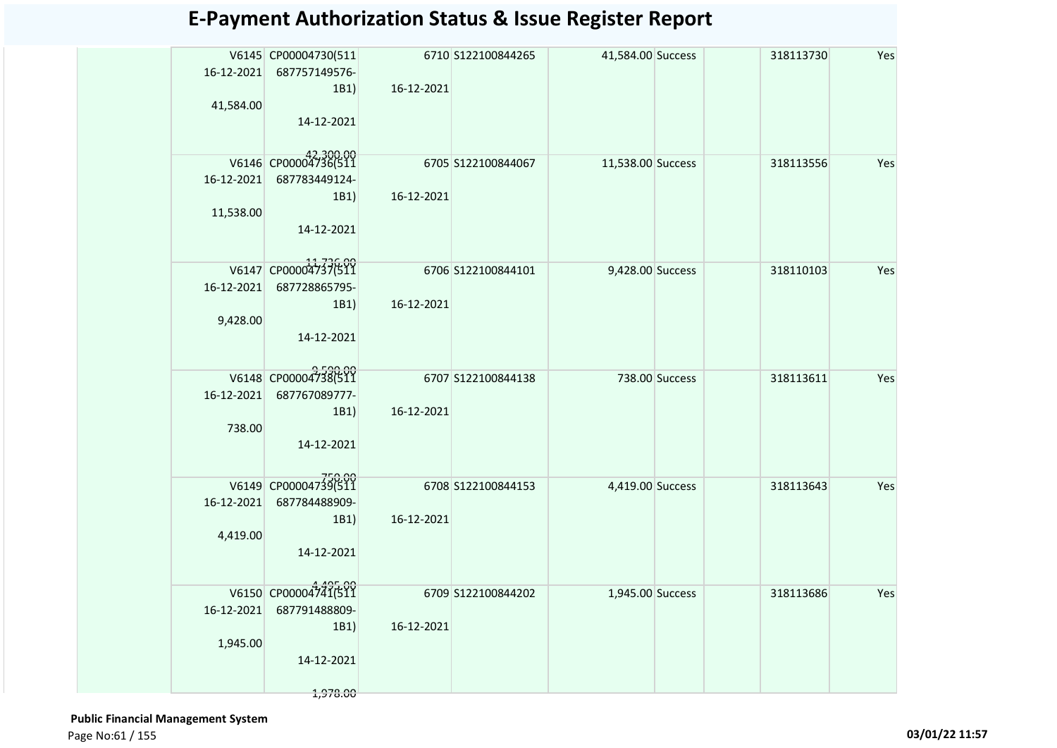| 16-12-2021 | V6145 CP00004730(511<br>687757149576-<br>1B1) | 16-12-2021 | 6710 S122100844265  | 41,584.00 Success |                | 318113730 | Yes |
|------------|-----------------------------------------------|------------|---------------------|-------------------|----------------|-----------|-----|
| 41,584.00  | 14-12-2021                                    |            |                     |                   |                |           |     |
|            | V6146 CP00004736(511                          |            | 6705 S122100844067  | 11,538.00 Success |                | 318113556 | Yes |
| 16-12-2021 | 687783449124-                                 |            |                     |                   |                |           |     |
|            | 1B1)                                          | 16-12-2021 |                     |                   |                |           |     |
| 11,538.00  |                                               |            |                     |                   |                |           |     |
|            | 14-12-2021                                    |            |                     |                   |                |           |     |
|            | V6147 CP00004737(511                          |            | 6706 S122100844101  | 9,428.00 Success  |                | 318110103 | Yes |
| 16-12-2021 | 687728865795-                                 |            |                     |                   |                |           |     |
|            | 1B1)                                          | 16-12-2021 |                     |                   |                |           |     |
| 9,428.00   |                                               |            |                     |                   |                |           |     |
|            | 14-12-2021                                    |            |                     |                   |                |           |     |
|            |                                               |            |                     |                   |                |           |     |
|            | V6148 CP00004738(511                          |            | 6707 S122100844138  |                   | 738.00 Success | 318113611 | Yes |
| 16-12-2021 | 687767089777-                                 |            |                     |                   |                |           |     |
|            | 1B1)                                          | 16-12-2021 |                     |                   |                |           |     |
| 738.00     |                                               |            |                     |                   |                |           |     |
|            | 14-12-2021                                    |            |                     |                   |                |           |     |
|            |                                               |            |                     |                   |                |           |     |
|            | V6149 CP00004739(511                          |            | 6708 \$122100844153 | 4,419.00 Success  |                | 318113643 | Yes |
| 16-12-2021 | 687784488909-                                 |            |                     |                   |                |           |     |
|            | 1B1)                                          | 16-12-2021 |                     |                   |                |           |     |
| 4,419.00   |                                               |            |                     |                   |                |           |     |
|            | 14-12-2021                                    |            |                     |                   |                |           |     |
|            |                                               |            |                     |                   |                |           |     |
|            | V6150 CP00004741(511                          |            | 6709 S122100844202  | 1,945.00 Success  |                | 318113686 | Yes |
| 16-12-2021 | 687791488809-                                 |            |                     |                   |                |           |     |
| 1,945.00   | 1B1)                                          | 16-12-2021 |                     |                   |                |           |     |
|            | 14-12-2021                                    |            |                     |                   |                |           |     |
|            |                                               |            |                     |                   |                |           |     |
|            | 1,978.00                                      |            |                     |                   |                |           |     |

 **Public Financial Management System**  Page No:61 / 155 **03/01/22 11:57**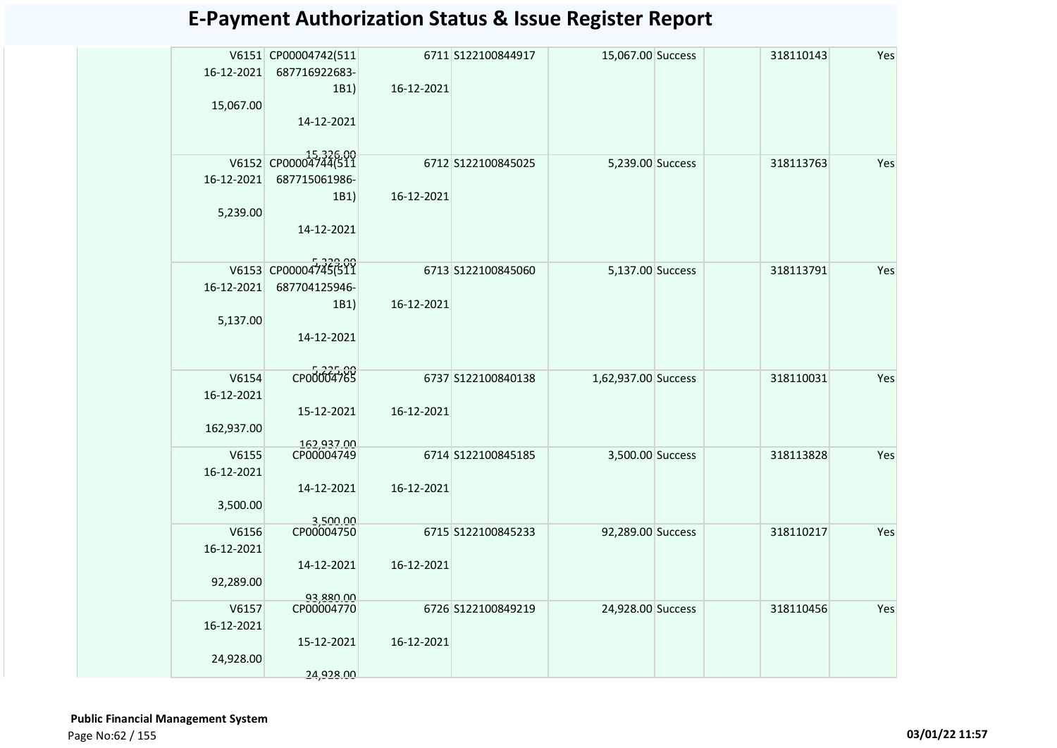|            | V6151 CP00004742(511    |            | 6711 S122100844917 | 15,067.00 Success   | 318110143 | Yes |
|------------|-------------------------|------------|--------------------|---------------------|-----------|-----|
| 16-12-2021 | 687716922683-           |            |                    |                     |           |     |
|            | 1B1)                    | 16-12-2021 |                    |                     |           |     |
| 15,067.00  |                         |            |                    |                     |           |     |
|            | 14-12-2021              |            |                    |                     |           |     |
|            |                         |            |                    |                     |           |     |
|            | V6152 CP00004744(511    |            |                    |                     |           |     |
| 16-12-2021 | 687715061986-           |            | 6712 S122100845025 | 5,239.00 Success    | 318113763 | Yes |
|            | 1B1)                    | 16-12-2021 |                    |                     |           |     |
| 5,239.00   |                         |            |                    |                     |           |     |
|            | 14-12-2021              |            |                    |                     |           |     |
|            |                         |            |                    |                     |           |     |
|            |                         |            |                    |                     |           |     |
|            | V6153 CP00004745(511    |            | 6713 S122100845060 | 5,137.00 Success    | 318113791 | Yes |
| 16-12-2021 | 687704125946-           |            |                    |                     |           |     |
|            | 1B1)                    | 16-12-2021 |                    |                     |           |     |
| 5,137.00   |                         |            |                    |                     |           |     |
|            | 14-12-2021              |            |                    |                     |           |     |
|            |                         |            |                    |                     |           |     |
| V6154      | CP00004765              |            | 6737 S122100840138 | 1,62,937.00 Success | 318110031 | Yes |
| 16-12-2021 |                         |            |                    |                     |           |     |
|            | 15-12-2021              | 16-12-2021 |                    |                     |           |     |
| 162,937.00 |                         |            |                    |                     |           |     |
|            | 162,937.00              |            |                    |                     |           |     |
| V6155      | CP00004749              |            | 6714 S122100845185 | 3,500.00 Success    | 318113828 | Yes |
| 16-12-2021 |                         |            |                    |                     |           |     |
|            | 14-12-2021              | 16-12-2021 |                    |                     |           |     |
| 3,500.00   |                         |            |                    |                     |           |     |
| V6156      | 3,500.00<br>CP00004750  |            | 6715 S122100845233 | 92,289.00 Success   | 318110217 | Yes |
| 16-12-2021 |                         |            |                    |                     |           |     |
|            | 14-12-2021              | 16-12-2021 |                    |                     |           |     |
| 92,289.00  |                         |            |                    |                     |           |     |
|            | 93,880.00<br>CP00004770 |            |                    |                     |           |     |
| V6157      |                         |            | 6726 S122100849219 | 24,928.00 Success   | 318110456 | Yes |
| 16-12-2021 |                         |            |                    |                     |           |     |
|            | 15-12-2021              | 16-12-2021 |                    |                     |           |     |
| 24,928.00  |                         |            |                    |                     |           |     |
|            | 24,928.00               |            |                    |                     |           |     |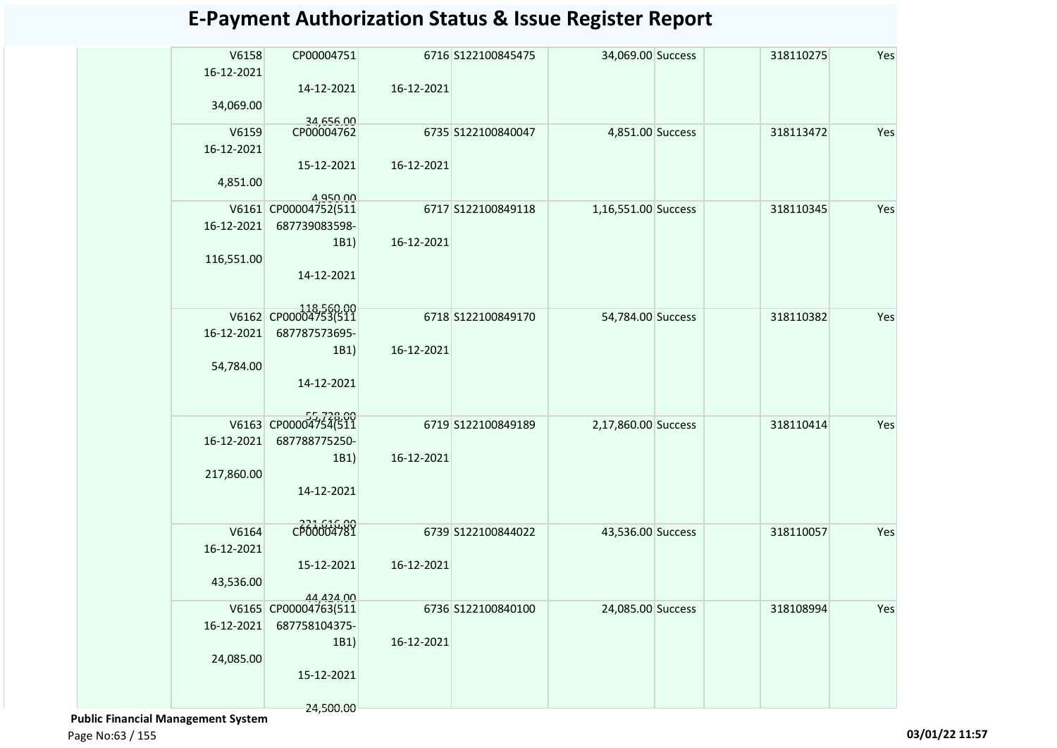| V6158<br>16-12-2021 | CP00004751                            |            | 6716 S122100845475 | 34,069.00 Success   | 318110275 | Yes |
|---------------------|---------------------------------------|------------|--------------------|---------------------|-----------|-----|
| 34,069.00           | 14-12-2021                            | 16-12-2021 |                    |                     |           |     |
| V6159               | 34,656.00<br>CP00004762               |            | 6735 S122100840047 | 4,851.00 Success    | 318113472 | Yes |
| 16-12-2021          |                                       |            |                    |                     |           |     |
|                     | 15-12-2021                            | 16-12-2021 |                    |                     |           |     |
| 4,851.00            |                                       |            |                    |                     |           |     |
|                     |                                       |            |                    |                     |           |     |
|                     | 4,950.00<br>V6161 CP00004752(511      |            | 6717 S122100849118 | 1,16,551.00 Success | 318110345 | Yes |
| 16-12-2021          | 687739083598-                         |            |                    |                     |           |     |
|                     | 1B1)                                  | 16-12-2021 |                    |                     |           |     |
| 116,551.00          |                                       |            |                    |                     |           |     |
|                     | 14-12-2021                            |            |                    |                     |           |     |
|                     |                                       |            |                    |                     |           |     |
|                     | V6162 CP00004753(511                  |            | 6718 S122100849170 | 54,784.00 Success   | 318110382 | Yes |
| 16-12-2021          | 687787573695-                         |            |                    |                     |           |     |
|                     | 1B1)                                  | 16-12-2021 |                    |                     |           |     |
| 54,784.00           |                                       |            |                    |                     |           |     |
|                     | 14-12-2021                            |            |                    |                     |           |     |
|                     |                                       |            |                    |                     |           |     |
|                     |                                       |            |                    |                     |           |     |
|                     | V6163 CP000047546511                  |            | 6719 S122100849189 | 2,17,860.00 Success | 318110414 | Yes |
| 16-12-2021          | 687788775250-                         |            |                    |                     |           |     |
|                     | 1B1)                                  | 16-12-2021 |                    |                     |           |     |
| 217,860.00          |                                       |            |                    |                     |           |     |
|                     | 14-12-2021                            |            |                    |                     |           |     |
|                     |                                       |            |                    |                     |           |     |
| V6164               | CP00004781                            |            | 6739 S122100844022 | 43,536.00 Success   | 318110057 | Yes |
| 16-12-2021          |                                       |            |                    |                     |           |     |
|                     | 15-12-2021                            | 16-12-2021 |                    |                     |           |     |
| 43,536.00           |                                       |            |                    |                     |           |     |
|                     | 44,424.00                             |            |                    |                     |           |     |
| 16-12-2021          | V6165 CP00004763(511<br>687758104375- |            | 6736 S122100840100 | 24,085.00 Success   | 318108994 | Yes |
|                     | 1B1)                                  | 16-12-2021 |                    |                     |           |     |
| 24,085.00           |                                       |            |                    |                     |           |     |
|                     | 15-12-2021                            |            |                    |                     |           |     |
|                     |                                       |            |                    |                     |           |     |
|                     |                                       |            |                    |                     |           |     |

 **Public Financial Management System** 

24,500.00

Page No:63 / 155 **03/01/22 11:57**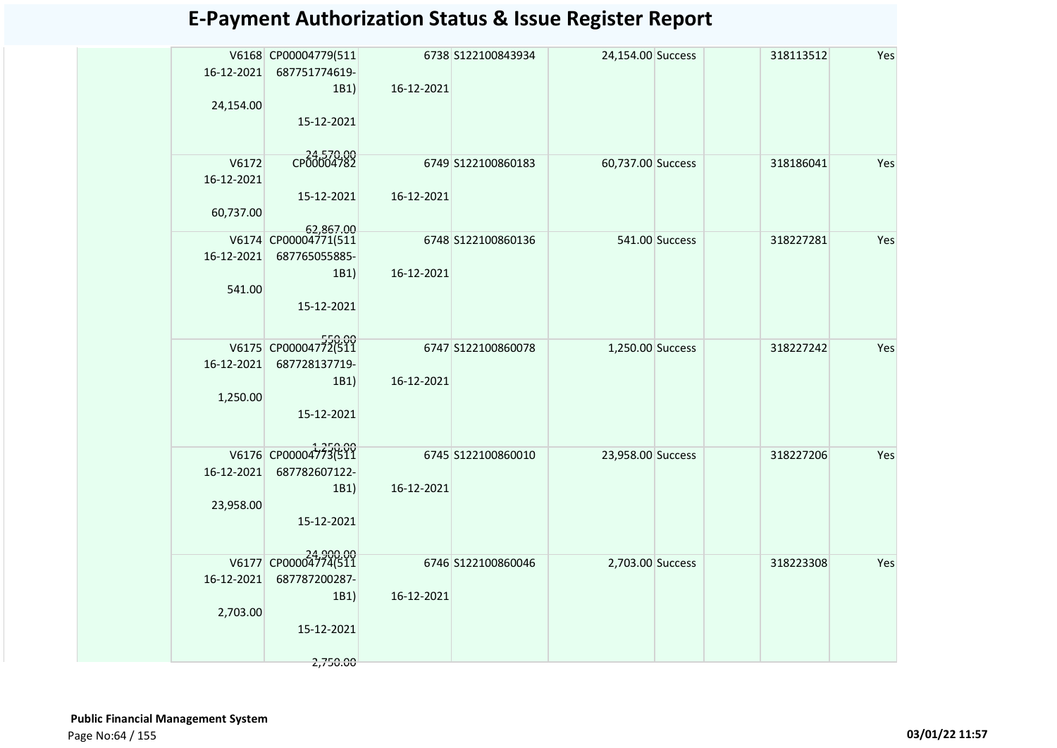|            | V6168 CP00004779(511              |            | 6738 S122100843934 | 24,154.00 Success |                | 318113512 | Yes |
|------------|-----------------------------------|------------|--------------------|-------------------|----------------|-----------|-----|
| 16-12-2021 | 687751774619-                     |            |                    |                   |                |           |     |
|            | 1B1)                              | 16-12-2021 |                    |                   |                |           |     |
| 24,154.00  |                                   |            |                    |                   |                |           |     |
|            | 15-12-2021                        |            |                    |                   |                |           |     |
|            |                                   |            |                    |                   |                |           |     |
| V6172      | CP00004782                        |            | 6749 S122100860183 | 60,737.00 Success |                | 318186041 | Yes |
| 16-12-2021 |                                   |            |                    |                   |                |           |     |
|            | 15-12-2021                        | 16-12-2021 |                    |                   |                |           |     |
| 60,737.00  |                                   |            |                    |                   |                |           |     |
|            | 62,867.00<br>V6174 CP00004771(511 |            | 6748 S122100860136 |                   | 541.00 Success | 318227281 | Yes |
| 16-12-2021 | 687765055885-                     |            |                    |                   |                |           |     |
|            | 1B1)                              | 16-12-2021 |                    |                   |                |           |     |
| 541.00     |                                   |            |                    |                   |                |           |     |
|            | 15-12-2021                        |            |                    |                   |                |           |     |
|            |                                   |            |                    |                   |                |           |     |
|            | V6175 CP00004772(511              |            | 6747 S122100860078 | 1,250.00 Success  |                | 318227242 | Yes |
| 16-12-2021 | 687728137719-                     |            |                    |                   |                |           |     |
|            | 1B1)                              | 16-12-2021 |                    |                   |                |           |     |
| 1,250.00   |                                   |            |                    |                   |                |           |     |
|            | 15-12-2021                        |            |                    |                   |                |           |     |
|            |                                   |            |                    |                   |                |           |     |
|            | V6176 CP00004773(511              |            | 6745 S122100860010 | 23,958.00 Success |                | 318227206 | Yes |
| 16-12-2021 | 687782607122-                     |            |                    |                   |                |           |     |
|            | 1B1)                              | 16-12-2021 |                    |                   |                |           |     |
| 23,958.00  |                                   |            |                    |                   |                |           |     |
|            | 15-12-2021                        |            |                    |                   |                |           |     |
|            |                                   |            |                    |                   |                |           |     |
|            | V6177 CP00004774(511              |            | 6746 S122100860046 | 2,703.00 Success  |                | 318223308 | Yes |
| 16-12-2021 | 687787200287-                     |            |                    |                   |                |           |     |
|            | 1B1)                              | 16-12-2021 |                    |                   |                |           |     |
| 2,703.00   | 15-12-2021                        |            |                    |                   |                |           |     |
|            |                                   |            |                    |                   |                |           |     |
|            | 2,750.00                          |            |                    |                   |                |           |     |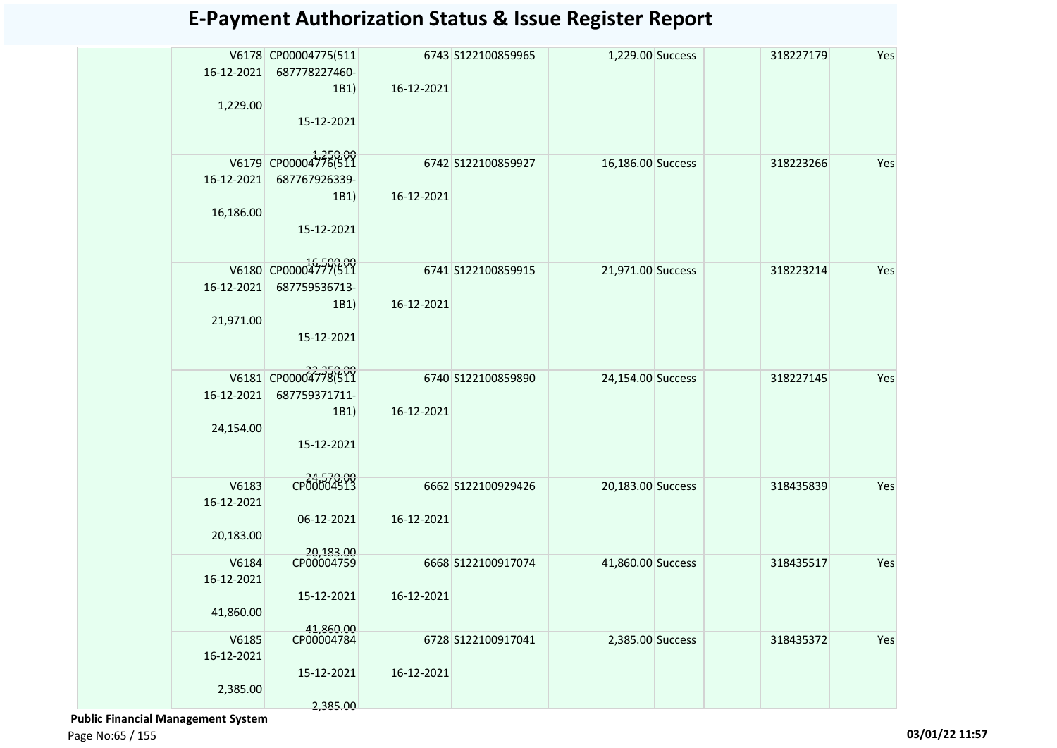|            | V6178 CP00004775(511    |            | 6743 S122100859965 | 1,229.00 Success  | 318227179 | Yes |
|------------|-------------------------|------------|--------------------|-------------------|-----------|-----|
| 16-12-2021 | 687778227460-           |            |                    |                   |           |     |
|            | 1B1)                    | 16-12-2021 |                    |                   |           |     |
| 1,229.00   |                         |            |                    |                   |           |     |
|            | 15-12-2021              |            |                    |                   |           |     |
|            |                         |            |                    |                   |           |     |
|            |                         |            |                    |                   |           |     |
|            | V6179 CP00004776(511    |            | 6742 S122100859927 | 16,186.00 Success | 318223266 | Yes |
| 16-12-2021 | 687767926339-           |            |                    |                   |           |     |
|            | 1B1)                    | 16-12-2021 |                    |                   |           |     |
| 16,186.00  |                         |            |                    |                   |           |     |
|            | 15-12-2021              |            |                    |                   |           |     |
|            |                         |            |                    |                   |           |     |
|            | V6180 CP00004777(511    |            | 6741 S122100859915 | 21,971.00 Success | 318223214 | Yes |
| 16-12-2021 | 687759536713-           |            |                    |                   |           |     |
|            | 1B1)                    | 16-12-2021 |                    |                   |           |     |
| 21,971.00  |                         |            |                    |                   |           |     |
|            | 15-12-2021              |            |                    |                   |           |     |
|            |                         |            |                    |                   |           |     |
|            |                         |            |                    |                   |           |     |
|            | V6181 CP00004778(511    |            | 6740 S122100859890 | 24,154.00 Success | 318227145 | Yes |
| 16-12-2021 | 687759371711-           |            |                    |                   |           |     |
|            | 1B1)                    | 16-12-2021 |                    |                   |           |     |
| 24,154.00  |                         |            |                    |                   |           |     |
|            | 15-12-2021              |            |                    |                   |           |     |
|            |                         |            |                    |                   |           |     |
| V6183      | CP00004513              |            | 6662 S122100929426 | 20,183.00 Success | 318435839 | Yes |
| 16-12-2021 |                         |            |                    |                   |           |     |
|            | 06-12-2021              | 16-12-2021 |                    |                   |           |     |
| 20,183.00  |                         |            |                    |                   |           |     |
|            |                         |            |                    |                   |           |     |
| V6184      | 20,183.00<br>CP00004759 |            | 6668 S122100917074 | 41,860.00 Success | 318435517 | Yes |
| 16-12-2021 |                         |            |                    |                   |           |     |
|            | 15-12-2021              | 16-12-2021 |                    |                   |           |     |
| 41,860.00  |                         |            |                    |                   |           |     |
|            | 41.860.00               |            |                    |                   |           |     |
| V6185      | CP00004784              |            | 6728 S122100917041 | 2,385.00 Success  | 318435372 | Yes |
| 16-12-2021 |                         |            |                    |                   |           |     |
|            | 15-12-2021              | 16-12-2021 |                    |                   |           |     |
| 2,385.00   |                         |            |                    |                   |           |     |
|            | 2,385.00                |            |                    |                   |           |     |

 **Public Financial Management System**  Page No:65 / 155 **03/01/22 11:57**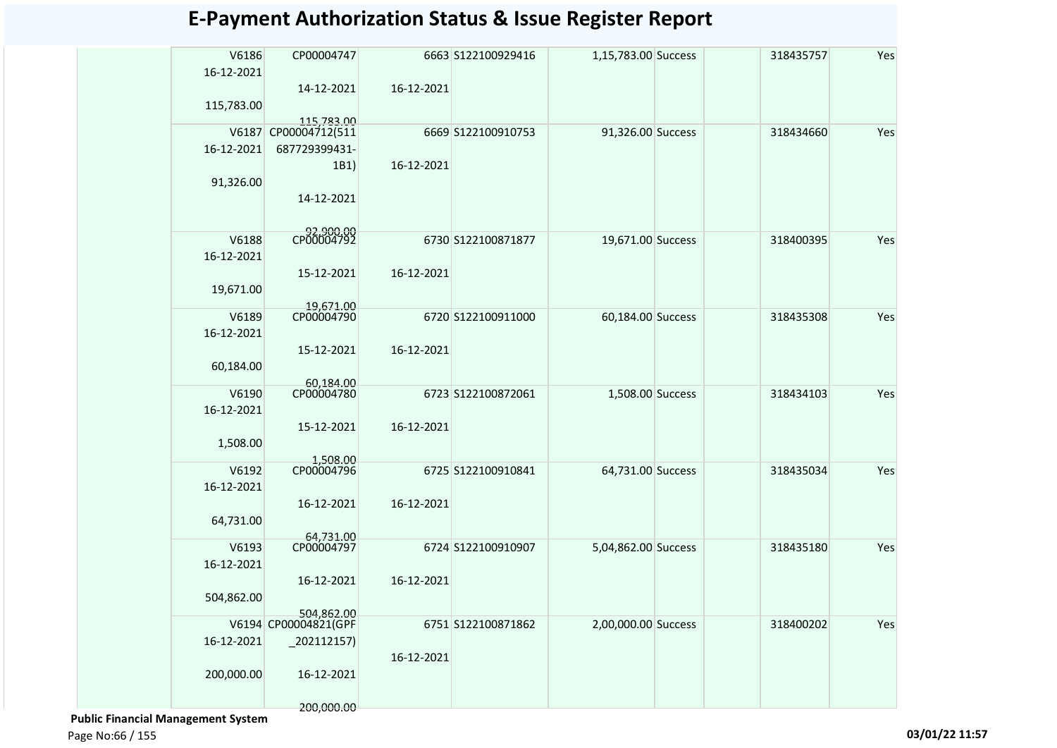| V6186<br>16-12-2021 | CP00004747           |            | 6663 S122100929416 | 1,15,783.00 Success | 318435757 | Yes |
|---------------------|----------------------|------------|--------------------|---------------------|-----------|-----|
|                     | 14-12-2021           | 16-12-2021 |                    |                     |           |     |
| 115,783.00          | 115.783.00           |            |                    |                     |           |     |
| V6187               | CP00004712(511       |            | 6669 S122100910753 | 91,326.00 Success   | 318434660 | Yes |
| 16-12-2021          | 687729399431-        |            |                    |                     |           |     |
|                     | 1B1)                 | 16-12-2021 |                    |                     |           |     |
| 91,326.00           |                      |            |                    |                     |           |     |
|                     | 14-12-2021           |            |                    |                     |           |     |
| V6188               | CP00004792           |            | 6730 S122100871877 | 19,671.00 Success   | 318400395 | Yes |
| 16-12-2021          |                      |            |                    |                     |           |     |
|                     | 15-12-2021           | 16-12-2021 |                    |                     |           |     |
| 19,671.00           |                      |            |                    |                     |           |     |
|                     | 19,671.00            |            |                    |                     |           |     |
| V6189<br>16-12-2021 | CP00004790           |            | 6720 S122100911000 | 60,184.00 Success   | 318435308 | Yes |
|                     | 15-12-2021           | 16-12-2021 |                    |                     |           |     |
| 60,184.00           |                      |            |                    |                     |           |     |
|                     | 60,184.00            |            |                    |                     |           |     |
| V6190<br>16-12-2021 | CP00004780           |            | 6723 S122100872061 | 1,508.00 Success    | 318434103 | Yes |
|                     | 15-12-2021           | 16-12-2021 |                    |                     |           |     |
| 1,508.00            |                      |            |                    |                     |           |     |
|                     | 1,508.00             |            |                    |                     |           |     |
| V6192               | CP00004796           |            | 6725 S122100910841 | 64,731.00 Success   | 318435034 | Yes |
| 16-12-2021          | 16-12-2021           | 16-12-2021 |                    |                     |           |     |
| 64,731.00           |                      |            |                    |                     |           |     |
|                     | 64,731.00            |            |                    |                     |           |     |
| V6193               | CP00004797           |            | 6724 S122100910907 | 5,04,862.00 Success | 318435180 | Yes |
| 16-12-2021          |                      |            |                    |                     |           |     |
| 504,862.00          | 16-12-2021           | 16-12-2021 |                    |                     |           |     |
|                     | 504,862.00           |            |                    |                     |           |     |
|                     | V6194 CP00004821(GPF |            | 6751 S122100871862 | 2,00,000.00 Success | 318400202 | Yes |
| 16-12-2021          | $_202112157)$        |            |                    |                     |           |     |
|                     |                      | 16-12-2021 |                    |                     |           |     |
| 200,000.00          | 16-12-2021           |            |                    |                     |           |     |
|                     | 200,000.00           |            |                    |                     |           |     |

 **Public Financial Management System** 

Page No:66 / 155 **03/01/22 11:57**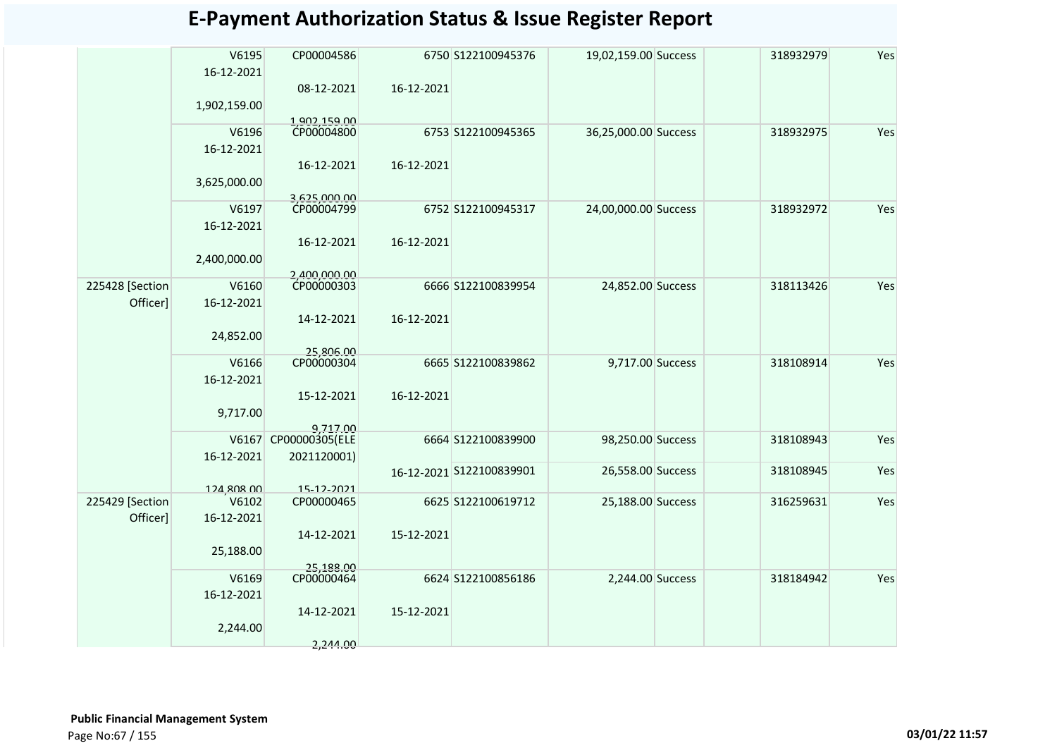|                 | V6195<br>16-12-2021 | CP00004586<br>08-12-2021      | 16-12-2021 | 6750 S122100945376       | 19,02,159.00 Success | 318932979 | Yes |
|-----------------|---------------------|-------------------------------|------------|--------------------------|----------------------|-----------|-----|
|                 | 1,902,159.00        |                               |            |                          |                      |           |     |
|                 | V6196               | 1,902,159.00<br>CP00004800    |            | 6753 S122100945365       | 36,25,000.00 Success | 318932975 | Yes |
|                 | 16-12-2021          |                               |            |                          |                      |           |     |
|                 | 3,625,000.00        | 16-12-2021                    | 16-12-2021 |                          |                      |           |     |
|                 | V6197               | 3,625,000.00<br>CP00004799    |            | 6752 S122100945317       | 24,00,000.00 Success | 318932972 | Yes |
|                 | 16-12-2021          |                               |            |                          |                      |           |     |
|                 |                     | 16-12-2021                    | 16-12-2021 |                          |                      |           |     |
|                 | 2,400,000.00        |                               |            |                          |                      |           |     |
| 225428 [Section | V6160               | 2,400,000.00<br>CP00000303    |            | 6666 S122100839954       | 24,852.00 Success    | 318113426 | Yes |
| Officer]        | 16-12-2021          |                               |            |                          |                      |           |     |
|                 |                     | 14-12-2021                    | 16-12-2021 |                          |                      |           |     |
|                 | 24,852.00           | 25,806.00                     |            |                          |                      |           |     |
|                 | V6166               | CP00000304                    |            | 6665 S122100839862       | 9,717.00 Success     | 318108914 | Yes |
|                 | 16-12-2021          | 15-12-2021                    | 16-12-2021 |                          |                      |           |     |
|                 | 9,717.00            |                               |            |                          |                      |           |     |
|                 |                     | 9.717.00                      |            |                          |                      |           |     |
|                 | V6167<br>16-12-2021 | CP00000305(ELE<br>2021120001) |            | 6664 S122100839900       | 98,250.00 Success    | 318108943 | Yes |
|                 |                     |                               |            | 16-12-2021 S122100839901 | 26,558.00 Success    | 318108945 | Yes |
|                 | 124,808.00          | 15-12-2021                    |            |                          |                      |           |     |
| 225429 [Section | V6102               | CP00000465                    |            | 6625 S122100619712       | 25,188.00 Success    | 316259631 | Yes |
| Officer]        | 16-12-2021          |                               |            |                          |                      |           |     |
|                 |                     | 14-12-2021                    | 15-12-2021 |                          |                      |           |     |
|                 | 25,188.00           |                               |            |                          |                      |           |     |
|                 |                     | 25,188.00                     |            |                          |                      |           |     |
|                 | V6169               | CP00000464                    |            | 6624 S122100856186       | 2,244.00 Success     | 318184942 | Yes |
|                 | 16-12-2021          |                               |            |                          |                      |           |     |
|                 |                     | 14-12-2021                    | 15-12-2021 |                          |                      |           |     |
|                 | 2,244.00            |                               |            |                          |                      |           |     |
|                 |                     | 2,244.00                      |            |                          |                      |           |     |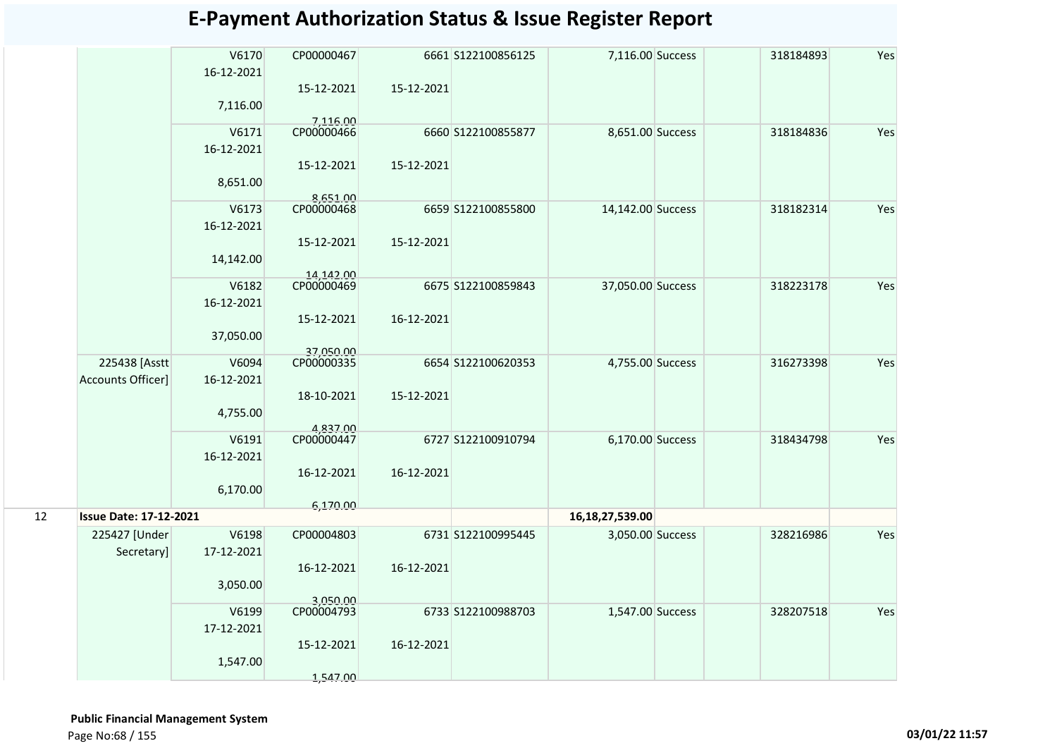|    |                               | V6170<br>16-12-2021 | CP00000467              |            | 6661 S122100856125 | 7,116.00 Success   | 318184893 | Yes |
|----|-------------------------------|---------------------|-------------------------|------------|--------------------|--------------------|-----------|-----|
|    |                               |                     | 15-12-2021              | 15-12-2021 |                    |                    |           |     |
|    |                               | 7,116.00            |                         |            |                    |                    |           |     |
|    |                               | V6171               | 7,116.00<br>CP00000466  |            | 6660 S122100855877 | 8,651.00 Success   | 318184836 | Yes |
|    |                               | 16-12-2021          |                         |            |                    |                    |           |     |
|    |                               |                     | 15-12-2021              | 15-12-2021 |                    |                    |           |     |
|    |                               | 8,651.00            |                         |            |                    |                    |           |     |
|    |                               | V6173               | 8,651.00<br>CP00000468  |            | 6659 S122100855800 | 14,142.00 Success  | 318182314 | Yes |
|    |                               | 16-12-2021          |                         |            |                    |                    |           |     |
|    |                               |                     | 15-12-2021              | 15-12-2021 |                    |                    |           |     |
|    |                               | 14,142.00           |                         |            |                    |                    |           |     |
|    |                               | V6182               | 14,142.00<br>CP00000469 |            | 6675 S122100859843 | 37,050.00 Success  | 318223178 | Yes |
|    |                               | 16-12-2021          |                         |            |                    |                    |           |     |
|    |                               |                     | 15-12-2021              | 16-12-2021 |                    |                    |           |     |
|    |                               | 37,050.00           |                         |            |                    |                    |           |     |
|    |                               |                     | 37,050.00               |            |                    |                    |           |     |
|    | 225438 [Asstt                 | V6094               | CP00000335              |            | 6654 S122100620353 | 4,755.00 Success   | 316273398 | Yes |
|    | <b>Accounts Officer]</b>      | 16-12-2021          |                         |            |                    |                    |           |     |
|    |                               |                     | 18-10-2021              | 15-12-2021 |                    |                    |           |     |
|    |                               | 4,755.00            |                         |            |                    |                    |           |     |
|    |                               |                     | 4,837.00<br>CP00000447  |            |                    |                    |           |     |
|    |                               | V6191               |                         |            | 6727 S122100910794 | 6,170.00 Success   | 318434798 | Yes |
|    |                               | 16-12-2021          | 16-12-2021              | 16-12-2021 |                    |                    |           |     |
|    |                               | 6,170.00            |                         |            |                    |                    |           |     |
|    |                               |                     | 6,170.00                |            |                    |                    |           |     |
| 12 | <b>Issue Date: 17-12-2021</b> |                     |                         |            |                    | 16, 18, 27, 539.00 |           |     |
|    | 225427 [Under                 | V6198               | CP00004803              |            | 6731 S122100995445 | 3,050.00 Success   | 328216986 | Yes |
|    | Secretary]                    | 17-12-2021          |                         |            |                    |                    |           |     |
|    |                               |                     | 16-12-2021              | 16-12-2021 |                    |                    |           |     |
|    |                               | 3,050.00            |                         |            |                    |                    |           |     |
|    |                               |                     | 3.050.00                |            |                    |                    |           |     |
|    |                               | V6199               | CP00004793              |            | 6733 S122100988703 | 1,547.00 Success   | 328207518 | Yes |
|    |                               | 17-12-2021          |                         |            |                    |                    |           |     |
|    |                               |                     | 15-12-2021              | 16-12-2021 |                    |                    |           |     |
|    |                               | 1,547.00            |                         |            |                    |                    |           |     |
|    |                               |                     | 1,547.00                |            |                    |                    |           |     |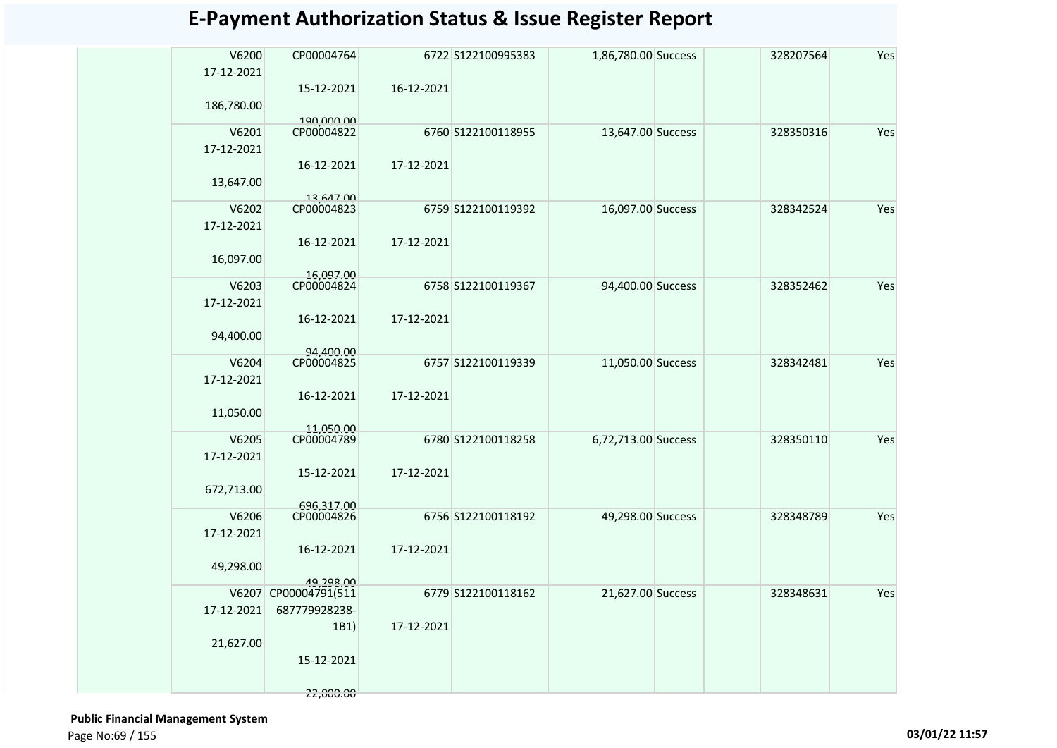| V6200<br>17-12-2021 | CP00004764               |            | 6722 S122100995383 | 1,86,780.00 Success | 328207564 | Yes |
|---------------------|--------------------------|------------|--------------------|---------------------|-----------|-----|
|                     | 15-12-2021               | 16-12-2021 |                    |                     |           |     |
| 186,780.00          |                          |            |                    |                     |           |     |
| V6201               | 190,000.00<br>CP00004822 |            | 6760 S122100118955 | 13,647.00 Success   | 328350316 | Yes |
| 17-12-2021          |                          | 17-12-2021 |                    |                     |           |     |
| 13,647.00           | 16-12-2021               |            |                    |                     |           |     |
| V6202               | 13.647.00<br>CP00004823  |            | 6759 S122100119392 | 16,097.00 Success   | 328342524 | Yes |
| 17-12-2021          |                          |            |                    |                     |           |     |
|                     | 16-12-2021               | 17-12-2021 |                    |                     |           |     |
| 16,097.00           |                          |            |                    |                     |           |     |
| V6203               | 16,097.00<br>CP00004824  |            | 6758 S122100119367 | 94,400.00 Success   | 328352462 | Yes |
| 17-12-2021          |                          |            |                    |                     |           |     |
| 94,400.00           | 16-12-2021               | 17-12-2021 |                    |                     |           |     |
|                     | 94,400.00                |            |                    |                     |           |     |
| V6204               | CP00004825               |            | 6757 S122100119339 | 11,050.00 Success   | 328342481 | Yes |
| 17-12-2021          | 16-12-2021               | 17-12-2021 |                    |                     |           |     |
| 11,050.00           |                          |            |                    |                     |           |     |
| V6205               | 11,050.00<br>CP00004789  |            | 6780 S122100118258 | 6,72,713.00 Success | 328350110 | Yes |
| 17-12-2021          |                          |            |                    |                     |           |     |
|                     | 15-12-2021               | 17-12-2021 |                    |                     |           |     |
| 672,713.00          |                          |            |                    |                     |           |     |
| V6206               | 696,317.00<br>CP00004826 |            | 6756 S122100118192 | 49,298.00 Success   | 328348789 | Yes |
| 17-12-2021          |                          |            |                    |                     |           |     |
| 49,298.00           | 16-12-2021               | 17-12-2021 |                    |                     |           |     |
|                     | 19.298.00                |            |                    |                     |           |     |
|                     | V6207 CP00004791(511     |            | 6779 S122100118162 | 21,627.00 Success   | 328348631 | Yes |
| 17-12-2021          | 687779928238-            |            |                    |                     |           |     |
| 21,627.00           | 1B1)                     | 17-12-2021 |                    |                     |           |     |
|                     | 15-12-2021               |            |                    |                     |           |     |
|                     | 22,000.00                |            |                    |                     |           |     |
|                     |                          |            |                    |                     |           |     |

 **Public Financial Management System**  Page No:69 / 155 **03/01/22 11:57**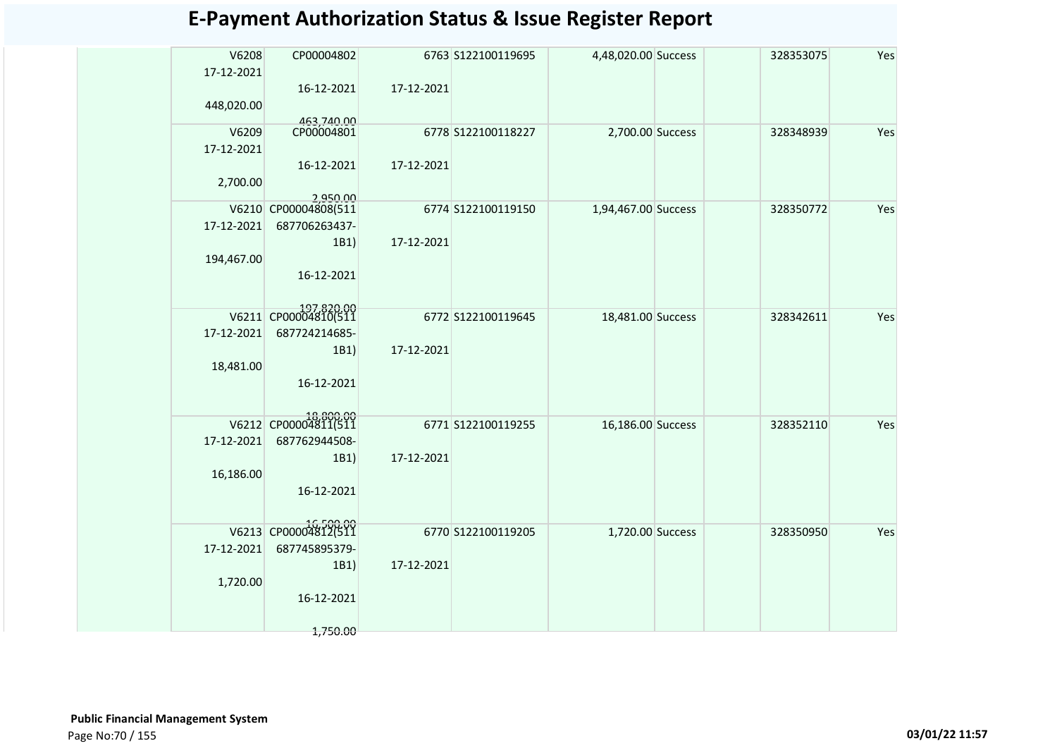| V6208<br>17-12-2021 | CP00004802               |            | 6763 S122100119695 | 4,48,020.00 Success | 328353075 | Yes |
|---------------------|--------------------------|------------|--------------------|---------------------|-----------|-----|
|                     | 16-12-2021               | 17-12-2021 |                    |                     |           |     |
| 448,020.00          |                          |            |                    |                     |           |     |
| V6209               | 463,740.00<br>CP00004801 |            | 6778 S122100118227 | 2,700.00 Success    | 328348939 | Yes |
| 17-12-2021          |                          |            |                    |                     |           |     |
|                     | 16-12-2021               | 17-12-2021 |                    |                     |           |     |
| 2,700.00            |                          |            |                    |                     |           |     |
|                     | 2,950.00                 |            |                    |                     |           |     |
|                     | V6210 CP00004808(511     |            | 6774 S122100119150 | 1,94,467.00 Success | 328350772 | Yes |
| 17-12-2021          | 687706263437-            |            |                    |                     |           |     |
|                     | 1B1)                     | 17-12-2021 |                    |                     |           |     |
| 194,467.00          |                          |            |                    |                     |           |     |
|                     | 16-12-2021               |            |                    |                     |           |     |
|                     |                          |            |                    |                     |           |     |
|                     | V6211 CP00004810(511     |            | 6772 S122100119645 | 18,481.00 Success   | 328342611 | Yes |
| 17-12-2021          | 687724214685-            |            |                    |                     |           |     |
|                     | 1B1)                     | 17-12-2021 |                    |                     |           |     |
| 18,481.00           |                          |            |                    |                     |           |     |
|                     | 16-12-2021               |            |                    |                     |           |     |
|                     |                          |            |                    |                     |           |     |
|                     | V6212 CP00004811(511     |            | 6771 S122100119255 | 16,186.00 Success   | 328352110 | Yes |
| 17-12-2021          | 687762944508-            |            |                    |                     |           |     |
|                     | 1B1)                     | 17-12-2021 |                    |                     |           |     |
| 16,186.00           |                          |            |                    |                     |           |     |
|                     | 16-12-2021               |            |                    |                     |           |     |
|                     |                          |            |                    |                     |           |     |
|                     | V6213 CP00004812(511     |            | 6770 S122100119205 | 1,720.00 Success    | 328350950 | Yes |
| 17-12-2021          | 687745895379-            |            |                    |                     |           |     |
|                     | 1B1)                     | 17-12-2021 |                    |                     |           |     |
| 1,720.00            |                          |            |                    |                     |           |     |
|                     | 16-12-2021               |            |                    |                     |           |     |
|                     |                          |            |                    |                     |           |     |
|                     | 1,750.00                 |            |                    |                     |           |     |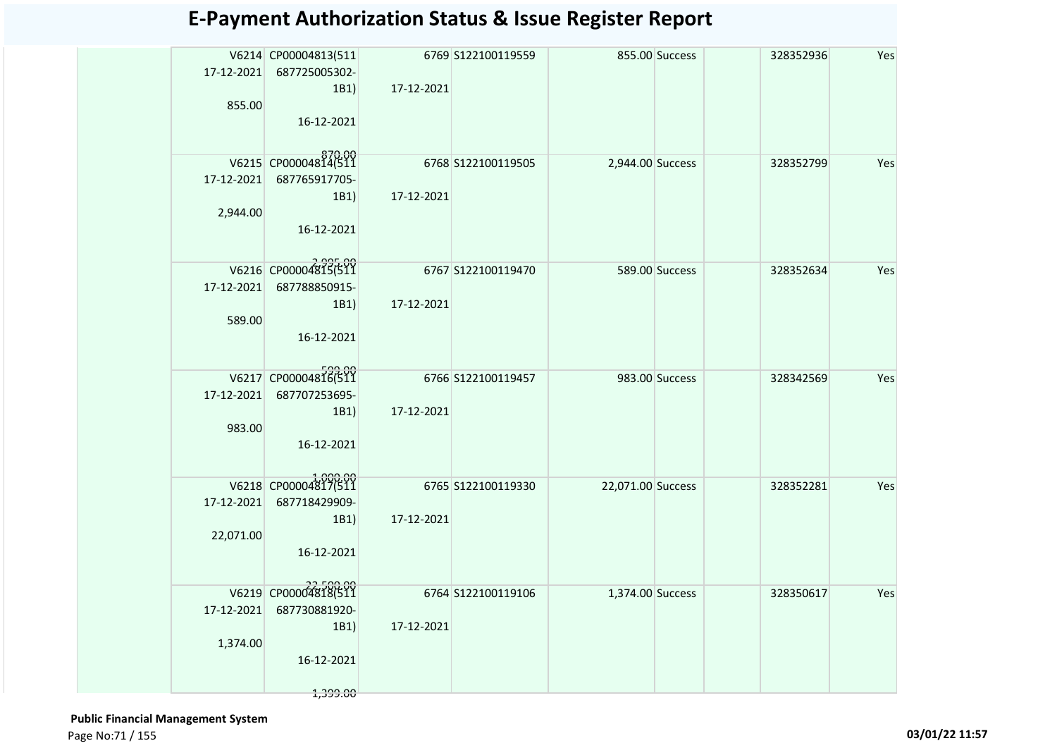| 17-12-2021<br>855.00   | V6214 CP00004813(511<br>687725005302-<br>1B1)<br>16-12-2021                          | 17-12-2021 | 6769 S122100119559   |                   | 855.00 Success | 328352936 | Yes |
|------------------------|--------------------------------------------------------------------------------------|------------|----------------------|-------------------|----------------|-----------|-----|
| 17-12-2021<br>2,944.00 | V6215 CP00004814(511<br>687765917705-<br>1B1)<br>16-12-2021                          | 17-12-2021 | 6768 \$122100119505  | 2,944.00 Success  |                | 328352799 | Yes |
| 17-12-2021<br>589.00   | V6216 CP00004815(511<br>687788850915-<br>1B1<br>16-12-2021                           | 17-12-2021 | $6767$ S122100119470 |                   | 589.00 Success | 328352634 | Yes |
| 17-12-2021<br>983.00   | V6217 CP00004816(511<br>687707253695-<br>1B1)<br>16-12-2021                          | 17-12-2021 | 6766 \$122100119457  |                   | 983.00 Success | 328342569 | Yes |
| 22,071.00              | V6218 CP00004817(511<br>17-12-2021 687718429909-<br>1B1)<br>16-12-2021               | 17-12-2021 | 6765 \$122100119330  | 22,071.00 Success |                | 328352281 | Yes |
| 17-12-2021<br>1,374.00 | 22,500.00<br>V6219 CP00004818(511<br>687730881920-<br>1B1)<br>16-12-2021<br>1,399.00 | 17-12-2021 | 6764 S122100119106   | 1,374.00 Success  |                | 328350617 | Yes |

 **Public Financial Management System**  Page No:71 / 155 **03/01/22 11:57**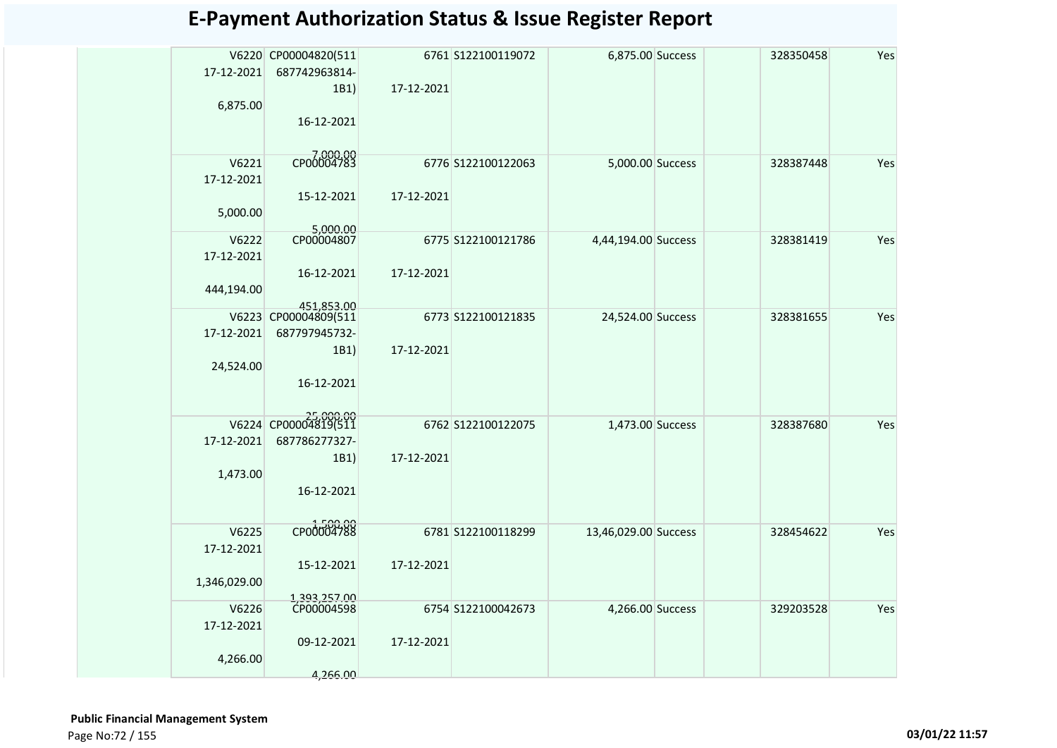| 17-12-2021<br>6,875.00              | V6220 CP00004820(511<br>687742963814-<br>1B1)<br>16-12-2021 | 17-12-2021 | 6761 S122100119072 | 6,875.00 Success     | 328350458 | Yes |
|-------------------------------------|-------------------------------------------------------------|------------|--------------------|----------------------|-----------|-----|
| V6221<br>17-12-2021<br>5,000.00     | CP00004783<br>15-12-2021<br>5,000.00                        | 17-12-2021 | 6776 S122100122063 | 5,000.00 Success     | 328387448 | Yes |
| V6222<br>17-12-2021<br>444,194.00   | CP00004807<br>16-12-2021<br>451,853.00                      | 17-12-2021 | 6775 S122100121786 | 4,44,194.00 Success  | 328381419 | Yes |
| 17-12-2021<br>24,524.00             | V6223 CP00004809(511<br>687797945732-<br>1B1)<br>16-12-2021 | 17-12-2021 | 6773 S122100121835 | 24,524.00 Success    | 328381655 | Yes |
| 17-12-2021<br>1,473.00              | V6224 CP00004819(511<br>687786277327-<br>1B1)<br>16-12-2021 | 17-12-2021 | 6762 S122100122075 | 1,473.00 Success     | 328387680 | Yes |
| V6225<br>17-12-2021<br>1,346,029.00 | CP00004788<br>15-12-2021                                    | 17-12-2021 | 6781 S122100118299 | 13,46,029.00 Success | 328454622 | Yes |
| V6226<br>17-12-2021<br>4,266.00     | 1,393,257.00<br>CP00004598<br>09-12-2021<br>4,266.00        | 17-12-2021 | 6754 S122100042673 | 4,266.00 Success     | 329203528 | Yes |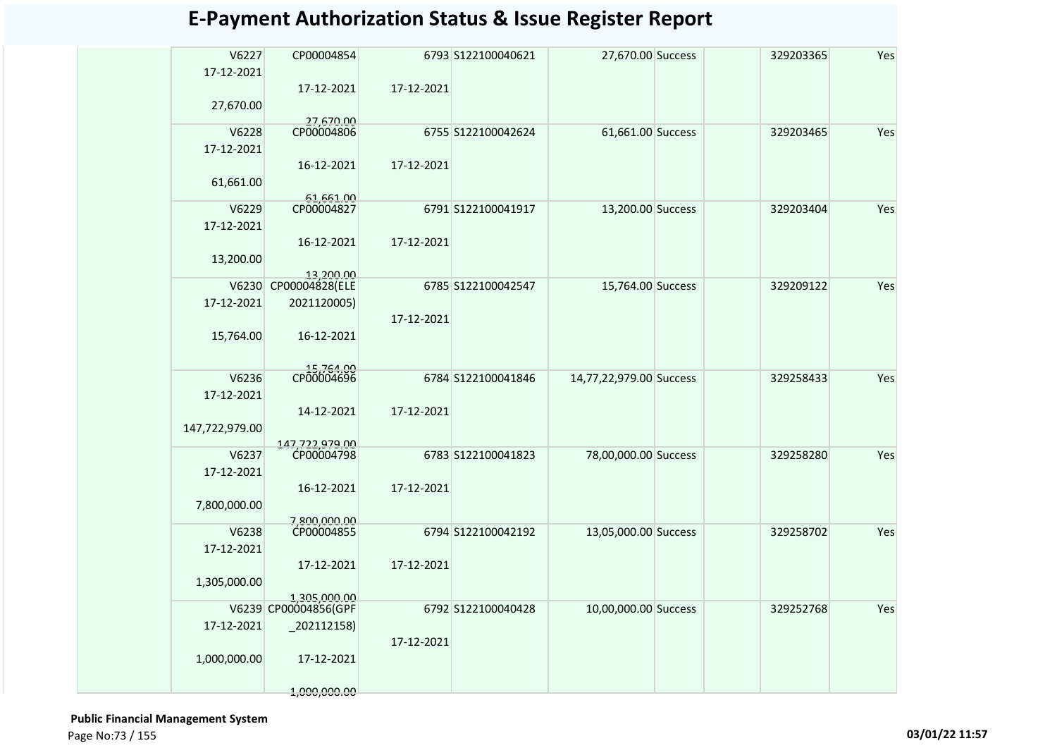| V6227<br>17-12-2021 | CP00004854           |            | 6793 S122100040621 | 27,670.00 Success       | 329203365 | Yes |
|---------------------|----------------------|------------|--------------------|-------------------------|-----------|-----|
|                     | 17-12-2021           | 17-12-2021 |                    |                         |           |     |
| 27,670.00           |                      |            |                    |                         |           |     |
|                     | 27,670.00            |            |                    |                         |           |     |
| V6228               | CP00004806           |            | 6755 S122100042624 | 61,661.00 Success       | 329203465 | Yes |
| 17-12-2021          |                      |            |                    |                         |           |     |
|                     | 16-12-2021           | 17-12-2021 |                    |                         |           |     |
| 61,661.00           |                      |            |                    |                         |           |     |
|                     | 61,661.00            |            |                    |                         |           |     |
| V6229               | CP00004827           |            | 6791 S122100041917 | 13,200.00 Success       | 329203404 | Yes |
| 17-12-2021          |                      |            |                    |                         |           |     |
|                     | 16-12-2021           | 17-12-2021 |                    |                         |           |     |
| 13,200.00           |                      |            |                    |                         |           |     |
|                     | 13,200.00            |            |                    |                         |           |     |
| V6230               | CP00004828(ELE       |            | 6785 S122100042547 | 15,764.00 Success       | 329209122 | Yes |
| 17-12-2021          | 2021120005)          |            |                    |                         |           |     |
|                     |                      | 17-12-2021 |                    |                         |           |     |
| 15,764.00           | 16-12-2021           |            |                    |                         |           |     |
|                     |                      |            |                    |                         |           |     |
| V6236               | CP00004696           |            | 6784 S122100041846 | 14,77,22,979.00 Success | 329258433 | Yes |
| 17-12-2021          |                      |            |                    |                         |           |     |
|                     | 14-12-2021           | 17-12-2021 |                    |                         |           |     |
| 147,722,979.00      |                      |            |                    |                         |           |     |
|                     | 147,722,979.00       |            |                    |                         |           |     |
| V6237               | CP00004798           |            | 6783 S122100041823 | 78,00,000.00 Success    | 329258280 | Yes |
| 17-12-2021          |                      |            |                    |                         |           |     |
|                     | 16-12-2021           | 17-12-2021 |                    |                         |           |     |
| 7,800,000.00        |                      |            |                    |                         |           |     |
|                     | 7,800,000,00         |            |                    |                         |           |     |
| V6238               | CP00004855           |            | 6794 S122100042192 | 13,05,000.00 Success    | 329258702 | Yes |
| 17-12-2021          |                      |            |                    |                         |           |     |
|                     | 17-12-2021           | 17-12-2021 |                    |                         |           |     |
| 1,305,000.00        |                      |            |                    |                         |           |     |
|                     | 1.305.000.00         |            |                    |                         |           |     |
|                     | V6239 CP00004856(GPF |            | 6792 S122100040428 | 10,00,000.00 Success    | 329252768 | Yes |
| 17-12-2021          | $-202112158$         |            |                    |                         |           |     |
|                     |                      | 17-12-2021 |                    |                         |           |     |
| 1,000,000.00        | 17-12-2021           |            |                    |                         |           |     |
|                     |                      |            |                    |                         |           |     |
|                     | 1,000,000.00         |            |                    |                         |           |     |

 **Public Financial Management System**  Page No:73 / 155 **03/01/22 11:57**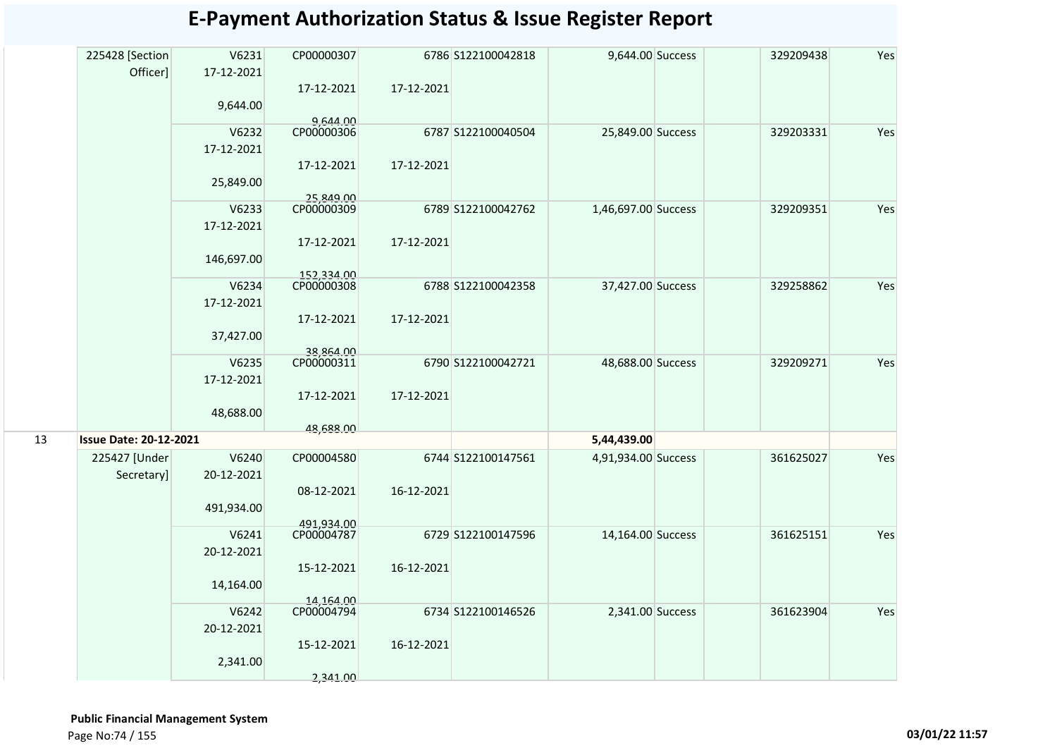|    | 225428 [Section<br>Officer]   | V6231<br>17-12-2021 | CP00000307              |            | 6786 S122100042818 | 9,644.00 Success    | 329209438 | Yes |
|----|-------------------------------|---------------------|-------------------------|------------|--------------------|---------------------|-----------|-----|
|    |                               |                     | 17-12-2021              | 17-12-2021 |                    |                     |           |     |
|    |                               | 9,644.00            |                         |            |                    |                     |           |     |
|    |                               |                     | 9,644.00<br>CP00000306  |            |                    |                     |           |     |
|    |                               | V6232<br>17-12-2021 |                         |            | 6787 S122100040504 | 25,849.00 Success   | 329203331 | Yes |
|    |                               |                     | 17-12-2021              | 17-12-2021 |                    |                     |           |     |
|    |                               | 25,849.00           |                         |            |                    |                     |           |     |
|    |                               | V6233               | 25,849.00<br>CP00000309 |            | 6789 S122100042762 | 1,46,697.00 Success | 329209351 | Yes |
|    |                               | 17-12-2021          |                         |            |                    |                     |           |     |
|    |                               |                     | 17-12-2021              | 17-12-2021 |                    |                     |           |     |
|    |                               | 146,697.00          | 152,334.00              |            |                    |                     |           |     |
|    |                               | V6234               | CP00000308              |            | 6788 S122100042358 | 37,427.00 Success   | 329258862 | Yes |
|    |                               | 17-12-2021          |                         |            |                    |                     |           |     |
|    |                               |                     | 17-12-2021              | 17-12-2021 |                    |                     |           |     |
|    |                               | 37,427.00           |                         |            |                    |                     |           |     |
|    |                               |                     | 38,864.00               |            |                    |                     |           |     |
|    |                               | V6235               | CP00000311              |            | 6790 S122100042721 | 48,688.00 Success   | 329209271 | Yes |
|    |                               | 17-12-2021          |                         |            |                    |                     |           |     |
|    |                               |                     | 17-12-2021              | 17-12-2021 |                    |                     |           |     |
|    |                               | 48,688.00           |                         |            |                    |                     |           |     |
| 13 | <b>Issue Date: 20-12-2021</b> |                     | 48,688.00               |            |                    | 5,44,439.00         |           |     |
|    | 225427 [Under                 | V6240               | CP00004580              |            | 6744 S122100147561 | 4,91,934.00 Success | 361625027 | Yes |
|    | Secretary]                    | 20-12-2021          |                         |            |                    |                     |           |     |
|    |                               |                     | 08-12-2021              | 16-12-2021 |                    |                     |           |     |
|    |                               | 491,934.00          |                         |            |                    |                     |           |     |
|    |                               |                     | 491,934.00              |            |                    |                     |           |     |
|    |                               | V6241               | CP00004787              |            | 6729 S122100147596 | 14,164.00 Success   | 361625151 | Yes |
|    |                               | 20-12-2021          |                         |            |                    |                     |           |     |
|    |                               |                     | 15-12-2021              | 16-12-2021 |                    |                     |           |     |
|    |                               | 14,164.00           |                         |            |                    |                     |           |     |
|    |                               | V6242               | 14,164.00<br>CP00004794 |            | 6734 S122100146526 | 2,341.00 Success    | 361623904 | Yes |
|    |                               | 20-12-2021          |                         |            |                    |                     |           |     |
|    |                               |                     | 15-12-2021              | 16-12-2021 |                    |                     |           |     |
|    |                               | 2,341.00            |                         |            |                    |                     |           |     |
|    |                               |                     | 2,341.00                |            |                    |                     |           |     |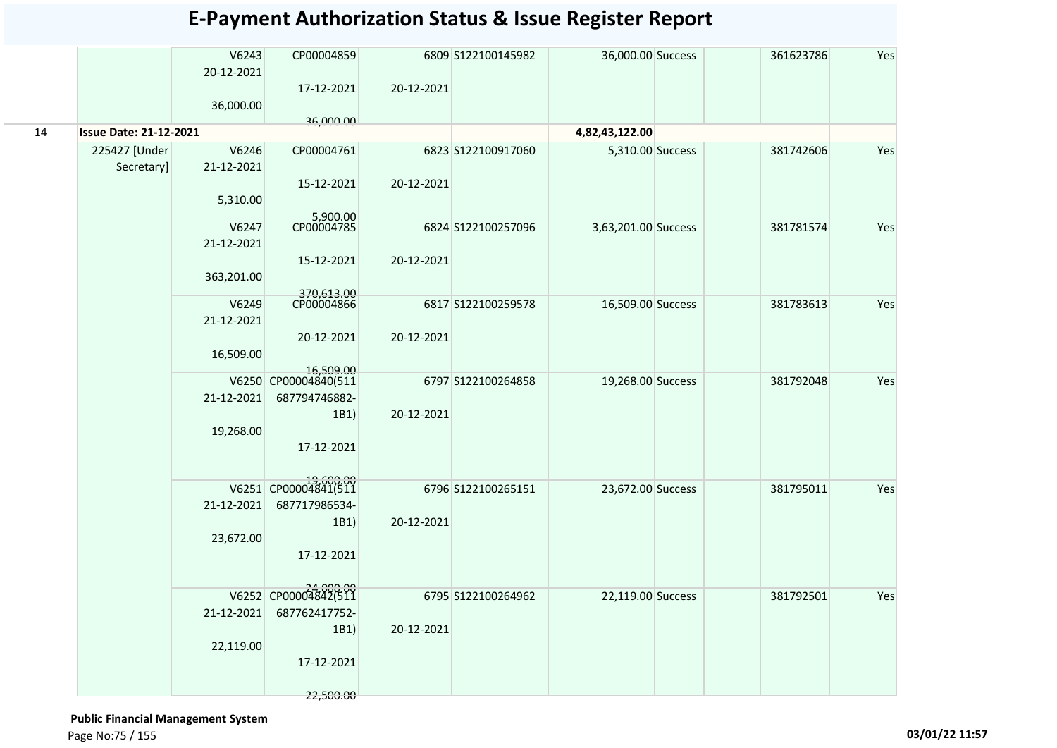|    |                               | V6243      | CP00004859                        |            | 6809 S122100145982 | 36,000.00 Success   | 361623786 | Yes |
|----|-------------------------------|------------|-----------------------------------|------------|--------------------|---------------------|-----------|-----|
|    |                               | 20-12-2021 |                                   |            |                    |                     |           |     |
|    |                               |            | 17-12-2021                        | 20-12-2021 |                    |                     |           |     |
|    |                               | 36,000.00  |                                   |            |                    |                     |           |     |
|    |                               |            | 36,000.00                         |            |                    |                     |           |     |
| 14 | <b>Issue Date: 21-12-2021</b> |            |                                   |            |                    | 4,82,43,122.00      |           |     |
|    | 225427 [Under                 | V6246      | CP00004761                        |            | 6823 S122100917060 | 5,310.00 Success    | 381742606 | Yes |
|    | Secretary]                    | 21-12-2021 |                                   |            |                    |                     |           |     |
|    |                               |            | 15-12-2021                        | 20-12-2021 |                    |                     |           |     |
|    |                               | 5,310.00   |                                   |            |                    |                     |           |     |
|    |                               |            | 5,900.00                          |            |                    |                     |           |     |
|    |                               | V6247      | CP00004785                        |            | 6824 S122100257096 | 3,63,201.00 Success | 381781574 | Yes |
|    |                               | 21-12-2021 |                                   |            |                    |                     |           |     |
|    |                               |            | 15-12-2021                        | 20-12-2021 |                    |                     |           |     |
|    |                               | 363,201.00 |                                   |            |                    |                     |           |     |
|    |                               |            | 370,613.00<br>CP00004866          |            |                    |                     |           |     |
|    |                               | V6249      |                                   |            | 6817 S122100259578 | 16,509.00 Success   | 381783613 | Yes |
|    |                               | 21-12-2021 |                                   |            |                    |                     |           |     |
|    |                               |            | 20-12-2021                        | 20-12-2021 |                    |                     |           |     |
|    |                               | 16,509.00  |                                   |            |                    |                     |           |     |
|    |                               |            | 16,509.00<br>V6250 CP00004840(511 |            | 6797 S122100264858 |                     | 381792048 | Yes |
|    |                               | 21-12-2021 | 687794746882-                     |            |                    | 19,268.00 Success   |           |     |
|    |                               |            |                                   |            |                    |                     |           |     |
|    |                               |            | 1B1)                              | 20-12-2021 |                    |                     |           |     |
|    |                               | 19,268.00  |                                   |            |                    |                     |           |     |
|    |                               |            | 17-12-2021                        |            |                    |                     |           |     |
|    |                               |            |                                   |            |                    |                     |           |     |
|    |                               |            | V6251 CP00004841(511              |            | 6796 S122100265151 | 23,672.00 Success   | 381795011 | Yes |
|    |                               | 21-12-2021 | 687717986534-                     |            |                    |                     |           |     |
|    |                               |            | 1B1)                              | 20-12-2021 |                    |                     |           |     |
|    |                               | 23,672.00  |                                   |            |                    |                     |           |     |
|    |                               |            | 17-12-2021                        |            |                    |                     |           |     |
|    |                               |            |                                   |            |                    |                     |           |     |
|    |                               |            |                                   |            |                    |                     |           |     |
|    |                               |            | V6252 CP00004842(511              |            | 6795 S122100264962 | 22,119.00 Success   | 381792501 | Yes |
|    |                               | 21-12-2021 | 687762417752-                     |            |                    |                     |           |     |
|    |                               |            | 1B1)                              | 20-12-2021 |                    |                     |           |     |
|    |                               | 22,119.00  |                                   |            |                    |                     |           |     |
|    |                               |            | 17-12-2021                        |            |                    |                     |           |     |
|    |                               |            |                                   |            |                    |                     |           |     |

#### **Public Financial Management System**  Page No:75 / 155 **03/01/22 11:57**

22,500.00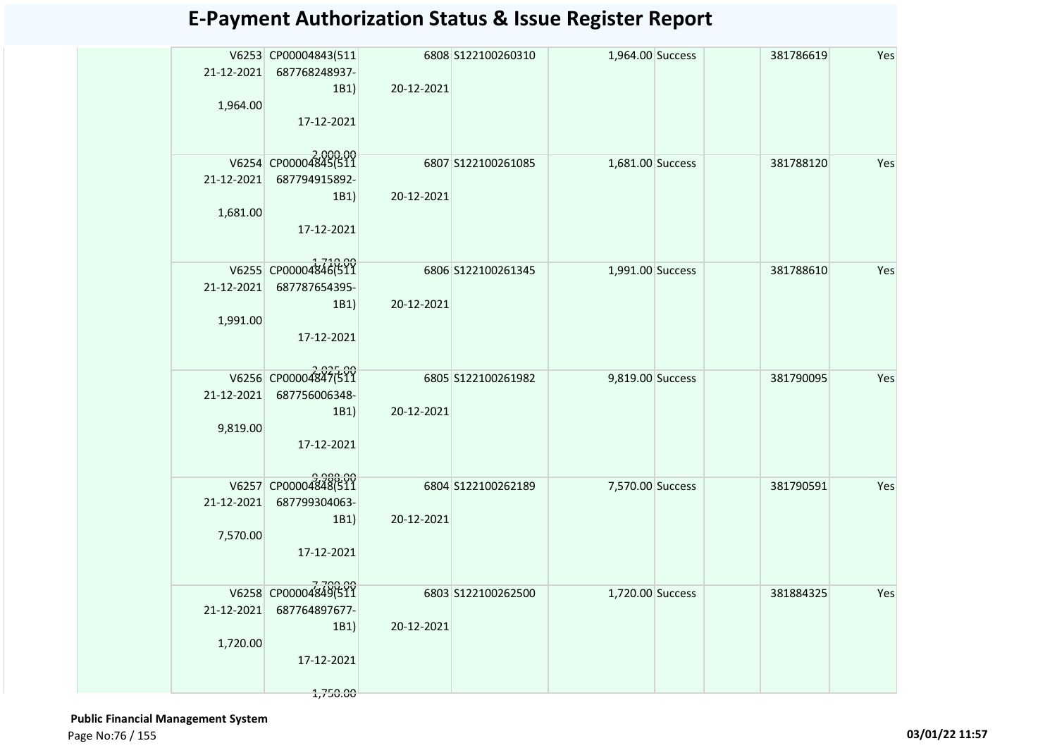|            | V6253 CP00004843(511     |            | 6808 S122100260310 | 1,964.00 Success | 381786619 | Yes |
|------------|--------------------------|------------|--------------------|------------------|-----------|-----|
|            | 21-12-2021 687768248937- |            |                    |                  |           |     |
|            | 1B1)                     | 20-12-2021 |                    |                  |           |     |
| 1,964.00   |                          |            |                    |                  |           |     |
|            | 17-12-2021               |            |                    |                  |           |     |
|            |                          |            |                    |                  |           |     |
|            | V6254 CP00004845(511     |            | 6807 5122100261085 | 1,681.00 Success | 381788120 | Yes |
| 21-12-2021 | 687794915892-            |            |                    |                  |           |     |
| 1,681.00   | 1B1)                     | 20-12-2021 |                    |                  |           |     |
|            | 17-12-2021               |            |                    |                  |           |     |
|            |                          |            |                    |                  |           |     |
|            | V6255 CP00004846(511     |            |                    |                  |           |     |
| 21-12-2021 | 687787654395-            |            | 6806 S122100261345 | 1,991.00 Success | 381788610 | Yes |
|            | 1B1)                     | 20-12-2021 |                    |                  |           |     |
| 1,991.00   |                          |            |                    |                  |           |     |
|            | 17-12-2021               |            |                    |                  |           |     |
|            |                          |            |                    |                  |           |     |
|            | V6256 CP00004847(511     |            | 6805 S122100261982 | 9,819.00 Success | 381790095 | Yes |
| 21-12-2021 | 687756006348-            |            |                    |                  |           |     |
|            | 1B1)                     | 20-12-2021 |                    |                  |           |     |
| 9,819.00   |                          |            |                    |                  |           |     |
|            | 17-12-2021               |            |                    |                  |           |     |
|            |                          |            |                    |                  |           |     |
|            | V6257 CP00004848(511     |            | 6804 S122100262189 | 7,570.00 Success | 381790591 | Yes |
| 21-12-2021 | 687799304063-            |            |                    |                  |           |     |
|            | 1B1)                     | 20-12-2021 |                    |                  |           |     |
| 7,570.00   |                          |            |                    |                  |           |     |
|            | 17-12-2021               |            |                    |                  |           |     |
|            |                          |            |                    |                  |           |     |
|            | V6258 CP00004849(511     |            | 6803 S122100262500 | 1,720.00 Success | 381884325 | Yes |
| 21-12-2021 | 687764897677-<br>1B1)    | 20-12-2021 |                    |                  |           |     |
| 1,720.00   |                          |            |                    |                  |           |     |
|            | 17-12-2021               |            |                    |                  |           |     |
|            |                          |            |                    |                  |           |     |
|            | 1,750.00                 |            |                    |                  |           |     |

 **Public Financial Management System**  Page No:76 / 155 **03/01/22 11:57**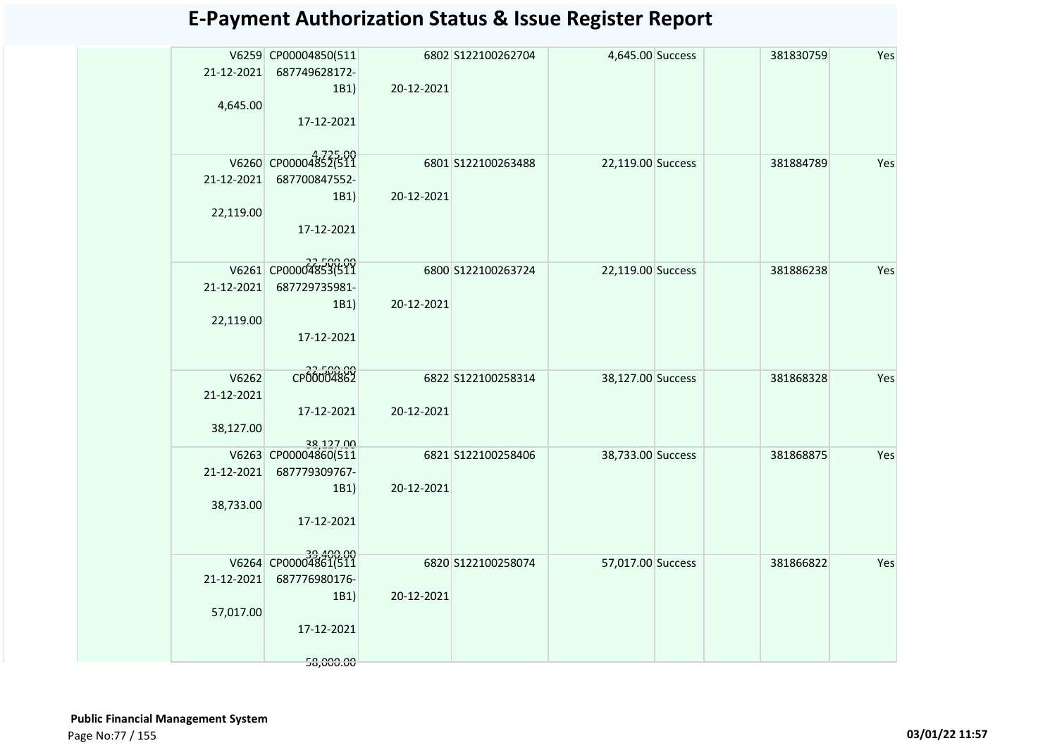|            | V6259 CP00004850(511 |            | 6802 S122100262704 | 4,645.00 Success  | 381830759 | Yes |
|------------|----------------------|------------|--------------------|-------------------|-----------|-----|
| 21-12-2021 | 687749628172-        |            |                    |                   |           |     |
|            | 1B1)                 | 20-12-2021 |                    |                   |           |     |
| 4,645.00   |                      |            |                    |                   |           |     |
|            | 17-12-2021           |            |                    |                   |           |     |
|            |                      |            |                    |                   |           |     |
|            | V6260 CP00004852(511 |            | 6801 S122100263488 | 22,119.00 Success | 381884789 | Yes |
| 21-12-2021 | 687700847552-        |            |                    |                   |           |     |
|            | 1B1)                 | 20-12-2021 |                    |                   |           |     |
| 22,119.00  |                      |            |                    |                   |           |     |
|            | 17-12-2021           |            |                    |                   |           |     |
|            |                      |            |                    |                   |           |     |
|            | V6261 CP00004853(511 |            | 6800 S122100263724 | 22,119.00 Success | 381886238 | Yes |
| 21-12-2021 | 687729735981-        |            |                    |                   |           |     |
|            | 1B1)                 | 20-12-2021 |                    |                   |           |     |
| 22,119.00  |                      |            |                    |                   |           |     |
|            | 17-12-2021           |            |                    |                   |           |     |
|            |                      |            |                    |                   |           |     |
| V6262      | CP00004862           |            | 6822 S122100258314 | 38,127.00 Success | 381868328 | Yes |
| 21-12-2021 |                      |            |                    |                   |           |     |
|            | 17-12-2021           | 20-12-2021 |                    |                   |           |     |
| 38,127.00  |                      |            |                    |                   |           |     |
|            | 38,127.00            |            |                    |                   |           |     |
|            | V6263 CP00004860(511 |            | 6821 S122100258406 | 38,733.00 Success | 381868875 | Yes |
| 21-12-2021 | 687779309767-        |            |                    |                   |           |     |
|            | 1B1)                 | 20-12-2021 |                    |                   |           |     |
| 38,733.00  |                      |            |                    |                   |           |     |
|            | 17-12-2021           |            |                    |                   |           |     |
|            |                      |            |                    |                   |           |     |
|            | V6264 CP00004861(511 |            | 6820 S122100258074 | 57,017.00 Success | 381866822 | Yes |
| 21-12-2021 | 687776980176-        |            |                    |                   |           |     |
|            | 1B1)                 | 20-12-2021 |                    |                   |           |     |
| 57,017.00  |                      |            |                    |                   |           |     |
|            | 17-12-2021           |            |                    |                   |           |     |
|            |                      |            |                    |                   |           |     |
|            | 58,000.00            |            |                    |                   |           |     |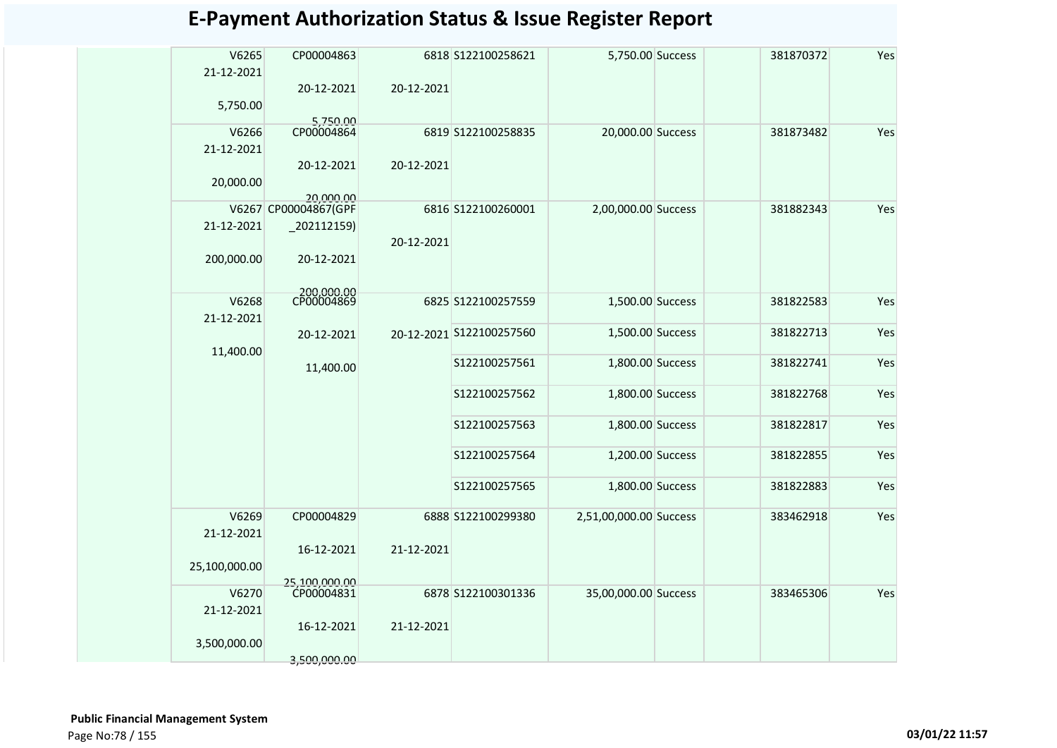| V6265<br>21-12-2021 | CP00004863               |            | 6818 S122100258621       | 5,750.00 Success       | 381870372 | Yes |
|---------------------|--------------------------|------------|--------------------------|------------------------|-----------|-----|
|                     | 20-12-2021               | 20-12-2021 |                          |                        |           |     |
| 5,750.00            | 5,750.00                 |            |                          |                        |           |     |
| V6266               | CP00004864               |            | 6819 S122100258835       | 20,000.00 Success      | 381873482 | Yes |
| 21-12-2021          |                          |            |                          |                        |           |     |
|                     | 20-12-2021               | 20-12-2021 |                          |                        |           |     |
| 20,000.00           |                          |            |                          |                        |           |     |
|                     | 20,000.00                |            |                          |                        |           |     |
|                     | V6267 CP00004867(GPF     |            | 6816 S122100260001       | 2,00,000.00 Success    | 381882343 | Yes |
| 21-12-2021          | $-202112159$             |            |                          |                        |           |     |
|                     |                          | 20-12-2021 |                          |                        |           |     |
| 200,000.00          | 20-12-2021               |            |                          |                        |           |     |
|                     |                          |            |                          |                        |           |     |
| V6268               | 200,000.00<br>CP00004869 |            | 6825 S122100257559       | 1,500.00 Success       | 381822583 | Yes |
| 21-12-2021          |                          |            |                          |                        |           |     |
|                     | 20-12-2021               |            | 20-12-2021 S122100257560 | 1,500.00 Success       | 381822713 | Yes |
| 11,400.00           |                          |            |                          |                        |           |     |
|                     | 11,400.00                |            | S122100257561            | 1,800.00 Success       | 381822741 | Yes |
|                     |                          |            |                          |                        |           |     |
|                     |                          |            | S122100257562            | 1,800.00 Success       | 381822768 | Yes |
|                     |                          |            |                          |                        |           |     |
|                     |                          |            | S122100257563            | 1,800.00 Success       | 381822817 | Yes |
|                     |                          |            | S122100257564            | 1,200.00 Success       | 381822855 | Yes |
|                     |                          |            |                          |                        |           |     |
|                     |                          |            | S122100257565            | 1,800.00 Success       | 381822883 | Yes |
|                     |                          |            |                          |                        |           |     |
| V6269               | CP00004829               |            | 6888 S122100299380       | 2,51,00,000.00 Success | 383462918 | Yes |
| 21-12-2021          |                          |            |                          |                        |           |     |
|                     | 16-12-2021               | 21-12-2021 |                          |                        |           |     |
| 25,100,000.00       |                          |            |                          |                        |           |     |
|                     | 25,100,000.00            |            |                          |                        |           |     |
| V6270               | CP00004831               |            | 6878 S122100301336       | 35,00,000.00 Success   | 383465306 | Yes |
| 21-12-2021          |                          |            |                          |                        |           |     |
|                     | 16-12-2021               | 21-12-2021 |                          |                        |           |     |
| 3,500,000.00        |                          |            |                          |                        |           |     |
|                     | 3.500.000.00             |            |                          |                        |           |     |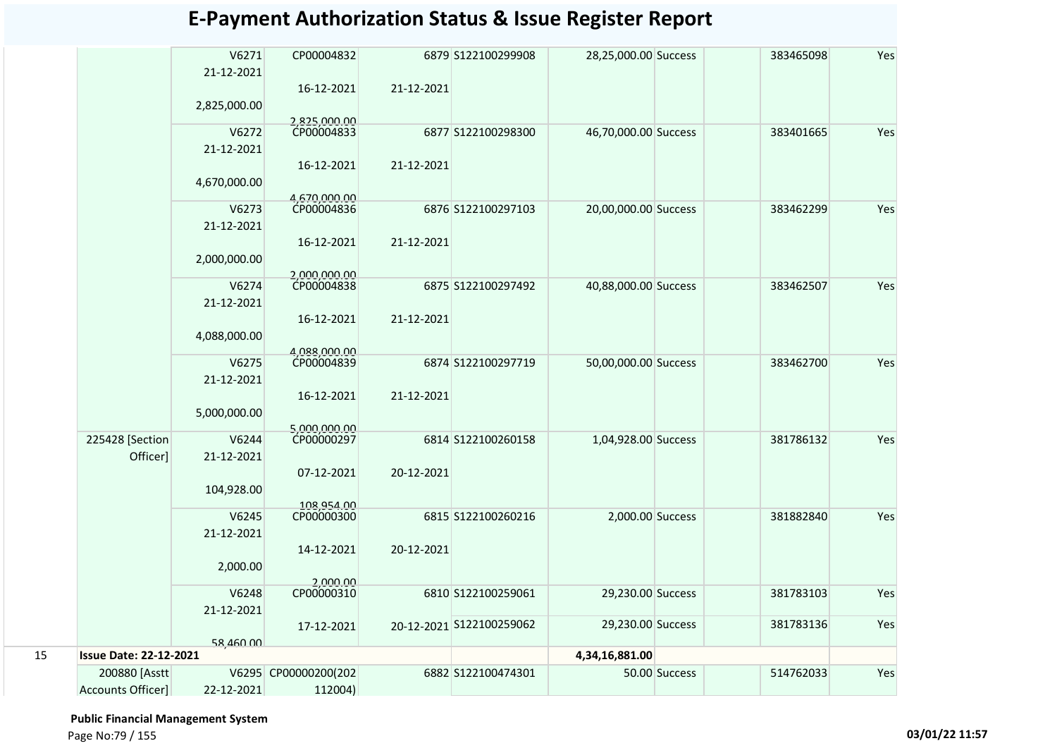|    |                               | V6271<br>21-12-2021 | CP00004832                 |            | 6879 S122100299908       | 28,25,000.00 Success |               | 383465098 | Yes |
|----|-------------------------------|---------------------|----------------------------|------------|--------------------------|----------------------|---------------|-----------|-----|
|    |                               |                     | 16-12-2021                 | 21-12-2021 |                          |                      |               |           |     |
|    |                               | 2,825,000.00        |                            |            |                          |                      |               |           |     |
|    |                               | V6272               | 2,825,000.00<br>CP00004833 |            | 6877 S122100298300       | 46,70,000.00 Success |               | 383401665 | Yes |
|    |                               | 21-12-2021          |                            |            |                          |                      |               |           |     |
|    |                               |                     | 16-12-2021                 | 21-12-2021 |                          |                      |               |           |     |
|    |                               | 4,670,000.00        | 4,670,000.00               |            |                          |                      |               |           |     |
|    |                               | V6273               | CP00004836                 |            | 6876 S122100297103       | 20,00,000.00 Success |               | 383462299 | Yes |
|    |                               | 21-12-2021          |                            |            |                          |                      |               |           |     |
|    |                               |                     | 16-12-2021                 | 21-12-2021 |                          |                      |               |           |     |
|    |                               | 2,000,000.00        |                            |            |                          |                      |               |           |     |
|    |                               |                     | 2.000.000.00<br>CP00004838 |            |                          |                      |               |           |     |
|    |                               | V6274               |                            |            | 6875 S122100297492       | 40,88,000.00 Success |               | 383462507 | Yes |
|    |                               | 21-12-2021          |                            |            |                          |                      |               |           |     |
|    |                               |                     | 16-12-2021                 | 21-12-2021 |                          |                      |               |           |     |
|    |                               | 4,088,000.00        |                            |            |                          |                      |               |           |     |
|    |                               |                     | 1.088.000.00               |            |                          |                      |               |           |     |
|    |                               | V6275               | CP00004839                 |            | 6874 S122100297719       | 50,00,000.00 Success |               | 383462700 | Yes |
|    |                               | 21-12-2021          |                            |            |                          |                      |               |           |     |
|    |                               |                     | 16-12-2021                 | 21-12-2021 |                          |                      |               |           |     |
|    |                               | 5,000,000.00        |                            |            |                          |                      |               |           |     |
|    |                               |                     | 5.000.000.00               |            |                          |                      |               |           |     |
|    | 225428 [Section               | V6244               | CP00000297                 |            | 6814 S122100260158       | 1,04,928.00 Success  |               | 381786132 | Yes |
|    | Officer]                      | 21-12-2021          |                            |            |                          |                      |               |           |     |
|    |                               |                     | 07-12-2021                 | 20-12-2021 |                          |                      |               |           |     |
|    |                               | 104,928.00          |                            |            |                          |                      |               |           |     |
|    |                               |                     | 108,954.00                 |            |                          |                      |               |           |     |
|    |                               | V6245               | CP00000300                 |            | 6815 S122100260216       | 2,000.00 Success     |               | 381882840 | Yes |
|    |                               | 21-12-2021          |                            |            |                          |                      |               |           |     |
|    |                               |                     | 14-12-2021                 | 20-12-2021 |                          |                      |               |           |     |
|    |                               | 2,000.00            |                            |            |                          |                      |               |           |     |
|    |                               |                     | 2,000.00                   |            |                          |                      |               |           |     |
|    |                               | V6248               | CP00000310                 |            | 6810 S122100259061       | 29,230.00 Success    |               | 381783103 | Yes |
|    |                               | 21-12-2021          |                            |            |                          |                      |               |           |     |
|    |                               |                     | 17-12-2021                 |            | 20-12-2021 S122100259062 | 29,230.00 Success    |               | 381783136 | Yes |
|    |                               | 58,460,00           |                            |            |                          |                      |               |           |     |
| 15 | <b>Issue Date: 22-12-2021</b> |                     |                            |            |                          | 4,34,16,881.00       |               |           |     |
|    | 200880 [Asstt]                |                     | V6295 CP00000200(202       |            | 6882 S122100474301       |                      | 50.00 Success | 514762033 | Yes |
|    | Accounts Officer]             | 22-12-2021          | 112004)                    |            |                          |                      |               |           |     |
|    |                               |                     |                            |            |                          |                      |               |           |     |

 **Public Financial Management System** 

Page No:79 / 155 **03/01/22 11:57**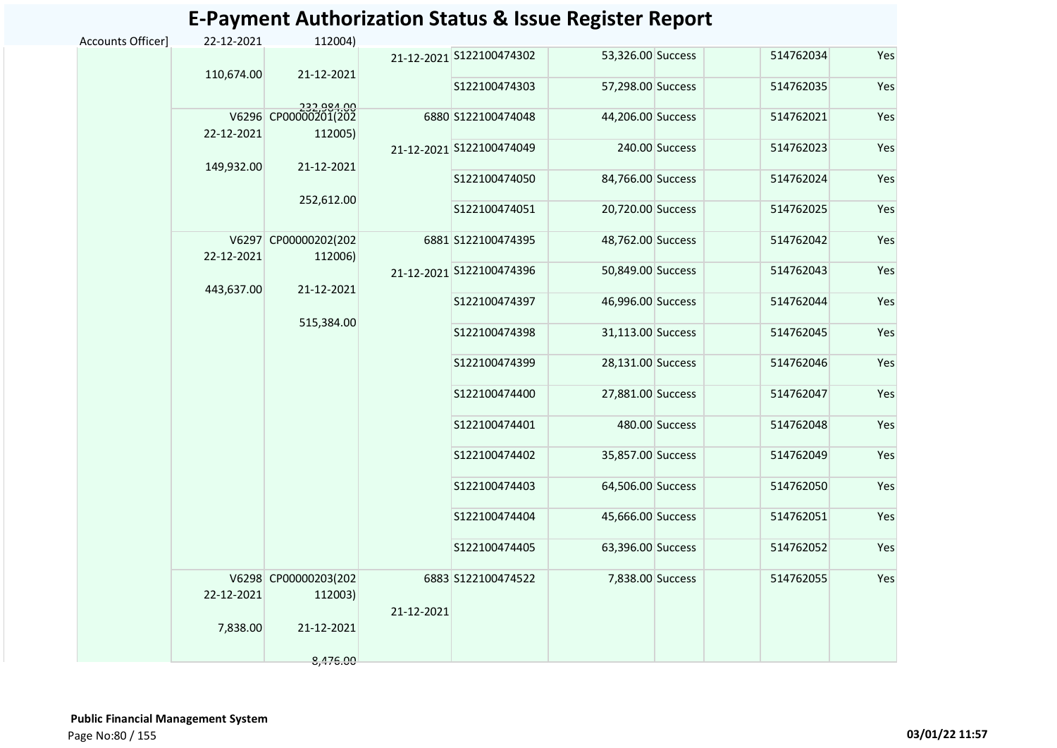|                   |            |                                                             |                    | L-rayment Authorization Jtatus & issue hegister heport |                   |                |           |     |
|-------------------|------------|-------------------------------------------------------------|--------------------|--------------------------------------------------------|-------------------|----------------|-----------|-----|
| Accounts Officer] | 22-12-2021 | 112004)                                                     |                    |                                                        |                   |                |           |     |
|                   | 110,674.00 | 21-12-2021                                                  |                    | 21-12-2021 S122100474302                               | 53,326.00 Success |                | 514762034 | Yes |
|                   |            |                                                             |                    | S122100474303                                          | 57,298.00 Success |                | 514762035 | Yes |
|                   | 22-12-2021 | 232.984.00<br>112005)                                       |                    | 6880 S122100474048                                     | 44,206.00 Success |                | 514762021 | Yes |
|                   |            |                                                             |                    | 21-12-2021 S122100474049                               |                   | 240.00 Success | 514762023 | Yes |
|                   | 149,932.00 | 21-12-2021                                                  |                    | S122100474050                                          | 84,766.00 Success |                | 514762024 | Yes |
|                   |            | 252,612.00                                                  |                    | S122100474051                                          | 20,720.00 Success |                | 514762025 | Yes |
|                   | 22-12-2021 | V6297 CP00000202(202<br>112006)                             |                    | 6881 S122100474395                                     | 48,762.00 Success |                | 514762042 | Yes |
|                   | 443,637.00 | 21-12-2021<br>515,384.00                                    |                    | 21-12-2021 S122100474396                               | 50,849.00 Success |                | 514762043 | Yes |
|                   |            |                                                             |                    | S122100474397                                          | 46,996.00 Success |                | 514762044 | Yes |
|                   |            |                                                             |                    | S122100474398                                          | 31,113.00 Success |                | 514762045 | Yes |
|                   |            |                                                             |                    | S122100474399                                          | 28,131.00 Success |                | 514762046 | Yes |
|                   |            |                                                             |                    | S122100474400                                          | 27,881.00 Success |                | 514762047 | Yes |
|                   |            |                                                             |                    | S122100474401                                          |                   | 480.00 Success | 514762048 | Yes |
|                   |            |                                                             |                    | S122100474402                                          | 35,857.00 Success |                | 514762049 | Yes |
|                   |            |                                                             |                    | S122100474403                                          | 64,506.00 Success |                | 514762050 | Yes |
|                   |            |                                                             |                    | S122100474404                                          | 45,666.00 Success |                | 514762051 | Yes |
|                   |            |                                                             |                    | S122100474405                                          | 63,396.00 Success |                | 514762052 | Yes |
|                   | 22-12-2021 | V6298 CP00000203(202<br>112003)<br>21-12-2021<br>21-12-2021 | 6883 S122100474522 | 7,838.00 Success                                       |                   | 514762055      | Yes       |     |
|                   | 7,838.00   |                                                             |                    |                                                        |                   |                |           |     |
|                   |            | 8,476.00                                                    |                    |                                                        |                   |                |           |     |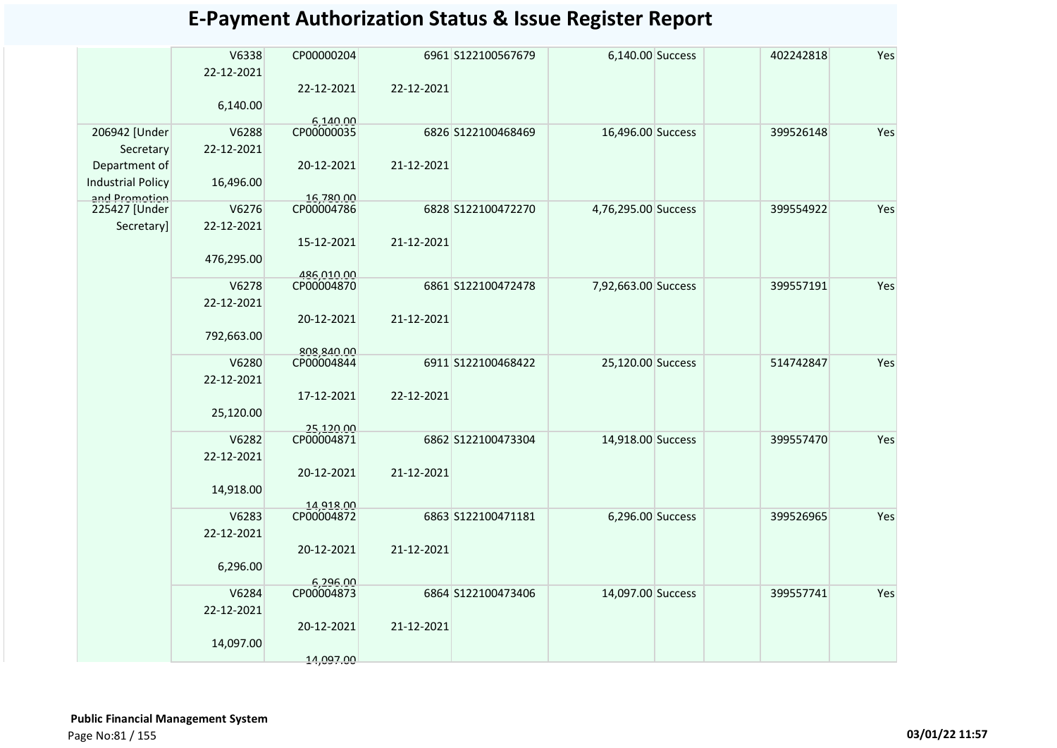|                                           |                     |                          |            | E-Payment Authorization Status & Issue Register Report |                     |           |     |
|-------------------------------------------|---------------------|--------------------------|------------|--------------------------------------------------------|---------------------|-----------|-----|
|                                           | V6338<br>22-12-2021 | CP00000204               |            | 6961 S122100567679                                     | 6,140.00 Success    | 402242818 | Yes |
|                                           | 6,140.00            | 22-12-2021               | 22-12-2021 |                                                        |                     |           |     |
|                                           |                     | 6,140.00<br>CP00000035   |            |                                                        |                     |           |     |
| 206942 [Under<br>Secretary                | V6288<br>22-12-2021 |                          |            | 6826 S122100468469                                     | 16,496.00 Success   | 399526148 | Yes |
| Department of<br><b>Industrial Policy</b> | 16,496.00           | 20-12-2021               | 21-12-2021 |                                                        |                     |           |     |
| and Promotion<br>225427 [Under            | V6276               | 16,780.00<br>CP00004786  |            | 6828 S122100472270                                     | 4,76,295.00 Success | 399554922 | Yes |
| Secretary]                                | 22-12-2021          |                          |            |                                                        |                     |           |     |
|                                           | 476,295.00          | 15-12-2021               | 21-12-2021 |                                                        |                     |           |     |
|                                           | V6278               | 486,010.00<br>CP00004870 |            | 6861 S122100472478                                     | 7,92,663.00 Success | 399557191 | Yes |
|                                           | 22-12-2021          |                          |            |                                                        |                     |           |     |
|                                           | 792,663.00          | 20-12-2021<br>808.840.00 | 21-12-2021 |                                                        |                     |           |     |
|                                           | V6280               | CP00004844               |            | 6911 S122100468422                                     | 25,120.00 Success   | 514742847 | Yes |
|                                           | 22-12-2021          | 17-12-2021               | 22-12-2021 |                                                        |                     |           |     |
|                                           | 25,120.00           | 25,120.00                |            |                                                        |                     |           |     |
|                                           | V6282<br>22-12-2021 | CP00004871               |            | 6862 S122100473304                                     | 14,918.00 Success   | 399557470 | Yes |
|                                           | 14,918.00           | 20-12-2021               | 21-12-2021 |                                                        |                     |           |     |
|                                           | V6283               | 14,918.00<br>CP00004872  |            | 6863 S122100471181                                     | 6,296.00 Success    | 399526965 | Yes |
|                                           | 22-12-2021          |                          |            |                                                        |                     |           |     |
|                                           | 6,296.00            | 20-12-2021               | 21-12-2021 |                                                        |                     |           |     |
|                                           | V6284               | 6,296.00<br>CP00004873   |            | 6864 S122100473406                                     | 14,097.00 Success   | 399557741 |     |
|                                           | 22-12-2021          |                          |            |                                                        |                     |           | Yes |
|                                           | 14,097.00           | 20-12-2021               | 21-12-2021 |                                                        |                     |           |     |
|                                           |                     | 14,097.00                |            |                                                        |                     |           |     |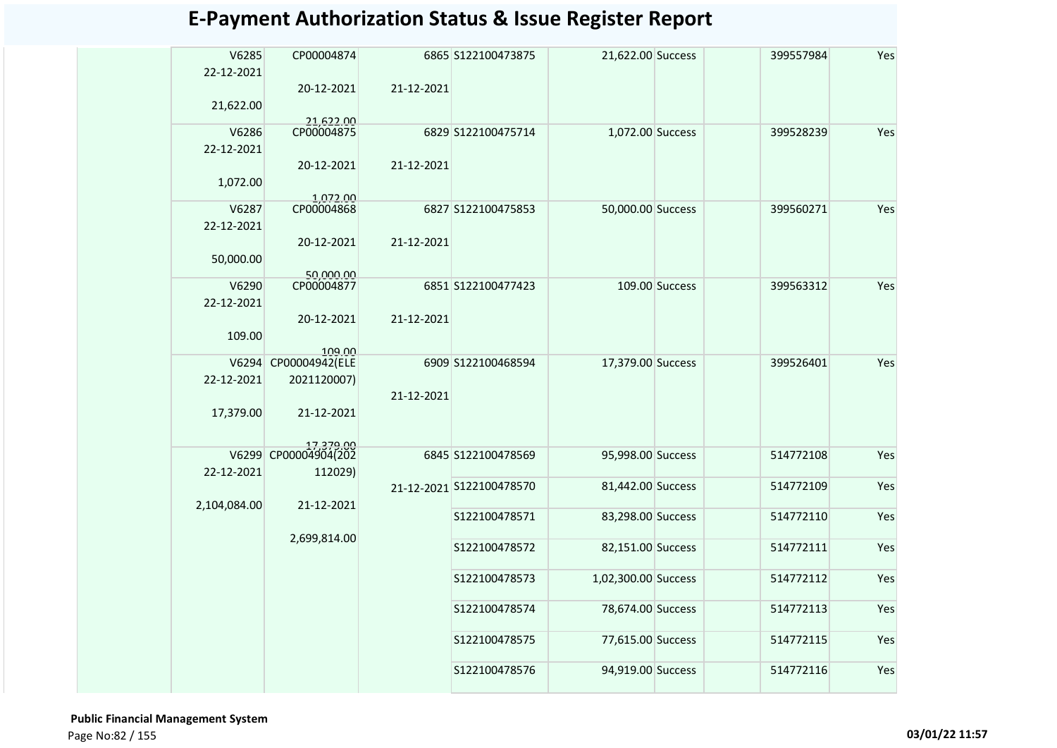| V6285<br>22-12-2021 | CP00004874                        |            | 6865 S122100473875       | 21,622.00 Success   |                | 399557984 | Yes |
|---------------------|-----------------------------------|------------|--------------------------|---------------------|----------------|-----------|-----|
|                     | 20-12-2021                        | 21-12-2021 |                          |                     |                |           |     |
| 21,622.00           |                                   |            |                          |                     |                |           |     |
| V6286               | 21,622.00<br>CP00004875           |            | 6829 S122100475714       | 1,072.00 Success    |                | 399528239 | Yes |
| 22-12-2021          |                                   |            |                          |                     |                |           |     |
|                     | 20-12-2021                        | 21-12-2021 |                          |                     |                |           |     |
| 1,072.00            |                                   |            |                          |                     |                |           |     |
| V6287               | 1,072.00<br>CP00004868            |            | 6827 S122100475853       | 50,000.00 Success   |                | 399560271 | Yes |
| 22-12-2021          |                                   |            |                          |                     |                |           |     |
|                     | 20-12-2021                        | 21-12-2021 |                          |                     |                |           |     |
| 50,000.00           |                                   |            |                          |                     |                |           |     |
|                     | 50,000.00                         |            |                          |                     |                |           |     |
| V6290               | CP00004877                        |            | 6851 S122100477423       |                     | 109.00 Success | 399563312 | Yes |
| 22-12-2021          |                                   |            |                          |                     |                |           |     |
|                     | 20-12-2021                        | 21-12-2021 |                          |                     |                |           |     |
| 109.00              | 109.00                            |            |                          |                     |                |           |     |
| V6294               | CP00004942(ELE                    |            | 6909 S122100468594       | 17,379.00 Success   |                | 399526401 | Yes |
| 22-12-2021          | 2021120007)                       |            |                          |                     |                |           |     |
|                     |                                   | 21-12-2021 |                          |                     |                |           |     |
| 17,379.00           | 21-12-2021                        |            |                          |                     |                |           |     |
|                     |                                   |            |                          |                     |                |           |     |
|                     | 17,379.00<br>V6299 CP00004904(202 |            | 6845 S122100478569       | 95,998.00 Success   |                | 514772108 | Yes |
| 22-12-2021          | 112029)                           |            |                          |                     |                |           |     |
|                     |                                   |            | 21-12-2021 S122100478570 | 81,442.00 Success   |                | 514772109 | Yes |
| 2,104,084.00        | 21-12-2021                        |            |                          |                     |                |           |     |
|                     |                                   |            | S122100478571            | 83,298.00 Success   |                | 514772110 | Yes |
|                     | 2,699,814.00                      |            |                          |                     |                |           |     |
|                     |                                   |            | S122100478572            | 82,151.00 Success   |                | 514772111 | Yes |
|                     |                                   |            | S122100478573            | 1,02,300.00 Success |                | 514772112 | Yes |
|                     |                                   |            |                          |                     |                |           |     |
|                     |                                   |            | S122100478574            | 78,674.00 Success   |                | 514772113 | Yes |
|                     |                                   |            |                          |                     |                |           |     |
|                     |                                   |            | S122100478575            | 77,615.00 Success   |                | 514772115 | Yes |
|                     |                                   |            |                          |                     |                |           |     |
|                     |                                   |            | S122100478576            | 94,919.00 Success   |                | 514772116 | Yes |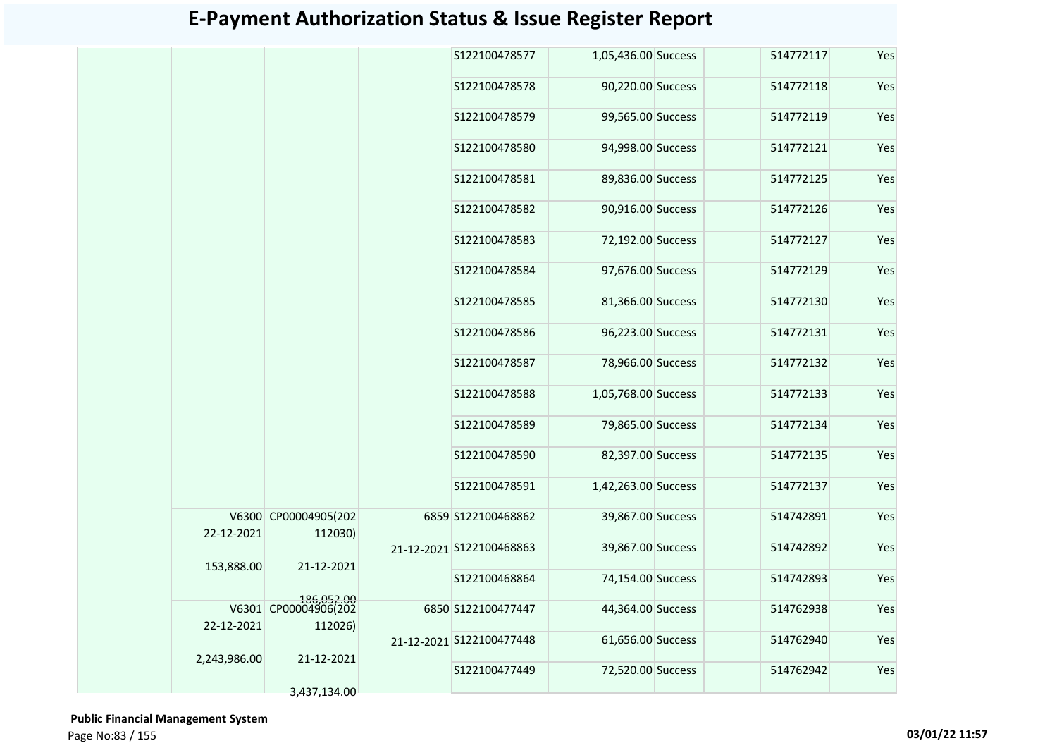|              |                                               | S122100478577            | 1,05,436.00 Success | 514772117 | Yes |
|--------------|-----------------------------------------------|--------------------------|---------------------|-----------|-----|
|              |                                               | S122100478578            | 90,220.00 Success   | 514772118 | Yes |
|              |                                               | S122100478579            | 99,565.00 Success   | 514772119 | Yes |
|              |                                               | S122100478580            | 94,998.00 Success   | 514772121 | Yes |
|              |                                               | S122100478581            | 89,836.00 Success   | 514772125 | Yes |
|              |                                               | S122100478582            | 90,916.00 Success   | 514772126 | Yes |
|              |                                               | S122100478583            | 72,192.00 Success   | 514772127 | Yes |
|              |                                               | S122100478584            | 97,676.00 Success   | 514772129 | Yes |
|              |                                               | S122100478585            | 81,366.00 Success   | 514772130 | Yes |
|              |                                               | S122100478586            | 96,223.00 Success   | 514772131 | Yes |
|              |                                               | S122100478587            | 78,966.00 Success   | 514772132 | Yes |
|              |                                               | S122100478588            | 1,05,768.00 Success | 514772133 | Yes |
|              |                                               | S122100478589            | 79,865.00 Success   | 514772134 | Yes |
|              |                                               | S122100478590            | 82,397.00 Success   | 514772135 | Yes |
|              |                                               | S122100478591            | 1,42,263.00 Success | 514772137 | Yes |
| 22-12-2021   | V6300 CP00004905(202<br>112030)               | 6859 S122100468862       | 39,867.00 Success   | 514742891 | Yes |
| 153,888.00   | 21-12-2021                                    | 21-12-2021 S122100468863 | 39,867.00 Success   | 514742892 | Yes |
|              |                                               | S122100468864            | 74,154.00 Success   | 514742893 | Yes |
| 22-12-2021   | 186,052.00<br>V6301 CP00004906(202<br>112026) | 6850 S122100477447       | 44,364.00 Success   | 514762938 | Yes |
|              |                                               | 21-12-2021 S122100477448 | 61,656.00 Success   | 514762940 | Yes |
| 2,243,986.00 | 21-12-2021                                    | S122100477449            | 72,520.00 Success   | 514762942 | Yes |
|              | 3,437,134.00                                  |                          |                     |           |     |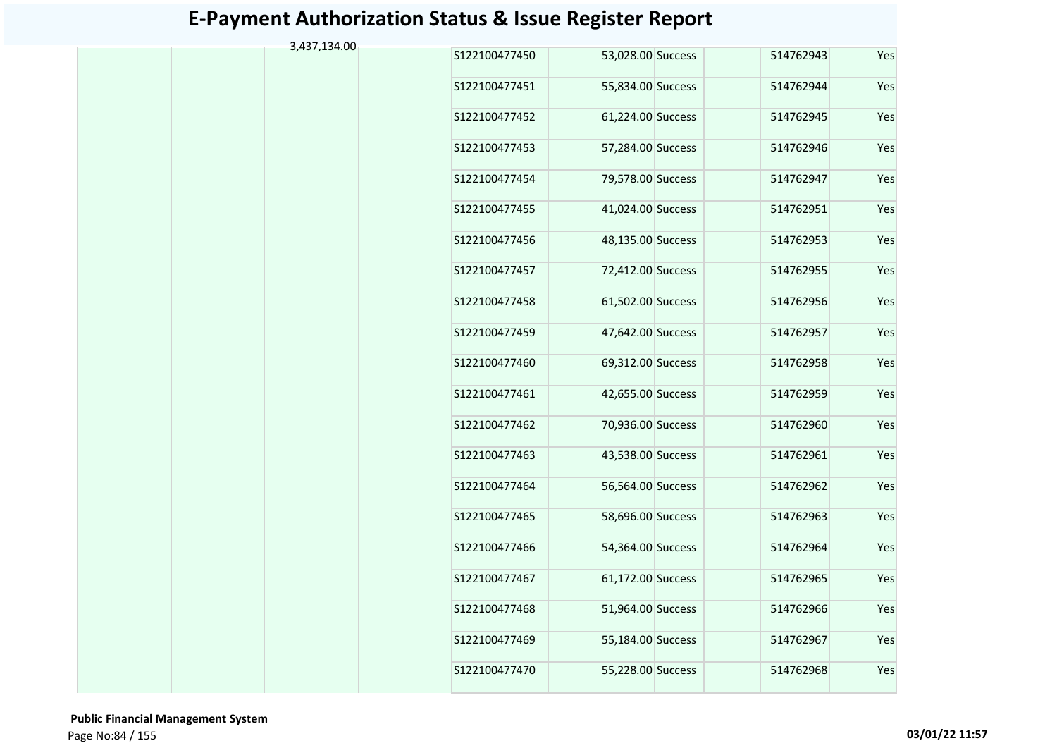| 3,437,134.00 |               |                   |           |     |
|--------------|---------------|-------------------|-----------|-----|
|              | S122100477450 | 53,028.00 Success | 514762943 | Yes |
|              | S122100477451 | 55,834.00 Success | 514762944 | Yes |
|              | S122100477452 | 61,224.00 Success | 514762945 | Yes |
|              | S122100477453 | 57,284.00 Success | 514762946 | Yes |
|              | S122100477454 | 79,578.00 Success | 514762947 | Yes |
|              | S122100477455 | 41,024.00 Success | 514762951 | Yes |
|              | S122100477456 | 48,135.00 Success | 514762953 | Yes |
|              | S122100477457 | 72,412.00 Success | 514762955 | Yes |
|              | S122100477458 | 61,502.00 Success | 514762956 | Yes |
|              | S122100477459 | 47,642.00 Success | 514762957 | Yes |
|              | S122100477460 | 69,312.00 Success | 514762958 | Yes |
|              | S122100477461 | 42,655.00 Success | 514762959 | Yes |
|              | S122100477462 | 70,936.00 Success | 514762960 | Yes |
|              | S122100477463 | 43,538.00 Success | 514762961 | Yes |
|              | S122100477464 | 56,564.00 Success | 514762962 | Yes |
|              | S122100477465 | 58,696.00 Success | 514762963 | Yes |
|              | S122100477466 | 54,364.00 Success | 514762964 | Yes |
|              | S122100477467 | 61,172.00 Success | 514762965 | Yes |
|              | S122100477468 | 51,964.00 Success | 514762966 | Yes |
|              | S122100477469 | 55,184.00 Success | 514762967 | Yes |
|              | S122100477470 | 55,228.00 Success | 514762968 | Yes |
|              |               |                   |           |     |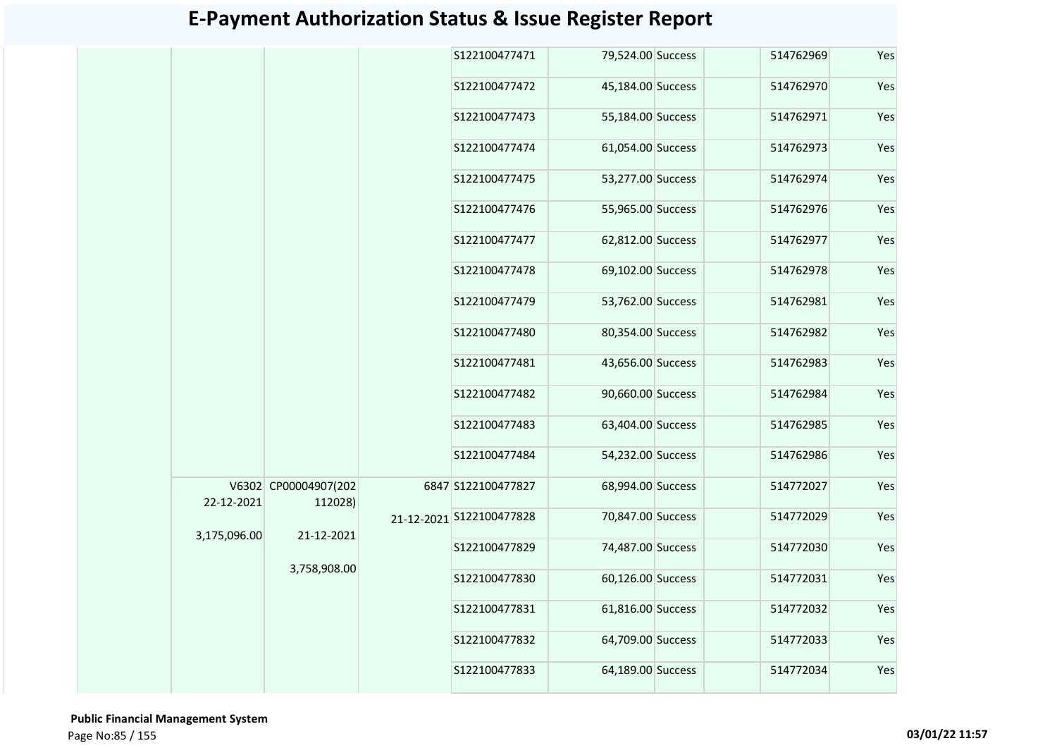|              |                                 | S122100477471            | 79,524.00 Success | 514762969 | Yes |
|--------------|---------------------------------|--------------------------|-------------------|-----------|-----|
|              |                                 | S122100477472            | 45,184.00 Success | 514762970 | Yes |
|              |                                 | S122100477473            | 55,184.00 Success | 514762971 | Yes |
|              |                                 | S122100477474            | 61,054.00 Success | 514762973 | Yes |
|              |                                 | S122100477475            | 53,277.00 Success | 514762974 | Yes |
|              |                                 | S122100477476            | 55,965.00 Success | 514762976 | Yes |
|              |                                 | S122100477477            | 62,812.00 Success | 514762977 | Yes |
|              |                                 | S122100477478            | 69,102.00 Success | 514762978 | Yes |
|              |                                 | S122100477479            | 53,762.00 Success | 514762981 | Yes |
|              |                                 | S122100477480            | 80,354.00 Success | 514762982 | Yes |
|              |                                 | S122100477481            | 43,656.00 Success | 514762983 | Yes |
|              |                                 | S122100477482            | 90,660.00 Success | 514762984 | Yes |
|              |                                 | S122100477483            | 63,404.00 Success | 514762985 | Yes |
|              |                                 | S122100477484            | 54,232.00 Success | 514762986 | Yes |
| 22-12-2021   | V6302 CP00004907(202<br>112028) | 6847 S122100477827       | 68,994.00 Success | 514772027 | Yes |
|              | 21-12-2021                      | 21-12-2021 S122100477828 | 70,847.00 Success | 514772029 | Yes |
| 3,175,096.00 |                                 | S122100477829            | 74,487.00 Success | 514772030 | Yes |
|              | 3,758,908.00                    | S122100477830            | 60,126.00 Success | 514772031 | Yes |
|              |                                 | S122100477831            | 61,816.00 Success | 514772032 | Yes |
|              |                                 | S122100477832            | 64,709.00 Success | 514772033 | Yes |
|              |                                 | S122100477833            | 64,189.00 Success | 514772034 | Yes |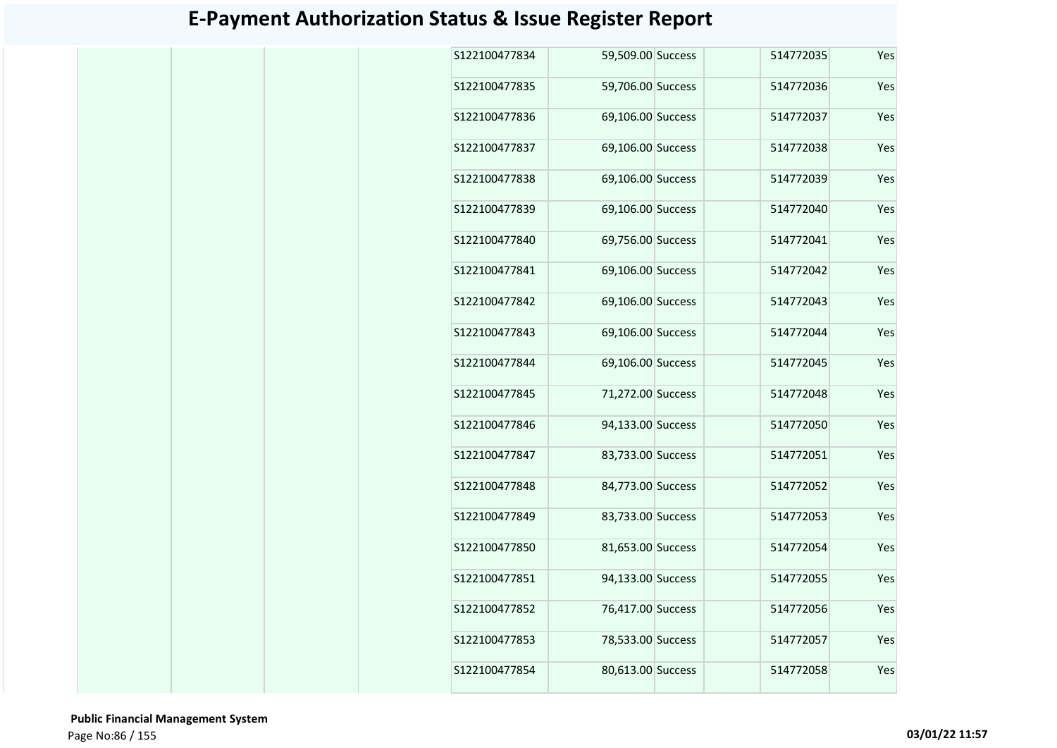| S122100477834 | 59,509.00 Success |  | 514772035 | Yes |
|---------------|-------------------|--|-----------|-----|
| S122100477835 | 59,706.00 Success |  | 514772036 | Yes |
| S122100477836 | 69,106.00 Success |  | 514772037 | Yes |
| S122100477837 | 69,106.00 Success |  | 514772038 | Yes |
| S122100477838 | 69,106.00 Success |  | 514772039 | Yes |
| S122100477839 | 69,106.00 Success |  | 514772040 | Yes |
| S122100477840 | 69,756.00 Success |  | 514772041 | Yes |
| S122100477841 | 69,106.00 Success |  | 514772042 | Yes |
| S122100477842 | 69,106.00 Success |  | 514772043 | Yes |
| S122100477843 | 69,106.00 Success |  | 514772044 | Yes |
| S122100477844 | 69,106.00 Success |  | 514772045 | Yes |
| S122100477845 | 71,272.00 Success |  | 514772048 | Yes |
| S122100477846 | 94,133.00 Success |  | 514772050 | Yes |
| S122100477847 | 83,733.00 Success |  | 514772051 | Yes |
| S122100477848 | 84,773.00 Success |  | 514772052 | Yes |
| S122100477849 | 83,733.00 Success |  | 514772053 | Yes |
| S122100477850 | 81,653.00 Success |  | 514772054 | Yes |
| S122100477851 | 94,133.00 Success |  | 514772055 | Yes |
| S122100477852 | 76,417.00 Success |  | 514772056 | Yes |
| S122100477853 | 78,533.00 Success |  | 514772057 | Yes |
| S122100477854 | 80,613.00 Success |  | 514772058 | Yes |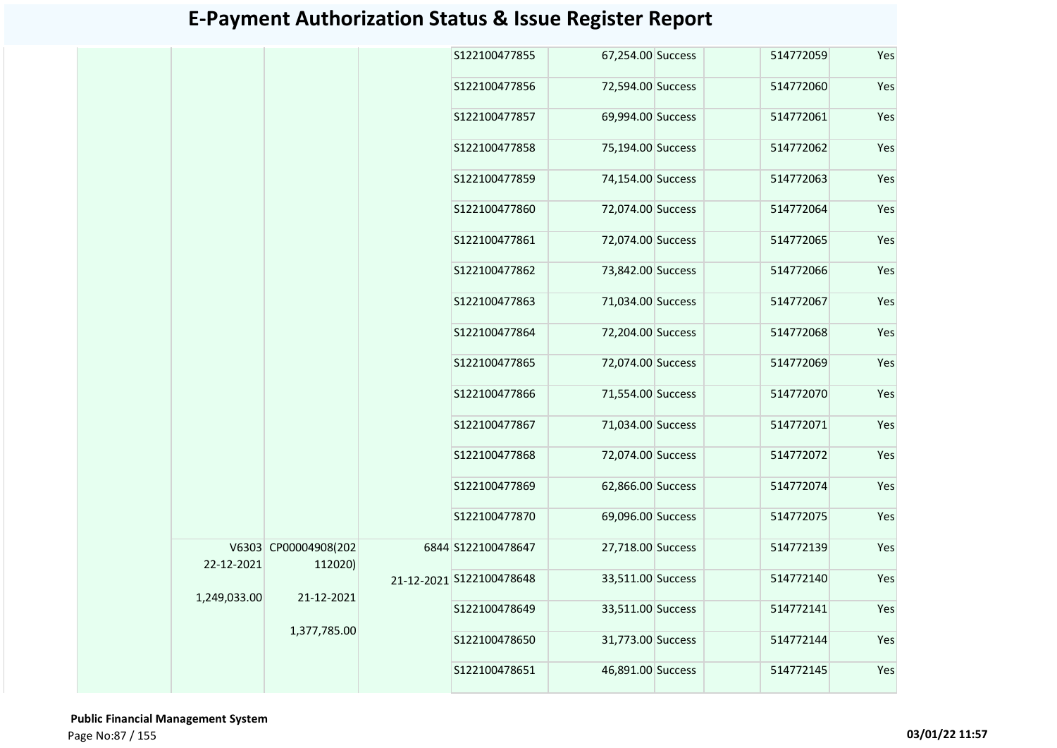|              |                      | S122100477855            | 67,254.00 Success | 514772059 | Yes |
|--------------|----------------------|--------------------------|-------------------|-----------|-----|
|              |                      | S122100477856            | 72,594.00 Success | 514772060 | Yes |
|              |                      | S122100477857            | 69,994.00 Success | 514772061 | Yes |
|              |                      | S122100477858            | 75,194.00 Success | 514772062 | Yes |
|              |                      | S122100477859            | 74,154.00 Success | 514772063 | Yes |
|              |                      | S122100477860            | 72,074.00 Success | 514772064 | Yes |
|              |                      | S122100477861            | 72,074.00 Success | 514772065 | Yes |
|              |                      | S122100477862            | 73,842.00 Success | 514772066 | Yes |
|              |                      | S122100477863            | 71,034.00 Success | 514772067 | Yes |
|              |                      | S122100477864            | 72,204.00 Success | 514772068 | Yes |
|              |                      | S122100477865            | 72,074.00 Success | 514772069 | Yes |
|              |                      | S122100477866            | 71,554.00 Success | 514772070 | Yes |
|              |                      | S122100477867            | 71,034.00 Success | 514772071 | Yes |
|              |                      | S122100477868            | 72,074.00 Success | 514772072 | Yes |
|              |                      | S122100477869            | 62,866.00 Success | 514772074 | Yes |
|              |                      | S122100477870            | 69,096.00 Success | 514772075 | Yes |
|              | V6303 CP00004908(202 | 6844 S122100478647       | 27,718.00 Success | 514772139 | Yes |
| 22-12-2021   | 112020)              | 21-12-2021 S122100478648 | 33,511.00 Success | 514772140 | Yes |
| 1,249,033.00 | 21-12-2021           | S122100478649            | 33,511.00 Success | 514772141 | Yes |
|              | 1,377,785.00         | S122100478650            | 31,773.00 Success | 514772144 | Yes |
|              |                      | S122100478651            | 46,891.00 Success | 514772145 | Yes |
|              |                      |                          |                   |           |     |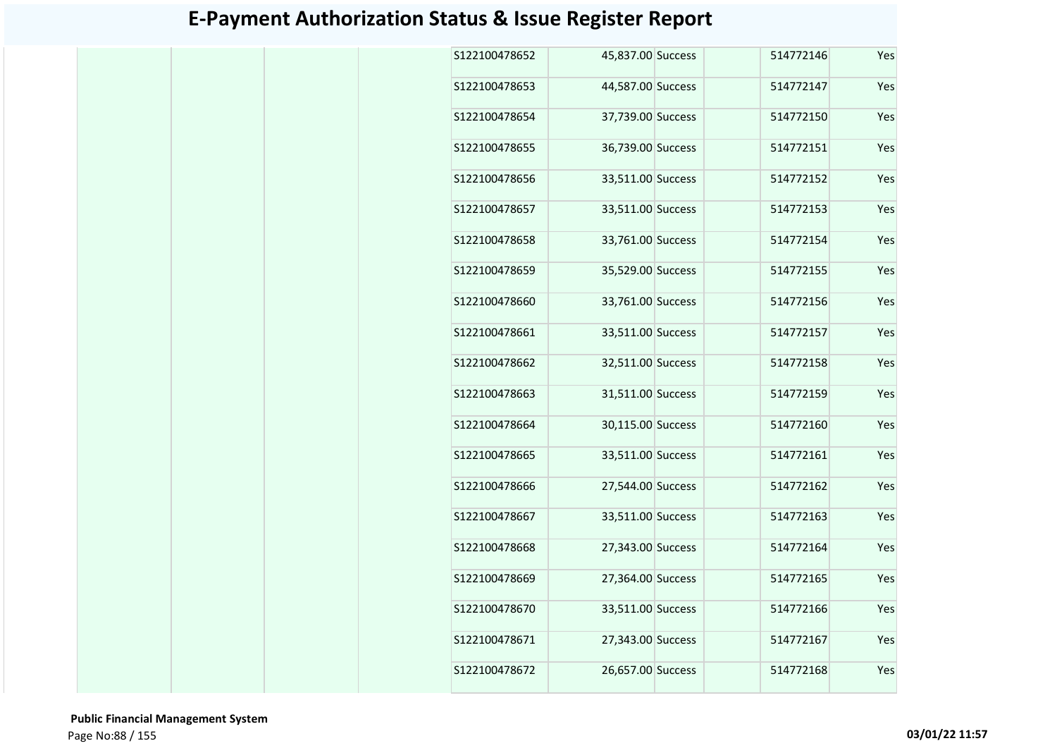| S122100478652 | 45,837.00 Success |  | 514772146 | Yes |
|---------------|-------------------|--|-----------|-----|
| S122100478653 | 44,587.00 Success |  | 514772147 | Yes |
| S122100478654 | 37,739.00 Success |  | 514772150 | Yes |
| S122100478655 | 36,739.00 Success |  | 514772151 | Yes |
| S122100478656 | 33,511.00 Success |  | 514772152 | Yes |
| S122100478657 | 33,511.00 Success |  | 514772153 | Yes |
| S122100478658 | 33,761.00 Success |  | 514772154 | Yes |
| S122100478659 | 35,529.00 Success |  | 514772155 | Yes |
| S122100478660 | 33,761.00 Success |  | 514772156 | Yes |
| S122100478661 | 33,511.00 Success |  | 514772157 | Yes |
| S122100478662 | 32,511.00 Success |  | 514772158 | Yes |
| S122100478663 | 31,511.00 Success |  | 514772159 | Yes |
| S122100478664 | 30,115.00 Success |  | 514772160 | Yes |
| S122100478665 | 33,511.00 Success |  | 514772161 | Yes |
| S122100478666 | 27,544.00 Success |  | 514772162 | Yes |
| S122100478667 | 33,511.00 Success |  | 514772163 | Yes |
| S122100478668 | 27,343.00 Success |  | 514772164 | Yes |
| S122100478669 | 27,364.00 Success |  | 514772165 | Yes |
| S122100478670 | 33,511.00 Success |  | 514772166 | Yes |
| S122100478671 | 27,343.00 Success |  | 514772167 | Yes |
| S122100478672 | 26,657.00 Success |  | 514772168 | Yes |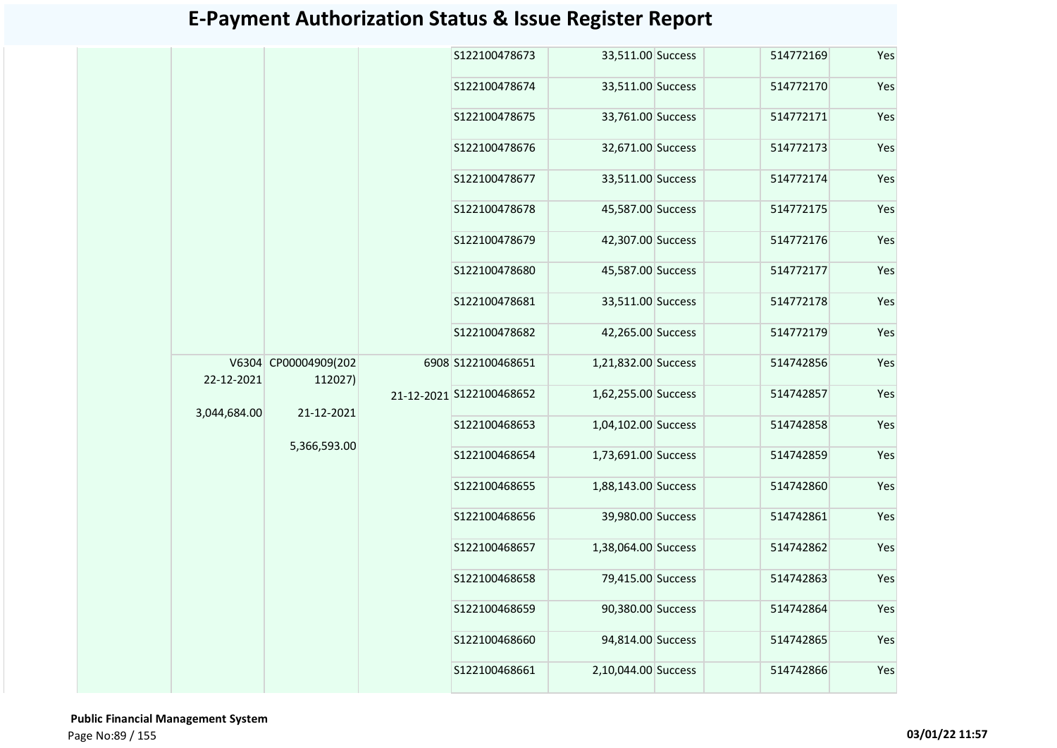|              |                                 | S122100478673            | 33,511.00 Success   | 514772169 | Yes |
|--------------|---------------------------------|--------------------------|---------------------|-----------|-----|
|              |                                 | S122100478674            | 33,511.00 Success   | 514772170 | Yes |
|              |                                 | S122100478675            | 33,761.00 Success   | 514772171 | Yes |
|              |                                 | S122100478676            | 32,671.00 Success   | 514772173 | Yes |
|              |                                 | S122100478677            | 33,511.00 Success   | 514772174 | Yes |
|              |                                 | S122100478678            | 45,587.00 Success   | 514772175 | Yes |
|              |                                 | S122100478679            | 42,307.00 Success   | 514772176 | Yes |
|              |                                 | S122100478680            | 45,587.00 Success   | 514772177 | Yes |
|              |                                 | S122100478681            | 33,511.00 Success   | 514772178 | Yes |
|              |                                 | S122100478682            | 42,265.00 Success   | 514772179 | Yes |
| 22-12-2021   | V6304 CP00004909(202<br>112027) | 6908 S122100468651       | 1,21,832.00 Success | 514742856 | Yes |
|              |                                 | 21-12-2021 S122100468652 | 1,62,255.00 Success | 514742857 | Yes |
| 3,044,684.00 | 21-12-2021                      | S122100468653            | 1,04,102.00 Success | 514742858 | Yes |
|              | 5,366,593.00                    | S122100468654            | 1,73,691.00 Success | 514742859 | Yes |
|              |                                 | S122100468655            | 1,88,143.00 Success | 514742860 | Yes |
|              |                                 | S122100468656            | 39,980.00 Success   | 514742861 | Yes |
|              |                                 | S122100468657            | 1,38,064.00 Success | 514742862 | Yes |
|              |                                 | S122100468658            | 79,415.00 Success   | 514742863 | Yes |
|              |                                 | S122100468659            | 90,380.00 Success   | 514742864 | Yes |
|              |                                 | S122100468660            | 94,814.00 Success   | 514742865 | Yes |
|              |                                 | S122100468661            | 2,10,044.00 Success | 514742866 | Yes |
|              |                                 |                          |                     |           |     |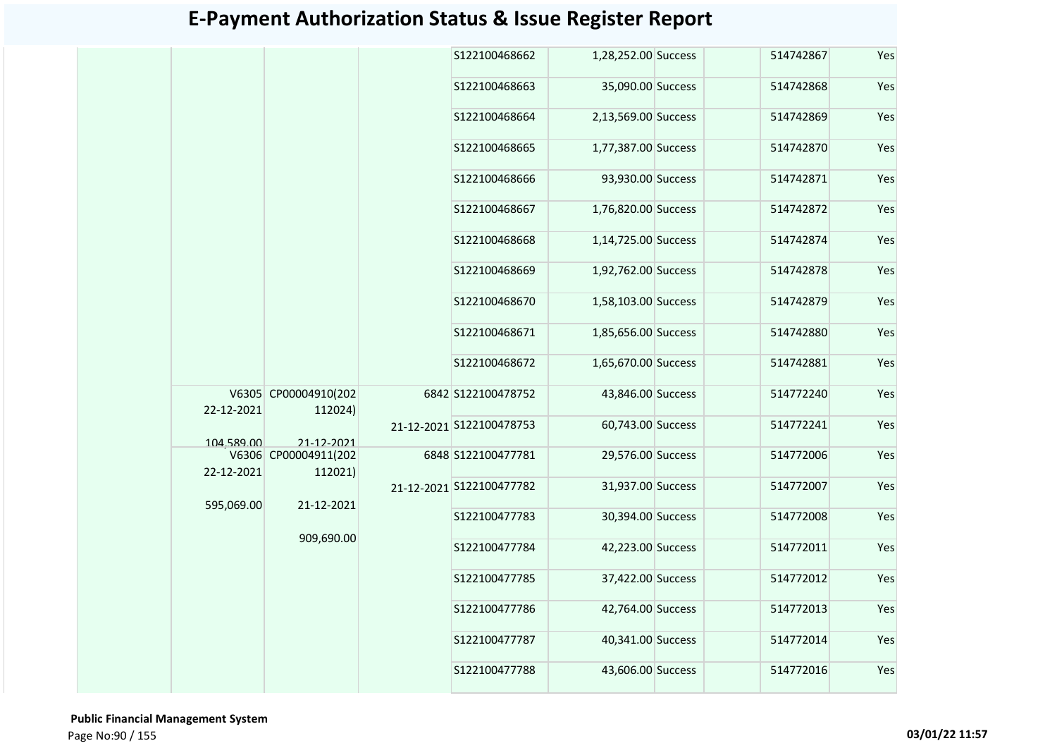|            |                                 | S122100468662            | 1,28,252.00 Success | 514742867 | Yes |
|------------|---------------------------------|--------------------------|---------------------|-----------|-----|
|            |                                 | S122100468663            | 35,090.00 Success   | 514742868 | Yes |
|            |                                 | S122100468664            | 2,13,569.00 Success | 514742869 | Yes |
|            |                                 | S122100468665            | 1,77,387.00 Success | 514742870 | Yes |
|            |                                 | S122100468666            | 93,930.00 Success   | 514742871 | Yes |
|            |                                 | S122100468667            | 1,76,820.00 Success | 514742872 | Yes |
|            |                                 | S122100468668            | 1,14,725.00 Success | 514742874 | Yes |
|            |                                 | S122100468669            | 1,92,762.00 Success | 514742878 | Yes |
|            |                                 | S122100468670            | 1,58,103.00 Success | 514742879 | Yes |
|            |                                 | S122100468671            | 1,85,656.00 Success | 514742880 | Yes |
|            |                                 | S122100468672            | 1,65,670.00 Success | 514742881 | Yes |
| 22-12-2021 | V6305 CP00004910(202<br>112024) | 6842 S122100478752       | 43,846.00 Success   | 514772240 | Yes |
| 104,589.00 | 21-12-2021                      | 21-12-2021 S122100478753 | 60,743.00 Success   | 514772241 | Yes |
| 22-12-2021 | V6306 CP00004911(202<br>112021) | 6848 S122100477781       | 29,576.00 Success   | 514772006 | Yes |
| 595,069.00 |                                 | 21-12-2021 S122100477782 | 31,937.00 Success   | 514772007 | Yes |
|            | 21-12-2021                      | S122100477783            | 30,394.00 Success   | 514772008 | Yes |
|            | 909,690.00                      | S122100477784            | 42,223.00 Success   | 514772011 | Yes |
|            |                                 | S122100477785            | 37,422.00 Success   | 514772012 | Yes |
|            |                                 | S122100477786            | 42,764.00 Success   | 514772013 | Yes |
|            |                                 | S122100477787            | 40,341.00 Success   | 514772014 | Yes |
|            |                                 | S122100477788            | 43,606.00 Success   | 514772016 | Yes |
|            |                                 |                          |                     |           |     |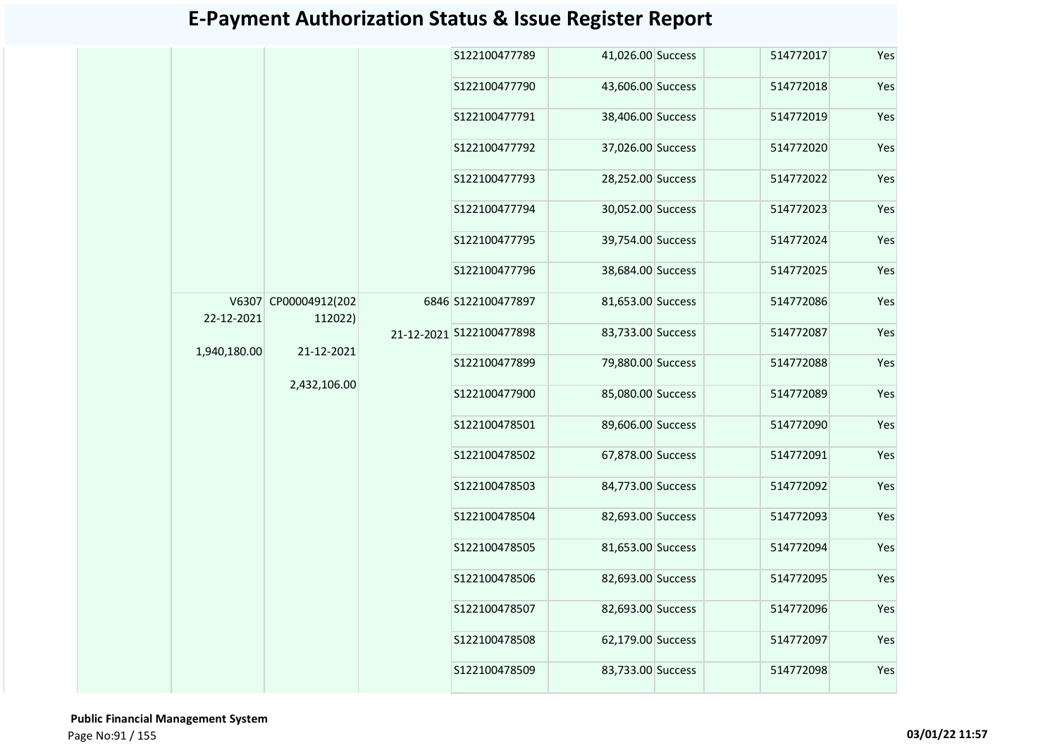|              |                      | S122100477789            | 41,026.00 Success | 514772017 | Yes |
|--------------|----------------------|--------------------------|-------------------|-----------|-----|
|              |                      | S122100477790            | 43,606.00 Success | 514772018 | Yes |
|              |                      | S122100477791            | 38,406.00 Success | 514772019 | Yes |
|              |                      | S122100477792            | 37,026.00 Success | 514772020 | Yes |
|              |                      | S122100477793            | 28,252.00 Success | 514772022 | Yes |
|              |                      | S122100477794            | 30,052.00 Success | 514772023 | Yes |
|              |                      | S122100477795            | 39,754.00 Success | 514772024 | Yes |
|              |                      | S122100477796            | 38,684.00 Success | 514772025 | Yes |
|              | V6307 CP00004912(202 | 6846 S122100477897       | 81,653.00 Success | 514772086 | Yes |
| 22-12-2021   | 112022)              | 21-12-2021 S122100477898 | 83,733.00 Success | 514772087 | Yes |
| 1,940,180.00 | 21-12-2021           | S122100477899            | 79,880.00 Success | 514772088 | Yes |
|              | 2,432,106.00         | S122100477900            | 85,080.00 Success | 514772089 | Yes |
|              |                      | S122100478501            | 89,606.00 Success | 514772090 | Yes |
|              |                      | S122100478502            | 67,878.00 Success | 514772091 | Yes |
|              |                      | S122100478503            | 84,773.00 Success | 514772092 | Yes |
|              |                      | S122100478504            | 82,693.00 Success | 514772093 | Yes |
|              |                      | S122100478505            | 81,653.00 Success | 514772094 | Yes |
|              |                      | S122100478506            | 82,693.00 Success | 514772095 | Yes |
|              |                      | S122100478507            | 82,693.00 Success | 514772096 | Yes |
|              |                      | S122100478508            | 62,179.00 Success | 514772097 | Yes |
|              |                      | S122100478509            | 83,733.00 Success | 514772098 | Yes |
|              |                      |                          |                   |           |     |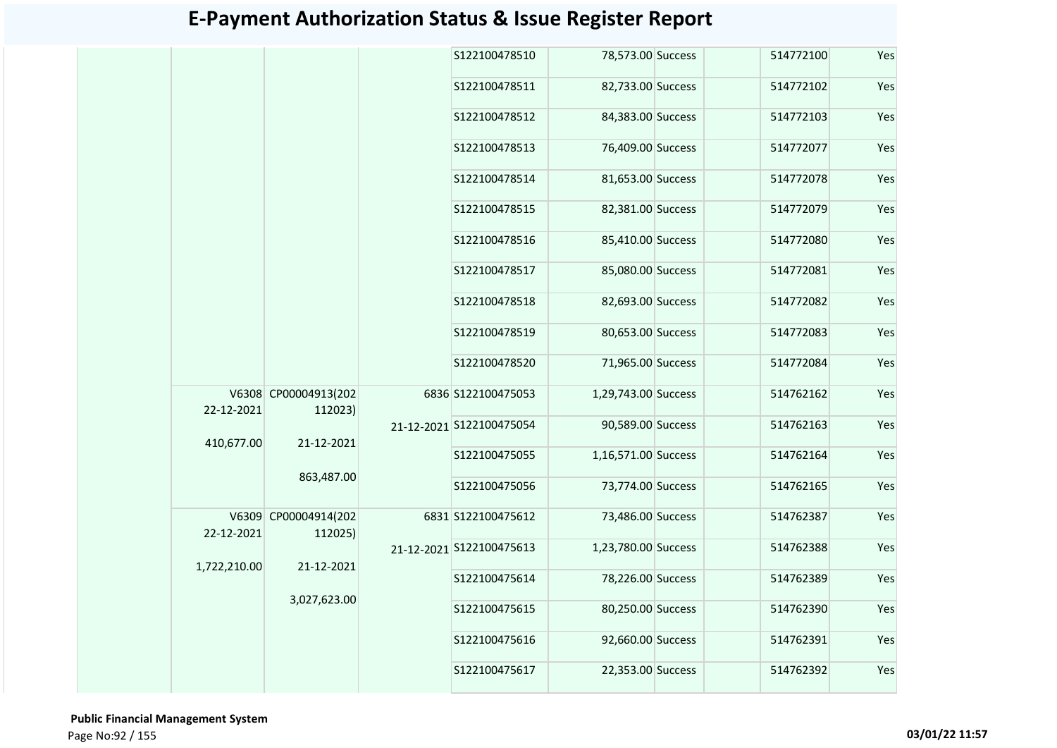|              |                                 | S122100478510            | 78,573.00 Success   | 514772100 | Yes |
|--------------|---------------------------------|--------------------------|---------------------|-----------|-----|
|              |                                 | S122100478511            | 82,733.00 Success   | 514772102 | Yes |
|              |                                 | S122100478512            | 84,383.00 Success   | 514772103 | Yes |
|              |                                 | S122100478513            | 76,409.00 Success   | 514772077 | Yes |
|              |                                 | S122100478514            | 81,653.00 Success   | 514772078 | Yes |
|              |                                 | S122100478515            | 82,381.00 Success   | 514772079 | Yes |
|              |                                 | S122100478516            | 85,410.00 Success   | 514772080 | Yes |
|              |                                 | S122100478517            | 85,080.00 Success   | 514772081 | Yes |
|              |                                 | S122100478518            | 82,693.00 Success   | 514772082 | Yes |
|              |                                 | S122100478519            | 80,653.00 Success   | 514772083 | Yes |
|              |                                 | S122100478520            | 71,965.00 Success   | 514772084 | Yes |
| 22-12-2021   | V6308 CP00004913(202<br>112023) | 6836 S122100475053       | 1,29,743.00 Success | 514762162 | Yes |
|              |                                 | 21-12-2021 S122100475054 | 90,589.00 Success   | 514762163 | Yes |
| 410,677.00   | 21-12-2021                      | S122100475055            | 1,16,571.00 Success | 514762164 | Yes |
|              | 863,487.00                      | S122100475056            | 73,774.00 Success   | 514762165 | Yes |
| 22-12-2021   | V6309 CP00004914(202<br>112025) | 6831 S122100475612       | 73,486.00 Success   | 514762387 | Yes |
|              |                                 | 21-12-2021 S122100475613 | 1,23,780.00 Success | 514762388 | Yes |
| 1,722,210.00 | 21-12-2021                      | S122100475614            | 78,226.00 Success   | 514762389 | Yes |
|              | 3,027,623.00                    | S122100475615            | 80,250.00 Success   | 514762390 | Yes |
|              |                                 | S122100475616            | 92,660.00 Success   | 514762391 | Yes |
|              |                                 | S122100475617            | 22,353.00 Success   | 514762392 | Yes |
|              |                                 |                          |                     |           |     |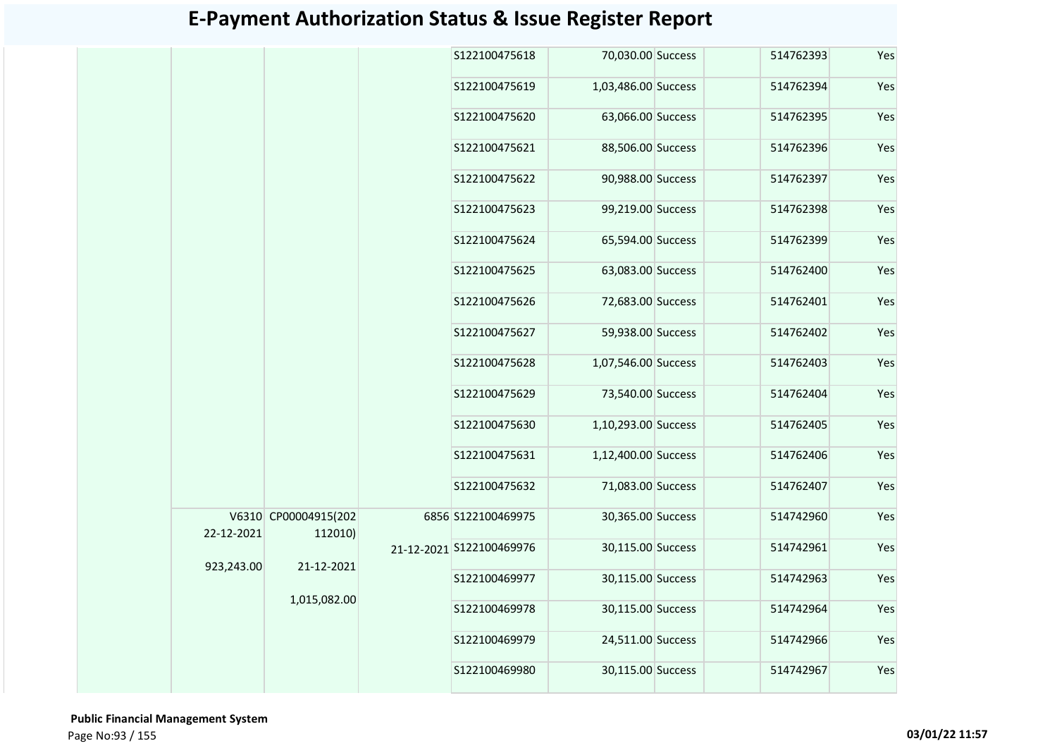|            |                                 | S122100475618            | 70,030.00 Success   | 514762393 | Yes |
|------------|---------------------------------|--------------------------|---------------------|-----------|-----|
|            |                                 | S122100475619            | 1,03,486.00 Success | 514762394 | Yes |
|            |                                 | S122100475620            | 63,066.00 Success   | 514762395 | Yes |
|            |                                 | S122100475621            | 88,506.00 Success   | 514762396 | Yes |
|            |                                 | S122100475622            | 90,988.00 Success   | 514762397 | Yes |
|            |                                 | S122100475623            | 99,219.00 Success   | 514762398 | Yes |
|            |                                 | S122100475624            | 65,594.00 Success   | 514762399 | Yes |
|            |                                 | S122100475625            | 63,083.00 Success   | 514762400 | Yes |
|            |                                 | S122100475626            | 72,683.00 Success   | 514762401 | Yes |
|            |                                 | S122100475627            | 59,938.00 Success   | 514762402 | Yes |
|            |                                 | S122100475628            | 1,07,546.00 Success | 514762403 | Yes |
|            |                                 | S122100475629            | 73,540.00 Success   | 514762404 | Yes |
|            |                                 | S122100475630            | 1,10,293.00 Success | 514762405 | Yes |
|            |                                 | S122100475631            | 1,12,400.00 Success | 514762406 | Yes |
|            |                                 | S122100475632            | 71,083.00 Success   | 514762407 | Yes |
| 22-12-2021 | V6310 CP00004915(202<br>112010) | 6856 S122100469975       | 30,365.00 Success   | 514742960 | Yes |
|            |                                 | 21-12-2021 S122100469976 | 30,115.00 Success   | 514742961 | Yes |
| 923,243.00 | 21-12-2021                      | S122100469977            | 30,115.00 Success   | 514742963 | Yes |
|            | 1,015,082.00                    | S122100469978            | 30,115.00 Success   | 514742964 | Yes |
|            |                                 | S122100469979            | 24,511.00 Success   | 514742966 | Yes |
|            |                                 | S122100469980            | 30,115.00 Success   | 514742967 | Yes |
|            |                                 |                          |                     |           |     |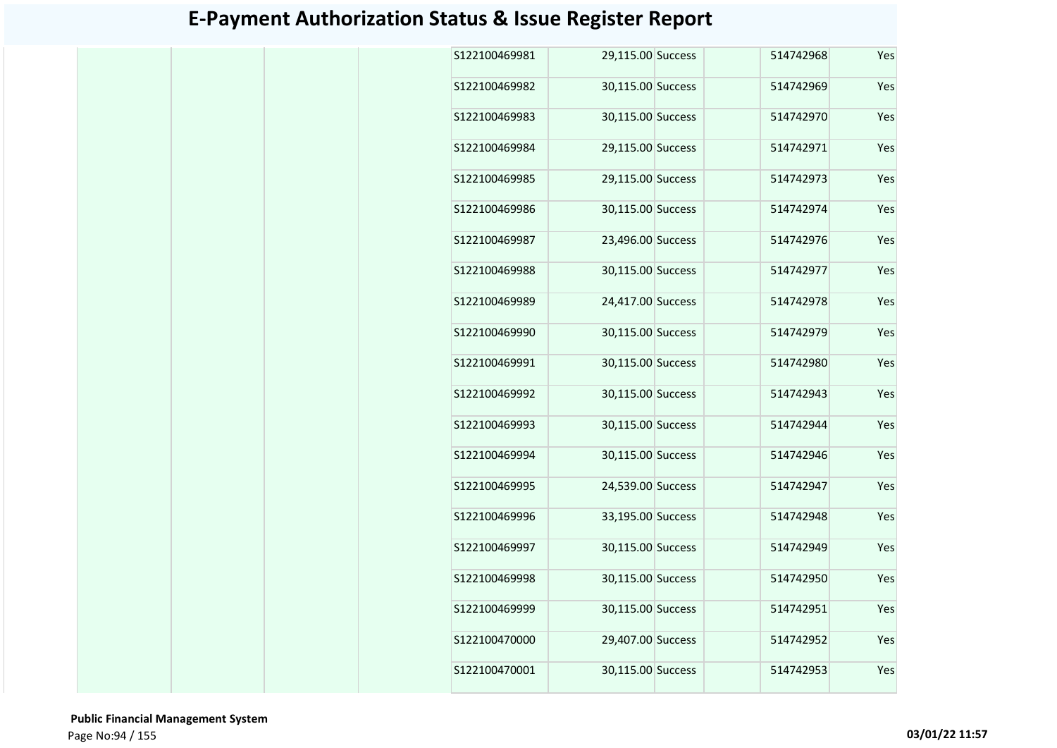| S122100469981 | 29,115.00 Success |  | 514742968 | Yes |
|---------------|-------------------|--|-----------|-----|
| S122100469982 | 30,115.00 Success |  | 514742969 | Yes |
| S122100469983 | 30,115.00 Success |  | 514742970 | Yes |
| S122100469984 | 29,115.00 Success |  | 514742971 | Yes |
| S122100469985 | 29,115.00 Success |  | 514742973 | Yes |
| S122100469986 | 30,115.00 Success |  | 514742974 | Yes |
| S122100469987 | 23,496.00 Success |  | 514742976 | Yes |
| S122100469988 | 30,115.00 Success |  | 514742977 | Yes |
| S122100469989 | 24,417.00 Success |  | 514742978 | Yes |
| S122100469990 | 30,115.00 Success |  | 514742979 | Yes |
| S122100469991 | 30,115.00 Success |  | 514742980 | Yes |
| S122100469992 | 30,115.00 Success |  | 514742943 | Yes |
| S122100469993 | 30,115.00 Success |  | 514742944 | Yes |
| S122100469994 | 30,115.00 Success |  | 514742946 | Yes |
| S122100469995 | 24,539.00 Success |  | 514742947 | Yes |
| S122100469996 | 33,195.00 Success |  | 514742948 | Yes |
| S122100469997 | 30,115.00 Success |  | 514742949 | Yes |
| S122100469998 | 30,115.00 Success |  | 514742950 | Yes |
| S122100469999 | 30,115.00 Success |  | 514742951 | Yes |
| S122100470000 | 29,407.00 Success |  | 514742952 | Yes |
| S122100470001 | 30,115.00 Success |  | 514742953 | Yes |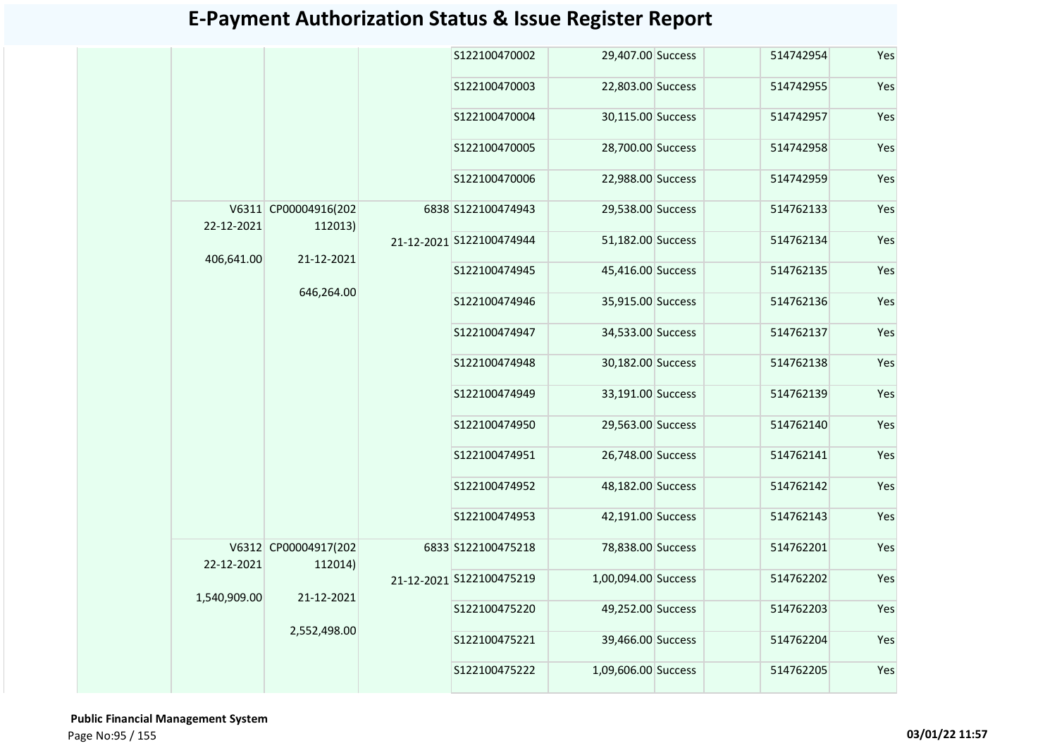|                                                        | S122100470002                                                                                                                |                                                                                                  | 514742954                                                                                                                                                                                                                                                                                                                                                                                                                                                 | Yes |
|--------------------------------------------------------|------------------------------------------------------------------------------------------------------------------------------|--------------------------------------------------------------------------------------------------|-----------------------------------------------------------------------------------------------------------------------------------------------------------------------------------------------------------------------------------------------------------------------------------------------------------------------------------------------------------------------------------------------------------------------------------------------------------|-----|
|                                                        | S122100470003                                                                                                                |                                                                                                  | 514742955                                                                                                                                                                                                                                                                                                                                                                                                                                                 | Yes |
|                                                        | S122100470004                                                                                                                |                                                                                                  | 514742957                                                                                                                                                                                                                                                                                                                                                                                                                                                 | Yes |
|                                                        | S122100470005                                                                                                                |                                                                                                  | 514742958                                                                                                                                                                                                                                                                                                                                                                                                                                                 | Yes |
|                                                        | S122100470006                                                                                                                |                                                                                                  | 514742959                                                                                                                                                                                                                                                                                                                                                                                                                                                 | Yes |
|                                                        |                                                                                                                              |                                                                                                  | 514762133                                                                                                                                                                                                                                                                                                                                                                                                                                                 | Yes |
|                                                        |                                                                                                                              |                                                                                                  | 514762134                                                                                                                                                                                                                                                                                                                                                                                                                                                 | Yes |
|                                                        | S122100474945                                                                                                                |                                                                                                  | 514762135                                                                                                                                                                                                                                                                                                                                                                                                                                                 | Yes |
|                                                        | S122100474946                                                                                                                |                                                                                                  | 514762136                                                                                                                                                                                                                                                                                                                                                                                                                                                 | Yes |
|                                                        | S122100474947                                                                                                                |                                                                                                  | 514762137                                                                                                                                                                                                                                                                                                                                                                                                                                                 | Yes |
|                                                        | S122100474948                                                                                                                |                                                                                                  | 514762138                                                                                                                                                                                                                                                                                                                                                                                                                                                 | Yes |
|                                                        | S122100474949                                                                                                                |                                                                                                  | 514762139                                                                                                                                                                                                                                                                                                                                                                                                                                                 | Yes |
|                                                        | S122100474950                                                                                                                |                                                                                                  | 514762140                                                                                                                                                                                                                                                                                                                                                                                                                                                 | Yes |
|                                                        | S122100474951                                                                                                                |                                                                                                  | 514762141                                                                                                                                                                                                                                                                                                                                                                                                                                                 | Yes |
|                                                        | S122100474952                                                                                                                |                                                                                                  | 514762142                                                                                                                                                                                                                                                                                                                                                                                                                                                 | Yes |
|                                                        | S122100474953                                                                                                                |                                                                                                  | 514762143                                                                                                                                                                                                                                                                                                                                                                                                                                                 | Yes |
|                                                        |                                                                                                                              |                                                                                                  | 514762201                                                                                                                                                                                                                                                                                                                                                                                                                                                 | Yes |
|                                                        |                                                                                                                              |                                                                                                  | 514762202                                                                                                                                                                                                                                                                                                                                                                                                                                                 | Yes |
|                                                        | S122100475220                                                                                                                |                                                                                                  | 514762203                                                                                                                                                                                                                                                                                                                                                                                                                                                 | Yes |
|                                                        | S122100475221                                                                                                                |                                                                                                  | 514762204                                                                                                                                                                                                                                                                                                                                                                                                                                                 | Yes |
|                                                        | S122100475222                                                                                                                |                                                                                                  | 514762205                                                                                                                                                                                                                                                                                                                                                                                                                                                 | Yes |
| 22-12-2021<br>406,641.00<br>22-12-2021<br>1,540,909.00 | V6311 CP00004916(202<br>112013)<br>21-12-2021<br>646,264.00<br>V6312 CP00004917(202<br>112014)<br>21-12-2021<br>2,552,498.00 | 6838 S122100474943<br>21-12-2021 S122100474944<br>6833 S122100475218<br>21-12-2021 S122100475219 | 29,407.00 Success<br>22,803.00 Success<br>30,115.00 Success<br>28,700.00 Success<br>22,988.00 Success<br>29,538.00 Success<br>51,182.00 Success<br>45,416.00 Success<br>35,915.00 Success<br>34,533.00 Success<br>30,182.00 Success<br>33,191.00 Success<br>29,563.00 Success<br>26,748.00 Success<br>48,182.00 Success<br>42,191.00 Success<br>78,838.00 Success<br>1,00,094.00 Success<br>49,252.00 Success<br>39,466.00 Success<br>1,09,606.00 Success |     |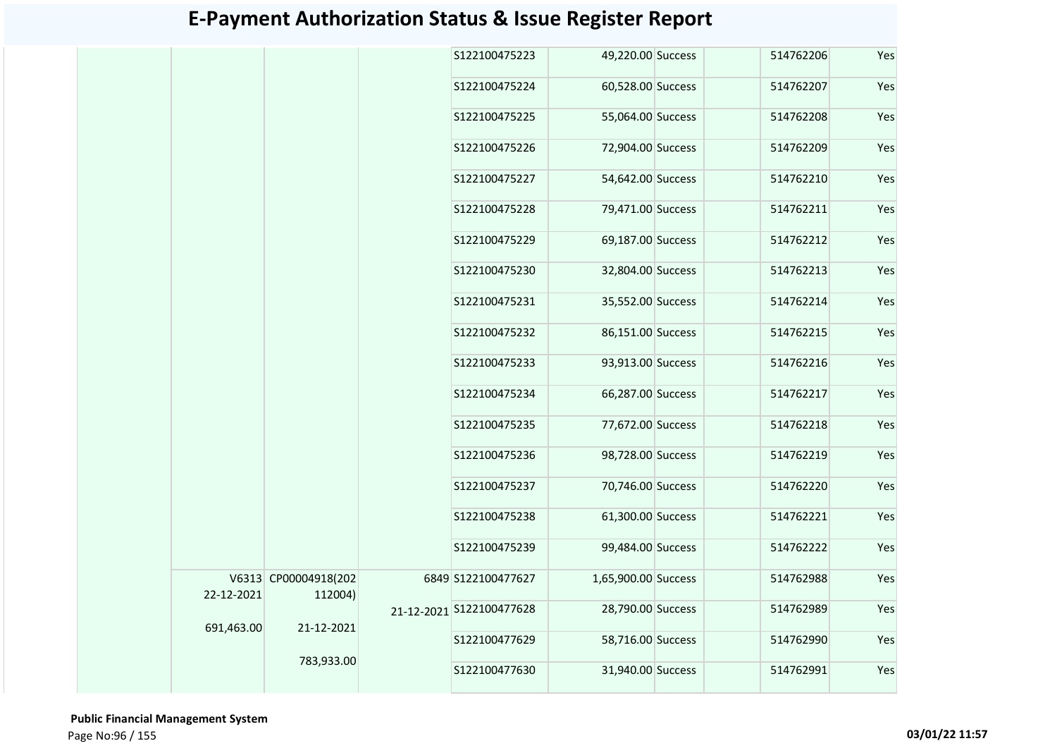|            |                                 | S122100475223            | 49,220.00 Success   | 514762206 | Yes |
|------------|---------------------------------|--------------------------|---------------------|-----------|-----|
|            |                                 | S122100475224            | 60,528.00 Success   | 514762207 | Yes |
|            |                                 | S122100475225            | 55,064.00 Success   | 514762208 | Yes |
|            |                                 | S122100475226            | 72,904.00 Success   | 514762209 | Yes |
|            |                                 | S122100475227            | 54,642.00 Success   | 514762210 | Yes |
|            |                                 | S122100475228            | 79,471.00 Success   | 514762211 | Yes |
|            |                                 | S122100475229            | 69,187.00 Success   | 514762212 | Yes |
|            |                                 | S122100475230            | 32,804.00 Success   | 514762213 | Yes |
|            |                                 | S122100475231            | 35,552.00 Success   | 514762214 | Yes |
|            |                                 | S122100475232            | 86,151.00 Success   | 514762215 | Yes |
|            |                                 | S122100475233            | 93,913.00 Success   | 514762216 | Yes |
|            |                                 | S122100475234            | 66,287.00 Success   | 514762217 | Yes |
|            |                                 | S122100475235            | 77,672.00 Success   | 514762218 | Yes |
|            |                                 | S122100475236            | 98,728.00 Success   | 514762219 | Yes |
|            |                                 | S122100475237            | 70,746.00 Success   | 514762220 | Yes |
|            |                                 | S122100475238            | 61,300.00 Success   | 514762221 | Yes |
|            |                                 | S122100475239            | 99,484.00 Success   | 514762222 | Yes |
| 22-12-2021 | V6313 CP00004918(202<br>112004) | 6849 S122100477627       | 1,65,900.00 Success | 514762988 | Yes |
|            |                                 | 21-12-2021 S122100477628 | 28,790.00 Success   | 514762989 | Yes |
| 691,463.00 | 21-12-2021                      | S122100477629            | 58,716.00 Success   | 514762990 | Yes |
|            | 783,933.00                      | S122100477630            | 31,940.00 Success   | 514762991 | Yes |

 **Public Financial Management System**  Page No:96 / 155 **03/01/22 11:57**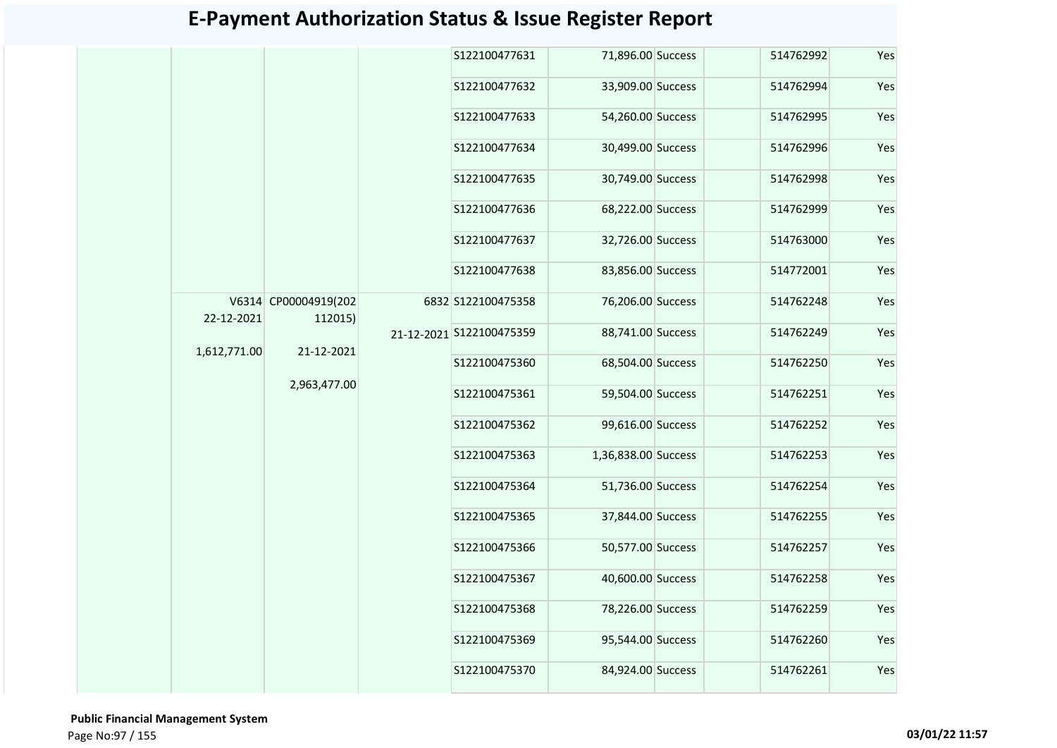|              |                      |         | S122100477631            | 71,896.00 Success   | 514762992 | Yes |
|--------------|----------------------|---------|--------------------------|---------------------|-----------|-----|
|              |                      |         | S122100477632            | 33,909.00 Success   | 514762994 | Yes |
|              |                      |         | S122100477633            | 54,260.00 Success   | 514762995 | Yes |
|              |                      |         | S122100477634            | 30,499.00 Success   | 514762996 | Yes |
|              |                      |         | S122100477635            | 30,749.00 Success   | 514762998 | Yes |
|              |                      |         | S122100477636            | 68,222.00 Success   | 514762999 | Yes |
|              |                      |         | S122100477637            | 32,726.00 Success   | 514763000 | Yes |
|              |                      |         | S122100477638            | 83,856.00 Success   | 514772001 | Yes |
|              | V6314 CP00004919(202 | 112015) | 6832 S122100475358       | 76,206.00 Success   | 514762248 | Yes |
| 22-12-2021   |                      |         | 21-12-2021 S122100475359 | 88,741.00 Success   | 514762249 | Yes |
| 1,612,771.00 | 21-12-2021           |         | S122100475360            | 68,504.00 Success   | 514762250 | Yes |
|              | 2,963,477.00         |         | S122100475361            | 59,504.00 Success   | 514762251 | Yes |
|              |                      |         | S122100475362            | 99,616.00 Success   | 514762252 | Yes |
|              |                      |         | S122100475363            | 1,36,838.00 Success | 514762253 | Yes |
|              |                      |         | S122100475364            | 51,736.00 Success   | 514762254 | Yes |
|              |                      |         | S122100475365            | 37,844.00 Success   | 514762255 | Yes |
|              |                      |         | S122100475366            | 50,577.00 Success   | 514762257 | Yes |
|              |                      |         | S122100475367            | 40,600.00 Success   | 514762258 | Yes |
|              |                      |         | S122100475368            | 78,226.00 Success   | 514762259 | Yes |
|              |                      |         | S122100475369            | 95,544.00 Success   | 514762260 | Yes |
|              |                      |         | S122100475370            | 84,924.00 Success   | 514762261 | Yes |
|              |                      |         |                          |                     |           |     |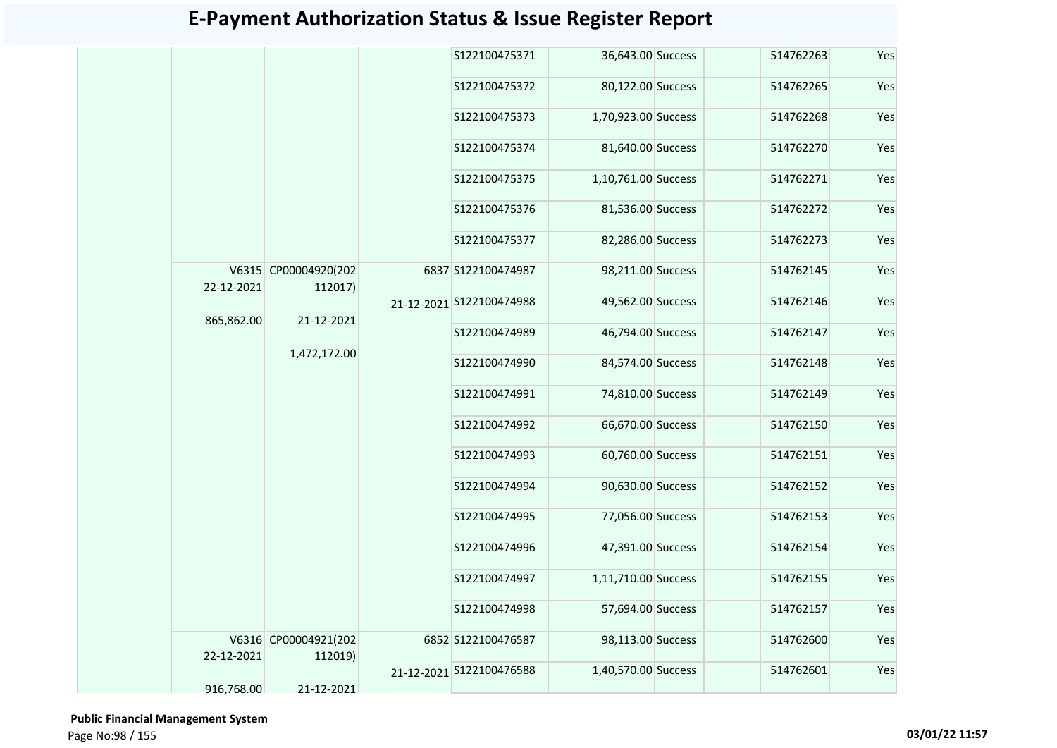|            |                                 |  | S122100475371            | 36,643.00 Success   | 514762263 | Yes |
|------------|---------------------------------|--|--------------------------|---------------------|-----------|-----|
|            |                                 |  | S122100475372            | 80,122.00 Success   | 514762265 | Yes |
|            |                                 |  | S122100475373            | 1,70,923.00 Success | 514762268 | Yes |
|            |                                 |  | S122100475374            | 81,640.00 Success   | 514762270 | Yes |
|            |                                 |  | S122100475375            | 1,10,761.00 Success | 514762271 | Yes |
|            |                                 |  | S122100475376            | 81,536.00 Success   | 514762272 | Yes |
|            |                                 |  | S122100475377            | 82,286.00 Success   | 514762273 | Yes |
| 22-12-2021 | V6315 CP00004920(202<br>112017) |  | 6837 S122100474987       | 98,211.00 Success   | 514762145 | Yes |
| 865,862.00 | 21-12-2021                      |  | 21-12-2021 S122100474988 | 49,562.00 Success   | 514762146 | Yes |
|            |                                 |  | S122100474989            | 46,794.00 Success   | 514762147 | Yes |
|            | 1,472,172.00                    |  | S122100474990            | 84,574.00 Success   | 514762148 | Yes |
|            |                                 |  | S122100474991            | 74,810.00 Success   | 514762149 | Yes |
|            |                                 |  | S122100474992            | 66,670.00 Success   | 514762150 | Yes |
|            |                                 |  | S122100474993            | 60,760.00 Success   | 514762151 | Yes |
|            |                                 |  | S122100474994            | 90,630.00 Success   | 514762152 | Yes |
|            |                                 |  | S122100474995            | 77,056.00 Success   | 514762153 | Yes |
|            |                                 |  | S122100474996            | 47,391.00 Success   | 514762154 | Yes |
|            |                                 |  | S122100474997            | 1,11,710.00 Success | 514762155 | Yes |
|            |                                 |  | S122100474998            | 57,694.00 Success   | 514762157 | Yes |
| 22-12-2021 | V6316 CP00004921(202<br>112019) |  | 6852 S122100476587       | 98,113.00 Success   | 514762600 | Yes |
|            |                                 |  | 21-12-2021 S122100476588 | 1,40,570.00 Success | 514762601 | Yes |
| 916,768.00 | 21-12-2021                      |  |                          |                     |           |     |

 **Public Financial Management System**  Page No:98 / 155 **03/01/22 11:57**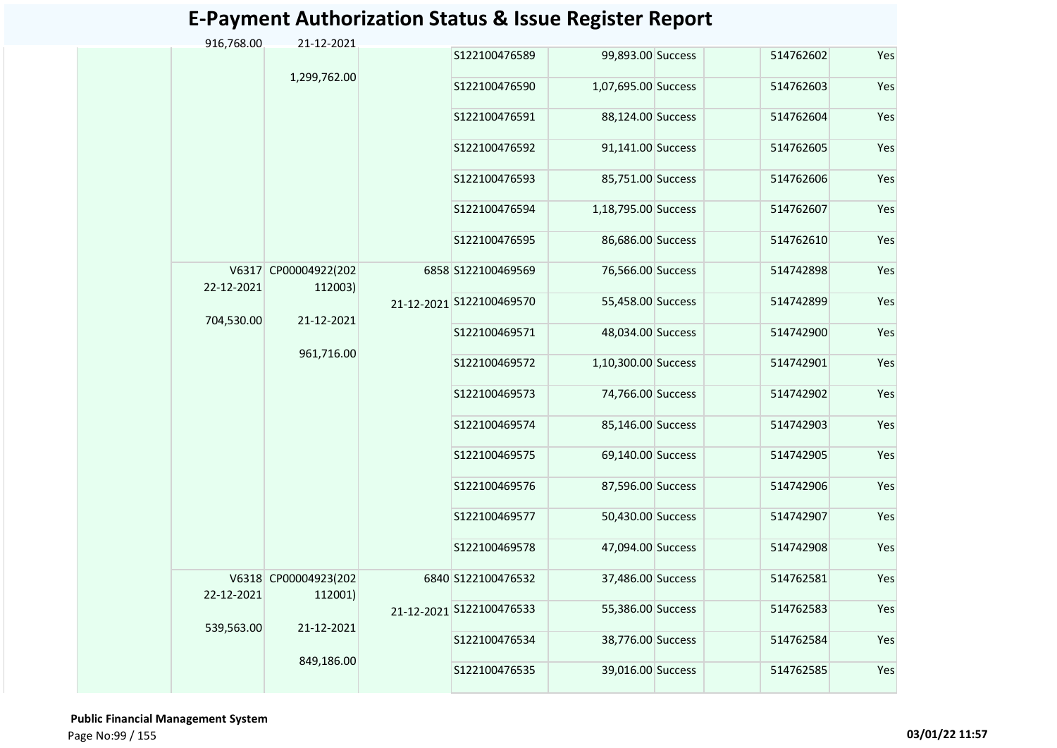|  | 916,768.00 | 21-12-2021                      |               |                          |                     |           |     |
|--|------------|---------------------------------|---------------|--------------------------|---------------------|-----------|-----|
|  |            | 1,299,762.00                    |               | S122100476589            | 99,893.00 Success   | 514762602 | Yes |
|  |            |                                 |               | S122100476590            | 1,07,695.00 Success | 514762603 | Yes |
|  |            |                                 | S122100476591 | 88,124.00 Success        | 514762604           | Yes       |     |
|  |            |                                 |               | S122100476592            | 91,141.00 Success   | 514762605 | Yes |
|  |            |                                 |               | S122100476593            | 85,751.00 Success   | 514762606 | Yes |
|  |            |                                 |               | S122100476594            | 1,18,795.00 Success | 514762607 | Yes |
|  |            |                                 |               | S122100476595            | 86,686.00 Success   | 514762610 | Yes |
|  | 22-12-2021 | V6317 CP00004922(202<br>112003) |               | 6858 S122100469569       | 76,566.00 Success   | 514742898 | Yes |
|  | 704,530.00 | 21-12-2021                      |               | 21-12-2021 S122100469570 | 55,458.00 Success   | 514742899 | Yes |
|  |            |                                 |               | S122100469571            | 48,034.00 Success   | 514742900 | Yes |
|  |            | 961,716.00                      |               | S122100469572            | 1,10,300.00 Success | 514742901 | Yes |
|  |            |                                 |               | S122100469573            | 74,766.00 Success   | 514742902 | Yes |
|  |            |                                 |               | S122100469574            | 85,146.00 Success   | 514742903 | Yes |
|  |            |                                 |               | S122100469575            | 69,140.00 Success   | 514742905 | Yes |
|  |            |                                 |               | S122100469576            | 87,596.00 Success   | 514742906 | Yes |
|  |            |                                 |               | S122100469577            | 50,430.00 Success   | 514742907 | Yes |
|  |            |                                 |               | S122100469578            | 47,094.00 Success   | 514742908 | Yes |
|  | 22-12-2021 | V6318 CP00004923(202<br>112001) |               | 6840 S122100476532       | 37,486.00 Success   | 514762581 | Yes |
|  | 539,563.00 | 21-12-2021                      |               | 21-12-2021 S122100476533 | 55,386.00 Success   | 514762583 | Yes |
|  |            |                                 |               | S122100476534            | 38,776.00 Success   | 514762584 | Yes |
|  |            | 849,186.00                      |               | S122100476535            | 39,016.00 Success   | 514762585 | Yes |

 **Public Financial Management System**  Page No:99 / 155 **03/01/22 11:57**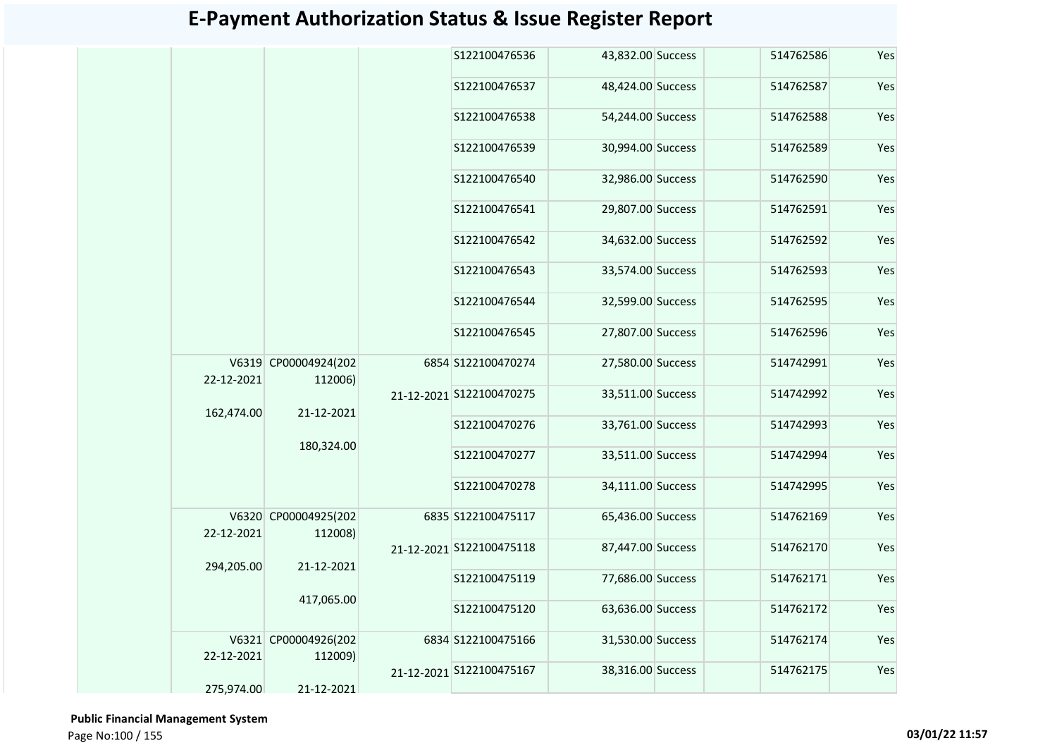|            |                      |            | S122100476536            | 43,832.00 Success | 514762586 | Yes |
|------------|----------------------|------------|--------------------------|-------------------|-----------|-----|
|            |                      |            | S122100476537            | 48,424.00 Success | 514762587 | Yes |
|            |                      |            | S122100476538            | 54,244.00 Success | 514762588 | Yes |
|            |                      |            | S122100476539            | 30,994.00 Success | 514762589 | Yes |
|            |                      |            | S122100476540            | 32,986.00 Success | 514762590 | Yes |
|            |                      |            | S122100476541            | 29,807.00 Success | 514762591 | Yes |
|            |                      |            | S122100476542            | 34,632.00 Success | 514762592 | Yes |
|            |                      |            | S122100476543            | 33,574.00 Success | 514762593 | Yes |
|            |                      |            | S122100476544            | 32,599.00 Success | 514762595 | Yes |
|            |                      |            | S122100476545            | 27,807.00 Success | 514762596 | Yes |
| 22-12-2021 | V6319 CP00004924(202 |            | 6854 S122100470274       | 27,580.00 Success | 514742991 | Yes |
|            | 112006)              | 21-12-2021 | 21-12-2021 S122100470275 | 33,511.00 Success | 514742992 | Yes |
| 162,474.00 |                      |            | S122100470276            | 33,761.00 Success | 514742993 | Yes |
|            | 180,324.00           |            | S122100470277            | 33,511.00 Success | 514742994 | Yes |
|            |                      |            | S122100470278            | 34,111.00 Success | 514742995 | Yes |
| 22-12-2021 | V6320 CP00004925(202 |            | 6835 S122100475117       | 65,436.00 Success | 514762169 | Yes |
|            | 112008)              |            | 21-12-2021 S122100475118 | 87,447.00 Success | 514762170 | Yes |
| 294,205.00 | 21-12-2021           |            | S122100475119            | 77,686.00 Success | 514762171 | Yes |
|            | 417,065.00           |            | S122100475120            | 63,636.00 Success | 514762172 | Yes |
|            | V6321 CP00004926(202 |            | 6834 S122100475166       | 31,530.00 Success | 514762174 | Yes |
| 22-12-2021 | 112009)              |            | 21-12-2021 S122100475167 | 38,316.00 Success | 514762175 | Yes |
| 275,974.00 | 21-12-2021           |            |                          |                   |           |     |

 **Public Financial Management System**  Page No:100 / 155 **03/01/22 11:57**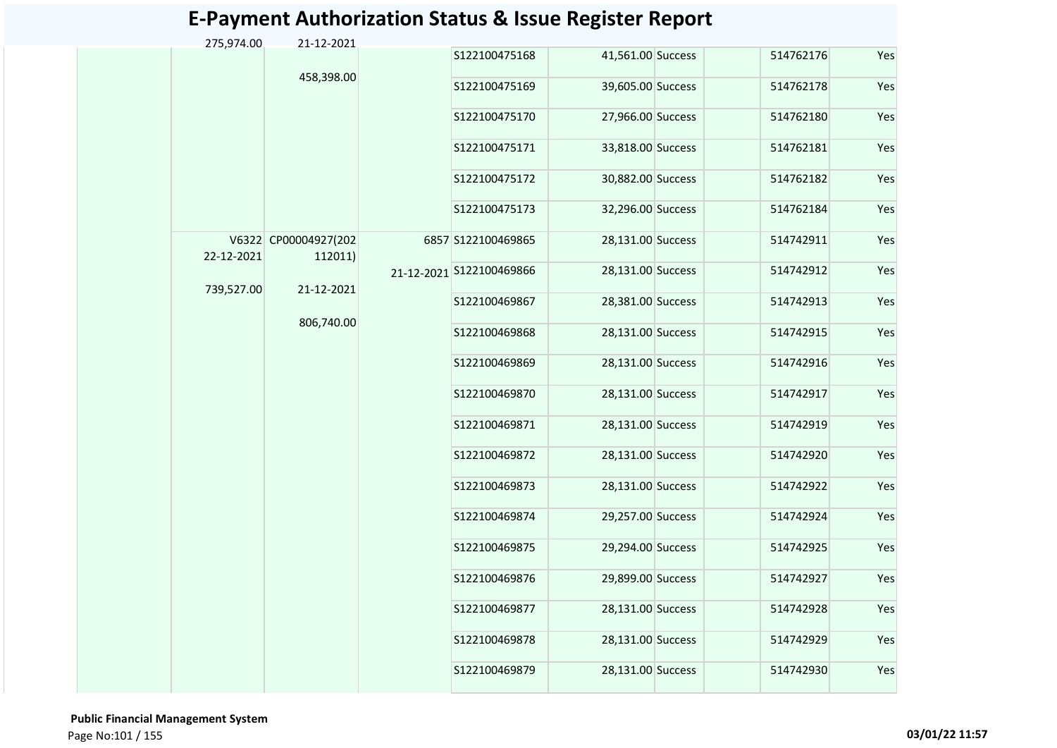|  | 275,974.00 | 21-12-2021                      |               |                          |                   |           |     |
|--|------------|---------------------------------|---------------|--------------------------|-------------------|-----------|-----|
|  |            |                                 |               | S122100475168            | 41,561.00 Success | 514762176 | Yes |
|  |            | 458,398.00                      |               | S122100475169            | 39,605.00 Success | 514762178 | Yes |
|  |            |                                 |               | S122100475170            | 27,966.00 Success | 514762180 | Yes |
|  |            |                                 |               | S122100475171            | 33,818.00 Success | 514762181 | Yes |
|  |            |                                 |               | S122100475172            | 30,882.00 Success | 514762182 | Yes |
|  |            |                                 |               | S122100475173            | 32,296.00 Success | 514762184 | Yes |
|  | 22-12-2021 | V6322 CP00004927(202<br>112011) |               | 6857 S122100469865       | 28,131.00 Success | 514742911 | Yes |
|  | 739,527.00 | 21-12-2021                      |               | 21-12-2021 S122100469866 | 28,131.00 Success | 514742912 | Yes |
|  |            |                                 |               | S122100469867            | 28,381.00 Success | 514742913 | Yes |
|  |            | 806,740.00                      |               | S122100469868            | 28,131.00 Success | 514742915 | Yes |
|  |            |                                 | S122100469869 | 28,131.00 Success        | 514742916         | Yes       |     |
|  |            |                                 |               | S122100469870            | 28,131.00 Success | 514742917 | Yes |
|  |            |                                 |               | S122100469871            | 28,131.00 Success | 514742919 | Yes |
|  |            |                                 |               | S122100469872            | 28,131.00 Success | 514742920 | Yes |
|  |            |                                 |               | S122100469873            | 28,131.00 Success | 514742922 | Yes |
|  |            |                                 |               | S122100469874            | 29,257.00 Success | 514742924 | Yes |
|  |            |                                 |               | S122100469875            | 29,294.00 Success | 514742925 | Yes |
|  |            |                                 |               | S122100469876            | 29,899.00 Success | 514742927 | Yes |
|  |            |                                 |               | S122100469877            | 28,131.00 Success | 514742928 | Yes |
|  |            |                                 |               | S122100469878            | 28,131.00 Success | 514742929 | Yes |
|  |            |                                 |               | S122100469879            | 28,131.00 Success | 514742930 | Yes |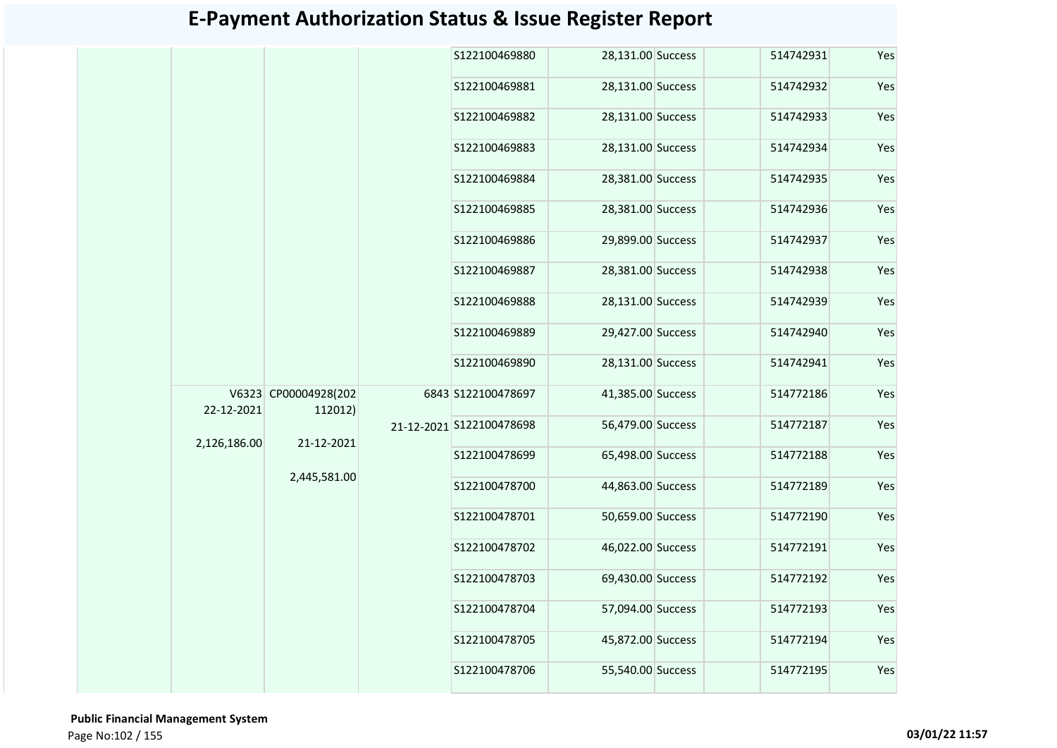|  |                            |                                                               |                    | S122100469880            | 28,131.00 Success | 514742931 | Yes |
|--|----------------------------|---------------------------------------------------------------|--------------------|--------------------------|-------------------|-----------|-----|
|  |                            |                                                               |                    | S122100469881            | 28,131.00 Success | 514742932 | Yes |
|  |                            |                                                               |                    | S122100469882            | 28,131.00 Success | 514742933 | Yes |
|  |                            |                                                               |                    | S122100469883            | 28,131.00 Success | 514742934 | Yes |
|  |                            |                                                               |                    | S122100469884            | 28,381.00 Success | 514742935 | Yes |
|  |                            |                                                               |                    | S122100469885            | 28,381.00 Success | 514742936 | Yes |
|  |                            |                                                               |                    | S122100469886            | 29,899.00 Success | 514742937 | Yes |
|  |                            |                                                               |                    | S122100469887            | 28,381.00 Success | 514742938 | Yes |
|  |                            |                                                               |                    | S122100469888            | 28,131.00 Success | 514742939 | Yes |
|  |                            |                                                               |                    | S122100469889            | 29,427.00 Success | 514742940 | Yes |
|  |                            |                                                               |                    | S122100469890            | 28,131.00 Success | 514742941 | Yes |
|  |                            | V6323 CP00004928(202<br>112012)<br>21-12-2021<br>2,445,581.00 | 6843 S122100478697 | 41,385.00 Success        | 514772186         | Yes       |     |
|  | 22-12-2021<br>2,126,186.00 |                                                               |                    | 21-12-2021 S122100478698 | 56,479.00 Success | 514772187 | Yes |
|  |                            |                                                               |                    | S122100478699            | 65,498.00 Success | 514772188 | Yes |
|  |                            |                                                               |                    | S122100478700            | 44,863.00 Success | 514772189 | Yes |
|  |                            |                                                               |                    | S122100478701            | 50,659.00 Success | 514772190 | Yes |
|  |                            |                                                               |                    | S122100478702            | 46,022.00 Success | 514772191 | Yes |
|  |                            |                                                               |                    | S122100478703            | 69,430.00 Success | 514772192 | Yes |
|  |                            |                                                               |                    | S122100478704            | 57,094.00 Success | 514772193 | Yes |
|  |                            |                                                               |                    | S122100478705            | 45,872.00 Success | 514772194 | Yes |
|  |                            |                                                               |                    | S122100478706            | 55,540.00 Success | 514772195 | Yes |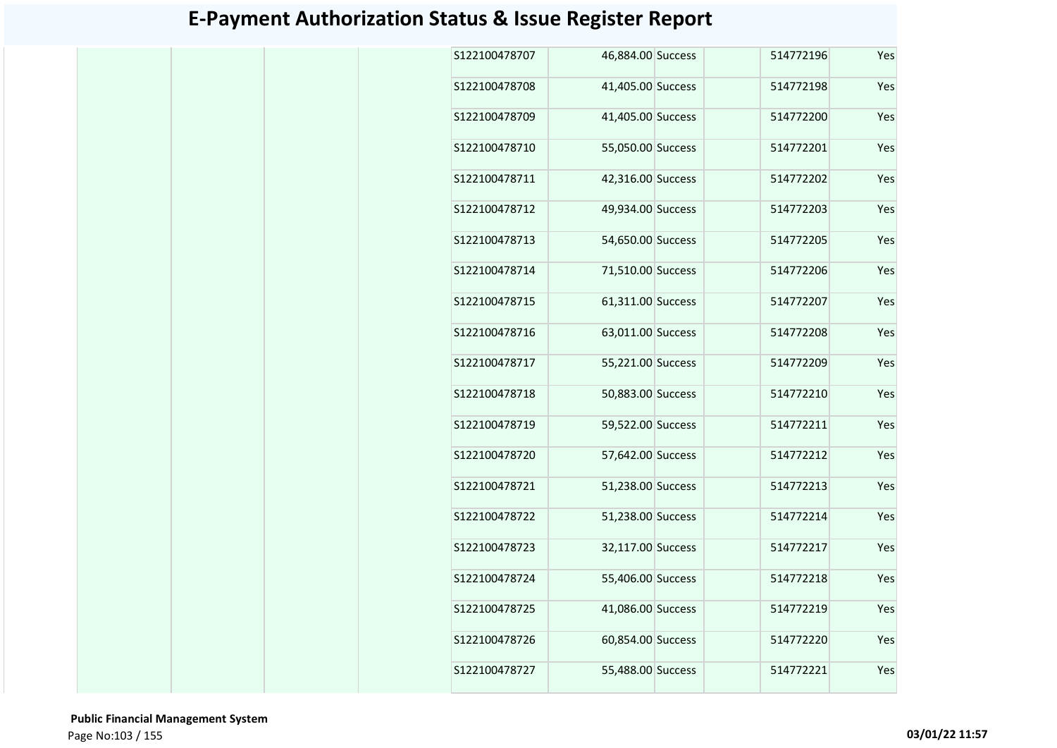| S122100478707 | 46,884.00 Success |  | 514772196 | Yes |
|---------------|-------------------|--|-----------|-----|
| S122100478708 | 41,405.00 Success |  | 514772198 | Yes |
| S122100478709 | 41,405.00 Success |  | 514772200 | Yes |
| S122100478710 | 55,050.00 Success |  | 514772201 | Yes |
| S122100478711 | 42,316.00 Success |  | 514772202 | Yes |
| S122100478712 | 49,934.00 Success |  | 514772203 | Yes |
| S122100478713 | 54,650.00 Success |  | 514772205 | Yes |
| S122100478714 | 71,510.00 Success |  | 514772206 | Yes |
| S122100478715 | 61,311.00 Success |  | 514772207 | Yes |
| S122100478716 | 63,011.00 Success |  | 514772208 | Yes |
| S122100478717 | 55,221.00 Success |  | 514772209 | Yes |
| S122100478718 | 50,883.00 Success |  | 514772210 | Yes |
| S122100478719 | 59,522.00 Success |  | 514772211 | Yes |
| S122100478720 | 57,642.00 Success |  | 514772212 | Yes |
| S122100478721 | 51,238.00 Success |  | 514772213 | Yes |
| S122100478722 | 51,238.00 Success |  | 514772214 | Yes |
| S122100478723 | 32,117.00 Success |  | 514772217 | Yes |
| S122100478724 | 55,406.00 Success |  | 514772218 | Yes |
| S122100478725 | 41,086.00 Success |  | 514772219 | Yes |
| S122100478726 | 60,854.00 Success |  | 514772220 | Yes |
| S122100478727 | 55,488.00 Success |  | 514772221 | Yes |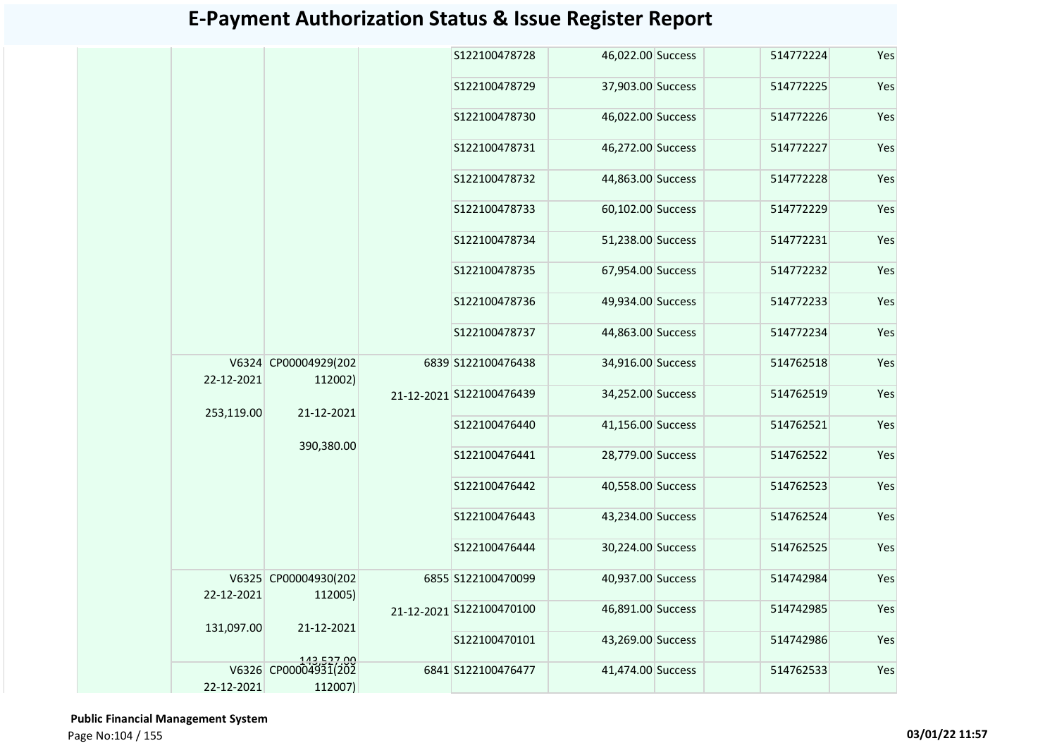| 46,022.00 Success<br>S122100478728<br>514772224<br>37,903.00 Success<br>S122100478729<br>514772225<br>46,022.00 Success<br>S122100478730<br>514772226<br>46,272.00 Success<br>S122100478731<br>514772227<br>44,863.00 Success<br>S122100478732<br>514772228<br>60,102.00 Success<br>S122100478733<br>514772229<br>S122100478734<br>51,238.00 Success<br>514772231<br>S122100478735<br>67,954.00 Success<br>514772232<br>S122100478736<br>49,934.00 Success<br>514772233<br>S122100478737<br>44,863.00 Success<br>514772234<br>V6324 CP00004929(202<br>6839 S122100476438<br>34,916.00 Success<br>514762518<br>22-12-2021<br>112002)<br>34,252.00 Success<br>21-12-2021 S122100476439<br>514762519<br>21-12-2021<br>253,119.00<br>41,156.00 Success<br>S122100476440<br>514762521<br>390,380.00<br>28,779.00 Success<br>S122100476441<br>514762522 | Yes<br>Yes<br>Yes<br>Yes<br>Yes<br>Yes |
|---------------------------------------------------------------------------------------------------------------------------------------------------------------------------------------------------------------------------------------------------------------------------------------------------------------------------------------------------------------------------------------------------------------------------------------------------------------------------------------------------------------------------------------------------------------------------------------------------------------------------------------------------------------------------------------------------------------------------------------------------------------------------------------------------------------------------------------------------|----------------------------------------|
|                                                                                                                                                                                                                                                                                                                                                                                                                                                                                                                                                                                                                                                                                                                                                                                                                                                   |                                        |
|                                                                                                                                                                                                                                                                                                                                                                                                                                                                                                                                                                                                                                                                                                                                                                                                                                                   |                                        |
|                                                                                                                                                                                                                                                                                                                                                                                                                                                                                                                                                                                                                                                                                                                                                                                                                                                   |                                        |
|                                                                                                                                                                                                                                                                                                                                                                                                                                                                                                                                                                                                                                                                                                                                                                                                                                                   |                                        |
|                                                                                                                                                                                                                                                                                                                                                                                                                                                                                                                                                                                                                                                                                                                                                                                                                                                   |                                        |
|                                                                                                                                                                                                                                                                                                                                                                                                                                                                                                                                                                                                                                                                                                                                                                                                                                                   |                                        |
|                                                                                                                                                                                                                                                                                                                                                                                                                                                                                                                                                                                                                                                                                                                                                                                                                                                   | Yes                                    |
|                                                                                                                                                                                                                                                                                                                                                                                                                                                                                                                                                                                                                                                                                                                                                                                                                                                   | Yes                                    |
|                                                                                                                                                                                                                                                                                                                                                                                                                                                                                                                                                                                                                                                                                                                                                                                                                                                   | Yes                                    |
|                                                                                                                                                                                                                                                                                                                                                                                                                                                                                                                                                                                                                                                                                                                                                                                                                                                   | Yes                                    |
|                                                                                                                                                                                                                                                                                                                                                                                                                                                                                                                                                                                                                                                                                                                                                                                                                                                   | Yes                                    |
|                                                                                                                                                                                                                                                                                                                                                                                                                                                                                                                                                                                                                                                                                                                                                                                                                                                   | Yes                                    |
|                                                                                                                                                                                                                                                                                                                                                                                                                                                                                                                                                                                                                                                                                                                                                                                                                                                   | Yes                                    |
|                                                                                                                                                                                                                                                                                                                                                                                                                                                                                                                                                                                                                                                                                                                                                                                                                                                   | Yes                                    |
| 40,558.00 Success<br>S122100476442<br>514762523                                                                                                                                                                                                                                                                                                                                                                                                                                                                                                                                                                                                                                                                                                                                                                                                   | Yes                                    |
| S122100476443<br>43,234.00 Success<br>514762524                                                                                                                                                                                                                                                                                                                                                                                                                                                                                                                                                                                                                                                                                                                                                                                                   | Yes                                    |
| 30,224.00 Success<br>514762525<br>S122100476444                                                                                                                                                                                                                                                                                                                                                                                                                                                                                                                                                                                                                                                                                                                                                                                                   | Yes                                    |
| V6325 CP00004930(202<br>6855 S122100470099<br>40,937.00 Success<br>514742984<br>22-12-2021                                                                                                                                                                                                                                                                                                                                                                                                                                                                                                                                                                                                                                                                                                                                                        | Yes                                    |
| 112005)<br>46,891.00 Success<br>514742985<br>21-12-2021 S122100470100                                                                                                                                                                                                                                                                                                                                                                                                                                                                                                                                                                                                                                                                                                                                                                             | Yes                                    |
| 21-12-2021<br>131,097.00<br>S122100470101<br>43,269.00 Success<br>514742986                                                                                                                                                                                                                                                                                                                                                                                                                                                                                                                                                                                                                                                                                                                                                                       | Yes                                    |
| 143,527.00<br>V6326 CP00004931(202<br>41,474.00 Success<br>6841 S122100476477<br>514762533<br>22-12-2021<br>112007)                                                                                                                                                                                                                                                                                                                                                                                                                                                                                                                                                                                                                                                                                                                               | Yes                                    |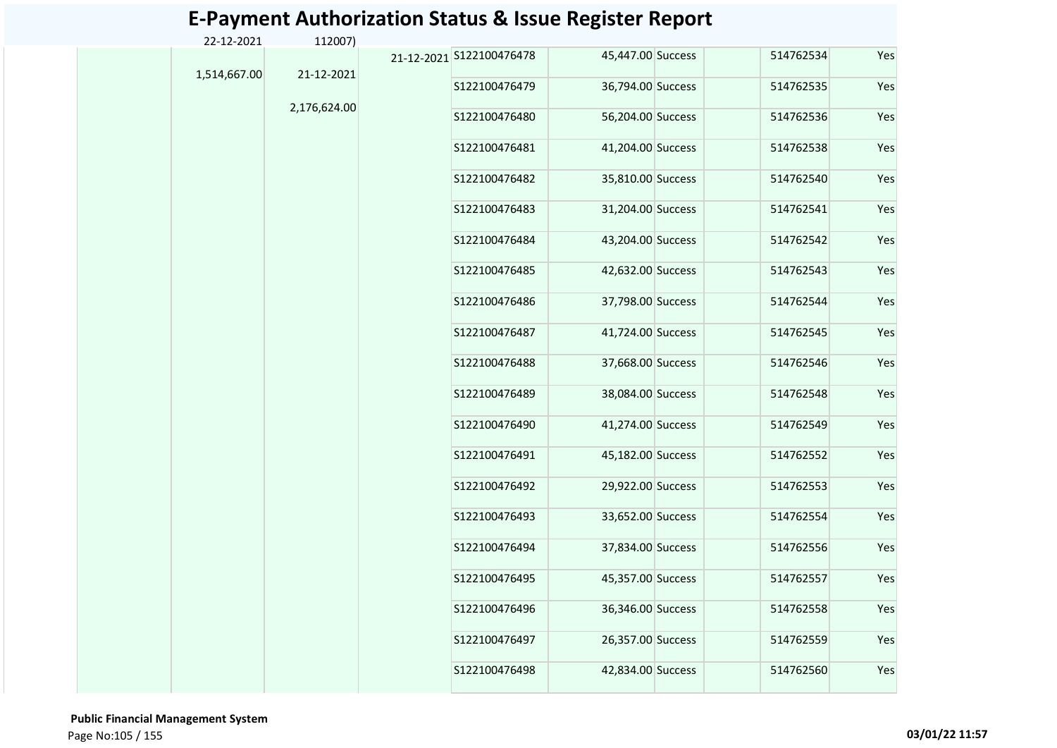| 22-12-2021   | 112007)      |                          |                   |           |     |
|--------------|--------------|--------------------------|-------------------|-----------|-----|
| 1,514,667.00 | 21-12-2021   | 21-12-2021 S122100476478 | 45,447.00 Success | 514762534 | Yes |
|              |              | S122100476479            | 36,794.00 Success | 514762535 | Yes |
|              | 2,176,624.00 | S122100476480            | 56,204.00 Success | 514762536 | Yes |
|              |              | S122100476481            | 41,204.00 Success | 514762538 | Yes |
|              |              | S122100476482            | 35,810.00 Success | 514762540 | Yes |
|              |              | S122100476483            | 31,204.00 Success | 514762541 | Yes |
|              |              | S122100476484            | 43,204.00 Success | 514762542 | Yes |
|              |              | S122100476485            | 42,632.00 Success | 514762543 | Yes |
|              |              | S122100476486            | 37,798.00 Success | 514762544 | Yes |
|              |              | S122100476487            | 41,724.00 Success | 514762545 | Yes |
|              |              | S122100476488            | 37,668.00 Success | 514762546 | Yes |
|              |              | S122100476489            | 38,084.00 Success | 514762548 | Yes |
|              |              | S122100476490            | 41,274.00 Success | 514762549 | Yes |
|              |              | S122100476491            | 45,182.00 Success | 514762552 | Yes |
|              |              | S122100476492            | 29,922.00 Success | 514762553 | Yes |
|              |              | S122100476493            | 33,652.00 Success | 514762554 | Yes |
|              |              | S122100476494            | 37,834.00 Success | 514762556 | Yes |
|              |              | S122100476495            | 45,357.00 Success | 514762557 | Yes |
|              |              | S122100476496            | 36,346.00 Success | 514762558 | Yes |
|              |              | S122100476497            | 26,357.00 Success | 514762559 | Yes |
|              |              | S122100476498            | 42,834.00 Success | 514762560 | Yes |
|              |              |                          |                   |           |     |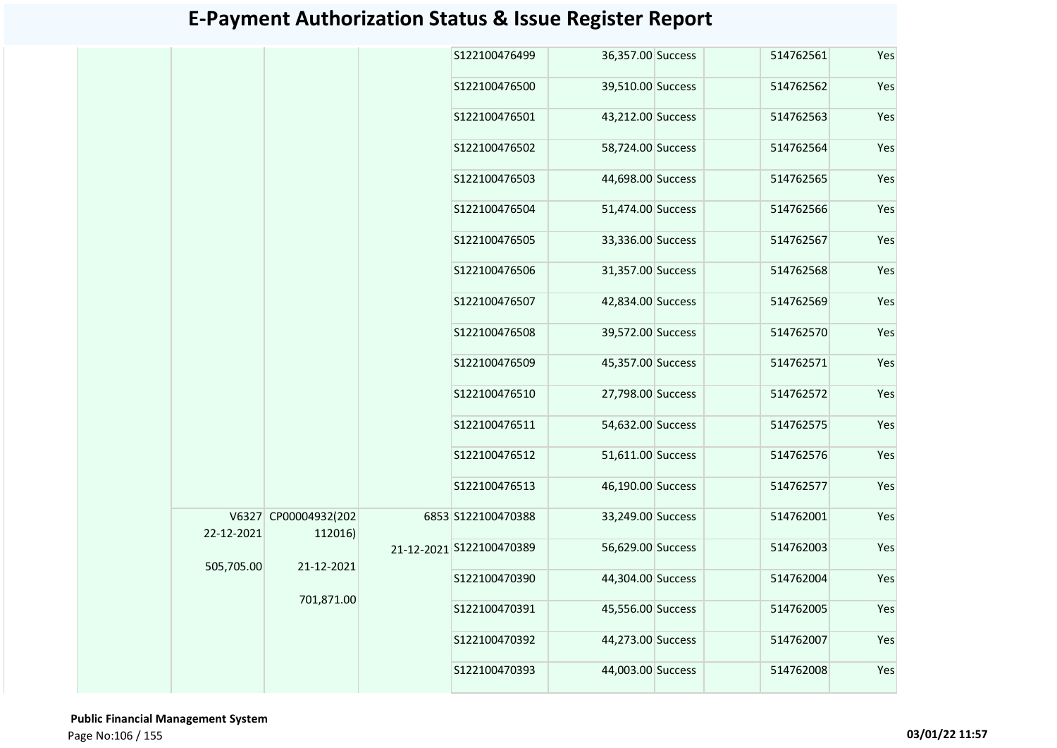| S122100476499<br>36,357.00 Success<br>514762561<br>39,510.00 Success<br>S122100476500<br>514762562<br>S122100476501<br>43,212.00 Success<br>514762563<br>S122100476502<br>58,724.00 Success<br>514762564<br>44,698.00 Success<br>S122100476503<br>514762565<br>S122100476504<br>51,474.00 Success<br>514762566<br>S122100476505<br>33,336.00 Success<br>514762567<br>S122100476506<br>31,357.00 Success<br>514762568<br>S122100476507<br>42,834.00 Success<br>514762569<br>39,572.00 Success<br>S122100476508<br>514762570<br>45,357.00 Success<br>S122100476509<br>514762571 | Yes<br>Yes<br>Yes<br>Yes<br>Yes<br>Yes<br>Yes |
|-------------------------------------------------------------------------------------------------------------------------------------------------------------------------------------------------------------------------------------------------------------------------------------------------------------------------------------------------------------------------------------------------------------------------------------------------------------------------------------------------------------------------------------------------------------------------------|-----------------------------------------------|
|                                                                                                                                                                                                                                                                                                                                                                                                                                                                                                                                                                               |                                               |
|                                                                                                                                                                                                                                                                                                                                                                                                                                                                                                                                                                               |                                               |
|                                                                                                                                                                                                                                                                                                                                                                                                                                                                                                                                                                               |                                               |
|                                                                                                                                                                                                                                                                                                                                                                                                                                                                                                                                                                               |                                               |
|                                                                                                                                                                                                                                                                                                                                                                                                                                                                                                                                                                               |                                               |
|                                                                                                                                                                                                                                                                                                                                                                                                                                                                                                                                                                               |                                               |
|                                                                                                                                                                                                                                                                                                                                                                                                                                                                                                                                                                               |                                               |
|                                                                                                                                                                                                                                                                                                                                                                                                                                                                                                                                                                               | Yes                                           |
|                                                                                                                                                                                                                                                                                                                                                                                                                                                                                                                                                                               | Yes                                           |
|                                                                                                                                                                                                                                                                                                                                                                                                                                                                                                                                                                               | Yes                                           |
|                                                                                                                                                                                                                                                                                                                                                                                                                                                                                                                                                                               | Yes                                           |
| 27,798.00 Success<br>S122100476510<br>514762572                                                                                                                                                                                                                                                                                                                                                                                                                                                                                                                               | Yes                                           |
| S122100476511<br>54,632.00 Success<br>514762575                                                                                                                                                                                                                                                                                                                                                                                                                                                                                                                               | Yes                                           |
| S122100476512<br>51,611.00 Success<br>514762576                                                                                                                                                                                                                                                                                                                                                                                                                                                                                                                               | Yes                                           |
| 46,190.00 Success<br>S122100476513<br>514762577                                                                                                                                                                                                                                                                                                                                                                                                                                                                                                                               | Yes                                           |
| V6327 CP00004932(202<br>33,249.00 Success<br>6853 S122100470388<br>514762001<br>22-12-2021<br>112016)                                                                                                                                                                                                                                                                                                                                                                                                                                                                         | Yes                                           |
| 56,629.00 Success<br>21-12-2021 S122100470389<br>514762003                                                                                                                                                                                                                                                                                                                                                                                                                                                                                                                    | Yes                                           |
| 505,705.00<br>21-12-2021<br>44,304.00 Success<br>514762004<br>S122100470390                                                                                                                                                                                                                                                                                                                                                                                                                                                                                                   | Yes                                           |
| 701,871.00<br>45,556.00 Success<br>514762005<br>S122100470391                                                                                                                                                                                                                                                                                                                                                                                                                                                                                                                 | Yes                                           |
| 44,273.00 Success<br>S122100470392<br>514762007                                                                                                                                                                                                                                                                                                                                                                                                                                                                                                                               | Yes                                           |
| S122100470393<br>44,003.00 Success<br>514762008                                                                                                                                                                                                                                                                                                                                                                                                                                                                                                                               |                                               |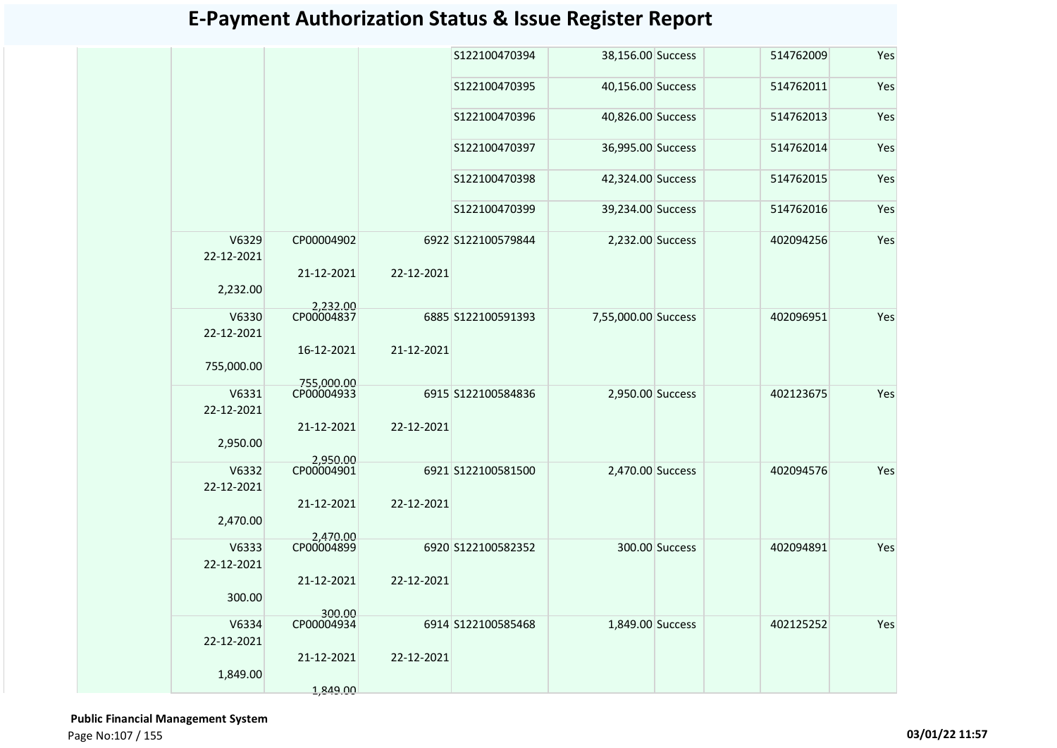|                     |                          |            | S122100470394      | 38,156.00 Success   |                | 514762009 | Yes |
|---------------------|--------------------------|------------|--------------------|---------------------|----------------|-----------|-----|
|                     |                          |            | S122100470395      | 40,156.00 Success   |                | 514762011 | Yes |
|                     |                          |            | S122100470396      | 40,826.00 Success   |                | 514762013 | Yes |
|                     |                          |            | S122100470397      | 36,995.00 Success   |                | 514762014 | Yes |
|                     |                          |            | S122100470398      | 42,324.00 Success   |                | 514762015 | Yes |
|                     |                          |            | S122100470399      | 39,234.00 Success   |                | 514762016 | Yes |
| V6329<br>22-12-2021 | CP00004902               |            | 6922 S122100579844 | 2,232.00 Success    |                | 402094256 | Yes |
| 2,232.00            | 21-12-2021               | 22-12-2021 |                    |                     |                |           |     |
| V6330               | 2,232.00<br>CP00004837   |            | 6885 S122100591393 | 7,55,000.00 Success |                | 402096951 | Yes |
| 22-12-2021          |                          |            |                    |                     |                |           |     |
|                     | 16-12-2021               | 21-12-2021 |                    |                     |                |           |     |
| 755,000.00          |                          |            |                    |                     |                |           |     |
| V6331               | 755.000.00<br>CP00004933 |            | 6915 S122100584836 | 2,950.00 Success    |                | 402123675 | Yes |
| 22-12-2021          |                          |            |                    |                     |                |           |     |
|                     | 21-12-2021               | 22-12-2021 |                    |                     |                |           |     |
| 2,950.00            |                          |            |                    |                     |                |           |     |
| V6332               | 2,950.00<br>CP00004901   |            | 6921 S122100581500 | 2,470.00 Success    |                | 402094576 | Yes |
| 22-12-2021          |                          |            |                    |                     |                |           |     |
| 2,470.00            | 21-12-2021               | 22-12-2021 |                    |                     |                |           |     |
|                     | 2,470.00                 |            |                    |                     |                |           |     |
| V6333<br>22-12-2021 | CP00004899               |            | 6920 S122100582352 |                     | 300.00 Success | 402094891 | Yes |
|                     | 21-12-2021               | 22-12-2021 |                    |                     |                |           |     |
| 300.00              | 300.00                   |            |                    |                     |                |           |     |
| V6334               | CP00004934               |            | 6914 S122100585468 | 1,849.00 Success    |                | 402125252 | Yes |
| 22-12-2021          |                          |            |                    |                     |                |           |     |
|                     | 21-12-2021               | 22-12-2021 |                    |                     |                |           |     |
| 1,849.00            |                          |            |                    |                     |                |           |     |
|                     | 1,849.00                 |            |                    |                     |                |           |     |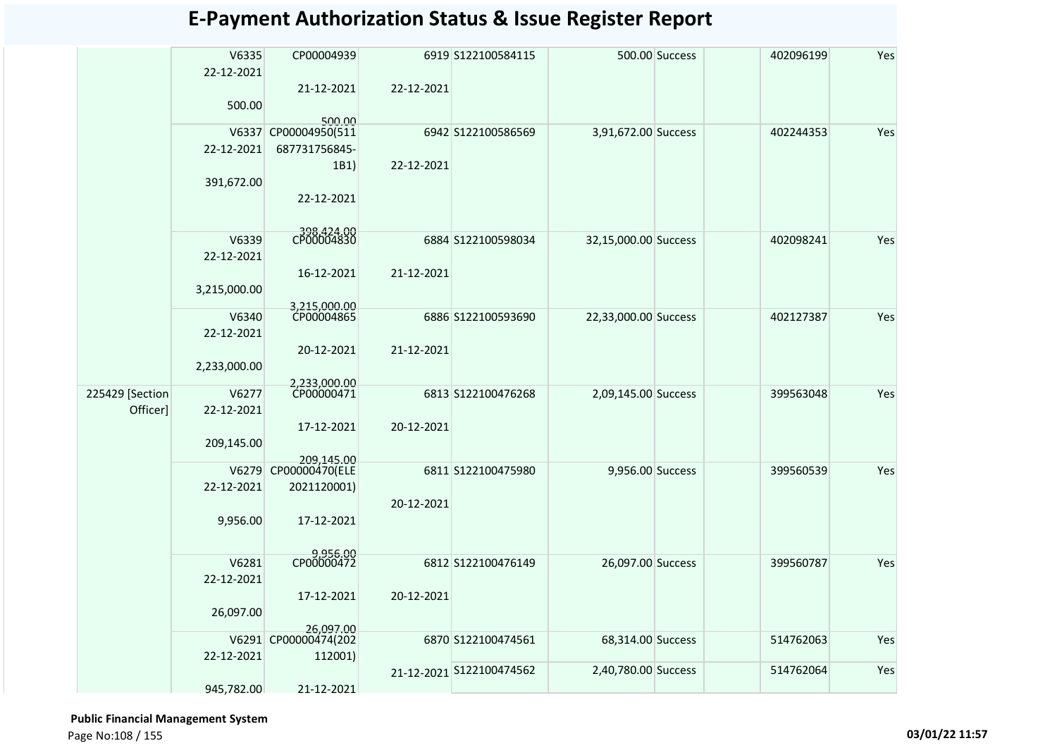|                 | V6335<br>22-12-2021 | CP00004939                        |            | 6919 S122100584115       |                      | 500.00 Success | 402096199 | Yes |
|-----------------|---------------------|-----------------------------------|------------|--------------------------|----------------------|----------------|-----------|-----|
|                 |                     | 21-12-2021                        | 22-12-2021 |                          |                      |                |           |     |
|                 | 500.00              | 500.00                            |            |                          |                      |                |           |     |
|                 | V6337               | CP00004950(511                    |            | 6942 S122100586569       | 3,91,672.00 Success  |                | 402244353 | Yes |
|                 | 22-12-2021          | 687731756845-                     |            |                          |                      |                |           |     |
|                 |                     | 1B1)                              | 22-12-2021 |                          |                      |                |           |     |
|                 | 391,672.00          |                                   |            |                          |                      |                |           |     |
|                 |                     | 22-12-2021                        |            |                          |                      |                |           |     |
|                 | V6339               | 398,424.00                        |            |                          |                      |                |           |     |
|                 | 22-12-2021          |                                   |            | 6884 S122100598034       | 32,15,000.00 Success |                | 402098241 | Yes |
|                 |                     | 16-12-2021                        | 21-12-2021 |                          |                      |                |           |     |
|                 | 3,215,000.00        |                                   |            |                          |                      |                |           |     |
|                 |                     | 3,215,000.00                      |            |                          |                      |                |           |     |
|                 | V6340               | CP00004865                        |            | 6886 S122100593690       | 22,33,000.00 Success |                | 402127387 | Yes |
|                 | 22-12-2021          |                                   |            |                          |                      |                |           |     |
|                 |                     | 20-12-2021                        | 21-12-2021 |                          |                      |                |           |     |
|                 | 2,233,000.00        |                                   |            |                          |                      |                |           |     |
| 225429 [Section | V6277               | 2,233,000.00<br>CP00000471        |            | 6813 S122100476268       | 2,09,145.00 Success  |                | 399563048 | Yes |
| Officer]        | 22-12-2021          |                                   |            |                          |                      |                |           |     |
|                 |                     | 17-12-2021                        | 20-12-2021 |                          |                      |                |           |     |
|                 | 209,145.00          |                                   |            |                          |                      |                |           |     |
|                 | V6279               | 209,145.00<br>CP00000470(ELE      |            | 6811 S122100475980       | 9,956.00 Success     |                | 399560539 | Yes |
|                 | 22-12-2021          | 2021120001)                       |            |                          |                      |                |           |     |
|                 |                     |                                   | 20-12-2021 |                          |                      |                |           |     |
|                 | 9,956.00            | 17-12-2021                        |            |                          |                      |                |           |     |
|                 |                     |                                   |            |                          |                      |                |           |     |
|                 |                     | 9,956.00<br>CP00000472            |            |                          |                      |                |           |     |
|                 | V6281               |                                   |            | 6812 S122100476149       | 26,097.00 Success    |                | 399560787 | Yes |
|                 | 22-12-2021          |                                   |            |                          |                      |                |           |     |
|                 | 26,097.00           | 17-12-2021                        | 20-12-2021 |                          |                      |                |           |     |
|                 |                     |                                   |            |                          |                      |                |           |     |
|                 |                     | 26,097.00<br>V6291 CP00000474(202 |            | 6870 S122100474561       | 68,314.00 Success    |                | 514762063 | Yes |
|                 | 22-12-2021          | 112001)                           |            |                          |                      |                |           |     |
|                 |                     |                                   |            | 21-12-2021 S122100474562 | 2,40,780.00 Success  |                | 514762064 | Yes |
|                 | 945,782.00          | 21-12-2021                        |            |                          |                      |                |           |     |

 **Public Financial Management System** 

Page No:108 / 155 **03/01/22 11:57**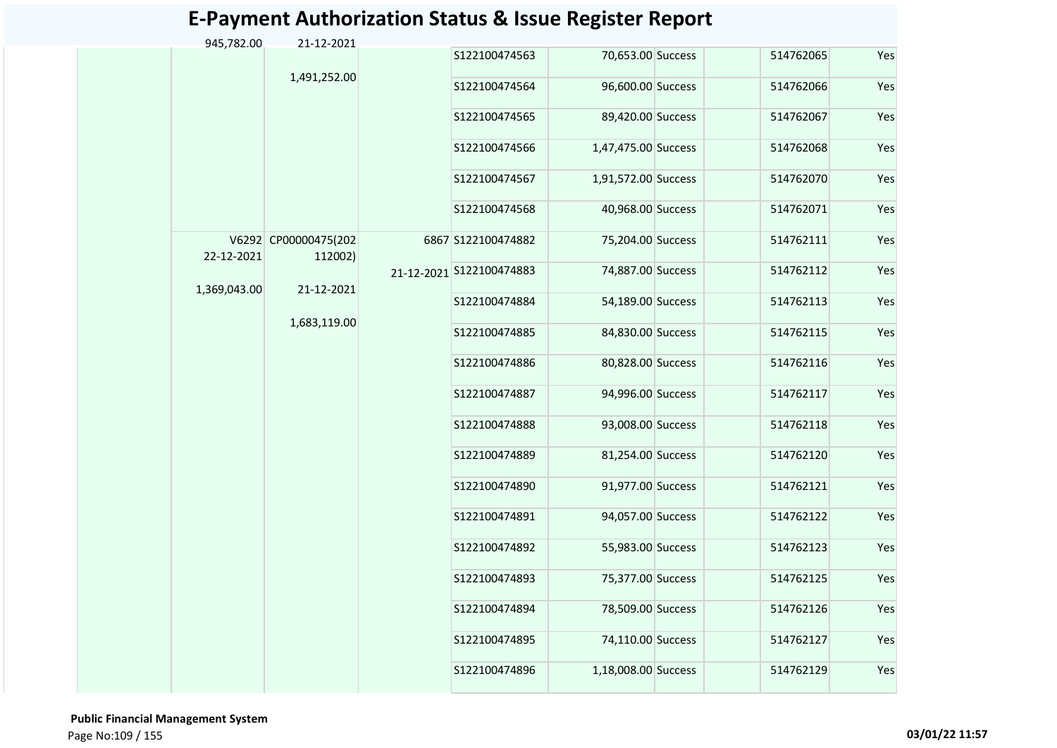| 945,782.00   | 21-12-2021                      |               |                          |                     |               |                   |           |               |                   |           |     |
|--------------|---------------------------------|---------------|--------------------------|---------------------|---------------|-------------------|-----------|---------------|-------------------|-----------|-----|
|              |                                 |               | S122100474563            | 70,653.00 Success   | 514762065     | Yes               |           |               |                   |           |     |
|              | 1,491,252.00                    |               | S122100474564            | 96,600.00 Success   | 514762066     | Yes               |           |               |                   |           |     |
|              |                                 |               | S122100474565            | 89,420.00 Success   | 514762067     | Yes               |           |               |                   |           |     |
|              |                                 |               | S122100474566            | 1,47,475.00 Success | 514762068     | Yes               |           |               |                   |           |     |
|              |                                 |               | S122100474567            | 1,91,572.00 Success | 514762070     | Yes               |           |               |                   |           |     |
|              |                                 |               | S122100474568            | 40,968.00 Success   | 514762071     | Yes               |           |               |                   |           |     |
| 22-12-2021   | V6292 CP00000475(202<br>112002) |               | 6867 S122100474882       | 75,204.00 Success   | 514762111     | Yes               |           |               |                   |           |     |
| 1,369,043.00 | 21-12-2021                      |               | 21-12-2021 S122100474883 | 74,887.00 Success   | 514762112     | Yes               |           |               |                   |           |     |
|              |                                 |               | S122100474884            | 54,189.00 Success   | 514762113     | Yes               |           |               |                   |           |     |
|              | 1,683,119.00                    |               | S122100474885            | 84,830.00 Success   | 514762115     | Yes               |           |               |                   |           |     |
|              |                                 |               | S122100474886            | 80,828.00 Success   | 514762116     | Yes               |           |               |                   |           |     |
|              |                                 |               | S122100474887            | 94,996.00 Success   | 514762117     | Yes               |           |               |                   |           |     |
|              |                                 |               | S122100474888            | 93,008.00 Success   | 514762118     | Yes               |           |               |                   |           |     |
|              |                                 |               | S122100474889            | 81,254.00 Success   | 514762120     | Yes               |           |               |                   |           |     |
|              |                                 |               |                          |                     |               |                   |           | S122100474890 | 91,977.00 Success | 514762121 | Yes |
|              |                                 | S122100474891 |                          |                     |               |                   |           |               |                   |           |     |
|              |                                 |               | S122100474892            | 55,983.00 Success   | 514762123     | Yes               |           |               |                   |           |     |
|              |                                 |               | S122100474893            | 75,377.00 Success   | 514762125     | Yes               |           |               |                   |           |     |
|              |                                 |               | S122100474894            | 78,509.00 Success   | 514762126     | Yes               |           |               |                   |           |     |
|              |                                 |               |                          |                     | S122100474895 | 74,110.00 Success | 514762127 | Yes           |                   |           |     |
|              |                                 |               | S122100474896            | 1,18,008.00 Success | 514762129     | Yes               |           |               |                   |           |     |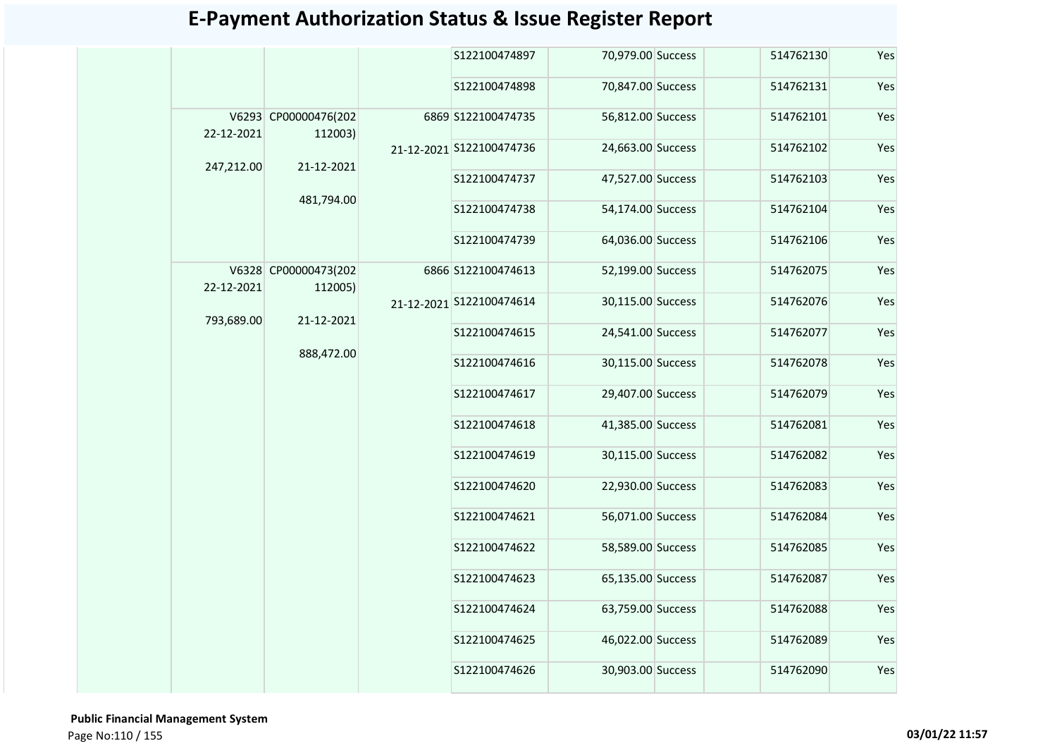|            |                                 | S122100474897            | 70,979.00 Success | 514762130 | Yes                                                                  |
|------------|---------------------------------|--------------------------|-------------------|-----------|----------------------------------------------------------------------|
|            |                                 | S122100474898            | 70,847.00 Success | 514762131 | Yes                                                                  |
| 22-12-2021 | V6293 CP00000476(202<br>112003) | 6869 S122100474735       | 56,812.00 Success | 514762101 | Yes                                                                  |
| 247,212.00 | 21-12-2021                      | 21-12-2021 S122100474736 | 24,663.00 Success | 514762102 | Yes                                                                  |
|            |                                 | S122100474737            | 47,527.00 Success | 514762103 | Yes                                                                  |
|            | 481,794.00                      | S122100474738            | 54,174.00 Success | 514762104 | Yes<br>514762106<br>514762075<br>514762076<br>514762077<br>514762078 |
|            |                                 | S122100474739            | 64,036.00 Success |           | Yes                                                                  |
| 22-12-2021 | V6328 CP00000473(202<br>112005) | 6866 S122100474613       | 52,199.00 Success |           | Yes                                                                  |
| 793,689.00 | 21-12-2021                      | 21-12-2021 S122100474614 | 30,115.00 Success |           | Yes                                                                  |
|            |                                 | S122100474615            | 24,541.00 Success |           | Yes                                                                  |
|            | 888,472.00                      | S122100474616            | 30,115.00 Success |           | Yes                                                                  |
|            |                                 | S122100474617            | 29,407.00 Success | 514762079 | Yes                                                                  |
|            |                                 | S122100474618            | 41,385.00 Success | 514762081 | Yes                                                                  |
|            |                                 | S122100474619            | 30,115.00 Success | 514762082 | Yes                                                                  |
|            |                                 | S122100474620            | 22,930.00 Success | 514762083 | Yes                                                                  |
|            |                                 | S122100474621            | 56,071.00 Success | 514762084 | Yes                                                                  |
|            |                                 | S122100474622            | 58,589.00 Success | 514762085 | Yes                                                                  |
|            |                                 | S122100474623            | 65,135.00 Success | 514762087 | Yes                                                                  |
|            |                                 | S122100474624            | 63,759.00 Success | 514762088 | Yes                                                                  |
|            |                                 | S122100474625            | 46,022.00 Success | 514762089 | Yes                                                                  |
|            |                                 | S122100474626            | 30,903.00 Success | 514762090 | Yes                                                                  |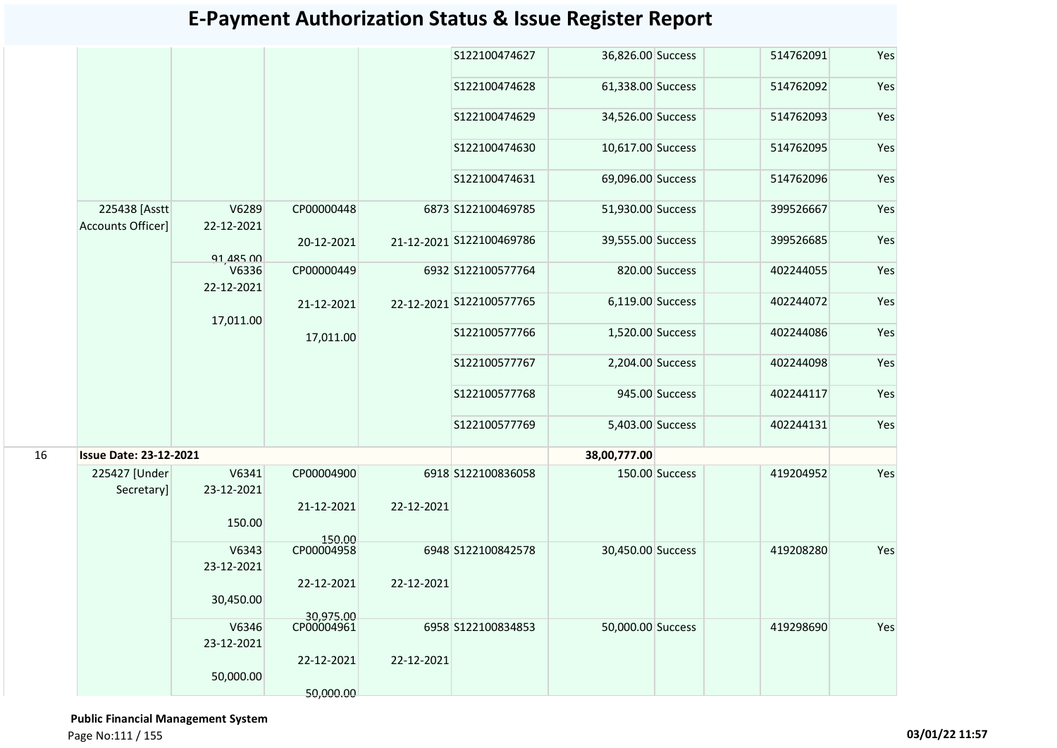|    |                                           |                     |                         |            | S122100474627            | 36,826.00 Success |                | 514762091 | Yes |
|----|-------------------------------------------|---------------------|-------------------------|------------|--------------------------|-------------------|----------------|-----------|-----|
|    |                                           |                     |                         |            | S122100474628            | 61,338.00 Success |                | 514762092 | Yes |
|    |                                           |                     |                         |            | S122100474629            | 34,526.00 Success |                | 514762093 | Yes |
|    |                                           |                     |                         |            | S122100474630            | 10,617.00 Success |                | 514762095 | Yes |
|    |                                           |                     |                         |            | S122100474631            | 69,096.00 Success |                | 514762096 | Yes |
|    | 225438 [Asstt<br><b>Accounts Officer]</b> | V6289<br>22-12-2021 | CP00000448              |            | 6873 S122100469785       | 51,930.00 Success |                | 399526667 | Yes |
|    |                                           | 91,485,00           | 20-12-2021              |            | 21-12-2021 S122100469786 | 39,555.00 Success |                | 399526685 | Yes |
|    |                                           | V6336<br>22-12-2021 | CP00000449              |            | 6932 S122100577764       |                   | 820.00 Success | 402244055 | Yes |
|    |                                           | 17,011.00           | 21-12-2021              |            | 22-12-2021 S122100577765 | 6,119.00 Success  |                | 402244072 | Yes |
|    |                                           |                     | 17,011.00               |            | S122100577766            | 1,520.00 Success  |                | 402244086 | Yes |
|    |                                           |                     |                         |            | S122100577767            | 2,204.00 Success  |                | 402244098 | Yes |
|    |                                           |                     |                         |            | S122100577768            |                   | 945.00 Success | 402244117 | Yes |
|    |                                           |                     |                         |            | S122100577769            | 5,403.00 Success  |                | 402244131 | Yes |
| 16 | <b>Issue Date: 23-12-2021</b>             |                     |                         |            |                          | 38,00,777.00      |                |           |     |
|    | 225427 [Under<br>Secretary]               | V6341<br>23-12-2021 | CP00004900              |            | 6918 S122100836058       |                   | 150.00 Success | 419204952 | Yes |
|    |                                           | 150.00              | 21-12-2021              | 22-12-2021 |                          |                   |                |           |     |
|    |                                           | V6343<br>23-12-2021 | 150.00<br>CP00004958    |            | 6948 S122100842578       | 30,450.00 Success |                | 419208280 | Yes |
|    |                                           | 30,450.00           | 22-12-2021              | 22-12-2021 |                          |                   |                |           |     |
|    |                                           | V6346<br>23-12-2021 | 30,975.00<br>CP00004961 |            | 6958 S122100834853       | 50,000.00 Success |                | 419298690 | Yes |
|    |                                           | 50,000.00           | 22-12-2021              | 22-12-2021 |                          |                   |                |           |     |
|    |                                           |                     | 50,000.00               |            |                          |                   |                |           |     |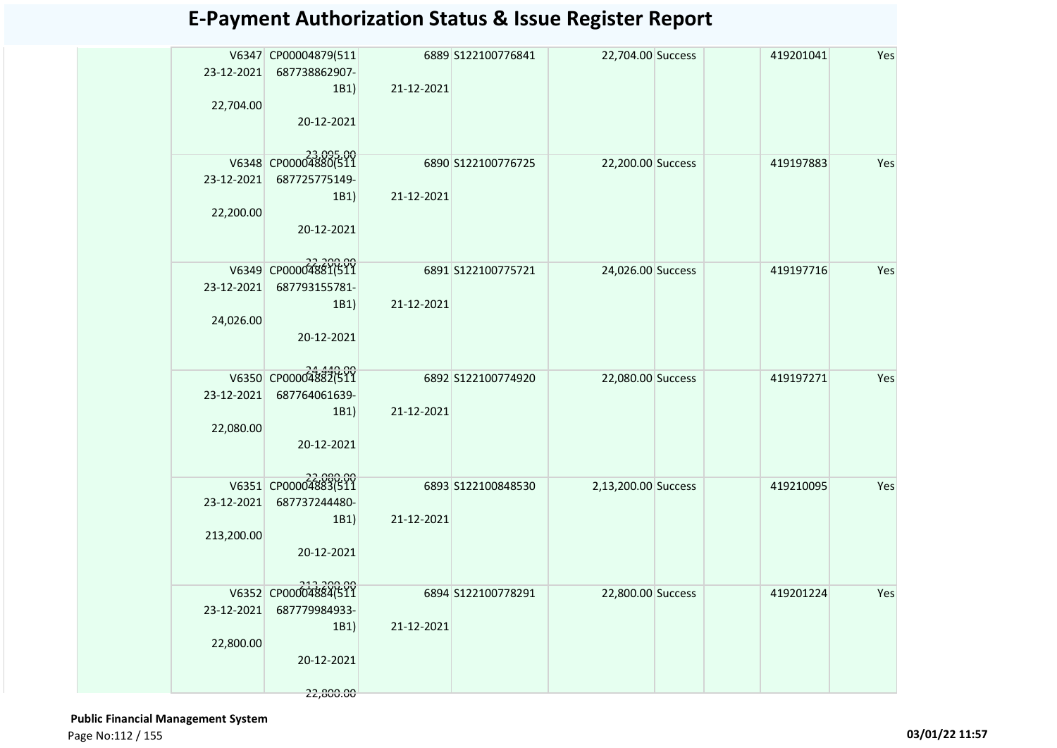| 23-12-2021 | V6347 CP00004879(511<br>687738862907- |            | 6889 S122100776841  | 22,704.00 Success   | 419201041 | Yes |
|------------|---------------------------------------|------------|---------------------|---------------------|-----------|-----|
|            | 1B1)                                  | 21-12-2021 |                     |                     |           |     |
| 22,704.00  |                                       |            |                     |                     |           |     |
|            | 20-12-2021                            |            |                     |                     |           |     |
|            |                                       |            |                     |                     |           |     |
| 23-12-2021 | V6348 CP00004880(511<br>687725775149- |            | 6890 S122100776725  | 22,200.00 Success   | 419197883 | Yes |
|            | 1B1)                                  | 21-12-2021 |                     |                     |           |     |
| 22,200.00  |                                       |            |                     |                     |           |     |
|            | 20-12-2021                            |            |                     |                     |           |     |
|            |                                       |            |                     |                     |           |     |
|            | V6349 CP00004881(511                  |            | 6891 S122100775721  | 24,026.00 Success   | 419197716 | Yes |
| 23-12-2021 | 687793155781-<br>1B1)                 | 21-12-2021 |                     |                     |           |     |
| 24,026.00  |                                       |            |                     |                     |           |     |
|            | 20-12-2021                            |            |                     |                     |           |     |
|            |                                       |            |                     |                     |           |     |
|            | V6350 CP00004882(511                  |            | 6892 S122100774920  | 22,080.00 Success   | 419197271 | Yes |
| 23-12-2021 | 687764061639-<br>1B1)                 | 21-12-2021 |                     |                     |           |     |
| 22,080.00  |                                       |            |                     |                     |           |     |
|            | 20-12-2021                            |            |                     |                     |           |     |
|            |                                       |            |                     |                     |           |     |
|            | V6351 CP00004883(511                  |            | 6893 \$122100848530 | 2,13,200.00 Success | 419210095 | Yes |
|            | 23-12-2021 687737244480-<br>1B1)      | 21-12-2021 |                     |                     |           |     |
| 213,200.00 |                                       |            |                     |                     |           |     |
|            | 20-12-2021                            |            |                     |                     |           |     |
|            |                                       |            |                     |                     |           |     |
|            | V6352 CP00004884(511                  |            | 6894 S122100778291  | 22,800.00 Success   | 419201224 | Yes |
| 23-12-2021 | 687779984933-<br>1B1)                 | 21-12-2021 |                     |                     |           |     |
| 22,800.00  |                                       |            |                     |                     |           |     |
|            | 20-12-2021                            |            |                     |                     |           |     |
|            | 22,800.00                             |            |                     |                     |           |     |
|            |                                       |            |                     |                     |           |     |

 **Public Financial Management System**  Page No:112 / 155 **03/01/22 11:57**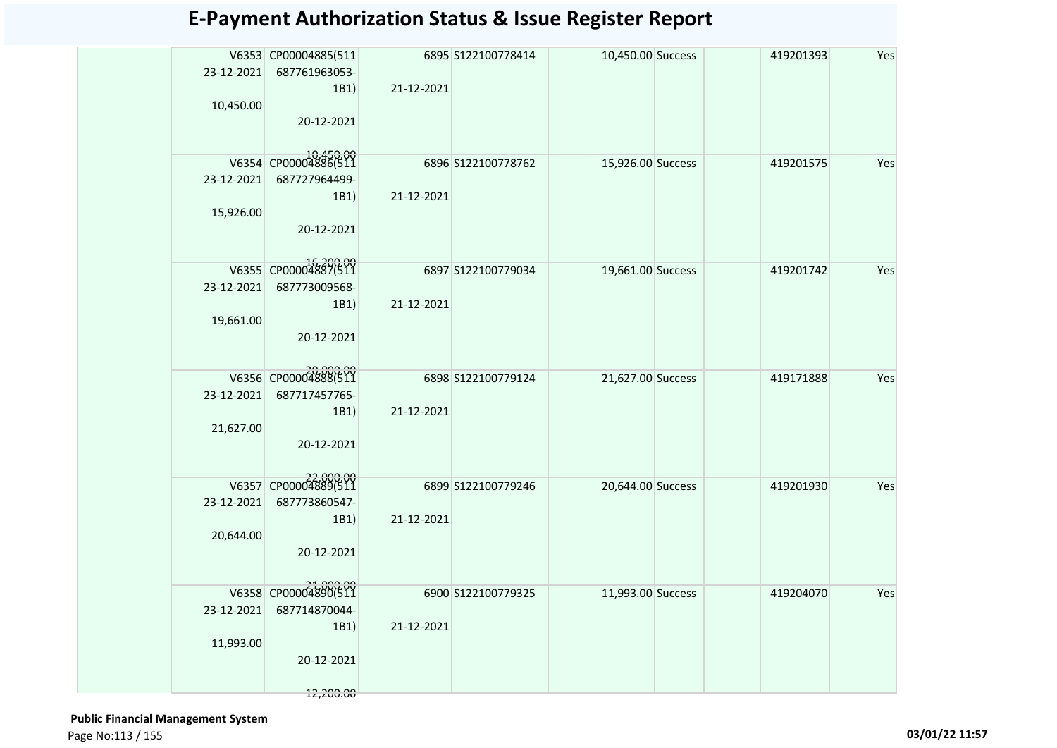| 23-12-2021<br>10,450.00 | V6353 CP00004885(511<br>687761963053-<br>1B1)<br>20-12-2021                           | 21-12-2021 | 6895 S122100778414 | 10,450.00 Success | 419201393 | Yes |
|-------------------------|---------------------------------------------------------------------------------------|------------|--------------------|-------------------|-----------|-----|
| 23-12-2021<br>15,926.00 | V6354 CP00004886(511<br>687727964499-<br>1B1)<br>20-12-2021                           | 21-12-2021 | 6896 S122100778762 | 15,926.00 Success | 419201575 | Yes |
| 23-12-2021<br>19,661.00 | V6355 CP00004887(511<br>687773009568-<br>1B1)<br>20-12-2021                           | 21-12-2021 | 6897 S122100779034 | 19,661.00 Success | 419201742 | Yes |
| 23-12-2021<br>21,627.00 | V6356 CP00004888(511<br>687717457765-<br>1B1)<br>20-12-2021                           | 21-12-2021 | 6898 S122100779124 | 21,627.00 Success | 419171888 | Yes |
| 23-12-2021<br>20,644.00 | V6357 CP00004889(511<br>687773860547-<br>1B1)<br>20-12-2021                           | 21-12-2021 | 6899 S122100779246 | 20,644.00 Success | 419201930 | Yes |
| 23-12-2021<br>11,993.00 | 21,000.00<br>V6358 CP00004890(511<br>687714870044-<br>1B1)<br>20-12-2021<br>12,200.00 | 21-12-2021 | 6900 S122100779325 | 11,993.00 Success | 419204070 | Yes |

 **Public Financial Management System**  Page No:113 / 155 **03/01/22 11:57**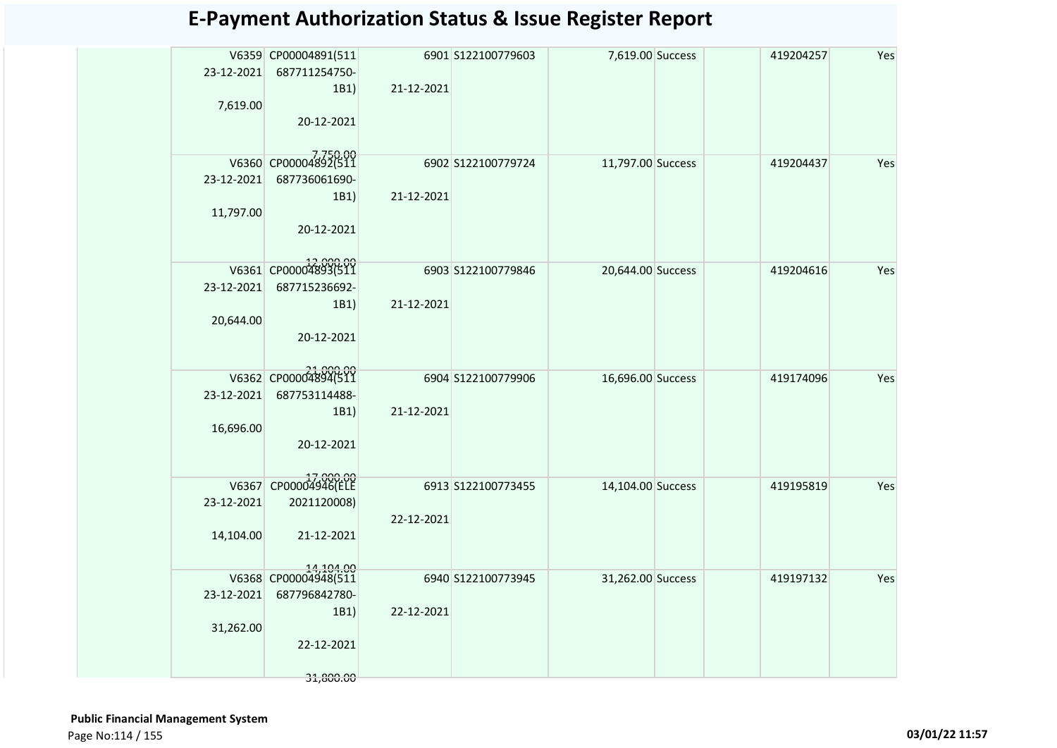| 23-12-2021<br>7,619.00  | V6359 CP00004891(511<br>687711254750-<br>1B1)<br>20-12-2021                           | 21-12-2021 | 6901 S122100779603 | 7,619.00 Success  | 419204257 | Yes |
|-------------------------|---------------------------------------------------------------------------------------|------------|--------------------|-------------------|-----------|-----|
| 23-12-2021<br>11,797.00 | V6360 CP00004892(511<br>687736061690-<br>1B1)<br>20-12-2021                           | 21-12-2021 | 6902 S122100779724 | 11,797.00 Success | 419204437 | Yes |
| 23-12-2021<br>20,644.00 | V6361 CP00004893(511<br>687715236692-<br>1B1)<br>20-12-2021                           | 21-12-2021 | 6903 S122100779846 | 20,644.00 Success | 419204616 | Yes |
| 23-12-2021<br>16,696.00 | V6362 CP00004894(511<br>687753114488-<br>1B1)<br>20-12-2021                           | 21-12-2021 | 6904 S122100779906 | 16,696.00 Success | 419174096 | Yes |
| 23-12-2021<br>14,104.00 | V6367 CP00004946(ELE<br>2021120008)<br>21-12-2021                                     | 22-12-2021 | 6913 S122100773455 | 14,104.00 Success | 419195819 | Yes |
| 23-12-2021<br>31,262.00 | 14,104.00<br>V6368 CP00004948(511<br>687796842780-<br>1B1)<br>22-12-2021<br>31,800.00 | 22-12-2021 | 6940 S122100773945 | 31,262.00 Success | 419197132 | Yes |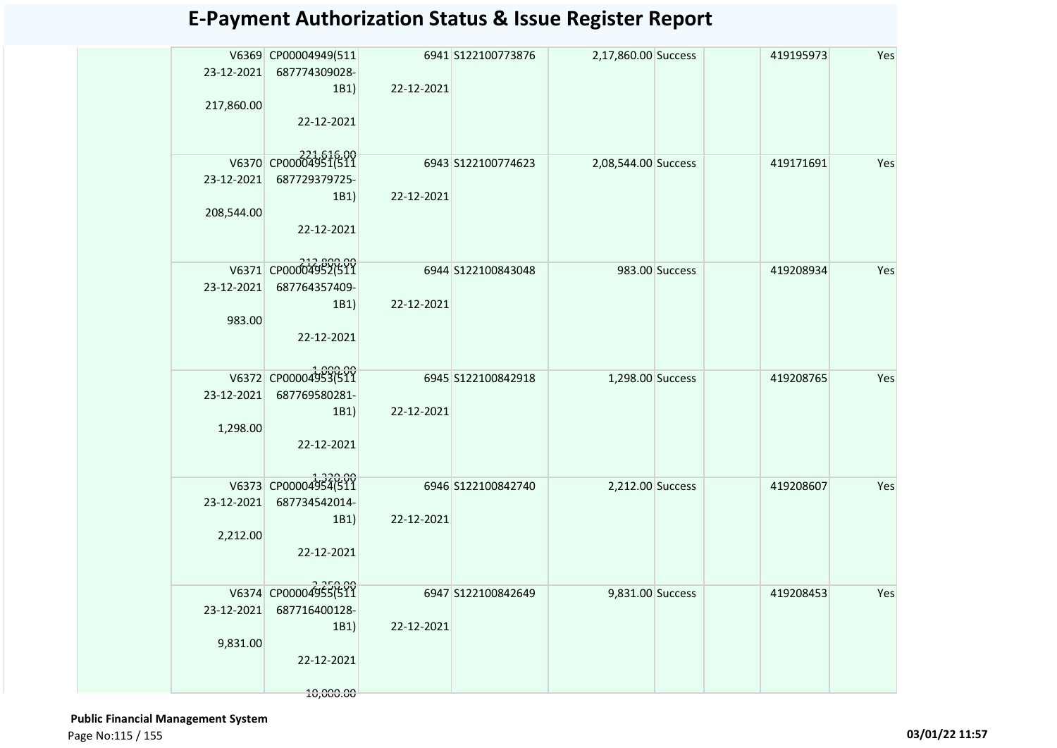| 2,17,860.00 Success<br>Yes<br>V6369 CP00004949(511<br>6941 S122100773876<br>419195973<br>23-12-2021<br>687774309028-<br>22-12-2021<br>1B1)<br>217,860.00<br>22-12-2021<br>V6370 CP00004951(511<br>6943 S122100774623<br>2,08,544.00 Success<br>419171691<br>Yes<br>23-12-2021<br>687729379725-<br>22-12-2021<br>1B1)<br>208,544.00<br>22-12-2021<br>V6371 CP00004952(511<br>6944 S122100843048<br>983.00 Success<br>419208934<br>Yes<br>23-12-2021<br>687764357409-<br>22-12-2021<br>1B1)<br>983.00<br>22-12-2021<br>V6372 CP00004953(511<br>6945 S122100842918<br>Yes<br>1,298.00 Success<br>419208765<br>687769580281-<br>23-12-2021<br>22-12-2021<br>1B1)<br>1,298.00<br>22-12-2021<br>V6373 CP00004954(511<br>2,212.00 Success<br>6946 S122100842740<br>Yes<br>419208607<br>687734542014-<br>23-12-2021<br>22-12-2021<br>1B1)<br>2,212.00<br>22-12-2021<br>V6374 CP00004955(511<br>6947 S122100842649<br>9,831.00 Success<br>419208453<br>Yes<br>687716400128-<br>23-12-2021<br>1B1)<br>22-12-2021<br>9,831.00<br>22-12-2021 |  |  |  |  |
|----------------------------------------------------------------------------------------------------------------------------------------------------------------------------------------------------------------------------------------------------------------------------------------------------------------------------------------------------------------------------------------------------------------------------------------------------------------------------------------------------------------------------------------------------------------------------------------------------------------------------------------------------------------------------------------------------------------------------------------------------------------------------------------------------------------------------------------------------------------------------------------------------------------------------------------------------------------------------------------------------------------------------------|--|--|--|--|
|                                                                                                                                                                                                                                                                                                                                                                                                                                                                                                                                                                                                                                                                                                                                                                                                                                                                                                                                                                                                                                  |  |  |  |  |
|                                                                                                                                                                                                                                                                                                                                                                                                                                                                                                                                                                                                                                                                                                                                                                                                                                                                                                                                                                                                                                  |  |  |  |  |
|                                                                                                                                                                                                                                                                                                                                                                                                                                                                                                                                                                                                                                                                                                                                                                                                                                                                                                                                                                                                                                  |  |  |  |  |
|                                                                                                                                                                                                                                                                                                                                                                                                                                                                                                                                                                                                                                                                                                                                                                                                                                                                                                                                                                                                                                  |  |  |  |  |
|                                                                                                                                                                                                                                                                                                                                                                                                                                                                                                                                                                                                                                                                                                                                                                                                                                                                                                                                                                                                                                  |  |  |  |  |
|                                                                                                                                                                                                                                                                                                                                                                                                                                                                                                                                                                                                                                                                                                                                                                                                                                                                                                                                                                                                                                  |  |  |  |  |
|                                                                                                                                                                                                                                                                                                                                                                                                                                                                                                                                                                                                                                                                                                                                                                                                                                                                                                                                                                                                                                  |  |  |  |  |
|                                                                                                                                                                                                                                                                                                                                                                                                                                                                                                                                                                                                                                                                                                                                                                                                                                                                                                                                                                                                                                  |  |  |  |  |
|                                                                                                                                                                                                                                                                                                                                                                                                                                                                                                                                                                                                                                                                                                                                                                                                                                                                                                                                                                                                                                  |  |  |  |  |
|                                                                                                                                                                                                                                                                                                                                                                                                                                                                                                                                                                                                                                                                                                                                                                                                                                                                                                                                                                                                                                  |  |  |  |  |
|                                                                                                                                                                                                                                                                                                                                                                                                                                                                                                                                                                                                                                                                                                                                                                                                                                                                                                                                                                                                                                  |  |  |  |  |
|                                                                                                                                                                                                                                                                                                                                                                                                                                                                                                                                                                                                                                                                                                                                                                                                                                                                                                                                                                                                                                  |  |  |  |  |
|                                                                                                                                                                                                                                                                                                                                                                                                                                                                                                                                                                                                                                                                                                                                                                                                                                                                                                                                                                                                                                  |  |  |  |  |
|                                                                                                                                                                                                                                                                                                                                                                                                                                                                                                                                                                                                                                                                                                                                                                                                                                                                                                                                                                                                                                  |  |  |  |  |
|                                                                                                                                                                                                                                                                                                                                                                                                                                                                                                                                                                                                                                                                                                                                                                                                                                                                                                                                                                                                                                  |  |  |  |  |
|                                                                                                                                                                                                                                                                                                                                                                                                                                                                                                                                                                                                                                                                                                                                                                                                                                                                                                                                                                                                                                  |  |  |  |  |
| 10,000.00                                                                                                                                                                                                                                                                                                                                                                                                                                                                                                                                                                                                                                                                                                                                                                                                                                                                                                                                                                                                                        |  |  |  |  |

 **Public Financial Management System**  Page No:115 / 155 **03/01/22 11:57**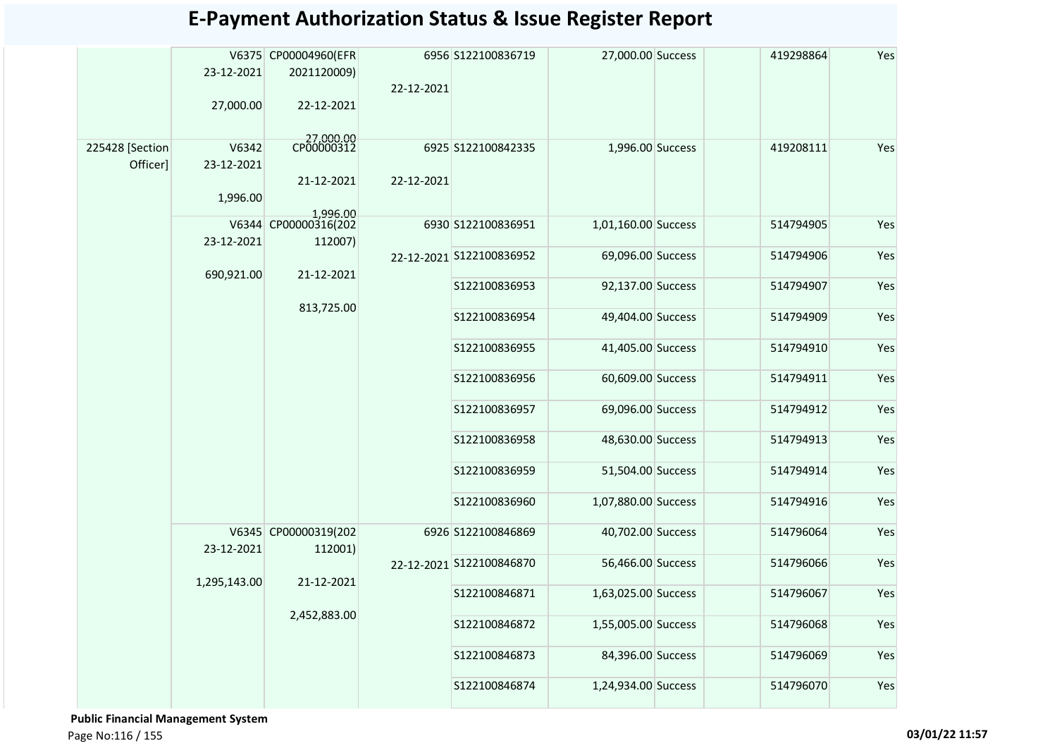|                             | 23-12-2021<br>27,000.00 | V6375 CP00004960(EFR<br>2021120009)<br>22-12-2021 | 22-12-2021 | 6956 S122100836719       | 27,000.00 Success   | 419298864           | Yes       |
|-----------------------------|-------------------------|---------------------------------------------------|------------|--------------------------|---------------------|---------------------|-----------|
|                             |                         |                                                   |            |                          |                     |                     |           |
| 225428 [Section<br>Officer] | V6342<br>23-12-2021     | 27,000.00<br>CP00000312<br>21-12-2021             | 22-12-2021 | 6925 S122100842335       | 1,996.00 Success    | 419208111           | Yes       |
|                             | 1,996.00                |                                                   |            |                          |                     |                     |           |
|                             |                         | 1,996.00<br>V6344 CP00000316(202                  |            | 6930 S122100836951       | 1,01,160.00 Success | 514794905           | Yes       |
|                             | 23-12-2021              | 112007)                                           |            |                          |                     |                     |           |
|                             |                         |                                                   |            | 22-12-2021 S122100836952 | 69,096.00 Success   | 514794906           | Yes       |
|                             | 690,921.00              | 21-12-2021                                        |            | S122100836953            | 92,137.00 Success   | 514794907           | Yes       |
|                             |                         | 813,725.00                                        |            | S122100836954            | 49,404.00 Success   | 514794909           | Yes       |
|                             |                         |                                                   |            | S122100836955            | 41,405.00 Success   | 514794910           | Yes       |
|                             |                         |                                                   |            | S122100836956            | 60,609.00 Success   | 514794911           | Yes       |
|                             |                         |                                                   |            | S122100836957            | 69,096.00 Success   | 514794912           | Yes       |
|                             |                         |                                                   |            | S122100836958            | 48,630.00 Success   | 514794913           | Yes       |
|                             |                         |                                                   |            | S122100836959            | 51,504.00 Success   | 514794914           | Yes       |
|                             |                         |                                                   |            | S122100836960            | 1,07,880.00 Success | 514794916           | Yes       |
|                             | 23-12-2021              | V6345 CP00000319(202<br>112001)                   |            | 6926 S122100846869       | 40,702.00 Success   | 514796064           | Yes       |
|                             |                         | 21-12-2021                                        |            | 22-12-2021 S122100846870 | 56,466.00 Success   | 514796066           | Yes       |
|                             | 1,295,143.00            |                                                   |            | S122100846871            | 1,63,025.00 Success | 514796067           | Yes       |
|                             |                         | 2,452,883.00                                      |            | S122100846872            | 1,55,005.00 Success | 514796068           | Yes       |
|                             |                         |                                                   |            | S122100846873            | 84,396.00 Success   | 514796069           | Yes       |
|                             |                         |                                                   |            |                          | S122100846874       | 1,24,934.00 Success | 514796070 |

 **Public Financial Management System**  Page No:116 / 155 **03/01/22 11:57**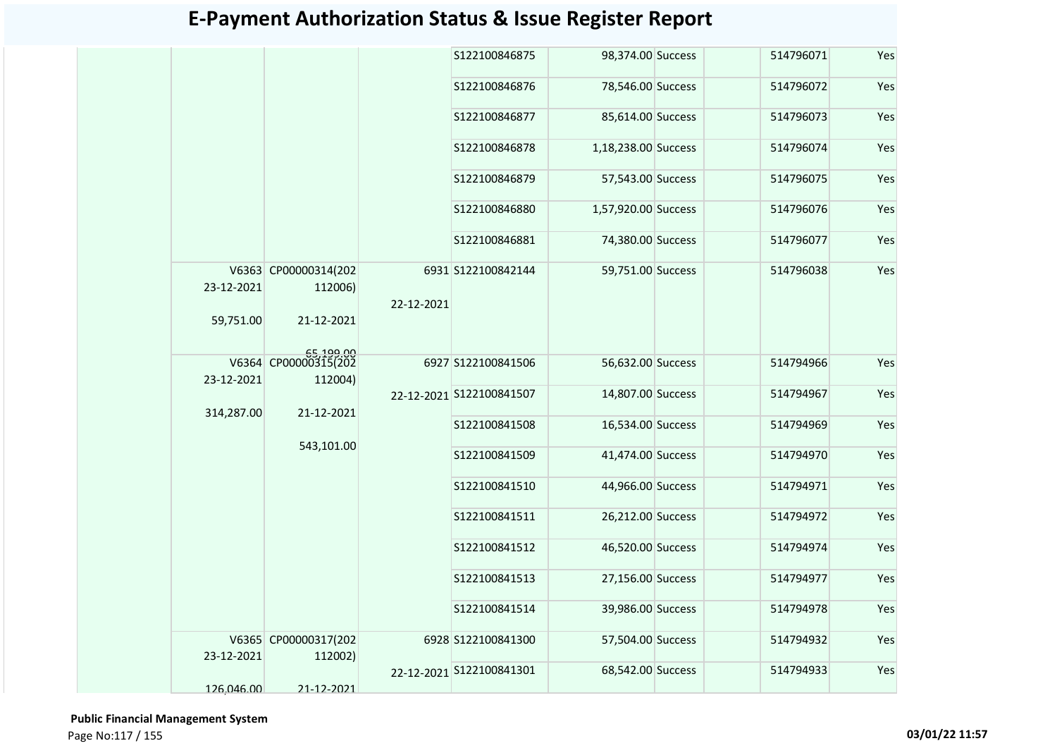|            |                                 |            | S122100846875            | 98,374.00 Success   | 514796071 | Yes |
|------------|---------------------------------|------------|--------------------------|---------------------|-----------|-----|
|            |                                 |            | S122100846876            | 78,546.00 Success   | 514796072 | Yes |
|            |                                 |            | S122100846877            | 85,614.00 Success   | 514796073 | Yes |
|            |                                 |            | S122100846878            | 1,18,238.00 Success | 514796074 | Yes |
|            |                                 |            | S122100846879            | 57,543.00 Success   | 514796075 | Yes |
|            |                                 |            | S122100846880            | 1,57,920.00 Success | 514796076 | Yes |
|            |                                 |            | S122100846881            | 74,380.00 Success   | 514796077 | Yes |
| 23-12-2021 | V6363 CP00000314(202<br>112006) | 22-12-2021 | 6931 S122100842144       | 59,751.00 Success   | 514796038 | Yes |
| 59,751.00  | 21-12-2021                      |            |                          |                     |           |     |
| 23-12-2021 | 65,199.00<br>112004)            |            | 6927 S122100841506       | 56,632.00 Success   | 514794966 | Yes |
| 314,287.00 | 21-12-2021                      |            | 22-12-2021 S122100841507 | 14,807.00 Success   | 514794967 | Yes |
|            | 543,101.00                      |            | S122100841508            | 16,534.00 Success   | 514794969 | Yes |
|            |                                 |            | S122100841509            | 41,474.00 Success   | 514794970 | Yes |
|            |                                 |            | S122100841510            | 44,966.00 Success   | 514794971 | Yes |
|            |                                 |            | S122100841511            | 26,212.00 Success   | 514794972 | Yes |
|            |                                 |            | \$122100841512           | 46,520.00 Success   | 514794974 | Yes |
|            |                                 |            | S122100841513            | 27,156.00 Success   | 514794977 | Yes |
|            |                                 |            | S122100841514            | 39,986.00 Success   | 514794978 | Yes |
| 23-12-2021 | V6365 CP00000317(202<br>112002) |            | 6928 S122100841300       | 57,504.00 Success   | 514794932 | Yes |
| 126,046.00 | 21-12-2021                      |            | 22-12-2021 S122100841301 | 68,542.00 Success   | 514794933 | Yes |
|            |                                 |            |                          |                     |           |     |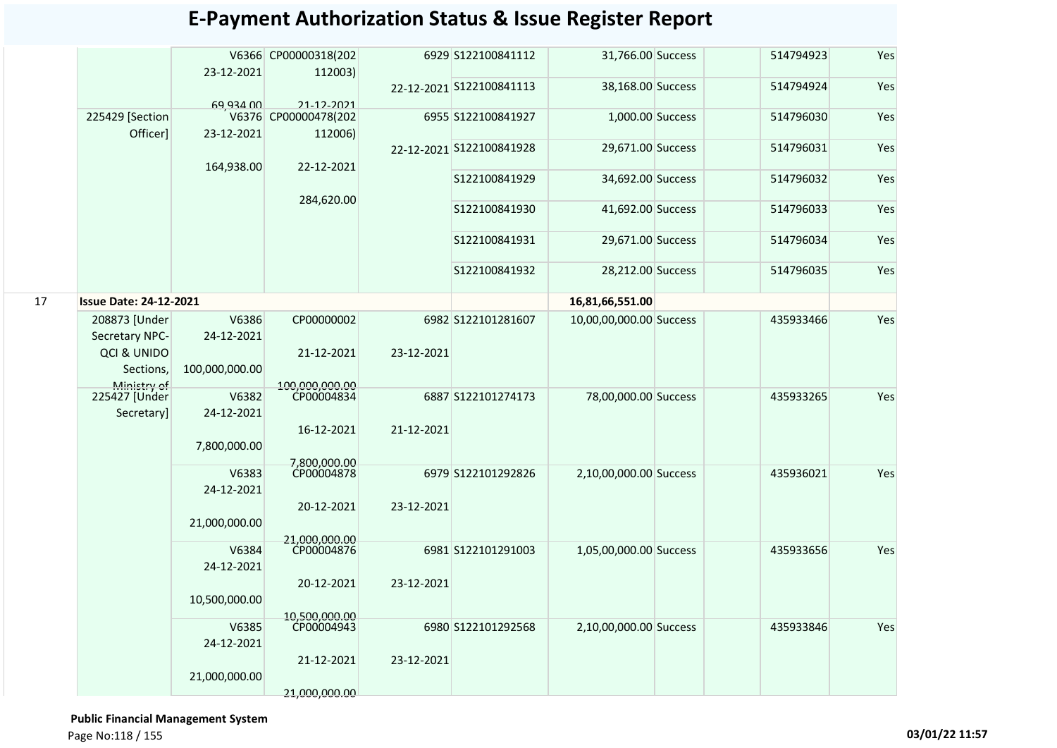|    |                               | 23-12-2021          | V6366 CP00000318(202<br>112003) |            | 6929 S122100841112       | 31,766.00 Success       | 514794923                            | Yes |
|----|-------------------------------|---------------------|---------------------------------|------------|--------------------------|-------------------------|--------------------------------------|-----|
|    |                               |                     |                                 |            | 22-12-2021 S122100841113 | 38,168.00 Success       | 514794924                            | Yes |
|    |                               | <b>69 934 00</b>    | 21-12-2021                      |            |                          |                         |                                      |     |
|    | 225429 [Section<br>Officer]   | 23-12-2021          | V6376 CP00000478(202<br>112006) |            | 6955 S122100841927       | 1,000.00 Success        | 514796030                            | Yes |
|    |                               |                     |                                 |            | 22-12-2021 S122100841928 | 29,671.00 Success       | 514796031                            | Yes |
|    |                               | 164,938.00          | 22-12-2021                      |            | S122100841929            | 34,692.00 Success       | 514796032                            | Yes |
|    |                               |                     | 284,620.00                      |            | S122100841930            | 41,692.00 Success       | 514796033                            | Yes |
|    |                               |                     |                                 |            | S122100841931            | 29,671.00 Success       | 514796034                            | Yes |
|    |                               |                     |                                 |            | S122100841932            | 28,212.00 Success       | 514796035                            | Yes |
| 17 | <b>Issue Date: 24-12-2021</b> |                     |                                 |            |                          | 16,81,66,551.00         |                                      |     |
|    | 208873 [Under                 | V6386               | CP00000002                      |            | 6982 S122101281607       | 10,00,00,000.00 Success | 435933466                            | Yes |
|    | Secretary NPC-                | 24-12-2021          |                                 |            |                          |                         | Yes<br>435933265<br>Yes<br>435936021 |     |
|    | QCI & UNIDO                   |                     | 21-12-2021                      | 23-12-2021 |                          |                         |                                      |     |
|    | Sections,                     | 100,000,000.00      |                                 |            |                          |                         |                                      |     |
|    | Ministry of                   | V6382               | 100.000.000.00<br>CP00004834    |            | 6887 S122101274173       | 78,00,000.00 Success    |                                      |     |
|    | 225427 [Under<br>Secretary]   | 24-12-2021          |                                 |            |                          |                         |                                      |     |
|    |                               |                     | 16-12-2021                      | 21-12-2021 |                          |                         |                                      |     |
|    |                               | 7,800,000.00        | 7,800,000,00                    |            |                          |                         |                                      |     |
|    |                               | V6383               | CP00004878                      |            | 6979 S122101292826       | 2,10,00,000.00 Success  |                                      |     |
|    |                               | 24-12-2021          |                                 |            |                          |                         |                                      |     |
|    |                               |                     | 20-12-2021                      | 23-12-2021 |                          |                         |                                      |     |
|    |                               | 21,000,000.00       |                                 |            |                          |                         |                                      |     |
|    |                               |                     | 21,000,000.00<br>CP00004876     |            |                          |                         |                                      |     |
|    |                               | V6384<br>24-12-2021 |                                 |            | 6981 S122101291003       | 1,05,00,000.00 Success  | 435933656                            | Yes |
|    |                               |                     | 20-12-2021                      | 23-12-2021 |                          |                         |                                      |     |
|    |                               | 10,500,000.00       |                                 |            |                          |                         |                                      |     |
|    |                               | V6385               | 10,500,000.00<br>CP00004943     |            | 6980 S122101292568       | 2,10,00,000.00 Success  | 435933846                            | Yes |
|    |                               | 24-12-2021          |                                 |            |                          |                         |                                      |     |
|    |                               |                     | 21-12-2021                      | 23-12-2021 |                          |                         |                                      |     |
|    |                               | 21,000,000.00       |                                 |            |                          |                         |                                      |     |
|    |                               |                     | 21,000,000.00                   |            |                          |                         |                                      |     |

 **Public Financial Management System** 

Page No:118 / 155 **03/01/22 11:57**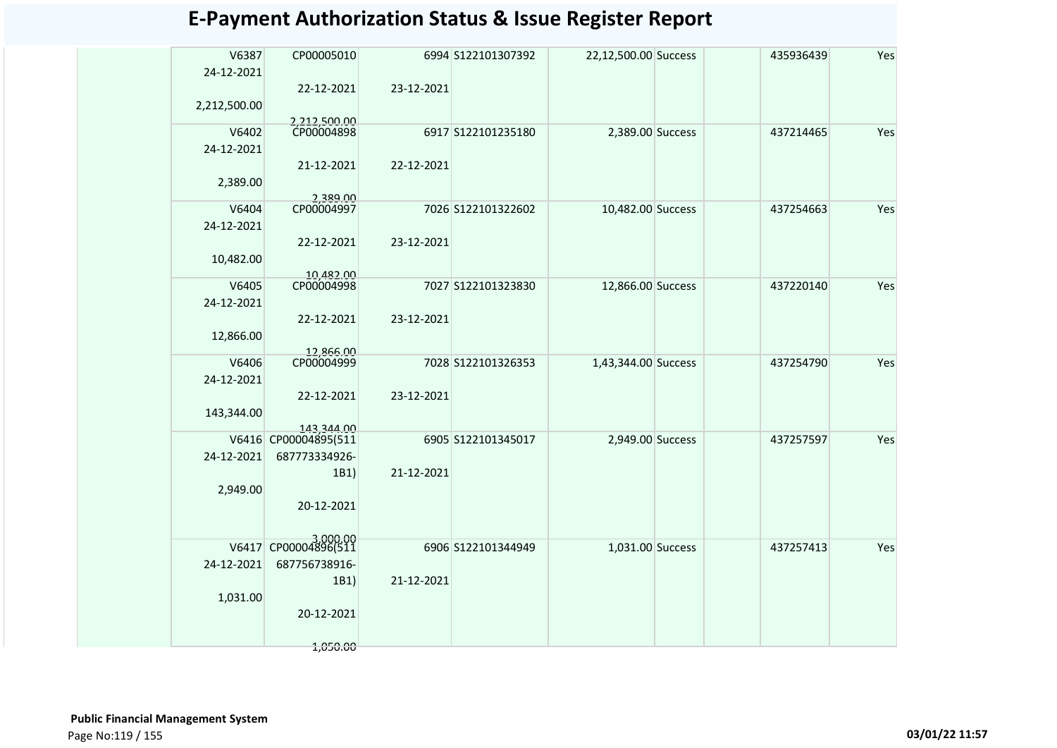| V6387<br>24-12-2021 | CP00005010                         |            | 6994 S122101307392 | 22,12,500.00 Success | 435936439 | Yes |
|---------------------|------------------------------------|------------|--------------------|----------------------|-----------|-----|
|                     | 22-12-2021                         | 23-12-2021 |                    |                      |           |     |
| 2,212,500.00        |                                    |            |                    |                      |           |     |
| V6402               | 2,212,500.00<br>CP00004898         |            | 6917 S122101235180 | 2,389.00 Success     | 437214465 | Yes |
| 24-12-2021          |                                    |            |                    |                      |           |     |
| 2,389.00            | 21-12-2021                         | 22-12-2021 |                    |                      |           |     |
|                     | 2.389.00                           |            |                    |                      |           |     |
| V6404               | CP00004997                         |            | 7026 S122101322602 | 10,482.00 Success    | 437254663 | Yes |
| 24-12-2021          |                                    |            |                    |                      |           |     |
| 10,482.00           | 22-12-2021                         | 23-12-2021 |                    |                      |           |     |
|                     | 10,482.00                          |            |                    |                      |           |     |
| V6405               | CP00004998                         |            | 7027 S122101323830 | 12,866.00 Success    | 437220140 | Yes |
| 24-12-2021          |                                    |            |                    |                      |           |     |
|                     | 22-12-2021                         | 23-12-2021 |                    |                      |           |     |
| 12,866.00           |                                    |            |                    |                      |           |     |
| V6406               | 12,866.00<br>CP00004999            |            | 7028 S122101326353 | 1,43,344.00 Success  | 437254790 | Yes |
| 24-12-2021          |                                    |            |                    |                      |           |     |
|                     | 22-12-2021                         | 23-12-2021 |                    |                      |           |     |
| 143,344.00          |                                    |            |                    |                      |           |     |
|                     | 143.344.00<br>V6416 CP00004895(511 |            | 6905 S122101345017 | 2,949.00 Success     | 437257597 | Yes |
| 24-12-2021          | 687773334926-                      |            |                    |                      |           |     |
|                     | 1B1)                               | 21-12-2021 |                    |                      |           |     |
| 2,949.00            |                                    |            |                    |                      |           |     |
|                     | 20-12-2021                         |            |                    |                      |           |     |
|                     |                                    |            |                    |                      |           |     |
| V6417               | CP00004896(511                     |            | 6906 S122101344949 | 1,031.00 Success     | 437257413 | Yes |
| 24-12-2021          | 687756738916-                      |            |                    |                      |           |     |
|                     | 1B1)                               | 21-12-2021 |                    |                      |           |     |
| 1,031.00            | 20-12-2021                         |            |                    |                      |           |     |
|                     |                                    |            |                    |                      |           |     |
|                     | 1,050.00                           |            |                    |                      |           |     |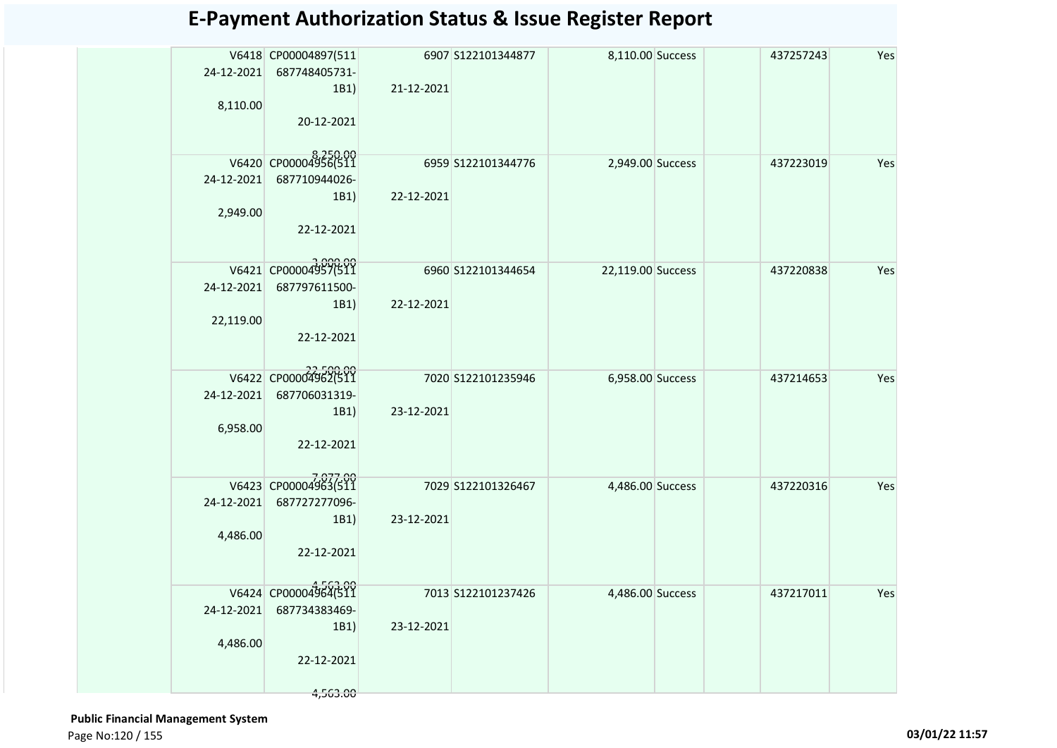| 8,110.00                | V6418 CP00004897(511<br>24-12-2021 687748405731-<br>1B1)<br>20-12-2021  | 21-12-2021 | 6907 S122101344877 | 8,110.00 Success  | 437257243 | Yes |
|-------------------------|-------------------------------------------------------------------------|------------|--------------------|-------------------|-----------|-----|
| 24-12-2021<br>2,949.00  | V6420 CP00004956(511<br>687710944026-<br>1B1)<br>22-12-2021             | 22-12-2021 | 6959 S122101344776 | 2,949.00 Success  | 437223019 | Yes |
| 24-12-2021<br>22,119.00 | V6421 CP00004957(511<br>687797611500-<br>1B1)<br>22-12-2021             | 22-12-2021 | 6960 S122101344654 | 22,119.00 Success | 437220838 | Yes |
| 24-12-2021<br>6,958.00  | V6422 CP00004962(511<br>687706031319-<br>1B1)<br>22-12-2021             | 23-12-2021 | 7020 S122101235946 | 6,958.00 Success  | 437214653 | Yes |
| 24-12-2021<br>4,486.00  | V6423 CP00004963(511<br>687727277096-<br>1B1)<br>22-12-2021             | 23-12-2021 | 7029 S122101326467 | 4,486.00 Success  | 437220316 | Yes |
| 24-12-2021<br>4,486.00  | V6424 CP00004964(511<br>687734383469-<br>1B1)<br>22-12-2021<br>4,563.00 | 23-12-2021 | 7013 S122101237426 | 4,486.00 Success  | 437217011 | Yes |

 **Public Financial Management System**  Page No:120 / 155 **03/01/22 11:57**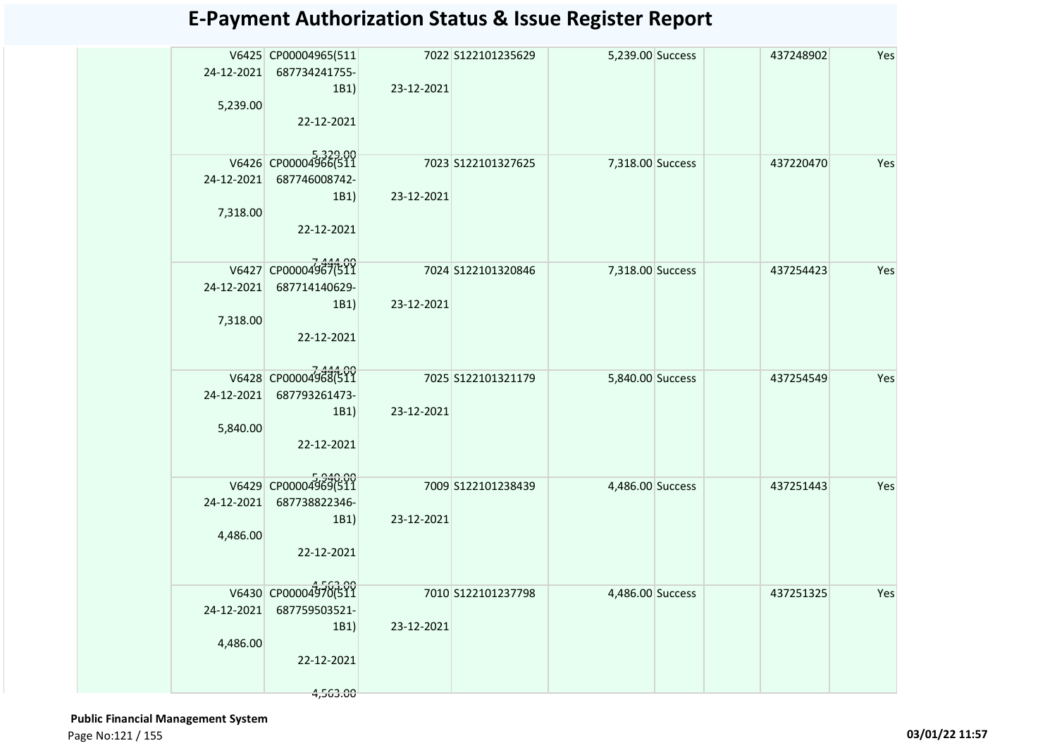| 5,239.00               | V6425 CP00004965(511<br>24-12-2021 687734241755-<br>1B1)<br>22-12-2021  | 23-12-2021 | 7022 S122101235629  | 5,239.00 Success | 437248902 | Yes |
|------------------------|-------------------------------------------------------------------------|------------|---------------------|------------------|-----------|-----|
| 24-12-2021<br>7,318.00 | V6426 CP00004966(511<br>687746008742-<br>1B1)<br>22-12-2021             | 23-12-2021 | 7023 S122101327625  | 7,318.00 Success | 437220470 | Yes |
| 24-12-2021<br>7,318.00 | V6427 CP00004987(511<br>687714140629-<br>1B1)<br>22-12-2021             | 23-12-2021 | 7024 S122101320846  | 7,318.00 Success | 437254423 | Yes |
| 5,840.00               | V6428 CP00004968(511<br>24-12-2021 687793261473-<br>1B1)<br>22-12-2021  | 23-12-2021 | 7025 S122101321179  | 5,840.00 Success | 437254549 | Yes |
| 24-12-2021<br>4,486.00 | V6429 CP00004969(511<br>687738822346-<br>1B1)<br>22-12-2021             | 23-12-2021 | 7009 S122101238439  | 4,486.00 Success | 437251443 | Yes |
| 24-12-2021<br>4,486.00 | V6430 CP00004970(511<br>687759503521-<br>1B1)<br>22-12-2021<br>4,563.00 | 23-12-2021 | 7010 \$122101237798 | 4,486.00 Success | 437251325 | Yes |

 **Public Financial Management System**  Page No:121 / 155 **03/01/22 11:57**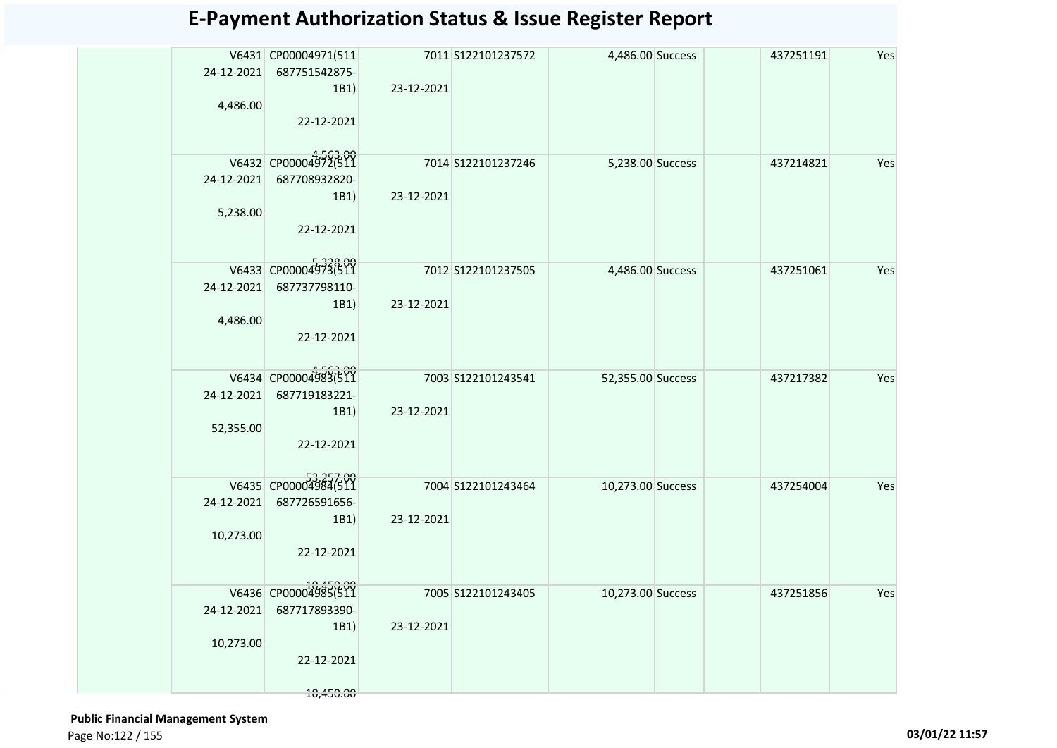|            | V6431 CP00004971(511             |            | 7011 S122101237572 | 4,486.00 Success  | 437251191 | Yes |
|------------|----------------------------------|------------|--------------------|-------------------|-----------|-----|
|            | 24-12-2021 687751542875-<br>1B1) | 23-12-2021 |                    |                   |           |     |
| 4,486.00   |                                  |            |                    |                   |           |     |
|            | 22-12-2021                       |            |                    |                   |           |     |
|            |                                  |            |                    |                   |           |     |
|            | V6432 CP00004972(511             |            | 7014 S122101237246 | 5,238.00 Success  | 437214821 | Yes |
| 24-12-2021 | 687708932820-                    |            |                    |                   |           |     |
| 5,238.00   | 1B1)                             | 23-12-2021 |                    |                   |           |     |
|            | 22-12-2021                       |            |                    |                   |           |     |
|            |                                  |            |                    |                   |           |     |
|            | V6433 CP00004973(511             |            | 7012 S122101237505 | 4,486.00 Success  | 437251061 | Yes |
| 24-12-2021 | 687737798110-                    |            |                    |                   |           |     |
|            | 1B1)                             | 23-12-2021 |                    |                   |           |     |
| 4,486.00   | 22-12-2021                       |            |                    |                   |           |     |
|            |                                  |            |                    |                   |           |     |
|            | V6434 CP00004983(511             |            | 7003 S122101243541 | 52,355.00 Success | 437217382 | Yes |
| 24-12-2021 | 687719183221-                    |            |                    |                   |           |     |
|            | 1B1)                             | 23-12-2021 |                    |                   |           |     |
| 52,355.00  | 22-12-2021                       |            |                    |                   |           |     |
|            |                                  |            |                    |                   |           |     |
|            | V6435 CP00004984(511             |            | 7004 S122101243464 | 10,273.00 Success | 437254004 | Yes |
|            | 24-12-2021 687726591656-         |            |                    |                   |           |     |
|            | 1B1)                             | 23-12-2021 |                    |                   |           |     |
| 10,273.00  | 22-12-2021                       |            |                    |                   |           |     |
|            |                                  |            |                    |                   |           |     |
|            | V6436 CP00004985(511             |            | 7005 S122101243405 | 10,273.00 Success | 437251856 | Yes |
| 24-12-2021 | 687717893390-                    |            |                    |                   |           |     |
|            | 1B1)                             | 23-12-2021 |                    |                   |           |     |
| 10,273.00  |                                  |            |                    |                   |           |     |
|            | 22-12-2021                       |            |                    |                   |           |     |
|            | 10,450.00                        |            |                    |                   |           |     |

 **Public Financial Management System**  Page No:122 / 155 **03/01/22 11:57**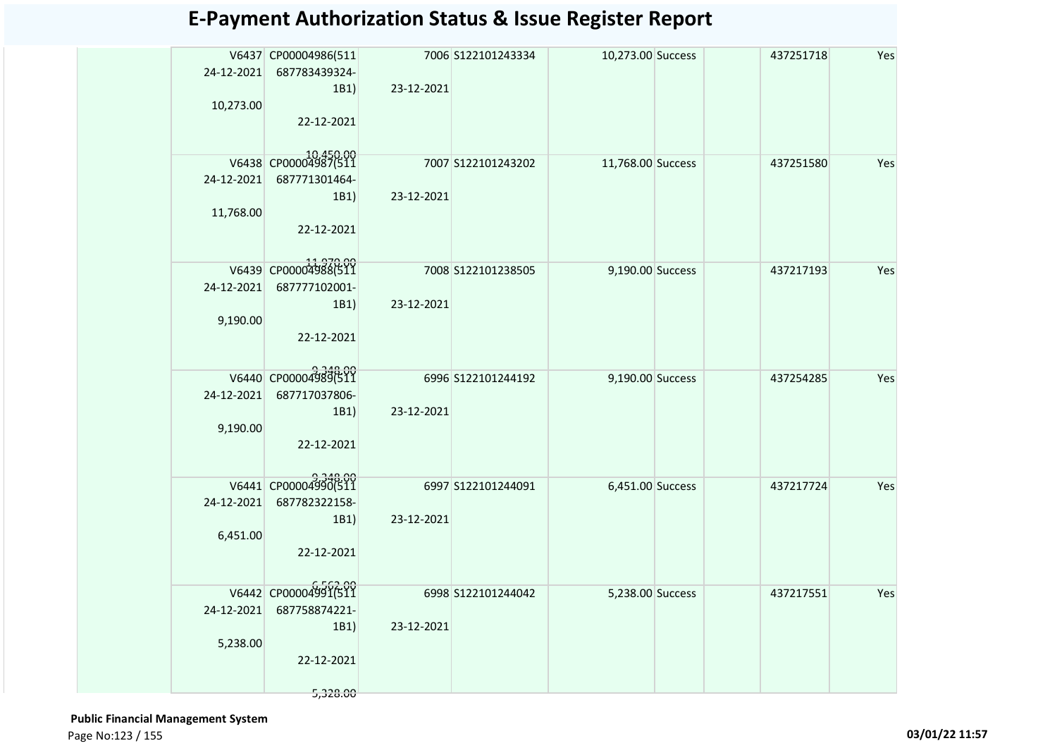| 24-12-2021<br>10,273.00 | V6437 CP00004986(511<br>687783439324-<br>1B1)<br>22-12-2021             | 23-12-2021 | 7006 S122101243334 | 10,273.00 Success | 437251718 | Yes |
|-------------------------|-------------------------------------------------------------------------|------------|--------------------|-------------------|-----------|-----|
| 24-12-2021<br>11,768.00 | V6438 CP00004987(511<br>687771301464-<br>1B1)<br>22-12-2021             | 23-12-2021 | 7007 S122101243202 | 11,768.00 Success | 437251580 | Yes |
| 24-12-2021<br>9,190.00  | V6439 CP00004988(511<br>687777102001-<br>1B1)<br>22-12-2021             | 23-12-2021 | 7008 S122101238505 | 9,190.00 Success  | 437217193 | Yes |
| 24-12-2021<br>9,190.00  | V6440 CP000049896511<br>687717037806-<br>1B1)<br>22-12-2021             | 23-12-2021 | 6996 S122101244192 | 9,190.00 Success  | 437254285 | Yes |
| 24-12-2021<br>6,451.00  | V6441 CP00004990(511<br>687782322158-<br>1B1)<br>22-12-2021             | 23-12-2021 | 6997 S122101244091 | 6,451.00 Success  | 437217724 | Yes |
| 24-12-2021<br>5,238.00  | V6442 CP00004991(511<br>687758874221-<br>1B1)<br>22-12-2021<br>5,328.00 | 23-12-2021 | 6998 S122101244042 | 5,238.00 Success  | 437217551 | Yes |

 **Public Financial Management System**  Page No:123 / 155 **03/01/22 11:57**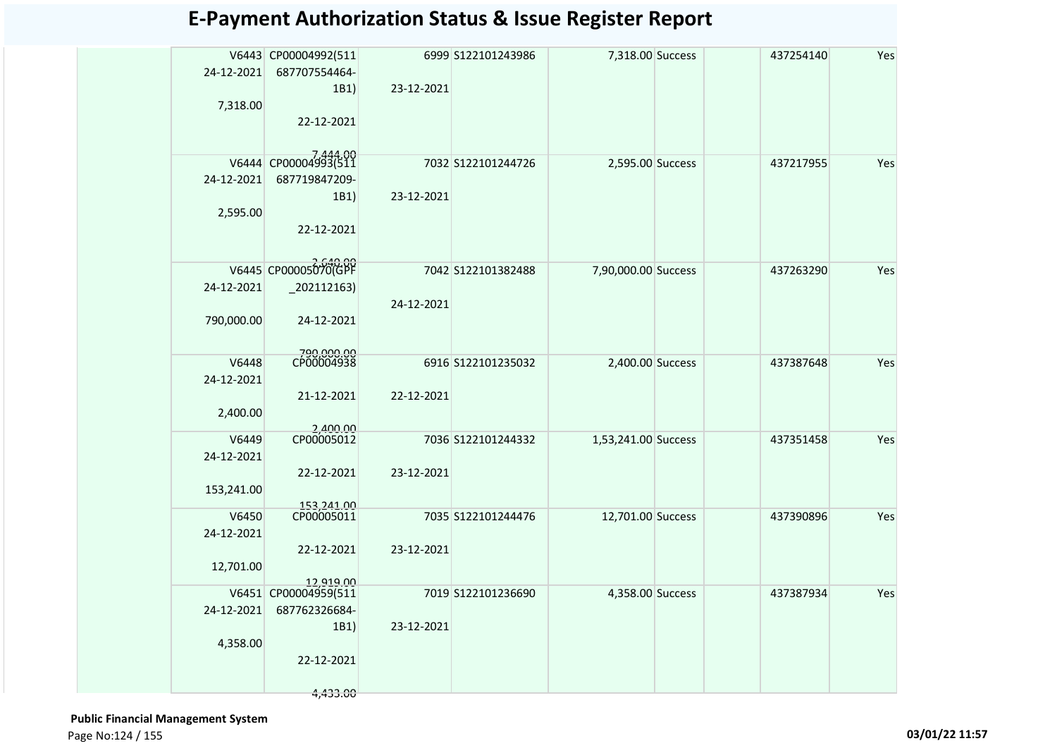|            | V6443 CP00004992(511     |            | 6999 S122101243986 | 7,318.00 Success    | 437254140 | Yes |
|------------|--------------------------|------------|--------------------|---------------------|-----------|-----|
| 24-12-2021 | 687707554464-            |            |                    |                     |           |     |
|            | 1B1)                     | 23-12-2021 |                    |                     |           |     |
| 7,318.00   |                          |            |                    |                     |           |     |
|            | 22-12-2021               |            |                    |                     |           |     |
|            |                          |            |                    |                     |           |     |
|            | V6444 CP00004993(511     |            | 7032 S122101244726 | 2,595.00 Success    | 437217955 | Yes |
| 24-12-2021 | 687719847209-            |            |                    |                     |           |     |
|            | 1B1)                     | 23-12-2021 |                    |                     |           |     |
| 2,595.00   |                          |            |                    |                     |           |     |
|            | 22-12-2021               |            |                    |                     |           |     |
|            |                          |            |                    |                     |           |     |
|            | V6445 CP00005070(GPF     |            | 7042 S122101382488 | 7,90,000.00 Success | 437263290 | Yes |
| 24-12-2021 | $-202112163$             |            |                    |                     |           |     |
|            |                          | 24-12-2021 |                    |                     |           |     |
| 790,000.00 | 24-12-2021               |            |                    |                     |           |     |
|            |                          |            |                    |                     |           |     |
| V6448      | 790,000.00<br>CP00004938 |            | 6916 S122101235032 | 2,400.00 Success    | 437387648 | Yes |
| 24-12-2021 |                          |            |                    |                     |           |     |
|            | 21-12-2021               | 22-12-2021 |                    |                     |           |     |
| 2,400.00   |                          |            |                    |                     |           |     |
| V6449      | 2,400.00<br>CP00005012   |            | 7036 S122101244332 | 1,53,241.00 Success | 437351458 | Yes |
| 24-12-2021 |                          |            |                    |                     |           |     |
|            | 22-12-2021               | 23-12-2021 |                    |                     |           |     |
| 153,241.00 |                          |            |                    |                     |           |     |
| V6450      | 153,241.00<br>CP00005011 |            | 7035 S122101244476 | 12,701.00 Success   | 437390896 | Yes |
| 24-12-2021 |                          |            |                    |                     |           |     |
|            | 22-12-2021               | 23-12-2021 |                    |                     |           |     |
| 12,701.00  |                          |            |                    |                     |           |     |
|            | 12,919.00                |            |                    |                     |           |     |
|            | V6451 CP00004959(511     |            | 7019 S122101236690 | 4,358.00 Success    | 437387934 | Yes |
| 24-12-2021 | 687762326684-<br>1B1     | 23-12-2021 |                    |                     |           |     |
| 4,358.00   |                          |            |                    |                     |           |     |
|            | 22-12-2021               |            |                    |                     |           |     |
|            |                          |            |                    |                     |           |     |
|            | 4,433.00                 |            |                    |                     |           |     |

 **Public Financial Management System**  Page No:124 / 155 **03/01/22 11:57**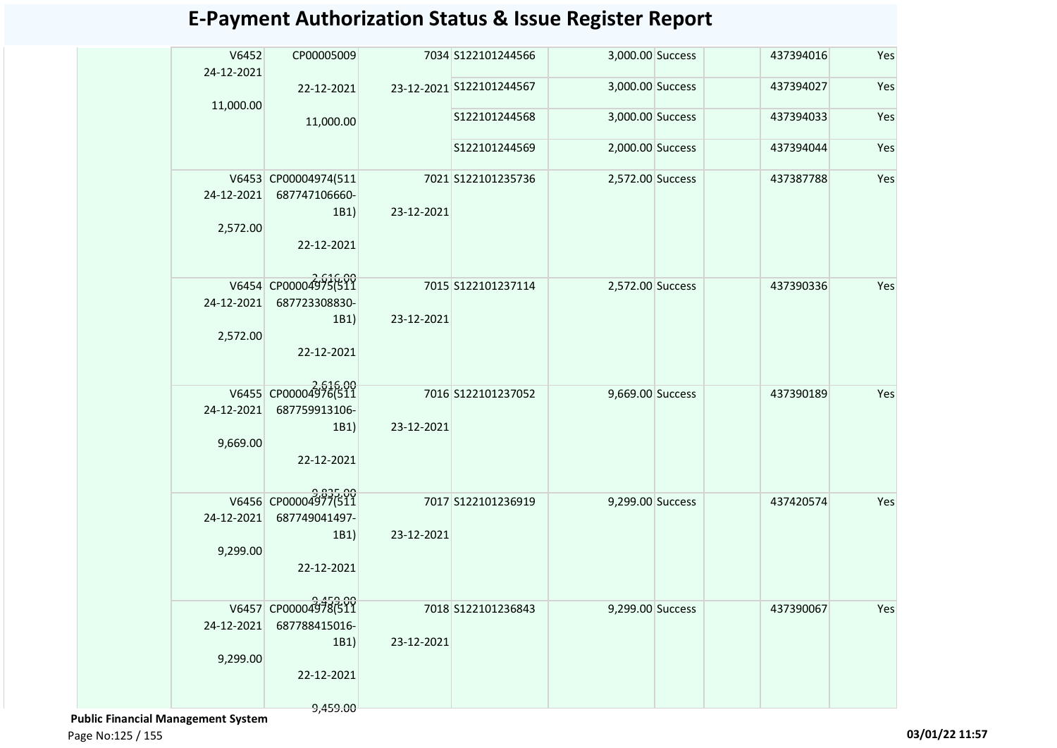| V6452<br>24-12-2021    | CP00005009                                                              |            | 7034 S122101244566       | 3,000.00 Success | 437394016 | Yes |
|------------------------|-------------------------------------------------------------------------|------------|--------------------------|------------------|-----------|-----|
| 11,000.00              | 22-12-2021                                                              |            | 23-12-2021 S122101244567 | 3,000.00 Success | 437394027 | Yes |
|                        | 11,000.00                                                               |            | S122101244568            | 3,000.00 Success | 437394033 | Yes |
|                        |                                                                         |            | S122101244569            | 2,000.00 Success | 437394044 | Yes |
| 24-12-2021<br>2,572.00 | V6453 CP00004974(511<br>687747106660-<br>1B1)<br>22-12-2021             | 23-12-2021 | 7021 S122101235736       | 2,572.00 Success | 437387788 | Yes |
| 24-12-2021<br>2,572.00 | V6454 CP00004975(511<br>687723308830-<br>1B1)<br>22-12-2021             | 23-12-2021 | 7015 S122101237114       | 2,572.00 Success | 437390336 | Yes |
| 24-12-2021<br>9,669.00 | V6455 CP00004976(511<br>687759913106-<br>1B1)<br>22-12-2021             | 23-12-2021 | 7016 S122101237052       | 9,669.00 Success | 437390189 | Yes |
| 24-12-2021<br>9,299.00 | V6456 CP00004977(511<br>687749041497-<br>1B1)<br>22-12-2021             | 23-12-2021 | 7017 S122101236919       | 9,299.00 Success | 437420574 | Yes |
| 24-12-2021<br>9,299.00 | V6457 CP00004978(511<br>687788415016-<br>1B1)<br>22-12-2021<br>9,459.00 | 23-12-2021 | 7018 S122101236843       | 9,299.00 Success | 437390067 | Yes |

 **Public Financial Management System** 

Page No:125 / 155 **03/01/22 11:57**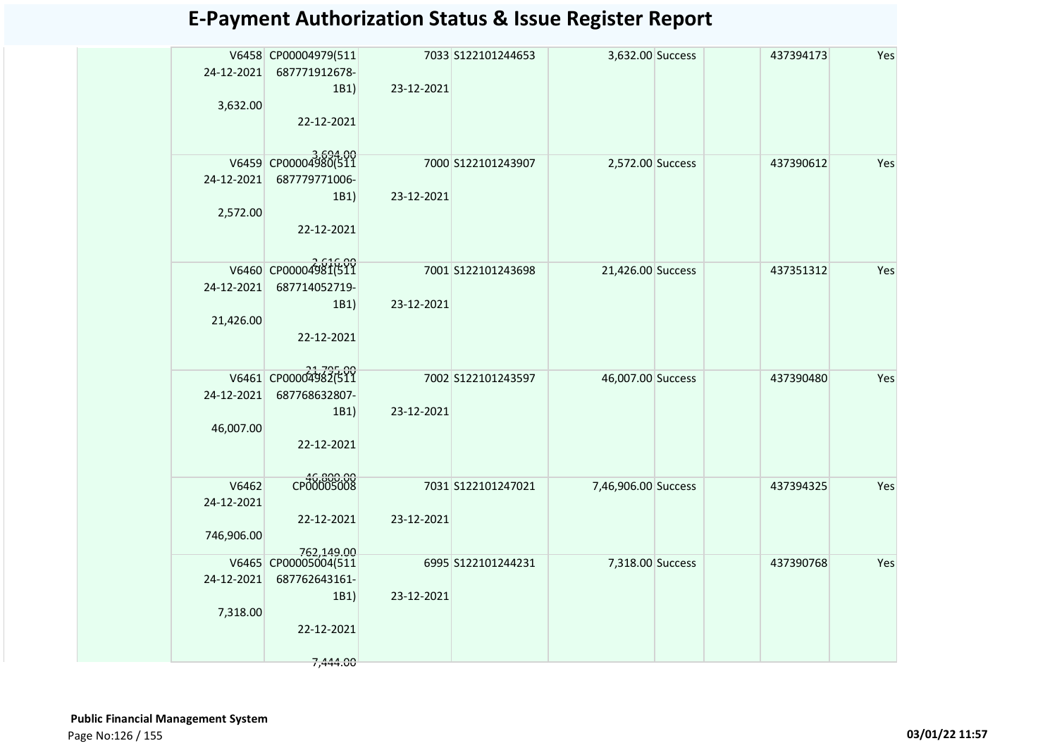| 24-12-2021<br>3,632.00            | V6458 CP00004979(511<br>687771912678-<br>1B1)<br>22-12-2021             | 23-12-2021 | 7033 S122101244653 | 3,632.00 Success    | 437394173 | Yes |
|-----------------------------------|-------------------------------------------------------------------------|------------|--------------------|---------------------|-----------|-----|
| 24-12-2021<br>2,572.00            | V6459 CP00004980(511<br>687779771006-<br>1B1)<br>22-12-2021             | 23-12-2021 | 7000 S122101243907 | 2,572.00 Success    | 437390612 | Yes |
| 24-12-2021<br>21,426.00           | V6460 CP00004981(511<br>687714052719-<br>1B1)<br>22-12-2021             | 23-12-2021 | 7001 S122101243698 | 21,426.00 Success   | 437351312 | Yes |
| 24-12-2021<br>46,007.00           | V6461 CP00004982(511<br>687768632807-<br>1B1)<br>22-12-2021             | 23-12-2021 | 7002 S122101243597 | 46,007.00 Success   | 437390480 | Yes |
| V6462<br>24-12-2021<br>746,906.00 | CP00005008<br>22-12-2021<br>762,149.00                                  | 23-12-2021 | 7031 S122101247021 | 7,46,906.00 Success | 437394325 | Yes |
| 24-12-2021<br>7,318.00            | V6465 CP00005004(511<br>687762643161-<br>1B1)<br>22-12-2021<br>7,444.00 | 23-12-2021 | 6995 S122101244231 | 7,318.00 Success    | 437390768 | Yes |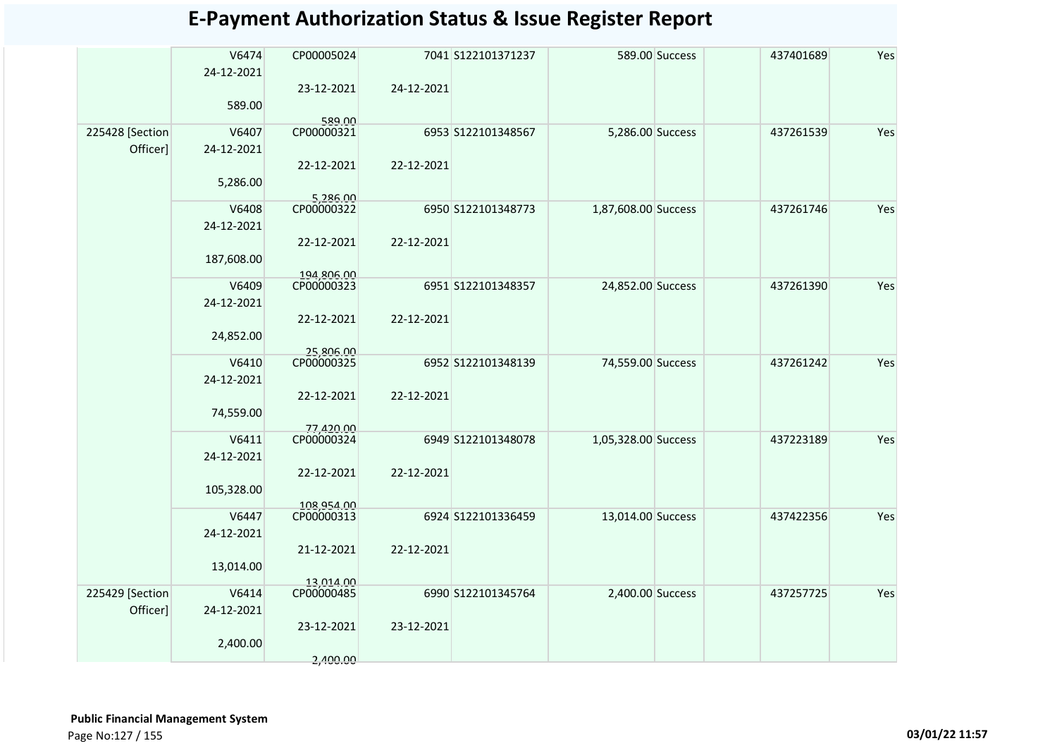|                 | V6474<br>24-12-2021 | CP00005024<br>23-12-2021 | 24-12-2021 | 7041 S122101371237 |                     | 589.00 Success | 437401689 | Yes |
|-----------------|---------------------|--------------------------|------------|--------------------|---------------------|----------------|-----------|-----|
|                 | 589.00              |                          |            |                    |                     |                |           |     |
| 225428 [Section | V6407               | 589.00<br>CP00000321     |            | 6953 S122101348567 | 5,286.00 Success    |                | 437261539 | Yes |
| Officer]        | 24-12-2021          |                          |            |                    |                     |                |           |     |
|                 |                     | 22-12-2021               | 22-12-2021 |                    |                     |                |           |     |
|                 | 5,286.00            |                          |            |                    |                     |                |           |     |
|                 |                     | 5,286.00<br>CP00000322   |            |                    |                     |                |           |     |
|                 | V6408               |                          |            | 6950 S122101348773 | 1,87,608.00 Success |                | 437261746 | Yes |
|                 | 24-12-2021          |                          |            |                    |                     |                |           |     |
|                 | 187,608.00          | 22-12-2021               | 22-12-2021 |                    |                     |                |           |     |
|                 |                     | 194,806.00               |            |                    |                     |                |           |     |
|                 | V6409               | CP00000323               |            | 6951 S122101348357 | 24,852.00 Success   |                | 437261390 | Yes |
|                 | 24-12-2021          |                          |            |                    |                     |                |           |     |
|                 |                     | 22-12-2021               | 22-12-2021 |                    |                     |                |           |     |
|                 | 24,852.00           |                          |            |                    |                     |                |           |     |
|                 | V6410               | 25.806.00<br>CP00000325  |            | 6952 S122101348139 | 74,559.00 Success   |                | 437261242 | Yes |
|                 | 24-12-2021          |                          |            |                    |                     |                |           |     |
|                 |                     | 22-12-2021               | 22-12-2021 |                    |                     |                |           |     |
|                 | 74,559.00           |                          |            |                    |                     |                |           |     |
|                 |                     | 77,420.00                |            |                    |                     |                |           |     |
|                 | V6411               | CP00000324               |            | 6949 S122101348078 | 1,05,328.00 Success |                | 437223189 | Yes |
|                 | 24-12-2021          | 22-12-2021               | 22-12-2021 |                    |                     |                |           |     |
|                 | 105,328.00          |                          |            |                    |                     |                |           |     |
|                 |                     | 108.954.00               |            |                    |                     |                |           |     |
|                 | V6447               | CP00000313               |            | 6924 S122101336459 | 13,014.00 Success   |                | 437422356 | Yes |
|                 | 24-12-2021          |                          |            |                    |                     |                |           |     |
|                 |                     | 21-12-2021               | 22-12-2021 |                    |                     |                |           |     |
|                 | 13,014.00           |                          |            |                    |                     |                |           |     |
| 225429 [Section | V6414               | 13.014.00<br>CP00000485  |            | 6990 S122101345764 | 2,400.00 Success    |                | 437257725 | Yes |
| Officer]        | 24-12-2021          |                          |            |                    |                     |                |           |     |
|                 |                     | 23-12-2021               | 23-12-2021 |                    |                     |                |           |     |
|                 | 2,400.00            |                          |            |                    |                     |                |           |     |
|                 |                     | 2,400.00                 |            |                    |                     |                |           |     |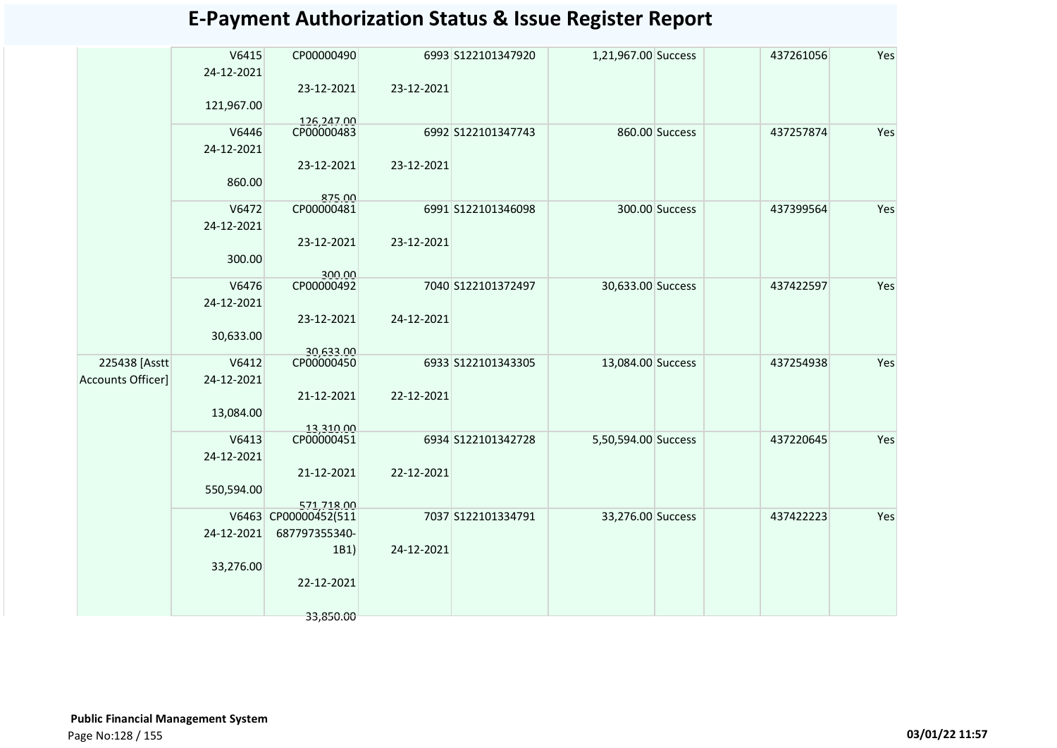|                   | V6415<br>24-12-2021 | CP00000490              |            | 6993 S122101347920 | 1,21,967.00 Success |                | 437261056 | Yes |
|-------------------|---------------------|-------------------------|------------|--------------------|---------------------|----------------|-----------|-----|
|                   | 121,967.00          | 23-12-2021              | 23-12-2021 |                    |                     |                |           |     |
|                   |                     | 126.247.00              |            |                    |                     |                |           |     |
|                   | V6446               | CP00000483              |            | 6992 S122101347743 |                     | 860.00 Success | 437257874 | Yes |
|                   | 24-12-2021          |                         |            |                    |                     |                |           |     |
|                   |                     | 23-12-2021              | 23-12-2021 |                    |                     |                |           |     |
|                   | 860.00              | 875.00                  |            |                    |                     |                |           |     |
|                   | V6472               | CP00000481              |            | 6991 S122101346098 |                     | 300.00 Success | 437399564 | Yes |
|                   | 24-12-2021          |                         |            |                    |                     |                |           |     |
|                   |                     | 23-12-2021              | 23-12-2021 |                    |                     |                |           |     |
|                   | 300.00              |                         |            |                    |                     |                |           |     |
|                   | V6476               | 300.00<br>CP00000492    |            | 7040 S122101372497 | 30,633.00 Success   |                | 437422597 | Yes |
|                   |                     |                         |            |                    |                     |                |           |     |
|                   | 24-12-2021          |                         |            |                    |                     |                |           |     |
|                   | 30,633.00           | 23-12-2021              | 24-12-2021 |                    |                     |                |           |     |
| 225438 [Asstt     | V6412               | 30,633.00<br>CP00000450 |            |                    |                     |                |           | Yes |
|                   |                     |                         |            | 6933 S122101343305 | 13,084.00 Success   |                | 437254938 |     |
| Accounts Officer] | 24-12-2021          |                         |            |                    |                     |                |           |     |
|                   |                     | 21-12-2021              | 22-12-2021 |                    |                     |                |           |     |
|                   | 13,084.00           |                         |            |                    |                     |                |           |     |
|                   |                     | 13,310.00               |            |                    |                     |                |           |     |
|                   | V6413               | CP00000451              |            | 6934 S122101342728 | 5,50,594.00 Success |                | 437220645 | Yes |
|                   | 24-12-2021          |                         |            |                    |                     |                |           |     |
|                   |                     | 21-12-2021              | 22-12-2021 |                    |                     |                |           |     |
|                   | 550,594.00          |                         |            |                    |                     |                |           |     |
|                   |                     | 571.718.00              |            |                    |                     |                |           |     |
|                   |                     | V6463 CP00000452(511    |            | 7037 S122101334791 | 33,276.00 Success   |                | 437422223 | Yes |
|                   | 24-12-2021          | 687797355340-           |            |                    |                     |                |           |     |
|                   |                     | 1B1)                    | 24-12-2021 |                    |                     |                |           |     |
|                   | 33,276.00           |                         |            |                    |                     |                |           |     |
|                   |                     | 22-12-2021              |            |                    |                     |                |           |     |
|                   |                     | 33,850.00               |            |                    |                     |                |           |     |
|                   |                     |                         |            |                    |                     |                |           |     |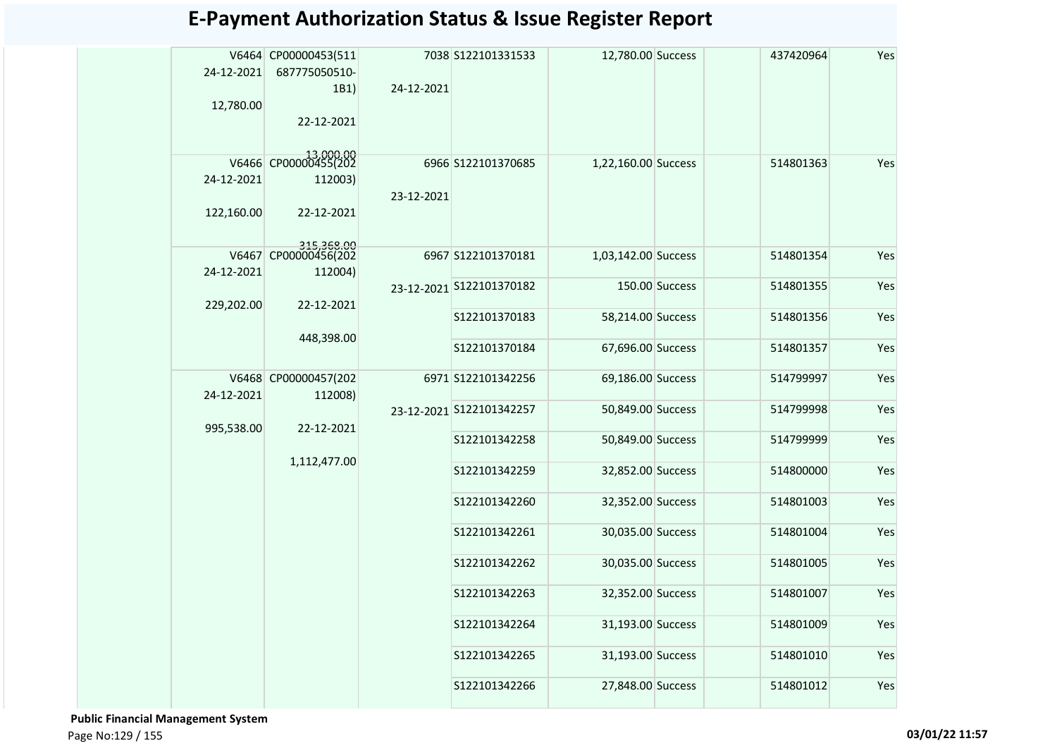| 24-12-2021<br>12,780.00  | V6464 CP00000453(511<br>687775050510-<br>1B1)<br>22-12-2021 | 24-12-2021 | 7038 S122101331533       | 12,780.00 Success   |                | 437420964 | Yes |
|--------------------------|-------------------------------------------------------------|------------|--------------------------|---------------------|----------------|-----------|-----|
| 24-12-2021<br>122,160.00 | V6466 CP00000455(202<br>112003)<br>22-12-2021               | 23-12-2021 | 6966 S122101370685       | 1,22,160.00 Success |                | 514801363 | Yes |
|                          | 315,368.00<br>V6467 CP00000456(202                          |            | 6967 S122101370181       | 1,03,142.00 Success |                | 514801354 | Yes |
| 24-12-2021               | 112004)                                                     |            |                          |                     | 150.00 Success |           | Yes |
| 229,202.00               | 22-12-2021                                                  |            | 23-12-2021 S122101370182 |                     |                | 514801355 |     |
|                          |                                                             |            | S122101370183            | 58,214.00 Success   |                | 514801356 | Yes |
|                          | 448,398.00                                                  |            | S122101370184            | 67,696.00 Success   |                | 514801357 | Yes |
|                          | V6468 CP00000457(202                                        |            | 6971 S122101342256       | 69,186.00 Success   |                | 514799997 | Yes |
| 24-12-2021               | 112008)                                                     |            | 23-12-2021 S122101342257 | 50,849.00 Success   |                | 514799998 | Yes |
| 995,538.00               | 22-12-2021                                                  |            | S122101342258            | 50,849.00 Success   |                | 514799999 | Yes |
|                          | 1,112,477.00                                                |            | S122101342259            | 32,852.00 Success   |                | 514800000 | Yes |
|                          |                                                             |            | S122101342260            | 32,352.00 Success   |                | 514801003 | Yes |
|                          |                                                             |            | S122101342261            | 30,035.00 Success   |                | 514801004 | Yes |
|                          |                                                             |            | S122101342262            | 30,035.00 Success   |                | 514801005 | Yes |
|                          |                                                             |            | S122101342263            | 32,352.00 Success   |                | 514801007 | Yes |
|                          |                                                             |            | S122101342264            | 31,193.00 Success   |                | 514801009 | Yes |
|                          |                                                             |            | S122101342265            | 31,193.00 Success   |                | 514801010 | Yes |
|                          |                                                             |            | S122101342266            | 27,848.00 Success   |                | 514801012 | Yes |

 **Public Financial Management System**  Page No:129 / 155 **03/01/22 11:57**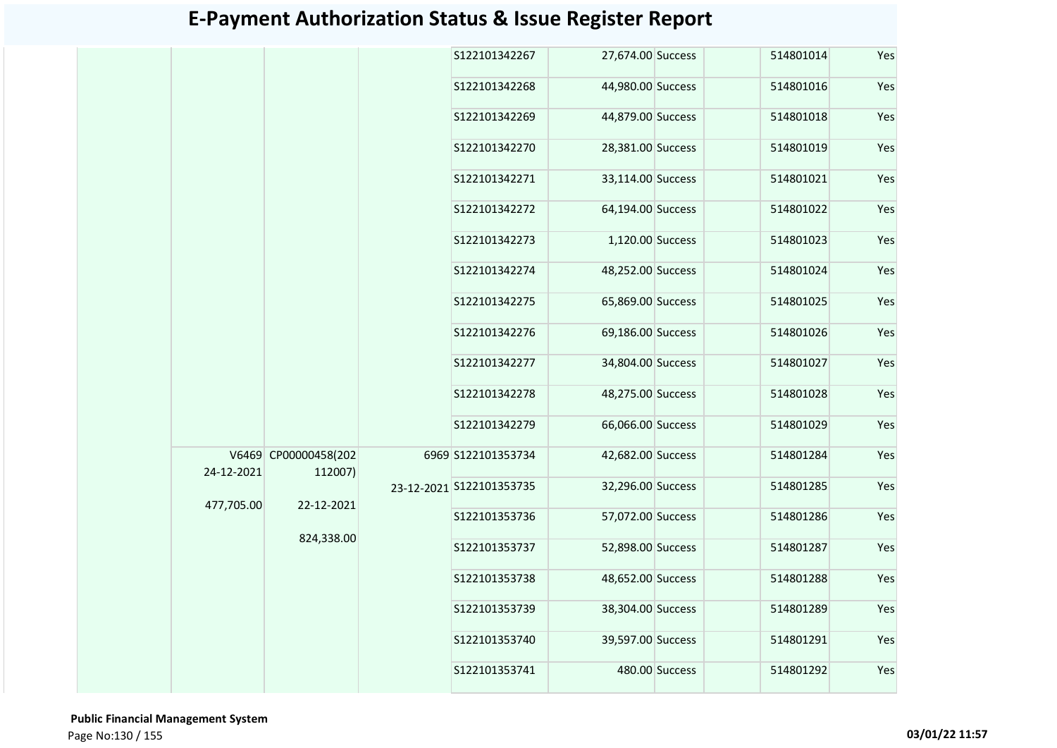|            |                                 |  | S122101342267            | 27,674.00 Success |                | 514801014 | Yes |
|------------|---------------------------------|--|--------------------------|-------------------|----------------|-----------|-----|
|            |                                 |  | S122101342268            | 44,980.00 Success |                | 514801016 | Yes |
|            |                                 |  | S122101342269            | 44,879.00 Success |                | 514801018 | Yes |
|            |                                 |  | S122101342270            | 28,381.00 Success |                | 514801019 | Yes |
|            |                                 |  | S122101342271            | 33,114.00 Success |                | 514801021 | Yes |
|            |                                 |  | S122101342272            | 64,194.00 Success |                | 514801022 | Yes |
|            |                                 |  | S122101342273            | 1,120.00 Success  |                | 514801023 | Yes |
|            |                                 |  | S122101342274            | 48,252.00 Success |                | 514801024 | Yes |
|            |                                 |  | S122101342275            | 65,869.00 Success |                | 514801025 | Yes |
|            |                                 |  | S122101342276            | 69,186.00 Success |                | 514801026 | Yes |
|            |                                 |  | S122101342277            | 34,804.00 Success |                | 514801027 | Yes |
|            |                                 |  | S122101342278            | 48,275.00 Success |                | 514801028 | Yes |
|            |                                 |  | S122101342279            | 66,066.00 Success |                | 514801029 | Yes |
| 24-12-2021 | V6469 CP00000458(202<br>112007) |  | 6969 S122101353734       | 42,682.00 Success |                | 514801284 | Yes |
| 477,705.00 | 22-12-2021                      |  | 23-12-2021 S122101353735 | 32,296.00 Success |                | 514801285 | Yes |
|            |                                 |  | S122101353736            | 57,072.00 Success |                | 514801286 | Yes |
|            | 824,338.00                      |  | S122101353737            | 52,898.00 Success |                | 514801287 | Yes |
|            |                                 |  | S122101353738            | 48,652.00 Success |                | 514801288 | Yes |
|            |                                 |  | S122101353739            | 38,304.00 Success |                | 514801289 | Yes |
|            |                                 |  | S122101353740            | 39,597.00 Success |                | 514801291 | Yes |
|            |                                 |  | S122101353741            |                   | 480.00 Success | 514801292 | Yes |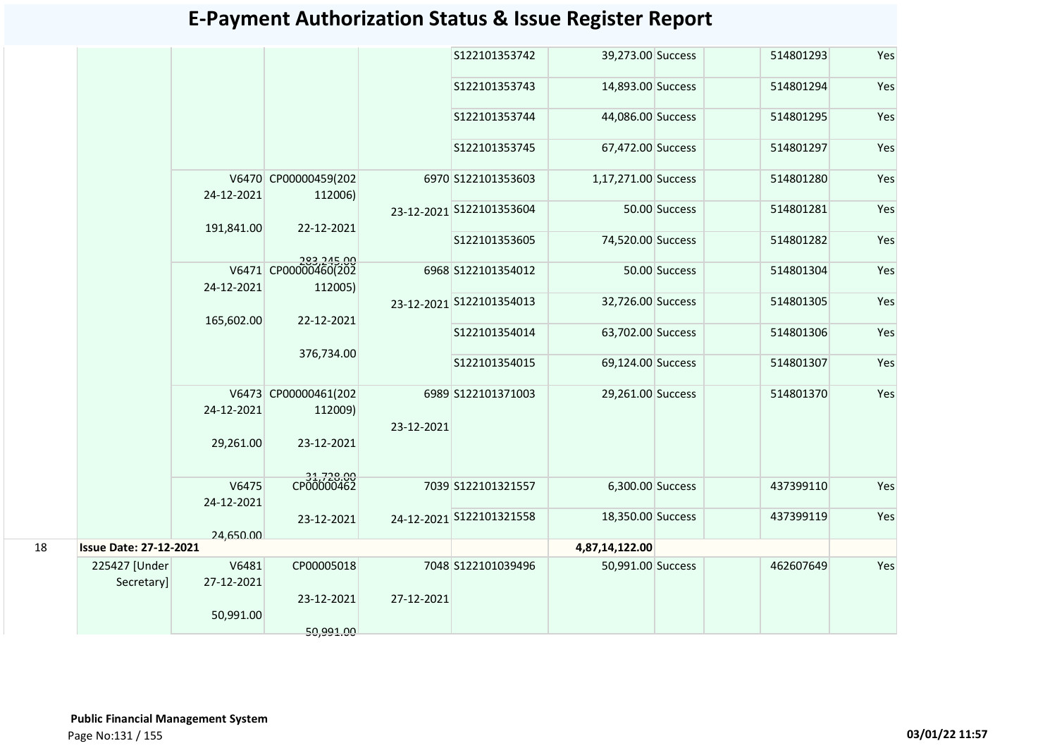| <b>E-Payment Authorization Status &amp; Issue Register Report</b> |  |  |  |
|-------------------------------------------------------------------|--|--|--|
|-------------------------------------------------------------------|--|--|--|

|    |                               |                     |                                               |            | S122101353742            | 39,273.00 Success   |               | 514801293 | Yes |
|----|-------------------------------|---------------------|-----------------------------------------------|------------|--------------------------|---------------------|---------------|-----------|-----|
|    |                               |                     |                                               |            | S122101353743            | 14,893.00 Success   |               | 514801294 | Yes |
|    |                               |                     |                                               |            | S122101353744            | 44,086.00 Success   |               | 514801295 | Yes |
|    |                               |                     |                                               |            | S122101353745            | 67,472.00 Success   |               | 514801297 | Yes |
|    |                               | 24-12-2021          | V6470 CP00000459(202<br>112006)               |            | 6970 S122101353603       | 1,17,271.00 Success |               | 514801280 | Yes |
|    |                               | 191,841.00          | 22-12-2021                                    |            | 23-12-2021 S122101353604 |                     | 50.00 Success | 514801281 | Yes |
|    |                               |                     |                                               |            | S122101353605            | 74,520.00 Success   |               | 514801282 | Yes |
|    |                               | 24-12-2021          | 283,245.00<br>V6471 CP00000460(202<br>112005) |            | 6968 S122101354012       |                     | 50.00 Success | 514801304 | Yes |
|    |                               | 165,602.00          | 22-12-2021                                    |            | 23-12-2021 S122101354013 | 32,726.00 Success   |               | 514801305 | Yes |
|    |                               |                     |                                               |            | S122101354014            | 63,702.00 Success   |               | 514801306 | Yes |
|    |                               |                     | 376,734.00                                    |            | S122101354015            | 69,124.00 Success   |               | 514801307 | Yes |
|    |                               | 24-12-2021          | V6473 CP00000461(202<br>112009)               |            | 6989 S122101371003       | 29,261.00 Success   |               | 514801370 | Yes |
|    |                               |                     |                                               | 23-12-2021 |                          |                     |               |           |     |
|    |                               | 29,261.00           | 23-12-2021                                    |            |                          |                     |               |           |     |
|    |                               | V6475               | 31,728.00<br>CP00000462                       |            | 7039 S122101321557       | 6,300.00 Success    |               | 437399110 | Yes |
|    |                               | 24-12-2021          | 23-12-2021                                    |            | 24-12-2021 S122101321558 | 18,350.00 Success   |               | 437399119 | Yes |
|    |                               | 24,650.00           |                                               |            |                          |                     |               |           |     |
| 18 | <b>Issue Date: 27-12-2021</b> |                     |                                               |            |                          | 4,87,14,122.00      |               |           |     |
|    | 225427 [Under<br>Secretary]   | V6481<br>27-12-2021 | CP00005018                                    |            | 7048 S122101039496       | 50,991.00 Success   |               | 462607649 | Yes |
|    |                               | 50,991.00           | 23-12-2021                                    | 27-12-2021 |                          |                     |               |           |     |
|    |                               |                     | 50,991.00                                     |            |                          |                     |               |           |     |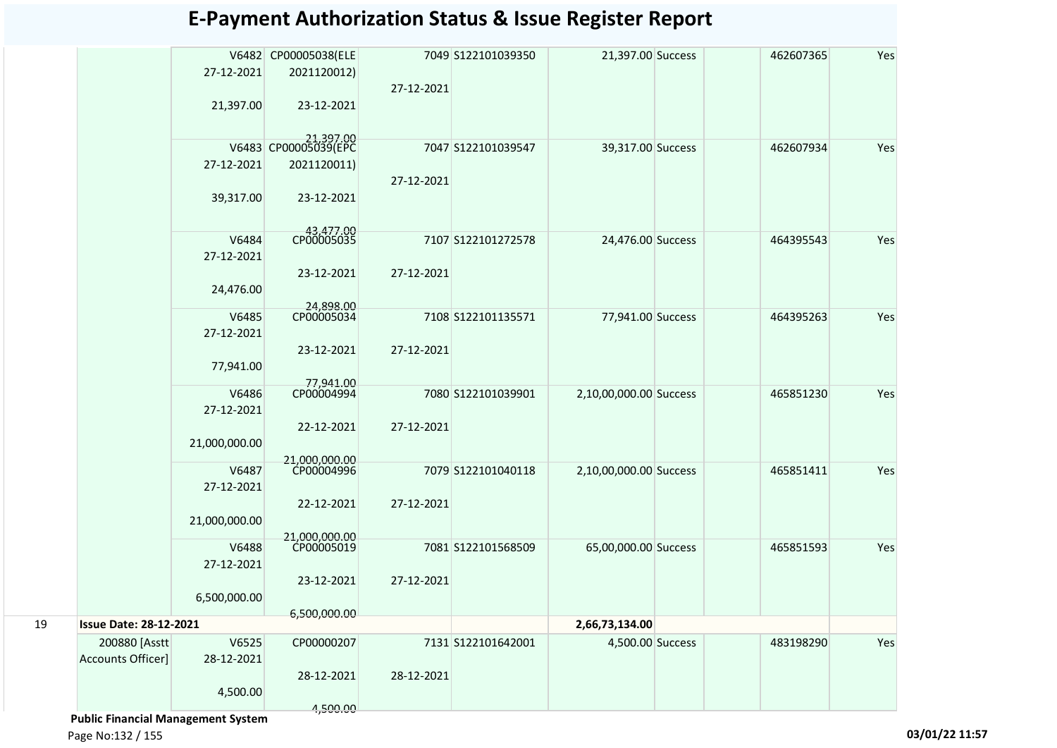|    |                               |               | V6482 CP00005038(ELE              |            | 7049 S122101039350 | 21,397.00 Success      | 462607365 | Yes |
|----|-------------------------------|---------------|-----------------------------------|------------|--------------------|------------------------|-----------|-----|
|    |                               | 27-12-2021    | 2021120012)                       |            |                    |                        |           |     |
|    |                               |               |                                   | 27-12-2021 |                    |                        |           |     |
|    |                               | 21,397.00     | 23-12-2021                        |            |                    |                        |           |     |
|    |                               |               |                                   |            |                    |                        |           |     |
|    |                               |               | 21,397.00<br>V6483 CP00005039(EPC |            | 7047 S122101039547 |                        | 462607934 | Yes |
|    |                               | 27-12-2021    | 2021120011)                       |            |                    | 39,317.00 Success      |           |     |
|    |                               |               |                                   | 27-12-2021 |                    |                        |           |     |
|    |                               | 39,317.00     | 23-12-2021                        |            |                    |                        |           |     |
|    |                               |               |                                   |            |                    |                        |           |     |
|    |                               |               |                                   |            |                    |                        |           |     |
|    |                               | V6484         | 43,477.00                         |            | 7107 S122101272578 | 24,476.00 Success      | 464395543 | Yes |
|    |                               | 27-12-2021    |                                   |            |                    |                        |           |     |
|    |                               |               | 23-12-2021                        | 27-12-2021 |                    |                        |           |     |
|    |                               | 24,476.00     |                                   |            |                    |                        |           |     |
|    |                               | V6485         | 24.898.00<br>CP00005034           |            | 7108 S122101135571 | 77,941.00 Success      | 464395263 | Yes |
|    |                               | 27-12-2021    |                                   |            |                    |                        |           |     |
|    |                               |               | 23-12-2021                        | 27-12-2021 |                    |                        |           |     |
|    |                               | 77,941.00     |                                   |            |                    |                        |           |     |
|    |                               |               | 77,941.00                         |            |                    |                        |           |     |
|    |                               | V6486         | CP00004994                        |            | 7080 S122101039901 | 2,10,00,000.00 Success | 465851230 | Yes |
|    |                               | 27-12-2021    |                                   |            |                    |                        |           |     |
|    |                               |               | 22-12-2021                        | 27-12-2021 |                    |                        |           |     |
|    |                               | 21,000,000.00 |                                   |            |                    |                        |           |     |
|    |                               | V6487         | 21.000.000.00<br>CP00004996       |            | 7079 S122101040118 | 2,10,00,000.00 Success | 465851411 | Yes |
|    |                               | 27-12-2021    |                                   |            |                    |                        |           |     |
|    |                               |               | 22-12-2021                        | 27-12-2021 |                    |                        |           |     |
|    |                               | 21,000,000.00 |                                   |            |                    |                        |           |     |
|    |                               |               | 21.000,000.00                     |            |                    |                        |           |     |
|    |                               | V6488         | CP00005019                        |            | 7081 S122101568509 | 65,00,000.00 Success   | 465851593 | Yes |
|    |                               | 27-12-2021    |                                   |            |                    |                        |           |     |
|    |                               |               | 23-12-2021                        | 27-12-2021 |                    |                        |           |     |
|    |                               | 6,500,000.00  |                                   |            |                    |                        |           |     |
| 19 | <b>Issue Date: 28-12-2021</b> |               | 6,500,000.00                      |            |                    | 2,66,73,134.00         |           |     |
|    | 200880 [Asstt                 | V6525         | CP00000207                        |            | 7131 S122101642001 | 4,500.00 Success       | 483198290 | Yes |
|    | Accounts Officer]             | 28-12-2021    |                                   |            |                    |                        |           |     |
|    |                               |               | 28-12-2021                        | 28-12-2021 |                    |                        |           |     |
|    |                               | 4,500.00      |                                   |            |                    |                        |           |     |
|    |                               |               | 4,500.00                          |            |                    |                        |           |     |

 **Public Financial Management System** 

Page No:132 / 155 **03/01/22 11:57**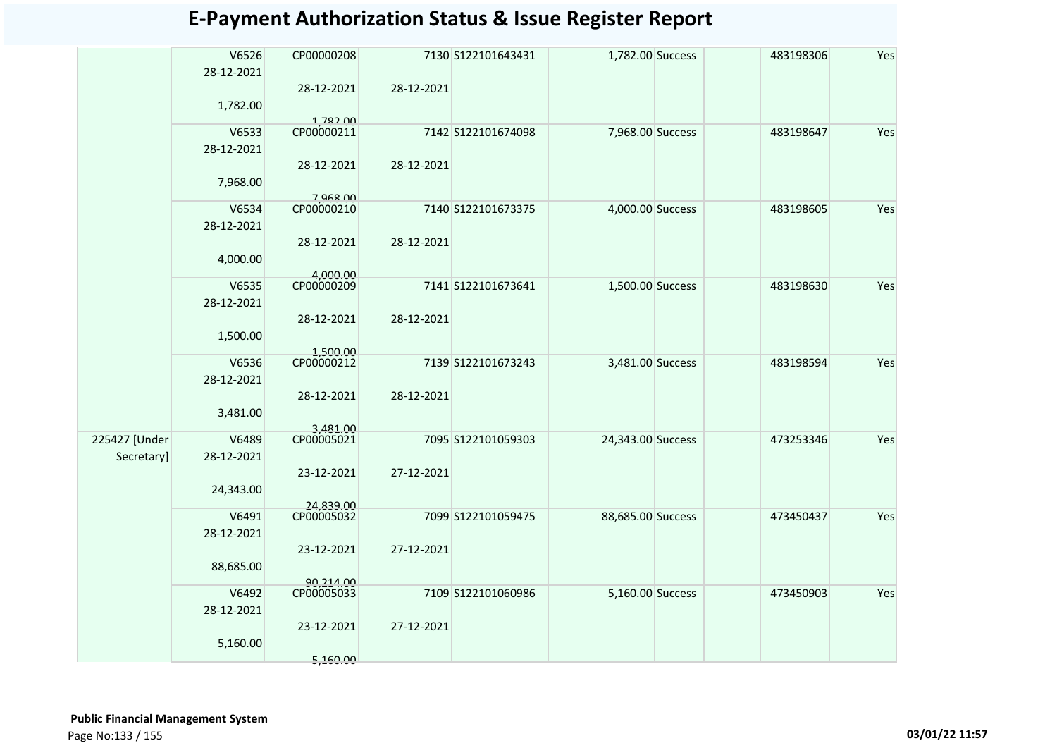|                             | V6526<br>28-12-2021 | CP00000208              |            | 7130 S122101643431 | 1,782.00 Success  | 483198306 | Yes |
|-----------------------------|---------------------|-------------------------|------------|--------------------|-------------------|-----------|-----|
|                             | 1,782.00            | 28-12-2021              | 28-12-2021 |                    |                   |           |     |
|                             | V6533<br>28-12-2021 | 1,782.00<br>CP00000211  |            | 7142 S122101674098 | 7,968.00 Success  | 483198647 | Yes |
|                             | 7,968.00            | 28-12-2021              | 28-12-2021 |                    |                   |           |     |
|                             | V6534<br>28-12-2021 | 7.968.00<br>CP00000210  |            | 7140 S122101673375 | 4,000.00 Success  | 483198605 | Yes |
|                             | 4,000.00            | 28-12-2021              | 28-12-2021 |                    |                   |           |     |
|                             | V6535<br>28-12-2021 | 4,000.00<br>CP00000209  |            | 7141 S122101673641 | 1,500.00 Success  | 483198630 | Yes |
|                             | 1,500.00            | 28-12-2021<br>1,500.00  | 28-12-2021 |                    |                   |           |     |
|                             | V6536<br>28-12-2021 | CP00000212              |            | 7139 S122101673243 | 3,481.00 Success  | 483198594 | Yes |
|                             | 3,481.00            | 28-12-2021<br>3,481.00  | 28-12-2021 |                    |                   |           |     |
| 225427 [Under<br>Secretary] | V6489<br>28-12-2021 | CP00005021              |            | 7095 S122101059303 | 24,343.00 Success | 473253346 | Yes |
|                             | 24,343.00           | 23-12-2021              | 27-12-2021 |                    |                   |           |     |
|                             | V6491<br>28-12-2021 | 24.839.00<br>CP00005032 |            | 7099 S122101059475 | 88,685.00 Success | 473450437 | Yes |
|                             | 88,685.00           | 23-12-2021              | 27-12-2021 |                    |                   |           |     |
|                             | V6492<br>28-12-2021 | 90,214.00<br>CP00005033 |            | 7109 S122101060986 | 5,160.00 Success  | 473450903 | Yes |
|                             | 5,160.00            | 23-12-2021              | 27-12-2021 |                    |                   |           |     |
|                             |                     | 5,160.00                |            |                    |                   |           |     |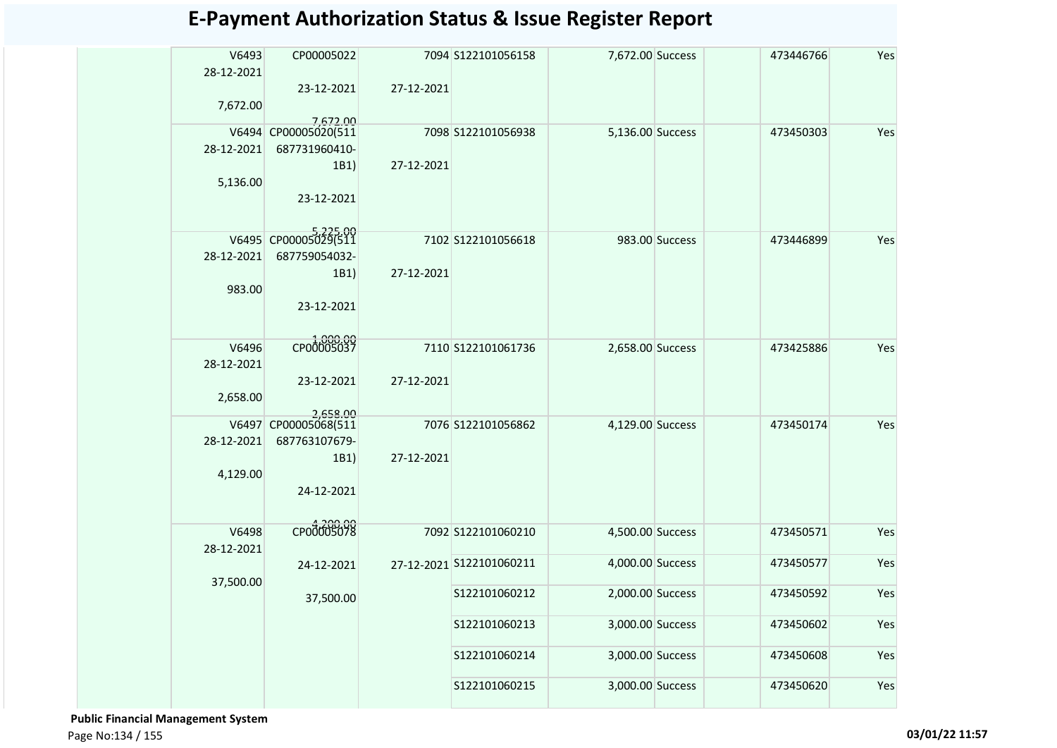| V6493      | CP00005022                       |            | 7094 S122101056158       | 7,672.00 Success |                | 473446766 | Yes |
|------------|----------------------------------|------------|--------------------------|------------------|----------------|-----------|-----|
| 28-12-2021 |                                  |            |                          |                  |                |           |     |
|            | 23-12-2021                       | 27-12-2021 |                          |                  |                |           |     |
| 7,672.00   |                                  |            |                          |                  |                |           |     |
|            | 7.672.00                         |            |                          |                  |                |           |     |
|            | V6494 CP00005020(511             |            | 7098 S122101056938       | 5,136.00 Success |                | 473450303 | Yes |
| 28-12-2021 | 687731960410-                    |            |                          |                  |                |           |     |
|            | 1B1)                             | 27-12-2021 |                          |                  |                |           |     |
| 5,136.00   |                                  |            |                          |                  |                |           |     |
|            | 23-12-2021                       |            |                          |                  |                |           |     |
|            |                                  |            |                          |                  |                |           |     |
|            | V6495 CP00005025(511             |            | 7102 S122101056618       |                  | 983.00 Success | 473446899 | Yes |
| 28-12-2021 | 687759054032-                    |            |                          |                  |                |           |     |
|            | 1B1)                             | 27-12-2021 |                          |                  |                |           |     |
| 983.00     |                                  |            |                          |                  |                |           |     |
|            | 23-12-2021                       |            |                          |                  |                |           |     |
|            |                                  |            |                          |                  |                |           |     |
| V6496      | CP00005037                       |            | 7110 S122101061736       | 2,658.00 Success |                | 473425886 | Yes |
| 28-12-2021 |                                  |            |                          |                  |                |           |     |
|            | 23-12-2021                       | 27-12-2021 |                          |                  |                |           |     |
| 2,658.00   |                                  |            |                          |                  |                |           |     |
|            |                                  |            |                          |                  |                |           |     |
|            | 2,658.00<br>V6497 CP00005068(511 |            | 7076 S122101056862       | 4,129.00 Success |                | 473450174 | Yes |
| 28-12-2021 | 687763107679-                    |            |                          |                  |                |           |     |
|            | 1B1)                             | 27-12-2021 |                          |                  |                |           |     |
| 4,129.00   |                                  |            |                          |                  |                |           |     |
|            | 24-12-2021                       |            |                          |                  |                |           |     |
|            |                                  |            |                          |                  |                |           |     |
| V6498      | CP00005078                       |            | 7092 S122101060210       | 4,500.00 Success |                | 473450571 | Yes |
| 28-12-2021 |                                  |            |                          |                  |                |           |     |
|            | 24-12-2021                       |            | 27-12-2021 S122101060211 | 4,000.00 Success |                | 473450577 | Yes |
| 37,500.00  |                                  |            |                          |                  |                |           |     |
|            | 37,500.00                        |            | S122101060212            | 2,000.00 Success |                | 473450592 | Yes |
|            |                                  |            |                          |                  |                |           |     |
|            |                                  |            | S122101060213            | 3,000.00 Success |                | 473450602 | Yes |
|            |                                  |            |                          |                  |                |           |     |
|            |                                  |            | S122101060214            | 3,000.00 Success |                | 473450608 | Yes |
|            |                                  |            | S122101060215            | 3,000.00 Success |                | 473450620 | Yes |
|            |                                  |            |                          |                  |                |           |     |

 **Public Financial Management System**  Page No:134 / 155 **03/01/22 11:57**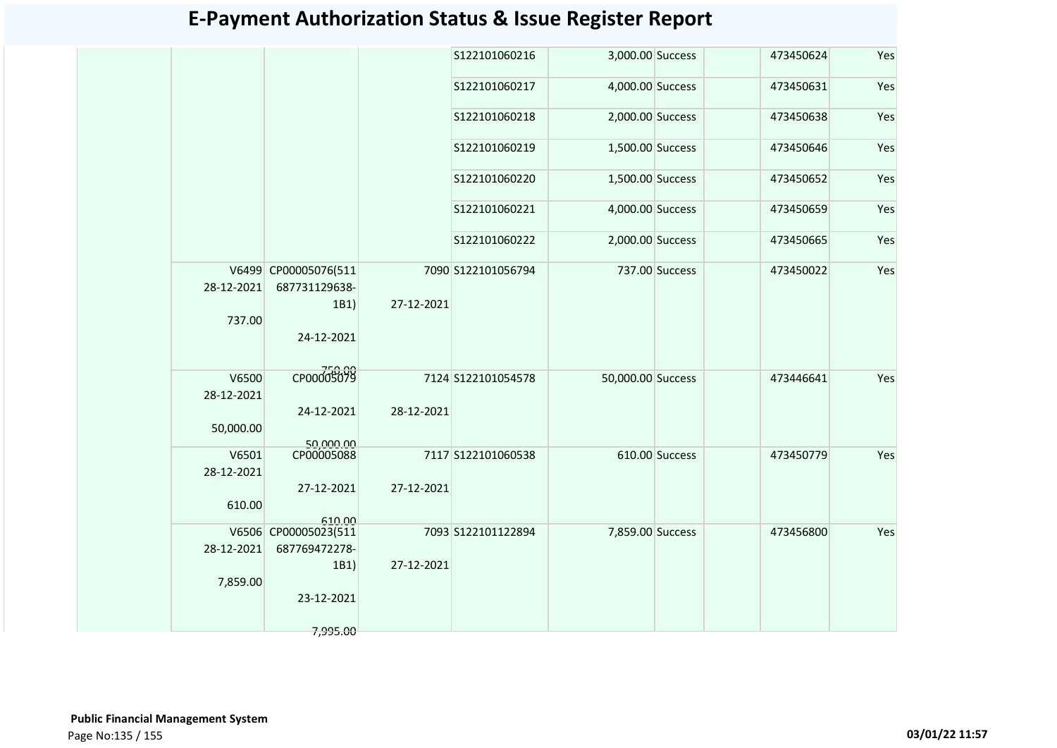|                     |                                               |            | S122101060216      | 3,000.00 Success  |                | 473450624 | Yes |
|---------------------|-----------------------------------------------|------------|--------------------|-------------------|----------------|-----------|-----|
|                     |                                               |            | S122101060217      | 4,000.00 Success  |                | 473450631 | Yes |
|                     |                                               |            | S122101060218      | 2,000.00 Success  |                | 473450638 | Yes |
|                     |                                               |            | S122101060219      | 1,500.00 Success  |                | 473450646 | Yes |
|                     |                                               |            | S122101060220      | 1,500.00 Success  |                | 473450652 | Yes |
|                     |                                               |            | S122101060221      | 4,000.00 Success  |                | 473450659 | Yes |
|                     |                                               |            | S122101060222      | 2,000.00 Success  |                | 473450665 | Yes |
| 28-12-2021          | V6499 CP00005076(511<br>687731129638-<br>1B1) | 27-12-2021 | 7090 S122101056794 |                   | 737.00 Success | 473450022 | Yes |
| 737.00              | 24-12-2021                                    |            |                    |                   |                |           |     |
| V6500<br>28-12-2021 | CP00005079                                    |            | 7124 S122101054578 | 50,000.00 Success |                | 473446641 | Yes |
| 50,000.00           | 24-12-2021<br>50.000.00                       | 28-12-2021 |                    |                   |                |           |     |
| V6501<br>28-12-2021 | CP00005088                                    |            | 7117 S122101060538 |                   | 610.00 Success | 473450779 | Yes |
| 610.00              | 27-12-2021                                    | 27-12-2021 |                    |                   |                |           |     |
|                     | 610.00<br>V6506 CP00005023(511                |            | 7093 S122101122894 | 7,859.00 Success  |                | 473456800 | Yes |
| 28-12-2021          | 687769472278-                                 |            |                    |                   |                |           |     |
|                     | 1B1)                                          | 27-12-2021 |                    |                   |                |           |     |
| 7,859.00            | 23-12-2021                                    |            |                    |                   |                |           |     |
|                     |                                               |            |                    |                   |                |           |     |
|                     | 7,995.00                                      |            |                    |                   |                |           |     |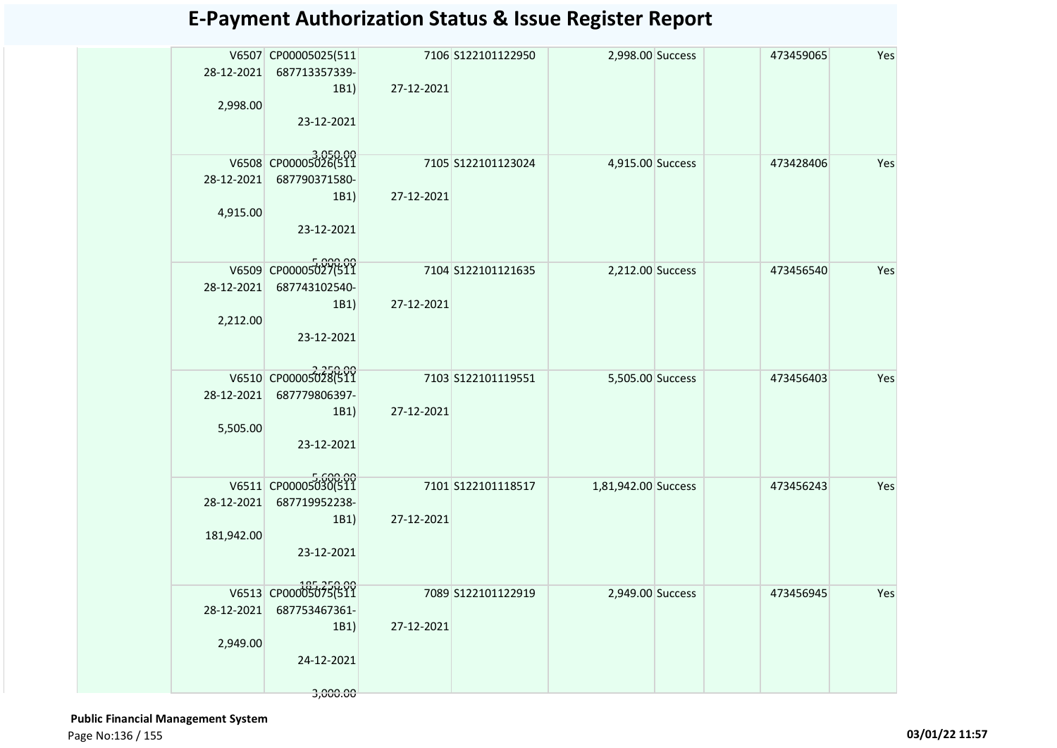| 28-12-2021<br>2,998.00   | V6507 CP00005025(511<br>687713357339-<br>1B1)<br>23-12-2021                          | 27-12-2021 | 7106 S122101122950 | 2,998.00 Success    | 473459065 | Yes |
|--------------------------|--------------------------------------------------------------------------------------|------------|--------------------|---------------------|-----------|-----|
| 28-12-2021<br>4,915.00   | V6508 CP00005026(511<br>687790371580-<br>1B1)<br>23-12-2021                          | 27-12-2021 | 7105 S122101123024 | 4,915.00 Success    | 473428406 | Yes |
| 28-12-2021<br>2,212.00   | V6509 CP00005027(511<br>687743102540-<br>1B1)<br>23-12-2021                          | 27-12-2021 | 7104 S122101121635 | 2,212.00 Success    | 473456540 | Yes |
| 28-12-2021<br>5,505.00   | V6510 CP00005028(511<br>687779806397-<br>1B1)<br>23-12-2021                          | 27-12-2021 | 7103 S122101119551 | 5,505.00 Success    | 473456403 | Yes |
| 28-12-2021<br>181,942.00 | V6511 CP00005030(511<br>687719952238-<br>1B1)<br>23-12-2021                          | 27-12-2021 | 7101 S122101118517 | 1,81,942.00 Success | 473456243 | Yes |
| 28-12-2021<br>2,949.00   | 185,250.00<br>V6513 CP00005075(511<br>687753467361-<br>1B1<br>24-12-2021<br>3,000.00 | 27-12-2021 | 7089 S122101122919 | 2,949.00 Success    | 473456945 | Yes |

 **Public Financial Management System**  Page No:136 / 155 **03/01/22 11:57**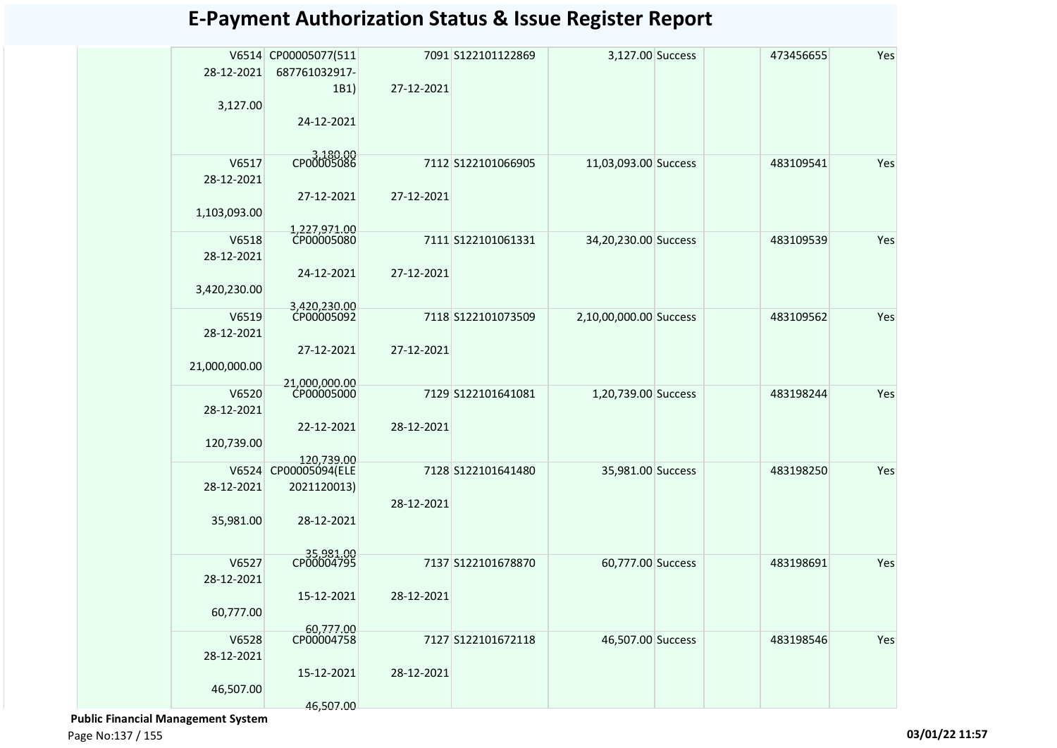| 28-12-2021          | V6514 CP00005077(511<br>687761032917- |            | 7091 S122101122869 | 3,127.00 Success       | 473456655 | Yes |
|---------------------|---------------------------------------|------------|--------------------|------------------------|-----------|-----|
| 3,127.00            | 1B1)                                  | 27-12-2021 |                    |                        |           |     |
|                     | 24-12-2021                            |            |                    |                        |           |     |
| V6517<br>28-12-2021 | CP00005086                            |            | 7112 S122101066905 | 11,03,093.00 Success   | 483109541 | Yes |
| 1,103,093.00        | 27-12-2021                            | 27-12-2021 |                    |                        |           |     |
|                     | 1,227,971.00                          |            |                    |                        |           |     |
| V6518<br>28-12-2021 | CP00005080                            |            | 7111 S122101061331 | 34,20,230.00 Success   | 483109539 | Yes |
| 3,420,230.00        | 24-12-2021                            | 27-12-2021 |                    |                        |           |     |
|                     | 3,420,230.00<br>CP00005092            |            |                    |                        |           |     |
| V6519<br>28-12-2021 |                                       |            | 7118 S122101073509 | 2,10,00,000.00 Success | 483109562 | Yes |
| 21,000,000.00       | 27-12-2021                            | 27-12-2021 |                    |                        |           |     |
|                     | 21,000,000.00                         |            |                    |                        |           |     |
| V6520               | CP00005000                            |            | 7129 S122101641081 | 1,20,739.00 Success    | 483198244 | Yes |
| 28-12-2021          |                                       |            |                    |                        |           |     |
| 120,739.00          | 22-12-2021                            | 28-12-2021 |                    |                        |           |     |
| V6524               | 120,739.00<br>CP00005094(ELE          |            | 7128 S122101641480 | 35,981.00 Success      | 483198250 | Yes |
| 28-12-2021          | 2021120013)                           |            |                    |                        |           |     |
| 35,981.00           | 28-12-2021                            | 28-12-2021 |                    |                        |           |     |
|                     | 35,981.00                             |            |                    |                        |           |     |
| V6527               |                                       |            | 7137 S122101678870 | 60,777.00 Success      | 483198691 | Yes |
| 28-12-2021          | 15-12-2021                            | 28-12-2021 |                    |                        |           |     |
| 60,777.00           | 60,777.00                             |            |                    |                        |           |     |
| V6528<br>28-12-2021 | CP00004758                            |            | 7127 S122101672118 | 46,507.00 Success      | 483198546 | Yes |
| 46,507.00           | 15-12-2021                            | 28-12-2021 |                    |                        |           |     |
|                     | 46,507.00                             |            |                    |                        |           |     |

 **Public Financial Management System** 

Page No:137 / 155 **03/01/22 11:57**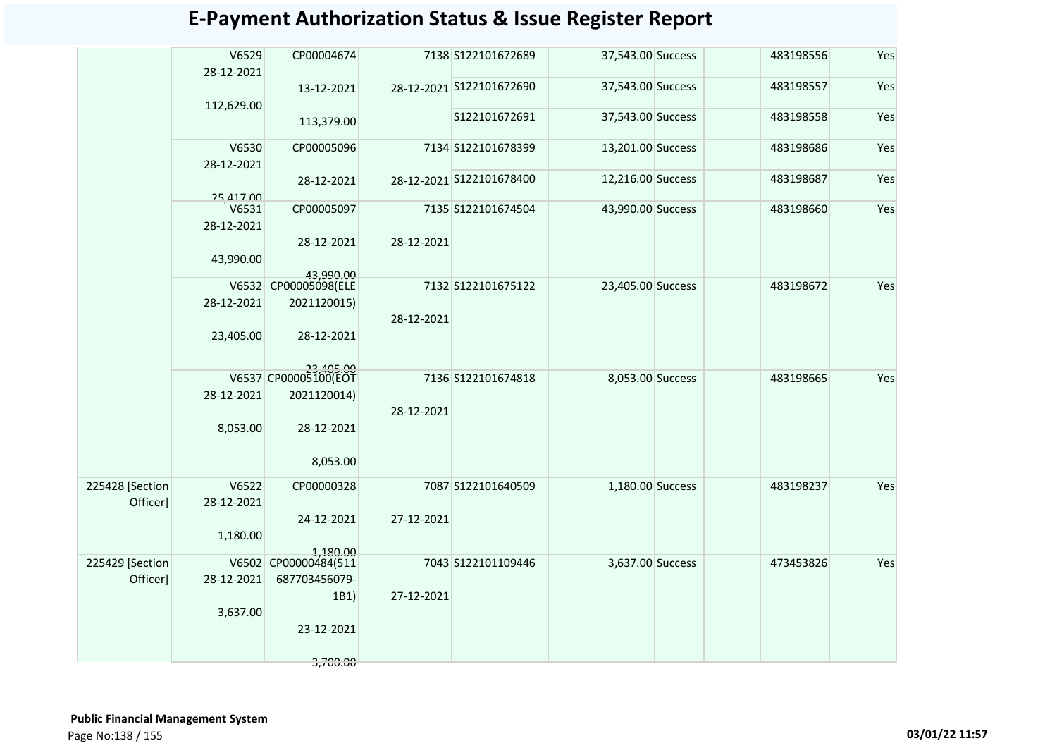|                             | V6529<br>28-12-2021 | CP00004674                                       |            | 7138 S122101672689       | 37,543.00 Success | 483198556 | Yes |
|-----------------------------|---------------------|--------------------------------------------------|------------|--------------------------|-------------------|-----------|-----|
|                             |                     | 13-12-2021                                       |            | 28-12-2021 S122101672690 | 37,543.00 Success | 483198557 | Yes |
|                             | 112,629.00          | 113,379.00                                       |            | S122101672691            | 37,543.00 Success | 483198558 | Yes |
|                             | V6530<br>28-12-2021 | CP00005096                                       |            | 7134 S122101678399       | 13,201.00 Success | 483198686 | Yes |
|                             | 25,417.00           | 28-12-2021                                       |            | 28-12-2021 S122101678400 | 12,216.00 Success | 483198687 | Yes |
|                             | V6531<br>28-12-2021 | CP00005097                                       |            | 7135 S122101674504       | 43,990.00 Success | 483198660 | Yes |
|                             | 43,990.00           | 28-12-2021                                       | 28-12-2021 |                          |                   |           |     |
|                             | 28-12-2021          | 43,990.00<br>V6532 CP00005098(ELE<br>2021120015) |            | 7132 S122101675122       | 23,405.00 Success | 483198672 | Yes |
|                             | 23,405.00           | 28-12-2021                                       | 28-12-2021 |                          |                   |           |     |
|                             |                     | V6537 CP00005100(EOT                             |            | 7136 S122101674818       | 8,053.00 Success  | 483198665 | Yes |
|                             | 28-12-2021          | 2021120014)                                      | 28-12-2021 |                          |                   |           |     |
|                             | 8,053.00            | 28-12-2021                                       |            |                          |                   |           |     |
|                             |                     | 8,053.00                                         |            |                          |                   |           |     |
| 225428 [Section<br>Officer] | V6522<br>28-12-2021 | CP00000328                                       |            | 7087 S122101640509       | 1,180.00 Success  | 483198237 | Yes |
|                             | 1,180.00            | 24-12-2021                                       | 27-12-2021 |                          |                   |           |     |
| 225429 [Section             |                     | 1,180.00<br>V6502 CP00000484(511                 |            | 7043 S122101109446       | 3,637.00 Success  | 473453826 | Yes |
| Officer]                    | 28-12-2021          | 687703456079-                                    |            |                          |                   |           |     |
|                             | 3,637.00            | 1B1)                                             | 27-12-2021 |                          |                   |           |     |
|                             |                     | 23-12-2021                                       |            |                          |                   |           |     |
|                             |                     | 3,700.00                                         |            |                          |                   |           |     |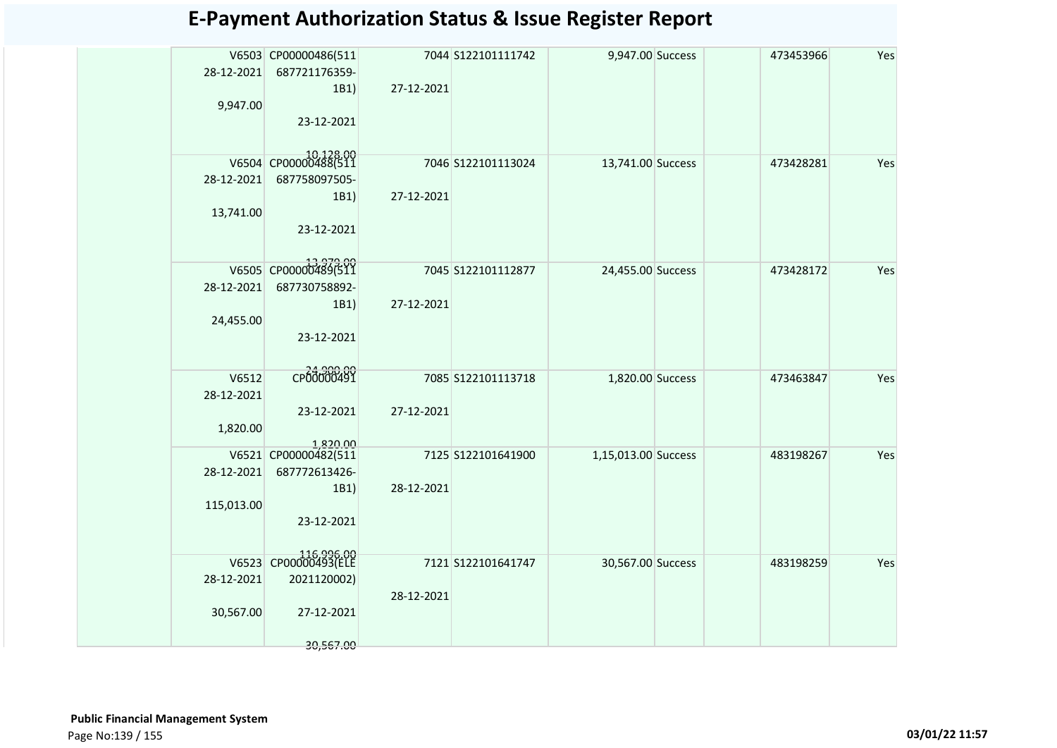|            | V6503 CP00000486(511             |            | 7044 S122101111742 | 9,947.00 Success    | 473453966 | Yes |
|------------|----------------------------------|------------|--------------------|---------------------|-----------|-----|
| 28-12-2021 | 687721176359-                    |            |                    |                     |           |     |
|            | 1B1)                             | 27-12-2021 |                    |                     |           |     |
| 9,947.00   |                                  |            |                    |                     |           |     |
|            | 23-12-2021                       |            |                    |                     |           |     |
|            | V6504 CP00000488(511             |            | 7046 S122101113024 | 13,741.00 Success   | 473428281 | Yes |
| 28-12-2021 | 687758097505-                    |            |                    |                     |           |     |
|            | 1B1)                             | 27-12-2021 |                    |                     |           |     |
| 13,741.00  |                                  |            |                    |                     |           |     |
|            | 23-12-2021                       |            |                    |                     |           |     |
|            |                                  |            |                    |                     |           |     |
|            | V6505 CP00000489(511             |            | 7045 S122101112877 | 24,455.00 Success   | 473428172 | Yes |
| 28-12-2021 | 687730758892-                    |            |                    |                     |           |     |
|            | 1B1)                             | 27-12-2021 |                    |                     |           |     |
| 24,455.00  |                                  |            |                    |                     |           |     |
|            | 23-12-2021                       |            |                    |                     |           |     |
|            |                                  |            |                    |                     |           |     |
| V6512      | CP00000491                       |            | 7085 S122101113718 | 1,820.00 Success    | 473463847 | Yes |
| 28-12-2021 |                                  |            |                    |                     |           |     |
| 1,820.00   | 23-12-2021                       | 27-12-2021 |                    |                     |           |     |
|            |                                  |            |                    |                     |           |     |
|            | 1,820.00<br>V6521 CP00000482(511 |            | 7125 S122101641900 | 1,15,013.00 Success | 483198267 | Yes |
| 28-12-2021 | 687772613426-                    |            |                    |                     |           |     |
|            | 1B1)                             | 28-12-2021 |                    |                     |           |     |
| 115,013.00 | 23-12-2021                       |            |                    |                     |           |     |
|            |                                  |            |                    |                     |           |     |
|            | V6523 CP00000493(ELE             |            |                    |                     |           |     |
|            |                                  |            | 7121 S122101641747 | 30,567.00 Success   | 483198259 | Yes |
| 28-12-2021 | 2021120002)                      | 28-12-2021 |                    |                     |           |     |
| 30,567.00  | 27-12-2021                       |            |                    |                     |           |     |
|            |                                  |            |                    |                     |           |     |
|            | 30,567.00                        |            |                    |                     |           |     |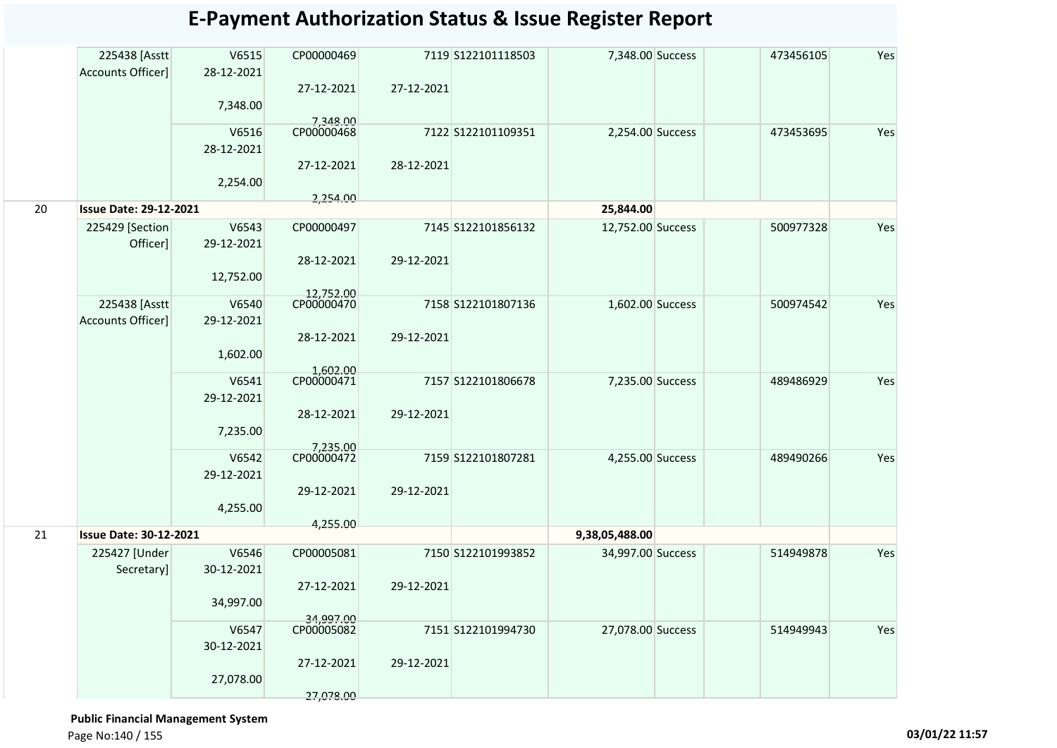|    | 225438 [Asstt<br>Accounts Officer] | V6515<br>28-12-2021 | CP00000469              |            | 7119 S122101118503 | 7,348.00 Success  | 473456105 | Yes |
|----|------------------------------------|---------------------|-------------------------|------------|--------------------|-------------------|-----------|-----|
|    |                                    |                     | 27-12-2021              | 27-12-2021 |                    |                   |           |     |
|    |                                    | 7,348.00            |                         |            |                    |                   |           |     |
|    |                                    |                     | 7,348.00                |            |                    |                   |           |     |
|    |                                    | V6516               | CP00000468              |            | 7122 S122101109351 | 2,254.00 Success  | 473453695 | Yes |
|    |                                    | 28-12-2021          |                         |            |                    |                   |           |     |
|    |                                    |                     | 27-12-2021              | 28-12-2021 |                    |                   |           |     |
|    |                                    |                     |                         |            |                    |                   |           |     |
|    |                                    | 2,254.00            |                         |            |                    |                   |           |     |
| 20 | <b>Issue Date: 29-12-2021</b>      |                     | 2,254.00                |            |                    | 25,844.00         |           |     |
|    |                                    |                     |                         |            |                    |                   |           |     |
|    | 225429 [Section]                   | V6543               | CP00000497              |            | 7145 S122101856132 | 12,752.00 Success | 500977328 | Yes |
|    | Officer]                           | 29-12-2021          |                         |            |                    |                   |           |     |
|    |                                    |                     | 28-12-2021              | 29-12-2021 |                    |                   |           |     |
|    |                                    |                     |                         |            |                    |                   |           |     |
|    |                                    | 12,752.00           |                         |            |                    |                   |           |     |
|    |                                    |                     | 12,752.00<br>CP00000470 |            |                    |                   |           |     |
|    | 225438 [Asstt                      | V6540               |                         |            | 7158 S122101807136 | 1,602.00 Success  | 500974542 | Yes |
|    | Accounts Officer]                  | 29-12-2021          |                         |            |                    |                   |           |     |
|    |                                    |                     | 28-12-2021              | 29-12-2021 |                    |                   |           |     |
|    |                                    | 1,602.00            |                         |            |                    |                   |           |     |
|    |                                    |                     |                         |            |                    |                   |           |     |
|    |                                    | V6541               | 1,602.00<br>CP00000471  |            | 7157 S122101806678 | 7,235.00 Success  | 489486929 | Yes |
|    |                                    |                     |                         |            |                    |                   |           |     |
|    |                                    | 29-12-2021          |                         |            |                    |                   |           |     |
|    |                                    |                     | 28-12-2021              | 29-12-2021 |                    |                   |           |     |
|    |                                    | 7,235.00            |                         |            |                    |                   |           |     |
|    |                                    |                     | 7,235.00                |            |                    |                   |           |     |
|    |                                    | V6542               | CP00000472              |            | 7159 S122101807281 | 4,255.00 Success  | 489490266 | Yes |
|    |                                    | 29-12-2021          |                         |            |                    |                   |           |     |
|    |                                    |                     |                         |            |                    |                   |           |     |
|    |                                    |                     | 29-12-2021              | 29-12-2021 |                    |                   |           |     |
|    |                                    | 4,255.00            |                         |            |                    |                   |           |     |
|    |                                    |                     | 4,255.00                |            |                    |                   |           |     |
| 21 | <b>Issue Date: 30-12-2021</b>      |                     |                         |            |                    | 9,38,05,488.00    |           |     |
|    | 225427 [Under                      | V6546               | CP00005081              |            | 7150 S122101993852 | 34,997.00 Success | 514949878 | Yes |
|    | Secretary]                         | 30-12-2021          |                         |            |                    |                   |           |     |
|    |                                    |                     | 27-12-2021              | 29-12-2021 |                    |                   |           |     |
|    |                                    |                     |                         |            |                    |                   |           |     |
|    |                                    | 34,997.00           |                         |            |                    |                   |           |     |
|    |                                    |                     | 34,997.00               |            |                    |                   |           |     |
|    |                                    | V6547               | CP00005082              |            | 7151 S122101994730 | 27,078.00 Success | 514949943 | Yes |
|    |                                    | 30-12-2021          |                         |            |                    |                   |           |     |
|    |                                    |                     | 27-12-2021              | 29-12-2021 |                    |                   |           |     |
|    |                                    | 27,078.00           |                         |            |                    |                   |           |     |
|    |                                    |                     |                         |            |                    |                   |           |     |
|    |                                    |                     | 27,078.00               |            |                    |                   |           |     |

 **Public Financial Management System**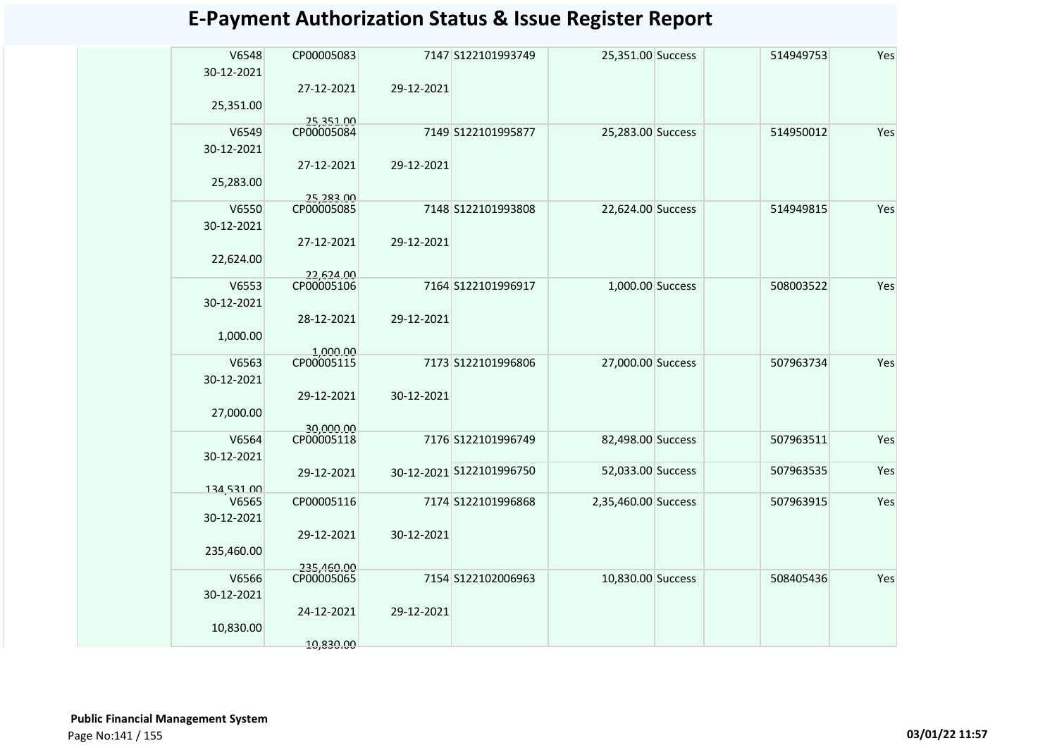| V6548<br>30-12-2021     | CP00005083               |            | 7147 S122101993749       | 25,351.00 Success   | 514949753 | Yes |
|-------------------------|--------------------------|------------|--------------------------|---------------------|-----------|-----|
| 25,351.00               | 27-12-2021               | 29-12-2021 |                          |                     |           |     |
| V6549<br>30-12-2021     | 25,351.00<br>CP00005084  |            | 7149 S122101995877       | 25,283.00 Success   | 514950012 | Yes |
| 25,283.00               | 27-12-2021               | 29-12-2021 |                          |                     |           |     |
| V6550                   | 25,283.00<br>CP00005085  |            | 7148 S122101993808       | 22,624.00 Success   | 514949815 | Yes |
| 30-12-2021<br>22,624.00 | 27-12-2021               | 29-12-2021 |                          |                     |           |     |
| V6553                   | 22,624.00<br>CP00005106  |            | 7164 S122101996917       | 1,000.00 Success    | 508003522 | Yes |
| 30-12-2021              | 28-12-2021               | 29-12-2021 |                          |                     |           |     |
| 1,000.00                | 1,000.00                 |            |                          |                     |           | Yes |
| V6563<br>30-12-2021     | CP00005115               |            | 7173 S122101996806       | 27,000.00 Success   | 507963734 |     |
| 27,000.00               | 29-12-2021               | 30-12-2021 |                          |                     |           |     |
| V6564<br>30-12-2021     | 30.000.00<br>CP00005118  |            | 7176 S122101996749       | 82,498.00 Success   | 507963511 | Yes |
| 134,531.00              | 29-12-2021               |            | 30-12-2021 S122101996750 | 52,033.00 Success   | 507963535 | Yes |
| V6565<br>30-12-2021     | CP00005116               |            | 7174 S122101996868       | 2,35,460.00 Success | 507963915 | Yes |
| 235,460.00              | 29-12-2021               | 30-12-2021 |                          |                     |           |     |
| V6566<br>30-12-2021     | 235,460.00<br>CP00005065 |            | 7154 S122102006963       | 10,830.00 Success   | 508405436 | Yes |
| 10,830.00               | 24-12-2021               | 29-12-2021 |                          |                     |           |     |
|                         | 10,830.00                |            |                          |                     |           |     |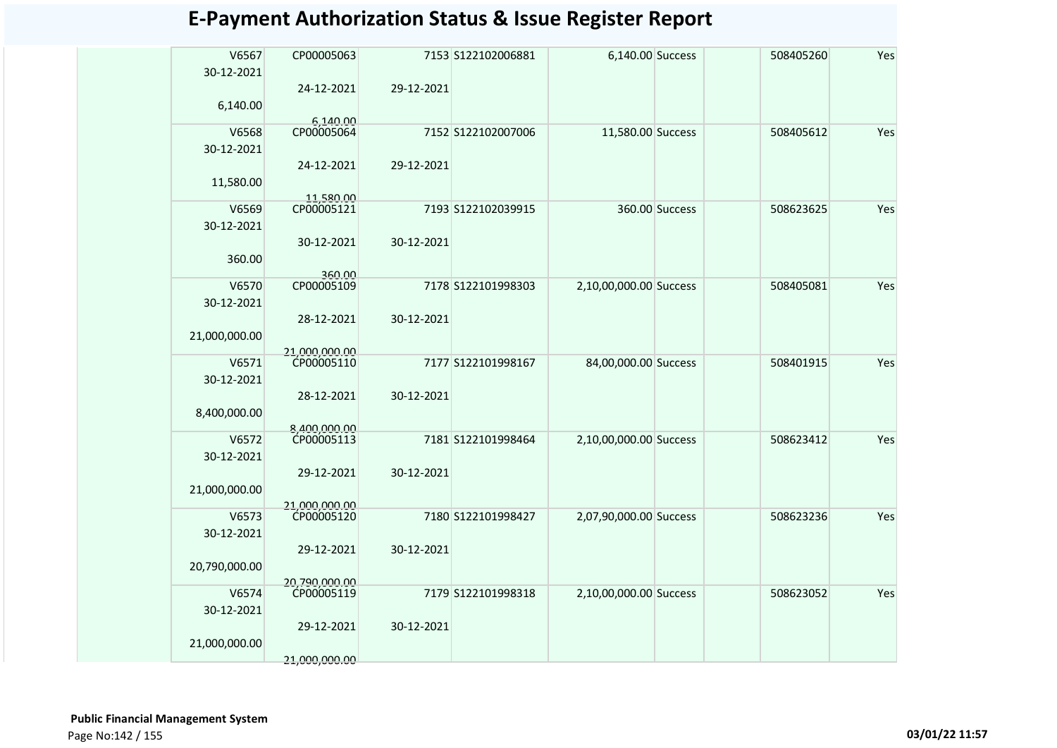| V6567         | CP00005063                  |            | 7153 S122102006881 | 6,140.00 Success       |                | 508405260 | Yes |
|---------------|-----------------------------|------------|--------------------|------------------------|----------------|-----------|-----|
| 30-12-2021    |                             |            |                    |                        |                |           |     |
|               | 24-12-2021                  | 29-12-2021 |                    |                        |                |           |     |
| 6,140.00      |                             |            |                    |                        |                |           |     |
|               | 6,140.00                    |            |                    |                        |                |           |     |
| V6568         | CP00005064                  |            | 7152 S122102007006 | 11,580.00 Success      |                | 508405612 | Yes |
| 30-12-2021    |                             |            |                    |                        |                |           |     |
|               | 24-12-2021                  | 29-12-2021 |                    |                        |                |           |     |
| 11,580.00     |                             |            |                    |                        |                |           |     |
| V6569         | 11,580.00<br>CP00005121     |            | 7193 S122102039915 |                        | 360.00 Success | 508623625 | Yes |
|               |                             |            |                    |                        |                |           |     |
| 30-12-2021    |                             |            |                    |                        |                |           |     |
|               | 30-12-2021                  | 30-12-2021 |                    |                        |                |           |     |
| 360.00        |                             |            |                    |                        |                |           |     |
| V6570         | 360.00<br>CP00005109        |            | 7178 S122101998303 | 2,10,00,000.00 Success |                | 508405081 | Yes |
| 30-12-2021    |                             |            |                    |                        |                |           |     |
|               | 28-12-2021                  | 30-12-2021 |                    |                        |                |           |     |
|               |                             |            |                    |                        |                |           |     |
| 21,000,000.00 |                             |            |                    |                        |                |           |     |
| V6571         | 21,000,000,00<br>CP00005110 |            | 7177 S122101998167 | 84,00,000.00 Success   |                | 508401915 | Yes |
| 30-12-2021    |                             |            |                    |                        |                |           |     |
|               | 28-12-2021                  | 30-12-2021 |                    |                        |                |           |     |
| 8,400,000.00  |                             |            |                    |                        |                |           |     |
|               | 8,400,000.00                |            |                    |                        |                |           |     |
| V6572         | CP00005113                  |            | 7181 S122101998464 | 2,10,00,000.00 Success |                | 508623412 | Yes |
| 30-12-2021    |                             |            |                    |                        |                |           |     |
|               | 29-12-2021                  | 30-12-2021 |                    |                        |                |           |     |
| 21,000,000.00 |                             |            |                    |                        |                |           |     |
|               | 21,000,000.00<br>CP00005120 |            |                    |                        |                |           |     |
| V6573         |                             |            | 7180 S122101998427 | 2,07,90,000.00 Success |                | 508623236 | Yes |
| 30-12-2021    |                             |            |                    |                        |                |           |     |
|               | 29-12-2021                  | 30-12-2021 |                    |                        |                |           |     |
| 20,790,000.00 |                             |            |                    |                        |                |           |     |
|               | 20.790.000.00               |            |                    |                        |                |           |     |
| V6574         | CP00005119                  |            | 7179 S122101998318 | 2,10,00,000.00 Success |                | 508623052 | Yes |
| 30-12-2021    |                             |            |                    |                        |                |           |     |
|               | 29-12-2021                  | 30-12-2021 |                    |                        |                |           |     |
| 21,000,000.00 |                             |            |                    |                        |                |           |     |
|               | 21.000.000.00               |            |                    |                        |                |           |     |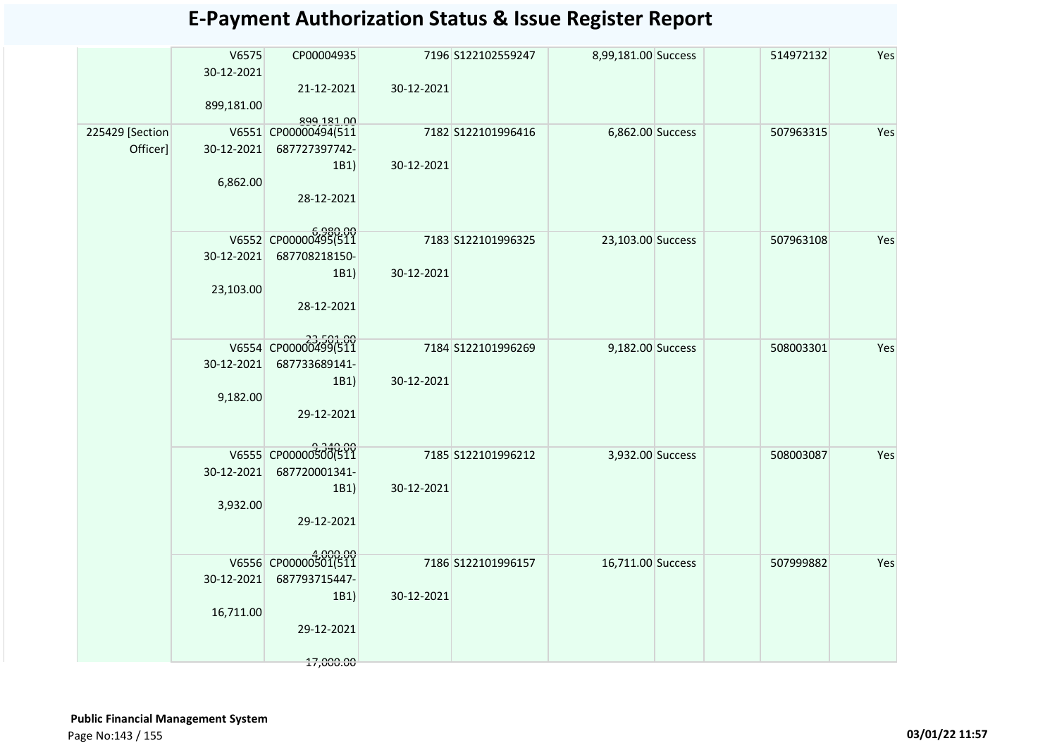|                 | V6575<br>30-12-2021 | CP00004935                         |            | 7196 S122102559247 | 8,99,181.00 Success | 514972132 | Yes |
|-----------------|---------------------|------------------------------------|------------|--------------------|---------------------|-----------|-----|
|                 |                     | 21-12-2021                         | 30-12-2021 |                    |                     |           |     |
|                 | 899,181.00          |                                    |            |                    |                     |           |     |
| 225429 [Section |                     | 899,181.00<br>V6551 CP00000494(511 |            | 7182 S122101996416 | 6,862.00 Success    | 507963315 | Yes |
| Officer]        | 30-12-2021          | 687727397742-                      |            |                    |                     |           |     |
|                 |                     | 1B1)                               | 30-12-2021 |                    |                     |           |     |
|                 | 6,862.00            |                                    |            |                    |                     |           |     |
|                 |                     | 28-12-2021                         |            |                    |                     |           |     |
|                 |                     |                                    |            |                    |                     |           |     |
|                 |                     | V6552 CP00000495(511               |            | 7183 S122101996325 | 23,103.00 Success   | 507963108 | Yes |
|                 | 30-12-2021          | 687708218150-                      |            |                    |                     |           |     |
|                 |                     | 1B1)                               | 30-12-2021 |                    |                     |           |     |
|                 | 23,103.00           |                                    |            |                    |                     |           |     |
|                 |                     | 28-12-2021                         |            |                    |                     |           |     |
|                 |                     |                                    |            |                    |                     |           |     |
|                 |                     | V6554 CP00000499(511               |            | 7184 S122101996269 | 9,182.00 Success    | 508003301 | Yes |
|                 | 30-12-2021          | 687733689141-                      |            |                    |                     |           |     |
|                 |                     | 1B1)                               | 30-12-2021 |                    |                     |           |     |
|                 | 9,182.00            |                                    |            |                    |                     |           |     |
|                 |                     | 29-12-2021                         |            |                    |                     |           |     |
|                 |                     |                                    |            |                    |                     |           |     |
|                 |                     | V6555 CP00000500(511               |            | 7185 S122101996212 | 3,932.00 Success    | 508003087 | Yes |
|                 | 30-12-2021          | 687720001341-                      |            |                    |                     |           |     |
|                 |                     | 1B1)                               | 30-12-2021 |                    |                     |           |     |
|                 | 3,932.00            |                                    |            |                    |                     |           |     |
|                 |                     | 29-12-2021                         |            |                    |                     |           |     |
|                 |                     |                                    |            |                    |                     |           |     |
|                 |                     | V6556 CP00000501(511               |            | 7186 S122101996157 | 16,711.00 Success   | 507999882 | Yes |
|                 | 30-12-2021          | 687793715447-                      |            |                    |                     |           |     |
|                 |                     | 1B1)                               | 30-12-2021 |                    |                     |           |     |
|                 | 16,711.00           | 29-12-2021                         |            |                    |                     |           |     |
|                 |                     |                                    |            |                    |                     |           |     |
|                 |                     | 17,000.00                          |            |                    |                     |           |     |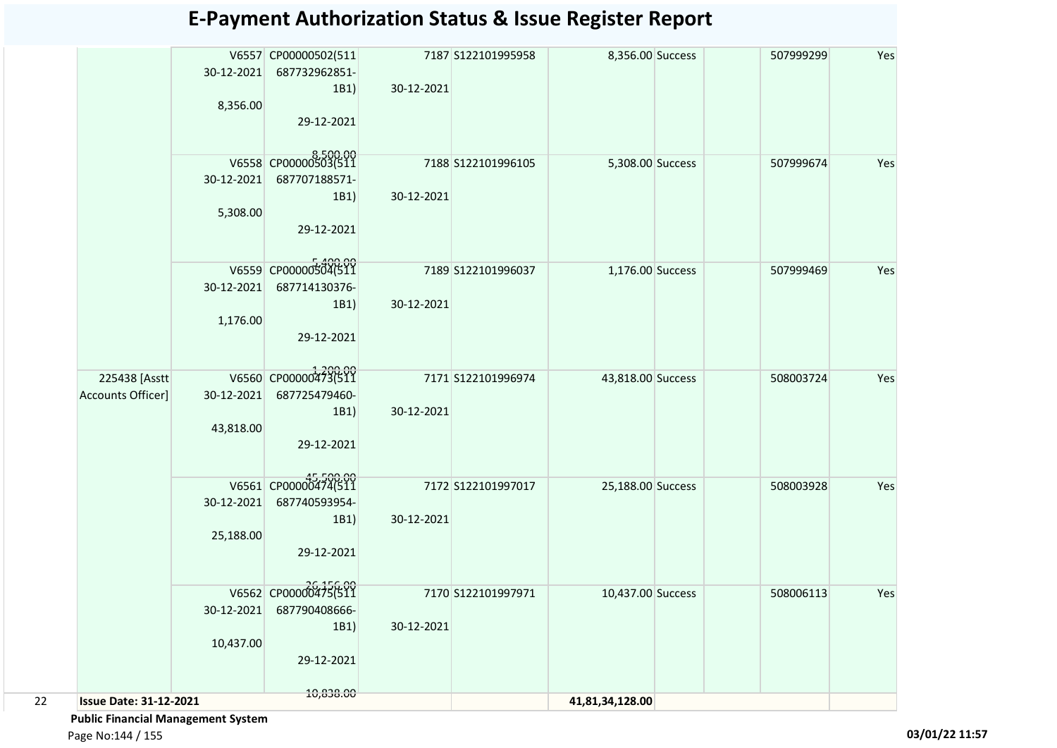|                               |            | V6557 CP00000502(511   |            | 7187 S122101995958  | 8,356.00 Success  | 507999299 | Yes |
|-------------------------------|------------|------------------------|------------|---------------------|-------------------|-----------|-----|
|                               | 30-12-2021 | 687732962851-          |            |                     |                   |           |     |
|                               |            | 1B1)                   | 30-12-2021 |                     |                   |           |     |
|                               | 8,356.00   |                        |            |                     |                   |           |     |
|                               |            | 29-12-2021             |            |                     |                   |           |     |
|                               |            |                        |            |                     |                   |           |     |
|                               |            | V6558 CP00000503(511   |            | 7188 \$122101996105 | 5,308.00 Success  | 507999674 | Yes |
|                               | 30-12-2021 | 687707188571-          |            |                     |                   |           |     |
|                               |            | 1B1)                   | 30-12-2021 |                     |                   |           |     |
|                               | 5,308.00   |                        |            |                     |                   |           |     |
|                               |            | 29-12-2021             |            |                     |                   |           |     |
|                               |            |                        |            |                     |                   |           |     |
|                               |            | V6559 CP00000504(511   |            | 7189 S122101996037  | 1,176.00 Success  | 507999469 | Yes |
|                               | 30-12-2021 | 687714130376-          |            |                     |                   |           |     |
|                               |            | 1B1)                   | 30-12-2021 |                     |                   |           |     |
|                               | 1,176.00   |                        |            |                     |                   |           |     |
|                               |            | 29-12-2021             |            |                     |                   |           |     |
|                               |            |                        |            |                     |                   |           |     |
| 225438 [Asstt                 |            | V6560 CP00000473(511   |            | 7171 S122101996974  | 43,818.00 Success | 508003724 | Yes |
| Accounts Officer]             | 30-12-2021 | 687725479460-          |            |                     |                   |           |     |
|                               |            | 1B1)                   | 30-12-2021 |                     |                   |           |     |
|                               | 43,818.00  |                        |            |                     |                   |           |     |
|                               |            | 29-12-2021             |            |                     |                   |           |     |
|                               |            |                        |            |                     |                   |           |     |
|                               |            | V6561 CP0000045474(511 |            | 7172 S122101997017  | 25,188.00 Success | 508003928 | Yes |
|                               | 30-12-2021 | 687740593954-          |            |                     |                   |           |     |
|                               |            | 1B1)                   | 30-12-2021 |                     |                   |           |     |
|                               | 25,188.00  | 29-12-2021             |            |                     |                   |           |     |
|                               |            |                        |            |                     |                   |           |     |
|                               |            | V6562 CP00000475(511   |            |                     |                   |           |     |
|                               |            |                        |            | 7170 S122101997971  | 10,437.00 Success | 508006113 | Yes |
|                               | 30-12-2021 | 687790408666-<br>1B1)  | 30-12-2021 |                     |                   |           |     |
|                               | 10,437.00  |                        |            |                     |                   |           |     |
|                               |            | 29-12-2021             |            |                     |                   |           |     |
|                               |            |                        |            |                     |                   |           |     |
| <b>Issue Date: 31-12-2021</b> |            | 10,838.00              |            |                     |                   |           |     |
|                               |            |                        |            |                     | 41,81,34,128.00   |           |     |

 **Public Financial Management System** 

Page No:144 / 155 **03/01/22 11:57**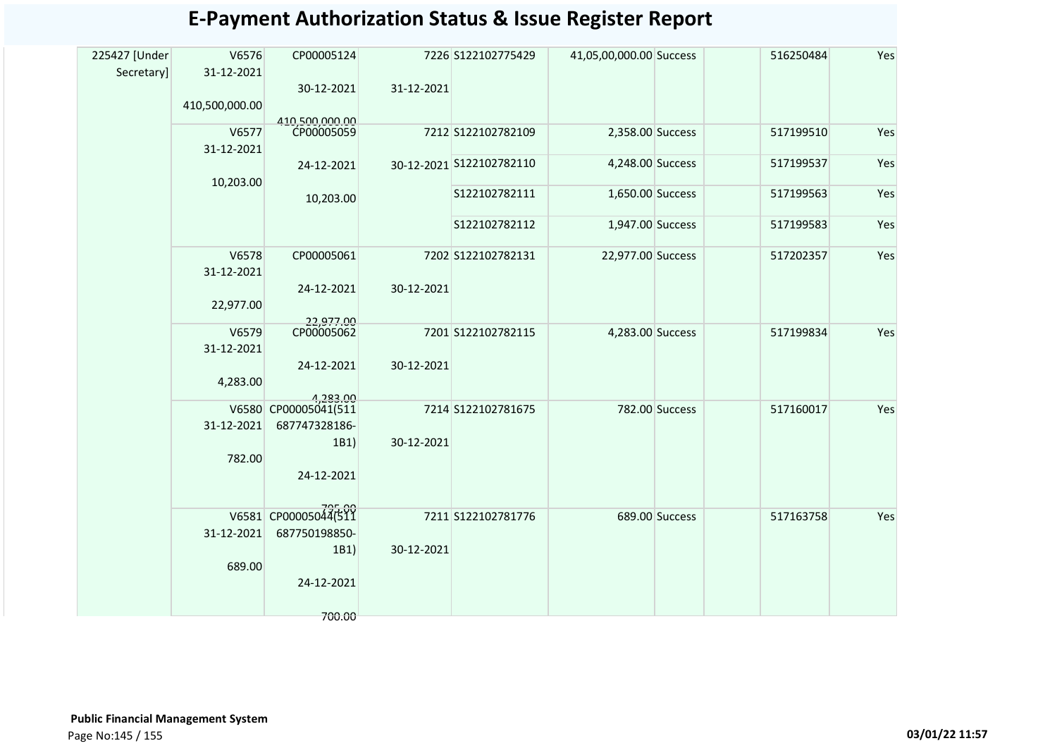| 225427 [Under | V6576          | CP00005124              |            | 7226 S122102775429       | 41,05,00,000.00 Success |                | 516250484 | Yes |
|---------------|----------------|-------------------------|------------|--------------------------|-------------------------|----------------|-----------|-----|
| Secretary]    | 31-12-2021     |                         |            |                          |                         |                |           |     |
|               |                | 30-12-2021              | 31-12-2021 |                          |                         |                |           |     |
|               | 410,500,000.00 |                         |            |                          |                         |                |           |     |
|               |                | 410,500,000.00          |            |                          |                         |                |           |     |
|               | V6577          | CP00005059              |            | 7212 S122102782109       | 2,358.00 Success        |                | 517199510 | Yes |
|               | 31-12-2021     |                         |            |                          |                         |                |           |     |
|               |                | 24-12-2021              |            | 30-12-2021 S122102782110 | 4,248.00 Success        |                | 517199537 | Yes |
|               | 10,203.00      |                         |            |                          |                         |                |           |     |
|               |                | 10,203.00               |            | S122102782111            | 1,650.00 Success        |                | 517199563 | Yes |
|               |                |                         |            |                          |                         |                |           |     |
|               |                |                         |            | S122102782112            | 1,947.00 Success        |                | 517199583 | Yes |
|               | V6578          | CP00005061              |            | 7202 S122102782131       | 22,977.00 Success       |                | 517202357 | Yes |
|               |                |                         |            |                          |                         |                |           |     |
|               | 31-12-2021     |                         |            |                          |                         |                |           |     |
|               |                | 24-12-2021              | 30-12-2021 |                          |                         |                |           |     |
|               | 22,977.00      |                         |            |                          |                         |                |           |     |
|               | V6579          | 22,977.00<br>CP00005062 |            | 7201 S122102782115       | 4,283.00 Success        |                | 517199834 | Yes |
|               | 31-12-2021     |                         |            |                          |                         |                |           |     |
|               |                | 24-12-2021              | 30-12-2021 |                          |                         |                |           |     |
|               | 4,283.00       |                         |            |                          |                         |                |           |     |
|               |                | 4.283.00                |            |                          |                         |                |           |     |
|               |                | V6580 CP00005041(511    |            | 7214 S122102781675       |                         | 782.00 Success | 517160017 | Yes |
|               | 31-12-2021     | 687747328186-           |            |                          |                         |                |           |     |
|               |                | 1B1)                    | 30-12-2021 |                          |                         |                |           |     |
|               | 782.00         |                         |            |                          |                         |                |           |     |
|               |                | 24-12-2021              |            |                          |                         |                |           |     |
|               |                |                         |            |                          |                         |                |           |     |
|               |                |                         |            |                          |                         |                |           |     |
|               |                | V6581 CP00005044(511    |            | 7211 S122102781776       |                         | 689.00 Success | 517163758 | Yes |
|               | 31-12-2021     | 687750198850-           |            |                          |                         |                |           |     |
|               |                | 1B1)                    | 30-12-2021 |                          |                         |                |           |     |
|               | 689.00         |                         |            |                          |                         |                |           |     |
|               |                | 24-12-2021              |            |                          |                         |                |           |     |
|               |                |                         |            |                          |                         |                |           |     |
|               |                | 700.00                  |            |                          |                         |                |           |     |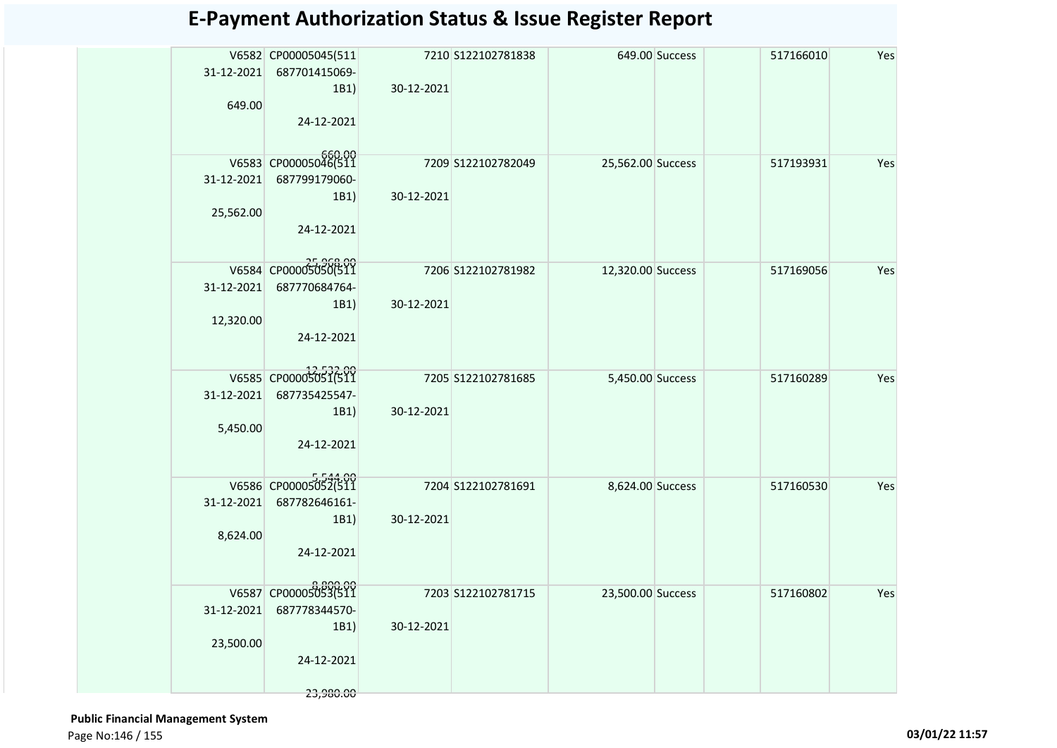|            | V6582 CP00005045(511 |            | 7210 S122102781838 |                   | 649.00 Success | 517166010 | Yes |
|------------|----------------------|------------|--------------------|-------------------|----------------|-----------|-----|
| 31-12-2021 | 687701415069-        |            |                    |                   |                |           |     |
|            | 1B1)                 | 30-12-2021 |                    |                   |                |           |     |
| 649.00     |                      |            |                    |                   |                |           |     |
|            | 24-12-2021           |            |                    |                   |                |           |     |
|            |                      |            |                    |                   |                |           |     |
|            | V6583 CP00005046(511 |            | 7209 S122102782049 | 25,562.00 Success |                | 517193931 | Yes |
| 31-12-2021 | 687799179060-        |            |                    |                   |                |           |     |
|            | 1B1)                 | 30-12-2021 |                    |                   |                |           |     |
| 25,562.00  |                      |            |                    |                   |                |           |     |
|            | 24-12-2021           |            |                    |                   |                |           |     |
|            |                      |            |                    |                   |                |           |     |
|            | V6584 CP000050506511 |            | 7206 S122102781982 | 12,320.00 Success |                | 517169056 | Yes |
| 31-12-2021 | 687770684764-        |            |                    |                   |                |           |     |
|            | 1B1                  | 30-12-2021 |                    |                   |                |           |     |
| 12,320.00  |                      |            |                    |                   |                |           |     |
|            | 24-12-2021           |            |                    |                   |                |           |     |
|            |                      |            |                    |                   |                |           |     |
|            | V6585 CP00005051(511 |            | 7205 S122102781685 | 5,450.00 Success  |                | 517160289 | Yes |
| 31-12-2021 | 687735425547-        |            |                    |                   |                |           |     |
|            | 1B1)                 | 30-12-2021 |                    |                   |                |           |     |
| 5,450.00   |                      |            |                    |                   |                |           |     |
|            | 24-12-2021           |            |                    |                   |                |           |     |
|            |                      |            |                    |                   |                |           |     |
|            | V6586 CP00005052(511 |            | 7204 S122102781691 | 8,624.00 Success  |                | 517160530 | Yes |
| 31-12-2021 | 687782646161-        |            |                    |                   |                |           |     |
|            | 1B1)                 | 30-12-2021 |                    |                   |                |           |     |
| 8,624.00   | 24-12-2021           |            |                    |                   |                |           |     |
|            |                      |            |                    |                   |                |           |     |
|            |                      |            |                    |                   |                |           |     |
|            | V6587 CP00005053(511 |            | 7203 S122102781715 | 23,500.00 Success |                | 517160802 | Yes |
| 31-12-2021 | 687778344570-        | 30-12-2021 |                    |                   |                |           |     |
| 23,500.00  | 1B1                  |            |                    |                   |                |           |     |
|            | 24-12-2021           |            |                    |                   |                |           |     |
|            |                      |            |                    |                   |                |           |     |
|            | 23,980.00            |            |                    |                   |                |           |     |

 **Public Financial Management System**  Page No:146 / 155 **03/01/22 11:57**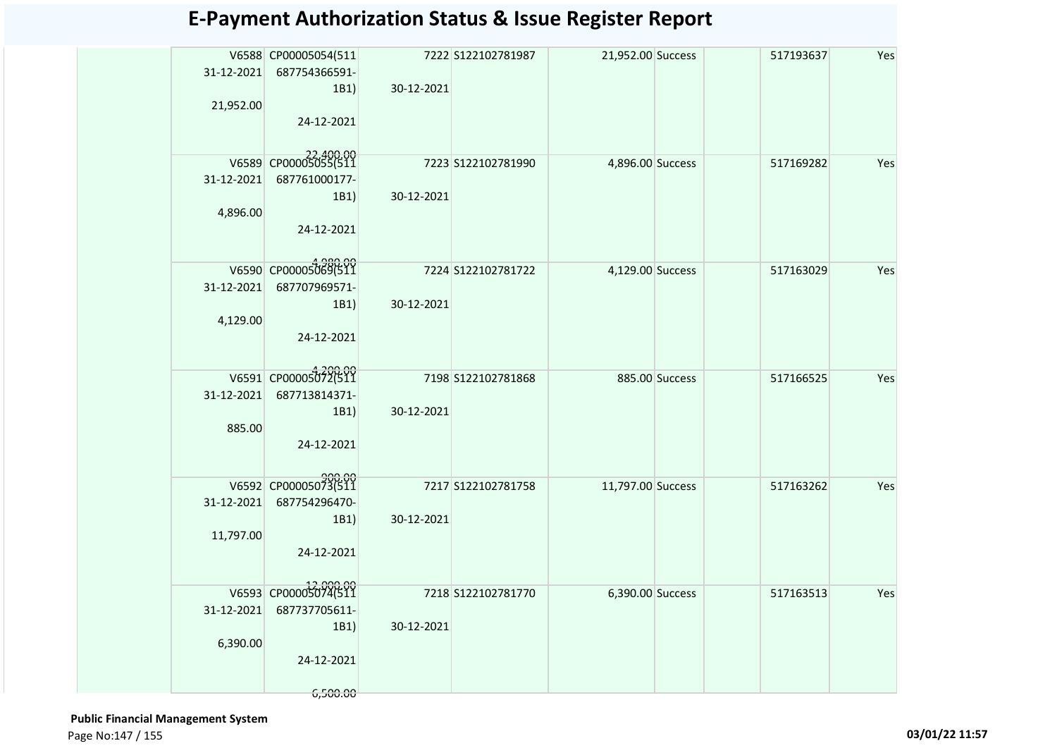| V6588 CP00005054(511<br>7222 S122102781987<br>21,952.00 Success<br>517193637<br>31-12-2021 687754366591-<br>30-12-2021<br>1B1)<br>21,952.00<br>24-12-2021<br>V6589 CP0000505055(511<br>7223 S122102781990<br>4,896.00 Success<br>517169282<br>31-12-2021<br>687761000177-<br>30-12-2021<br>1B1)<br>4,896.00<br>24-12-2021<br>V6590 CP00005069(511<br>7224 S122102781722<br>4,129.00 Success<br>517163029<br>31-12-2021<br>687707969571-<br>30-12-2021<br>1B1)<br>4,129.00<br>24-12-2021<br>V6591 CP00005072(511<br>7198 S122102781868<br>885.00 Success<br>517166525<br>31-12-2021<br>687713814371-<br>30-12-2021<br>1B1)<br>885.00<br>24-12-2021<br>V6592 CP00005073(511<br>7217 S122102781758<br>11,797.00 Success |  |  |  |           |     |
|----------------------------------------------------------------------------------------------------------------------------------------------------------------------------------------------------------------------------------------------------------------------------------------------------------------------------------------------------------------------------------------------------------------------------------------------------------------------------------------------------------------------------------------------------------------------------------------------------------------------------------------------------------------------------------------------------------------------|--|--|--|-----------|-----|
|                                                                                                                                                                                                                                                                                                                                                                                                                                                                                                                                                                                                                                                                                                                      |  |  |  |           | Yes |
|                                                                                                                                                                                                                                                                                                                                                                                                                                                                                                                                                                                                                                                                                                                      |  |  |  |           | Yes |
|                                                                                                                                                                                                                                                                                                                                                                                                                                                                                                                                                                                                                                                                                                                      |  |  |  |           | Yes |
|                                                                                                                                                                                                                                                                                                                                                                                                                                                                                                                                                                                                                                                                                                                      |  |  |  |           | Yes |
| 31-12-2021 687754296470-<br>30-12-2021<br>1B1)<br>11,797.00<br>24-12-2021                                                                                                                                                                                                                                                                                                                                                                                                                                                                                                                                                                                                                                            |  |  |  | 517163262 | Yes |
| 12,000.00<br>V6593 CP00005074(511<br>7218 S122102781770<br>6,390.00 Success<br>517163513<br>687737705611-<br>31-12-2021<br>30-12-2021<br>1B1)<br>6,390.00<br>24-12-2021<br>6,500.00                                                                                                                                                                                                                                                                                                                                                                                                                                                                                                                                  |  |  |  |           | Yes |

 **Public Financial Management System**  Page No:147 / 155 **03/01/22 11:57**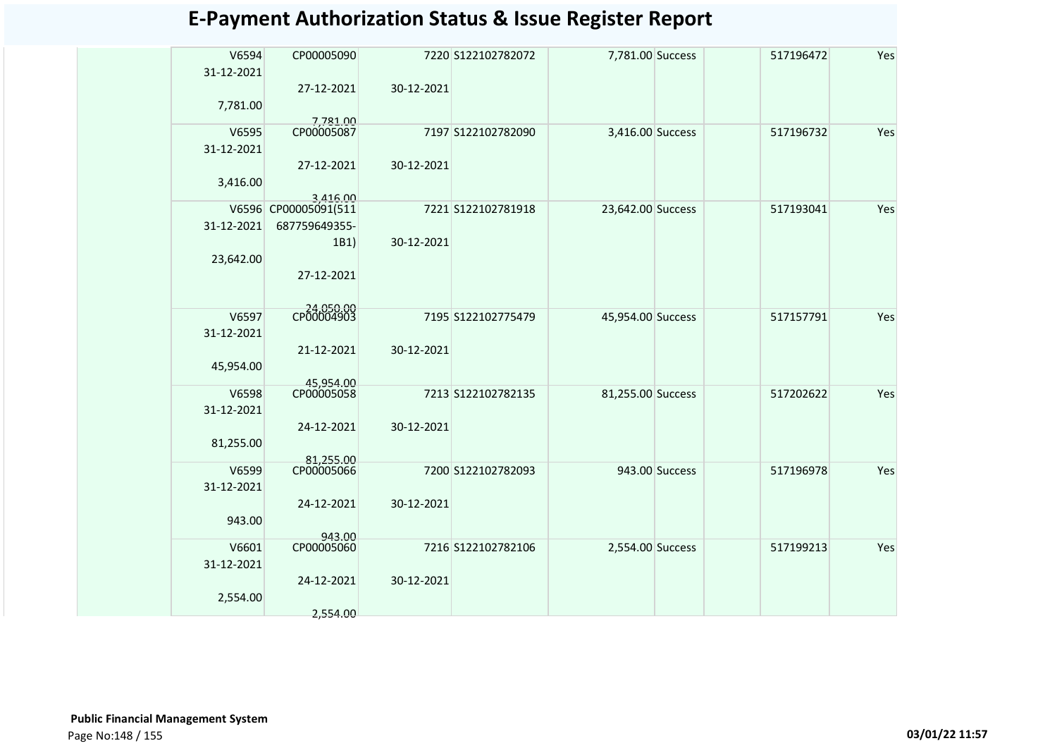| V6594<br>31-12-2021 | CP00005090                       |            | 7220 S122102782072 | 7,781.00 Success  |                | 517196472 | Yes |
|---------------------|----------------------------------|------------|--------------------|-------------------|----------------|-----------|-----|
|                     | 27-12-2021                       | 30-12-2021 |                    |                   |                |           |     |
| 7,781.00            |                                  |            |                    |                   |                |           |     |
| V6595               | 7,781.00<br>CP00005087           |            | 7197 S122102782090 | 3,416.00 Success  |                | 517196732 | Yes |
| 31-12-2021          |                                  |            |                    |                   |                |           |     |
| 3,416.00            | 27-12-2021                       | 30-12-2021 |                    |                   |                |           |     |
|                     | 3,416.00<br>V6596 CP00005091(511 |            | 7221 S122102781918 | 23,642.00 Success |                | 517193041 | Yes |
|                     |                                  |            |                    |                   |                |           |     |
| 31-12-2021          | 687759649355-                    |            |                    |                   |                |           |     |
|                     | 1B1)                             | 30-12-2021 |                    |                   |                |           |     |
| 23,642.00           |                                  |            |                    |                   |                |           |     |
|                     | 27-12-2021                       |            |                    |                   |                |           |     |
| V6597               | CP00004903                       |            | 7195 S122102775479 | 45,954.00 Success |                | 517157791 | Yes |
| 31-12-2021          |                                  |            |                    |                   |                |           |     |
|                     | 21-12-2021                       | 30-12-2021 |                    |                   |                |           |     |
|                     |                                  |            |                    |                   |                |           |     |
| 45,954.00           |                                  |            |                    |                   |                |           |     |
| V6598               | 45.954.00<br>CP00005058          |            | 7213 S122102782135 | 81,255.00 Success |                | 517202622 | Yes |
| 31-12-2021          |                                  |            |                    |                   |                |           |     |
|                     | 24-12-2021                       | 30-12-2021 |                    |                   |                |           |     |
| 81,255.00           |                                  |            |                    |                   |                |           |     |
|                     |                                  |            |                    |                   |                |           |     |
| V6599               | 81,255.00<br>CP00005066          |            | 7200 S122102782093 |                   | 943.00 Success | 517196978 | Yes |
| 31-12-2021          |                                  |            |                    |                   |                |           |     |
|                     | 24-12-2021                       | 30-12-2021 |                    |                   |                |           |     |
| 943.00              |                                  |            |                    |                   |                |           |     |
|                     | 943.00                           |            |                    |                   |                |           |     |
| V6601               | CP00005060                       |            | 7216 S122102782106 | 2,554.00 Success  |                | 517199213 | Yes |
| 31-12-2021          |                                  |            |                    |                   |                |           |     |
|                     | 24-12-2021                       | 30-12-2021 |                    |                   |                |           |     |
| 2,554.00            |                                  |            |                    |                   |                |           |     |
|                     | 2,554.00                         |            |                    |                   |                |           |     |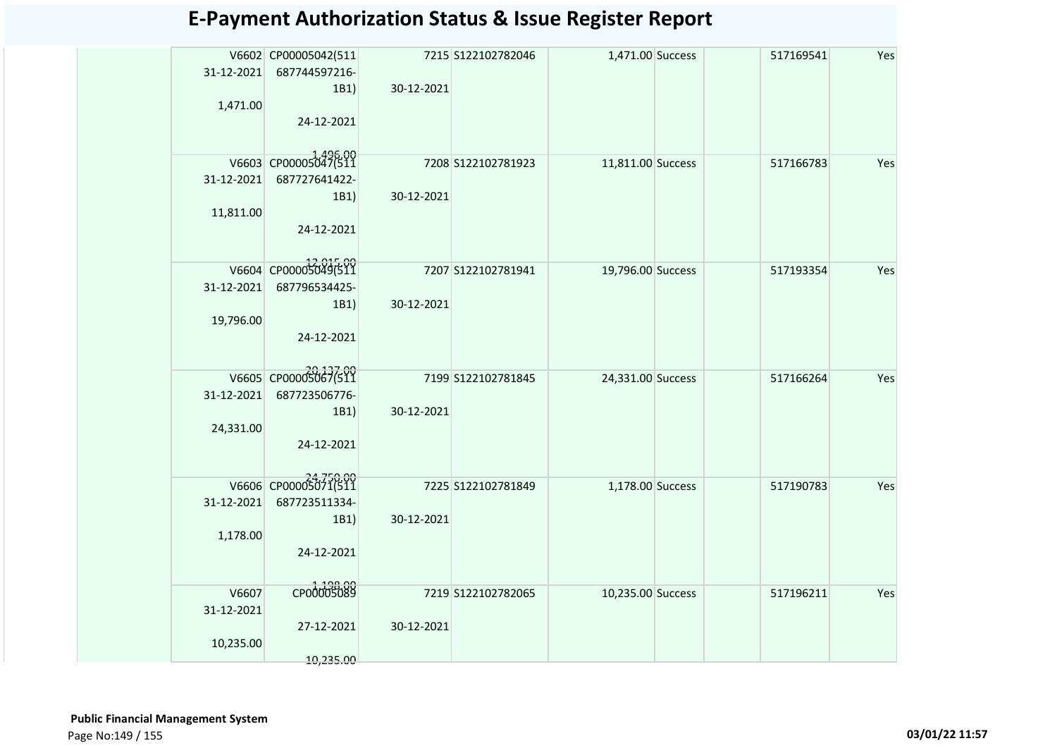| 31-12-2021<br>1,471.00           | V6602 CP00005042(511<br>687744597216-<br>1B1)<br>24-12-2021 | 30-12-2021 | 7215 S122102782046 | 1,471.00 Success  | 517169541 | Yes |
|----------------------------------|-------------------------------------------------------------|------------|--------------------|-------------------|-----------|-----|
| 31-12-2021<br>11,811.00          | V6603 CP00005047(511<br>687727641422-<br>1B1)<br>24-12-2021 | 30-12-2021 | 7208 S122102781923 | 11,811.00 Success | 517166783 | Yes |
| 31-12-2021<br>19,796.00          | V6604 CP00005049(511<br>687796534425-<br>1B1)<br>24-12-2021 | 30-12-2021 | 7207 S122102781941 | 19,796.00 Success | 517193354 | Yes |
| 31-12-2021<br>24,331.00          | V6605 CP00005067(511<br>687723506776-<br>1B1)<br>24-12-2021 | 30-12-2021 | 7199 S122102781845 | 24,331.00 Success | 517166264 | Yes |
| 31-12-2021<br>1,178.00           | V6606 CP00005071(511<br>687723511334-<br>1B1)<br>24-12-2021 | 30-12-2021 | 7225 S122102781849 | 1,178.00 Success  | 517190783 | Yes |
| V6607<br>31-12-2021<br>10,235.00 | CP00005089<br>27-12-2021<br>10,235.00                       | 30-12-2021 | 7219 S122102782065 | 10,235.00 Success | 517196211 | Yes |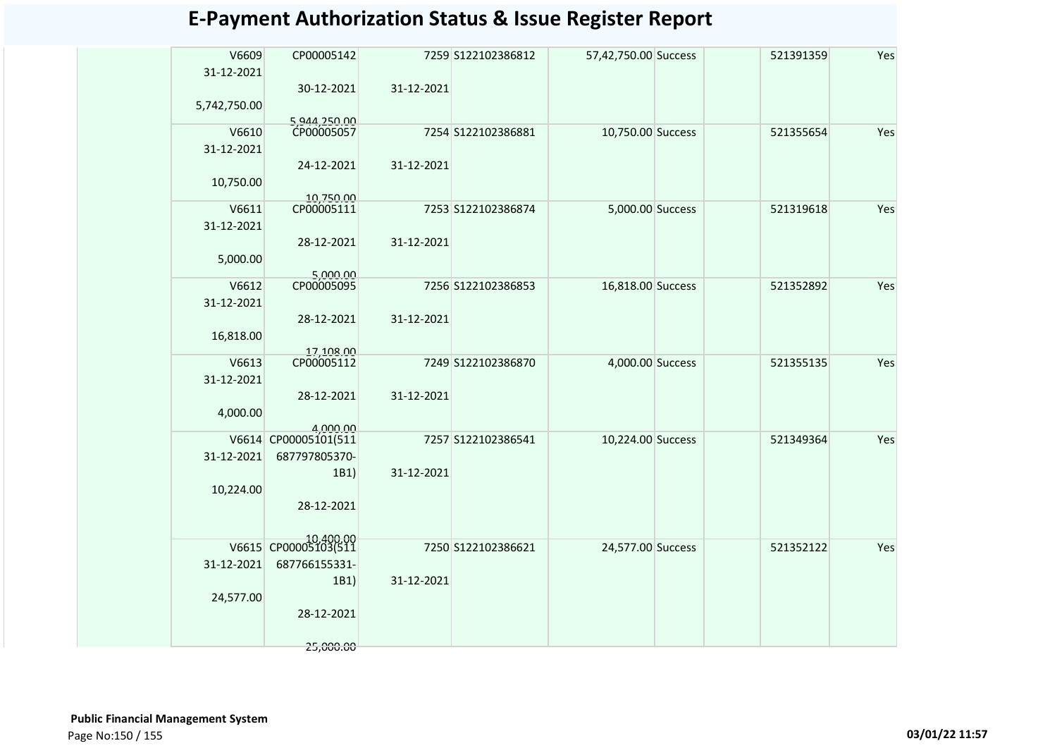| V6609        | CP00005142                        |            | 7259 S122102386812 | 57,42,750.00 Success | 521391359 | Yes |
|--------------|-----------------------------------|------------|--------------------|----------------------|-----------|-----|
| 31-12-2021   | 30-12-2021                        | 31-12-2021 |                    |                      |           |     |
| 5,742,750.00 |                                   |            |                    |                      |           |     |
| V6610        | 5,944,250.00<br>CP00005057        |            | 7254 S122102386881 | 10,750.00 Success    | 521355654 | Yes |
| 31-12-2021   | 24-12-2021                        | 31-12-2021 |                    |                      |           |     |
| 10,750.00    |                                   |            |                    |                      |           |     |
|              | 10,750.00                         |            |                    |                      |           |     |
| V6611        | CP00005111                        |            | 7253 S122102386874 | 5,000.00 Success     | 521319618 | Yes |
| 31-12-2021   |                                   |            |                    |                      |           |     |
|              | 28-12-2021                        | 31-12-2021 |                    |                      |           |     |
| 5,000.00     |                                   |            |                    |                      |           |     |
| V6612        | 5,000.00<br>CP00005095            |            | 7256 S122102386853 | 16,818.00 Success    | 521352892 | Yes |
| 31-12-2021   |                                   |            |                    |                      |           |     |
|              | 28-12-2021                        | 31-12-2021 |                    |                      |           |     |
|              |                                   |            |                    |                      |           |     |
| 16,818.00    |                                   |            |                    |                      |           |     |
| V6613        | 17,108.00<br>CP00005112           |            | 7249 S122102386870 | 4,000.00 Success     | 521355135 | Yes |
| 31-12-2021   |                                   |            |                    |                      |           |     |
|              | 28-12-2021                        | 31-12-2021 |                    |                      |           |     |
| 4,000.00     |                                   |            |                    |                      |           |     |
|              | 4.000.00                          |            |                    |                      |           |     |
|              | V6614 CP00005101(511              |            | 7257 S122102386541 | 10,224.00 Success    | 521349364 | Yes |
| 31-12-2021   | 687797805370-                     |            |                    |                      |           |     |
|              | 1B1)                              | 31-12-2021 |                    |                      |           |     |
| 10,224.00    |                                   |            |                    |                      |           |     |
|              | 28-12-2021                        |            |                    |                      |           |     |
|              |                                   |            |                    |                      |           |     |
|              | 10,400.00<br>V6615 CP00005103(511 |            | 7250 S122102386621 | 24,577.00 Success    | 521352122 | Yes |
| 31-12-2021   | 687766155331-                     |            |                    |                      |           |     |
|              | 1B1)                              | 31-12-2021 |                    |                      |           |     |
|              |                                   |            |                    |                      |           |     |
| 24,577.00    | 28-12-2021                        |            |                    |                      |           |     |
|              |                                   |            |                    |                      |           |     |
|              | 25,000.00                         |            |                    |                      |           |     |
|              |                                   |            |                    |                      |           |     |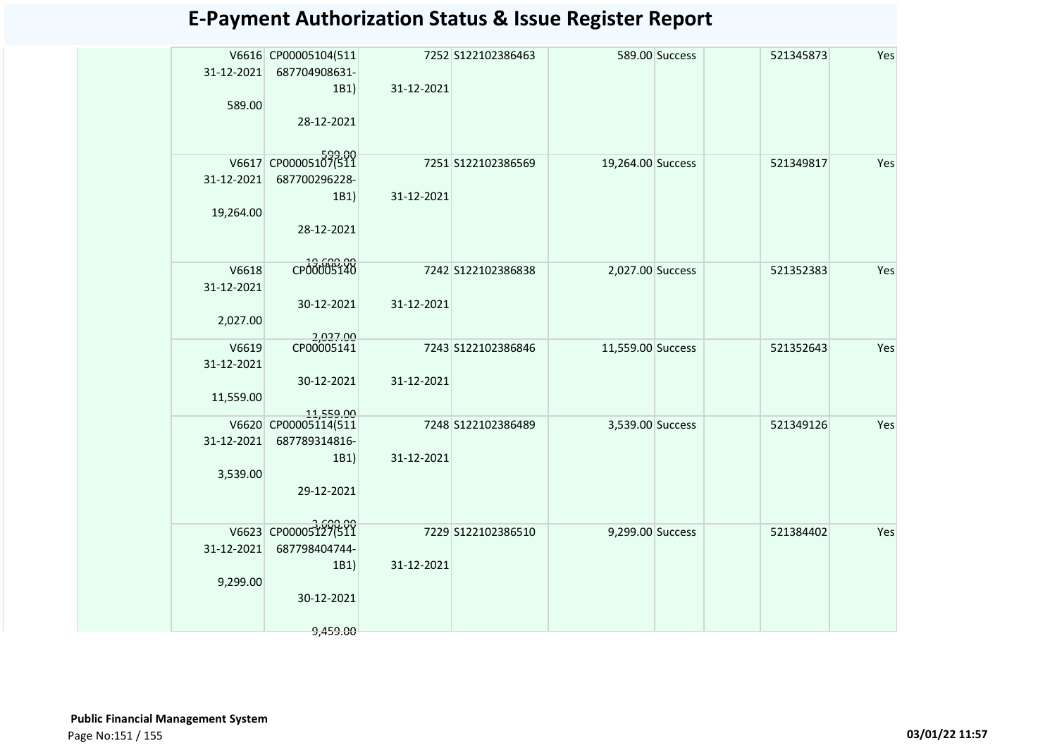| 31-12-2021          | V6616 CP00005104(511<br>687704908631- |            | 7252 S122102386463 |                   | 589.00 Success | 521345873 | Yes |
|---------------------|---------------------------------------|------------|--------------------|-------------------|----------------|-----------|-----|
|                     | 1B1)                                  | 31-12-2021 |                    |                   |                |           |     |
| 589.00              |                                       |            |                    |                   |                |           |     |
|                     | 28-12-2021                            |            |                    |                   |                |           |     |
|                     | V6617 CP00005107(511                  |            | 7251 S122102386569 | 19,264.00 Success |                | 521349817 | Yes |
| 31-12-2021          | 687700296228-                         |            |                    |                   |                |           |     |
| 19,264.00           | 1B1)                                  | 31-12-2021 |                    |                   |                |           |     |
|                     | 28-12-2021                            |            |                    |                   |                |           |     |
|                     |                                       |            |                    |                   |                |           |     |
| V6618               | CP00005140                            |            | 7242 S122102386838 | 2,027.00 Success  |                | 521352383 | Yes |
| 31-12-2021          | 30-12-2021                            | 31-12-2021 |                    |                   |                |           |     |
| 2,027.00            |                                       |            |                    |                   |                |           |     |
|                     | 2,027.00<br>CP00005141                |            |                    |                   |                |           |     |
| V6619<br>31-12-2021 |                                       |            | 7243 S122102386846 | 11,559.00 Success |                | 521352643 | Yes |
|                     | 30-12-2021                            | 31-12-2021 |                    |                   |                |           |     |
| 11,559.00           |                                       |            |                    |                   |                |           |     |
|                     | 11,559.00<br>V6620 CP00005114(511     |            | 7248 S122102386489 | 3,539.00 Success  |                | 521349126 | Yes |
| 31-12-2021          | 687789314816-                         |            |                    |                   |                |           |     |
|                     | 1B1)                                  | 31-12-2021 |                    |                   |                |           |     |
| 3,539.00            | 29-12-2021                            |            |                    |                   |                |           |     |
|                     |                                       |            |                    |                   |                |           |     |
|                     | V6623 CP00005127(511                  |            | 7229 S122102386510 | 9,299.00 Success  |                | 521384402 | Yes |
| 31-12-2021          | 687798404744-                         |            |                    |                   |                |           |     |
|                     | 1B1)                                  | 31-12-2021 |                    |                   |                |           |     |
| 9,299.00            | 30-12-2021                            |            |                    |                   |                |           |     |
|                     |                                       |            |                    |                   |                |           |     |
|                     | 9,459.00                              |            |                    |                   |                |           |     |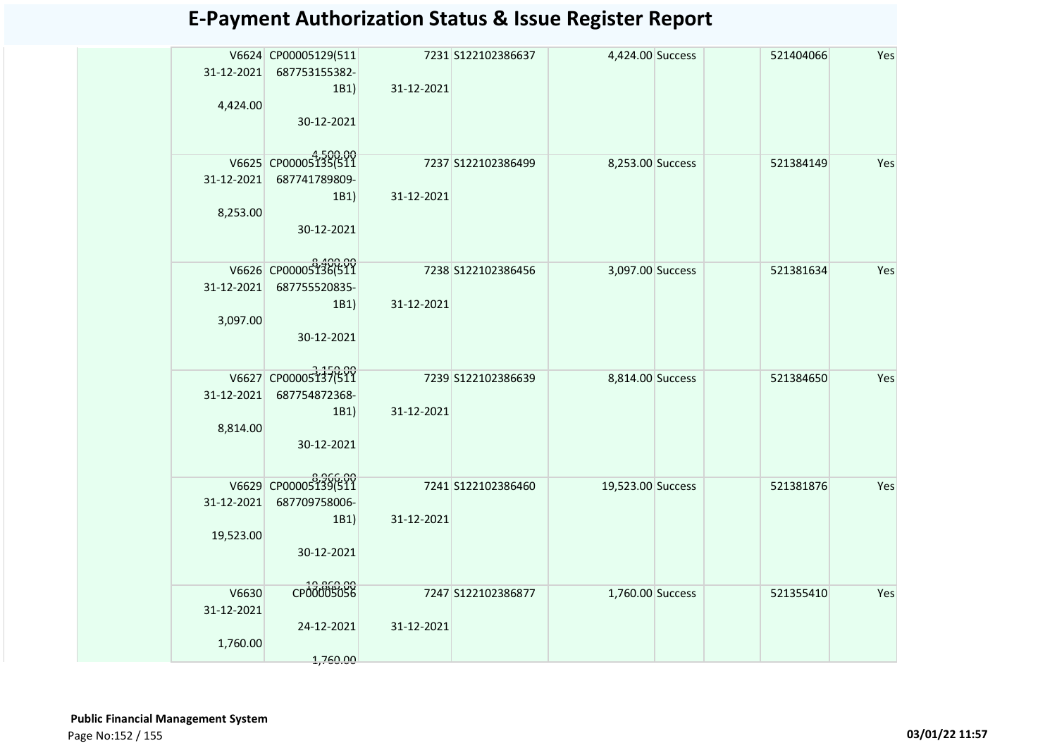| 31-12-2021<br>4,424.00          | V6624 CP00005129(511<br>687753155382-<br>1B1)<br>30-12-2021 | 31-12-2021 | 7231 S122102386637 | 4,424.00 Success  | 521404066 | Yes |
|---------------------------------|-------------------------------------------------------------|------------|--------------------|-------------------|-----------|-----|
| 31-12-2021<br>8,253.00          | V6625 CP00005135(511<br>687741789809-<br>1B1)<br>30-12-2021 | 31-12-2021 | 7237 S122102386499 | 8,253.00 Success  | 521384149 | Yes |
| 31-12-2021<br>3,097.00          | V6626 CP00005136(511<br>687755520835-<br>1B1)<br>30-12-2021 | 31-12-2021 | 7238 S122102386456 | 3,097.00 Success  | 521381634 | Yes |
| 31-12-2021<br>8,814.00          | V6627 CP00005137(511<br>687754872368-<br>1B1)<br>30-12-2021 | 31-12-2021 | 7239 S122102386639 | 8,814.00 Success  | 521384650 | Yes |
| 31-12-2021<br>19,523.00         | V6629 CP00005139(511<br>687709758006-<br>1B1)<br>30-12-2021 | 31-12-2021 | 7241 S122102386460 | 19,523.00 Success | 521381876 | Yes |
| V6630<br>31-12-2021<br>1,760.00 | CP00005056<br>24-12-2021<br>1,760.00                        | 31-12-2021 | 7247 S122102386877 | 1,760.00 Success  | 521355410 | Yes |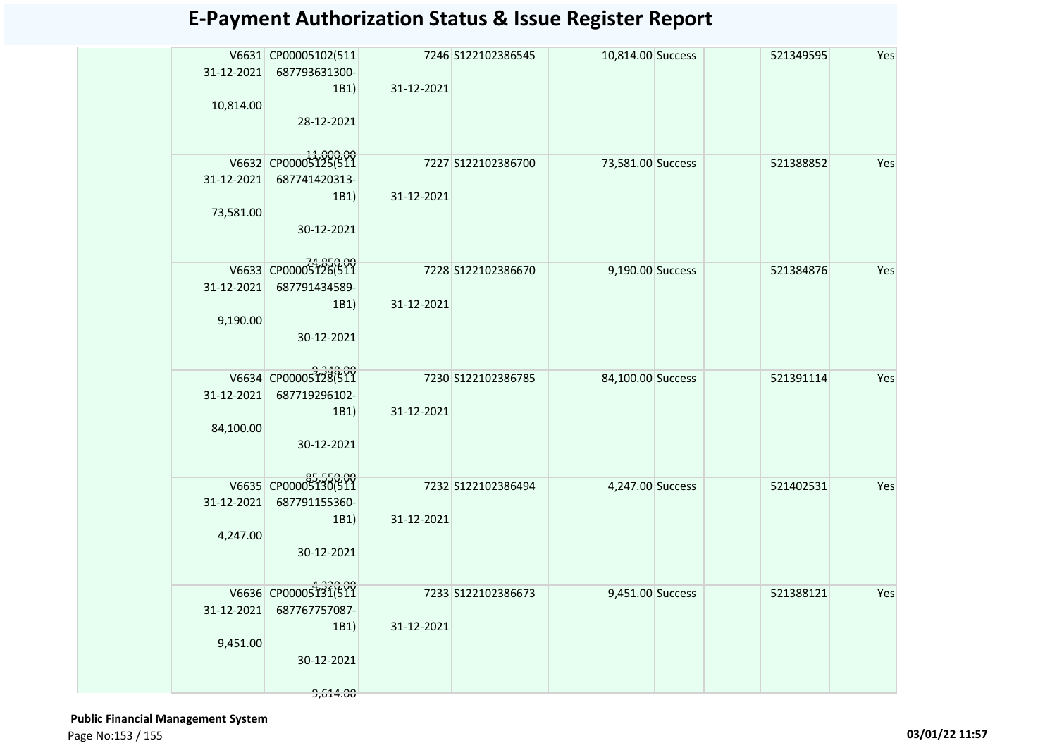|            | V6631 CP00005102(511  |            | 7246 S122102386545  | 10,814.00 Success | 521349595 | Yes |
|------------|-----------------------|------------|---------------------|-------------------|-----------|-----|
| 31-12-2021 | 687793631300-         |            |                     |                   |           |     |
|            | 1B1)                  | 31-12-2021 |                     |                   |           |     |
| 10,814.00  |                       |            |                     |                   |           |     |
|            | 28-12-2021            |            |                     |                   |           |     |
|            |                       |            |                     |                   |           |     |
|            | V6632 CP00005125(511  |            | 7227 S122102386700  | 73,581.00 Success | 521388852 | Yes |
| 31-12-2021 | 687741420313-         |            |                     |                   |           |     |
|            | 1B1)                  | 31-12-2021 |                     |                   |           |     |
| 73,581.00  |                       |            |                     |                   |           |     |
|            | 30-12-2021            |            |                     |                   |           |     |
|            |                       |            |                     |                   |           |     |
|            | V6633 CP00005126(511  |            | 7228 \$122102386670 | 9,190.00 Success  | 521384876 | Yes |
| 31-12-2021 | 687791434589-         |            |                     |                   |           |     |
|            | 1B1)                  | 31-12-2021 |                     |                   |           |     |
| 9,190.00   | 30-12-2021            |            |                     |                   |           |     |
|            |                       |            |                     |                   |           |     |
|            | V6634 CP00005128(511  |            |                     |                   |           |     |
|            |                       |            | 7230 S122102386785  | 84,100.00 Success | 521391114 | Yes |
| 31-12-2021 | 687719296102-<br>1B1) | 31-12-2021 |                     |                   |           |     |
| 84,100.00  |                       |            |                     |                   |           |     |
|            | 30-12-2021            |            |                     |                   |           |     |
|            |                       |            |                     |                   |           |     |
|            | V6635 CP00005130(511  |            | 7232 S122102386494  | 4,247.00 Success  | 521402531 | Yes |
| 31-12-2021 | 687791155360-         |            |                     |                   |           |     |
|            | 1B1)                  | 31-12-2021 |                     |                   |           |     |
| 4,247.00   |                       |            |                     |                   |           |     |
|            | 30-12-2021            |            |                     |                   |           |     |
|            |                       |            |                     |                   |           |     |
|            | V6636 CP00005131(511  |            | 7233 S122102386673  | 9,451.00 Success  | 521388121 | Yes |
| 31-12-2021 | 687767757087-         |            |                     |                   |           |     |
|            | 1B1)                  | 31-12-2021 |                     |                   |           |     |
| 9,451.00   |                       |            |                     |                   |           |     |
|            | 30-12-2021            |            |                     |                   |           |     |
|            | 9,614.00              |            |                     |                   |           |     |
|            |                       |            |                     |                   |           |     |

 **Public Financial Management System**  Page No:153 / 155 **03/01/22 11:57**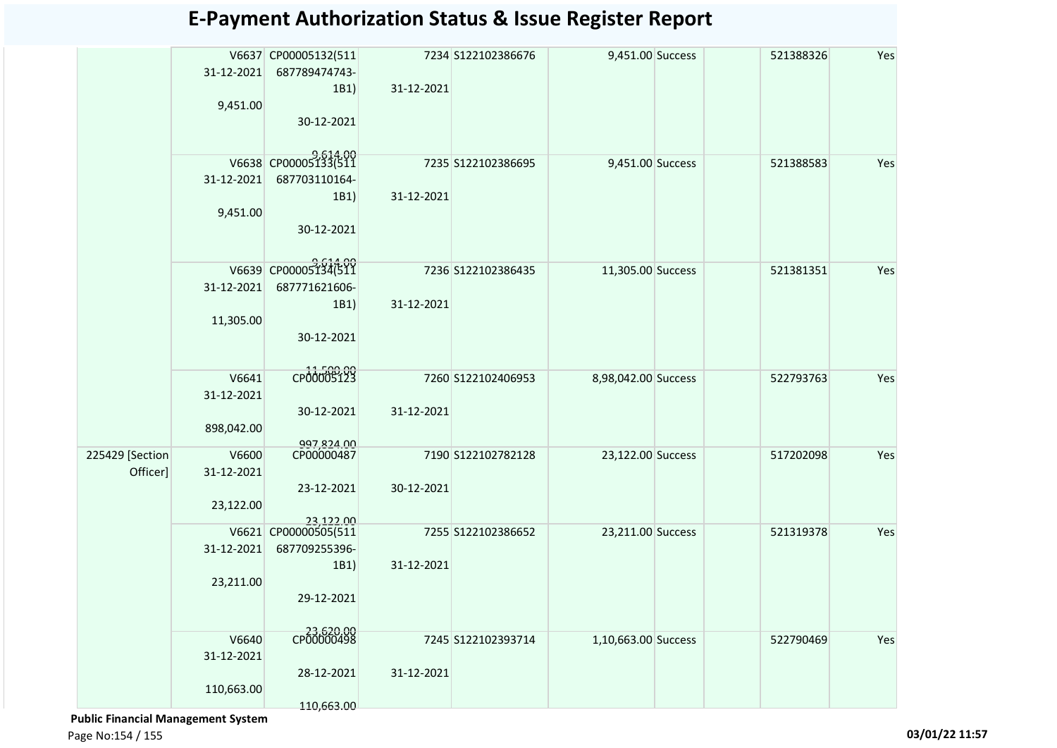|                 |            | V6637 CP00005132(511 |            | 7234 S122102386676 | 9,451.00 Success    | 521388326 | Yes |
|-----------------|------------|----------------------|------------|--------------------|---------------------|-----------|-----|
|                 | 31-12-2021 | 687789474743-        |            |                    |                     |           |     |
|                 |            | 1B1)                 | 31-12-2021 |                    |                     |           |     |
|                 | 9,451.00   |                      |            |                    |                     |           |     |
|                 |            | 30-12-2021           |            |                    |                     |           |     |
|                 |            |                      |            |                    |                     |           |     |
|                 |            | V6638 CP00005133(511 |            | 7235 S122102386695 | 9,451.00 Success    | 521388583 | Yes |
|                 | 31-12-2021 | 687703110164-        |            |                    |                     |           |     |
|                 |            | 1B1)                 | 31-12-2021 |                    |                     |           |     |
|                 | 9,451.00   |                      |            |                    |                     |           |     |
|                 |            | 30-12-2021           |            |                    |                     |           |     |
|                 |            |                      |            |                    |                     |           |     |
|                 |            | V6639 CP00005134(511 |            | 7236 S122102386435 | 11,305.00 Success   | 521381351 | Yes |
|                 | 31-12-2021 | 687771621606-        |            |                    |                     |           |     |
|                 |            | 1B1)                 | 31-12-2021 |                    |                     |           |     |
|                 | 11,305.00  |                      |            |                    |                     |           |     |
|                 |            | 30-12-2021           |            |                    |                     |           |     |
|                 |            |                      |            |                    |                     |           |     |
|                 | V6641      | CP00005123           |            | 7260 S122102406953 | 8,98,042.00 Success | 522793763 | Yes |
|                 | 31-12-2021 |                      |            |                    |                     |           |     |
|                 |            | 30-12-2021           | 31-12-2021 |                    |                     |           |     |
|                 | 898,042.00 |                      |            |                    |                     |           |     |
|                 |            | 997.824.00           |            |                    |                     |           |     |
| 225429 [Section | V6600      | CP00000487           |            | 7190 S122102782128 | 23,122.00 Success   | 517202098 | Yes |
| Officer]        | 31-12-2021 |                      |            |                    |                     |           |     |
|                 |            | 23-12-2021           | 30-12-2021 |                    |                     |           |     |
|                 | 23,122.00  | 23,122.00            |            |                    |                     |           |     |
|                 |            | V6621 CP00000505(511 |            | 7255 S122102386652 | 23,211.00 Success   | 521319378 | Yes |
|                 | 31-12-2021 | 687709255396-        |            |                    |                     |           |     |
|                 |            | 1B1)                 | 31-12-2021 |                    |                     |           |     |
|                 | 23,211.00  |                      |            |                    |                     |           |     |
|                 |            | 29-12-2021           |            |                    |                     |           |     |
|                 |            |                      |            |                    |                     |           |     |
|                 | V6640      | CP00000498           |            | 7245 S122102393714 | 1,10,663.00 Success | 522790469 | Yes |
|                 | 31-12-2021 |                      |            |                    |                     |           |     |
|                 |            | 28-12-2021           | 31-12-2021 |                    |                     |           |     |
|                 | 110,663.00 |                      |            |                    |                     |           |     |
|                 |            | 110,663.00           |            |                    |                     |           |     |

 **Public Financial Management System** 

Page No:154 / 155 **03/01/22 11:57**